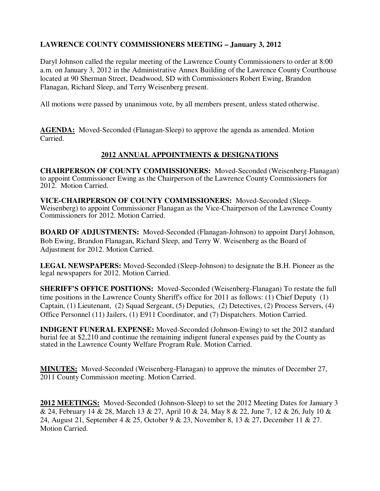# **LAWRENCE COUNTY COMMISSIONERS MEETING – January 3, 2012**

Daryl Johnson called the regular meeting of the Lawrence County Commissioners to order at 8:00 a.m. on January 3, 2012 in the Administrative Annex Building of the Lawrence County Courthouse located at 90 Sherman Street, Deadwood, SD with Commissioners Robert Ewing, Brandon Flanagan, Richard Sleep, and Terry Weisenberg present.

All motions were passed by unanimous vote, by all members present, unless stated otherwise.

**AGENDA:** Moved-Seconded (Flanagan-Sleep) to approve the agenda as amended. Motion Carried.

## **2012 ANNUAL APPOINTMENTS & DESIGNATIONS**

**CHAIRPERSON OF COUNTY COMMISSIONERS:** Moved-Seconded (Weisenberg-Flanagan) to appoint Commissioner Ewing as the Chairperson of the Lawrence County Commissioners for 2012. Motion Carried.

**VICE-CHAIRPERSON OF COUNTY COMMISSIONERS:** Moved-Seconded (Sleep-Weisenberg) to appoint Commissioner Flanagan as the Vice-Chairperson of the Lawrence County Commissioners for 2012. Motion Carried.

**BOARD OF ADJUSTMENTS:** Moved-Seconded (Flanagan-Johnson) to appoint Daryl Johnson, Bob Ewing, Brandon Flanagan, Richard Sleep, and Terry W. Weisenberg as the Board of Adjustment for 2012. Motion Carried.

**LEGAL NEWSPAPERS:** Moved-Seconded (Sleep-Johnson) to designate the B.H. Pioneer as the legal newspapers for 2012. Motion Carried.

**SHERIFF'S OFFICE POSITIONS:** Moved-Seconded (Weisenberg-Flanagan) To restate the full time positions in the Lawrence County Sheriff's office for 2011 as follows: (1) Chief Deputy (1) Captain, (1) Lieutenant, (2) Squad Sergeant, (5) Deputies, (2) Detectives, (2) Process Servers, (4) Office Personnel (11) Jailers, (1) E911 Coordinator, and (7) Dispatchers. Motion Carried.

**INDIGENT FUNERAL EXPENSE:** Moved-Seconded (Johnson-Ewing) to set the 2012 standard burial fee at \$2,210 and continue the remaining indigent funeral expenses paid by the County as stated in the Lawrence County Welfare Program Rule. Motion Carried.

**MINUTES:** Moved-Seconded (Weisenberg-Flanagan) to approve the minutes of December 27, 2011 County Commission meeting. Motion Carried.

**2012 MEETINGS:** Moved-Seconded (Johnson-Sleep) to set the 2012 Meeting Dates for January 3 & 24, February 14 & 28, March 13 & 27, April 10 & 24, May 8 & 22, June 7, 12 & 26, July 10 & 24, August 21, September 4 & 25, October 9 & 23, November 8, 13 & 27, December 11 & 27. Motion Carried.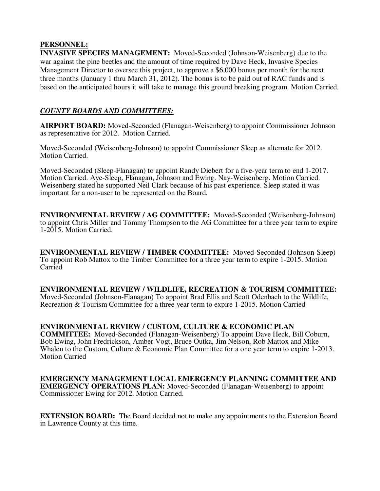### **PERSONNEL:**

**INVASIVE SPECIES MANAGEMENT:** Moved-Seconded (Johnson-Weisenberg) due to the war against the pine beetles and the amount of time required by Dave Heck, Invasive Species Management Director to oversee this project, to approve a \$6,000 bonus per month for the next three months (January 1 thru March 31, 2012). The bonus is to be paid out of RAC funds and is based on the anticipated hours it will take to manage this ground breaking program. Motion Carried.

## *COUNTY BOARDS AND COMMITTEES:*

**AIRPORT BOARD:** Moved-Seconded (Flanagan-Weisenberg) to appoint Commissioner Johnson as representative for 2012. Motion Carried.

Moved-Seconded (Weisenberg-Johnson) to appoint Commissioner Sleep as alternate for 2012. Motion Carried.

Moved-Seconded (Sleep-Flanagan) to appoint Randy Diebert for a five-year term to end 1-2017. Motion Carried. Aye-Sleep, Flanagan, Johnson and Ewing. Nay-Weisenberg. Motion Carried. Weisenberg stated he supported Neil Clark because of his past experience. Sleep stated it was important for a non-user to be represented on the Board.

**ENVIRONMENTAL REVIEW / AG COMMITTEE:** Moved-Seconded (Weisenberg-Johnson) to appoint Chris Miller and Tommy Thompson to the AG Committee for a three year term to expire 1-2015. Motion Carried.

**ENVIRONMENTAL REVIEW / TIMBER COMMITTEE:** Moved-Seconded (Johnson-Sleep) To appoint Rob Mattox to the Timber Committee for a three year term to expire 1-2015. Motion Carried

**ENVIRONMENTAL REVIEW / WILDLIFE, RECREATION & TOURISM COMMITTEE:** Moved-Seconded (Johnson-Flanagan) To appoint Brad Ellis and Scott Odenbach to the Wildlife, Recreation & Tourism Committee for a three year term to expire 1-2015. Motion Carried

**ENVIRONMENTAL REVIEW / CUSTOM, CULTURE & ECONOMIC PLAN COMMITTEE:** Moved-Seconded (Flanagan-Weisenberg) To appoint Dave Heck, Bill Coburn, Bob Ewing, John Fredrickson, Amber Vogt, Bruce Outka, Jim Nelson, Rob Mattox and Mike Whalen to the Custom, Culture & Economic Plan Committee for a one year term to expire 1-2013. Motion Carried

**EMERGENCY MANAGEMENT LOCAL EMERGENCY PLANNING COMMITTEE AND EMERGENCY OPERATIONS PLAN:** Moved-Seconded (Flanagan-Weisenberg) to appoint Commissioner Ewing for 2012. Motion Carried.

**EXTENSION BOARD:** The Board decided not to make any appointments to the Extension Board in Lawrence County at this time.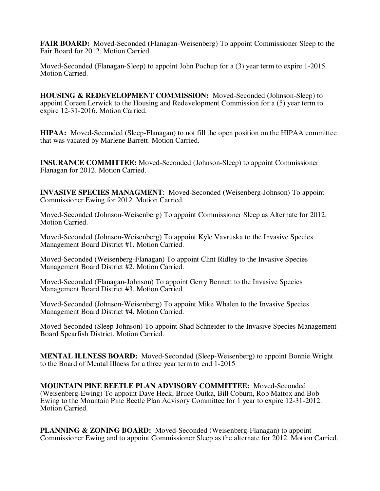**FAIR BOARD:** Moved-Seconded (Flanagan-Weisenberg) To appoint Commissioner Sleep to the Fair Board for 2012. Motion Carried.

Moved-Seconded (Flanagan-Sleep) to appoint John Pochup for a (3) year term to expire 1-2015. Motion Carried.

**HOUSING & REDEVELOPMENT COMMISSION:** Moved-Seconded (Johnson-Sleep) to appoint Coreen Lerwick to the Housing and Redevelopment Commission for a (5) year term to expire 12-31-2016. Motion Carried.

**HIPAA:** Moved-Seconded (Sleep-Flanagan) to not fill the open position on the HIPAA committee that was vacated by Marlene Barrett. Motion Carried.

**INSURANCE COMMITTEE:** Moved-Seconded (Johnson-Sleep) to appoint Commissioner Flanagan for 2012. Motion Carried.

**INVASIVE SPECIES MANAGMENT**: Moved-Seconded (Weisenberg-Johnson) To appoint Commissioner Ewing for 2012. Motion Carried.

Moved-Seconded (Johnson-Weisenberg) To appoint Commissioner Sleep as Alternate for 2012. Motion Carried.

Moved-Seconded (Johnson-Weisenberg) To appoint Kyle Vavruska to the Invasive Species Management Board District #1. Motion Carried.

Moved-Seconded (Weisenberg-Flanagan) To appoint Clint Ridley to the Invasive Species Management Board District #2. Motion Carried.

Moved-Seconded (Flanagan-Johnson) To appoint Gerry Bennett to the Invasive Species Management Board District #3. Motion Carried.

Moved-Seconded (Johnson-Weisenberg) To appoint Mike Whalen to the Invasive Species Management Board District #4. Motion Carried.

Moved-Seconded (Sleep-Johnson) To appoint Shad Schneider to the Invasive Species Management Board Spearfish District. Motion Carried.

**MENTAL ILLNESS BOARD:** Moved-Seconded (Sleep-Weisenberg) to appoint Bonnie Wright to the Board of Mental Illness for a three year term to end 1-2015

**MOUNTAIN PINE BEETLE PLAN ADVISORY COMMITTEE:** Moved-Seconded (Weisenberg-Ewing) To appoint Dave Heck, Bruce Outka, Bill Coburn, Rob Mattox and Bob Ewing to the Mountain Pine Beetle Plan Advisory Committee for 1 year to expire 12-31-2012. Motion Carried.

**PLANNING & ZONING BOARD:** Moved-Seconded (Weisenberg-Flanagan) to appoint Commissioner Ewing and to appoint Commissioner Sleep as the alternate for 2012. Motion Carried.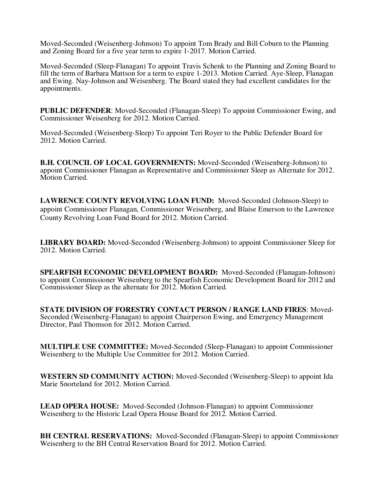Moved-Seconded (Weisenberg-Johnson) To appoint Tom Brady and Bill Coburn to the Planning and Zoning Board for a five year term to expire 1-2017. Motion Carried.

Moved-Seconded (Sleep-Flanagan) To appoint Travis Schenk to the Planning and Zoning Board to fill the term of Barbara Mattson for a term to expire 1-2013. Motion Carried. Aye-Sleep, Flanagan and Ewing. Nay-Johnson and Weisenberg. The Board stated they had excellent candidates for the appointments.

**PUBLIC DEFENDER**: Moved-Seconded (Flanagan-Sleep) To appoint Commissioner Ewing, and Commissioner Weisenberg for 2012. Motion Carried.

Moved-Seconded (Weisenberg-Sleep) To appoint Teri Royer to the Public Defender Board for 2012. Motion Carried.

**B.H. COUNCIL OF LOCAL GOVERNMENTS:** Moved-Seconded (Weisenberg-Johnson) to appoint Commissioner Flanagan as Representative and Commissioner Sleep as Alternate for 2012. Motion Carried.

**LAWRENCE COUNTY REVOLVING LOAN FUND:** Moved-Seconded (Johnson-Sleep) to appoint Commissioner Flanagan, Commissioner Weisenberg, and Blaise Emerson to the Lawrence County Revolving Loan Fund Board for 2012. Motion Carried.

**LIBRARY BOARD:** Moved-Seconded (Weisenberg-Johnson) to appoint Commissioner Sleep for 2012. Motion Carried.

**SPEARFISH ECONOMIC DEVELOPMENT BOARD:** Moved-Seconded (Flanagan-Johnson) to appoint Commissioner Weisenberg to the Spearfish Economic Development Board for 2012 and Commissioner Sleep as the alternate for 2012. Motion Carried.

**STATE DIVISION OF FORESTRY CONTACT PERSON / RANGE LAND FIRES**: Moved-Seconded (Weisenberg-Flanagan) to appoint Chairperson Ewing, and Emergency Management Director, Paul Thomson for 2012. Motion Carried.

**MULTIPLE USE COMMITTEE:** Moved-Seconded (Sleep-Flanagan) to appoint Commissioner Weisenberg to the Multiple Use Committee for 2012. Motion Carried.

**WESTERN SD COMMUNITY ACTION:** Moved-Seconded (Weisenberg-Sleep) to appoint Ida Marie Snorteland for 2012. Motion Carried.

**LEAD OPERA HOUSE:** Moved-Seconded (Johnson-Flanagan) to appoint Commissioner Weisenberg to the Historic Lead Opera House Board for 2012. Motion Carried.

**BH CENTRAL RESERVATIONS:** Moved-Seconded (Flanagan-Sleep) to appoint Commissioner Weisenberg to the BH Central Reservation Board for 2012. Motion Carried.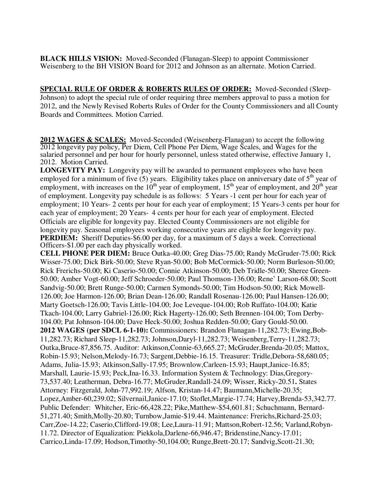**BLACK HILLS VISION:** Moved-Seconded (Flanagan-Sleep) to appoint Commissioner Weisenberg to the BH VISION Board for 2012 and Johnson as an alternate. Motion Carried.

**SPECIAL RULE OF ORDER & ROBERTS RULES OF ORDER:** Moved-Seconded (Sleep-Johnson) to adopt the special rule of order requiring three members approval to pass a motion for 2012, and the Newly Revised Roberts Rules of Order for the County Commissioners and all County Boards and Committees. Motion Carried.

**2012 WAGES & SCALES:** Moved-Seconded (Weisenberg-Flanagan) to accept the following 2012 longevity pay policy, Per Diem, Cell Phone Per Diem, Wage Scales, and Wages for the salaried personnel and per hour for hourly personnel, unless stated otherwise, effective January 1, 2012. Motion Carried.

**LONGEVITY PAY:** Longevity pay will be awarded to permanent employees who have been employed for a minimum of five (5) years. Eligibility takes place on anniversary date of  $5<sup>th</sup>$  year of employment, with increases on the  $10^{th}$  year of employment,  $15^{th}$  year of employment, and  $20^{th}$  year of employment. Longevity pay schedule is as follows: 5 Years -1 cent per hour for each year of employment; 10 Years- 2 cents per hour for each year of employment; 15 Years-3 cents per hour for each year of employment; 20 Years- 4 cents per hour for each year of employment. Elected Officials are eligible for longevity pay. Elected County Commissioners are not eligible for longevity pay. Seasonal employees working consecutive years are eligible for longevity pay. **PERDIEM:** Sheriff Deputies-\$6.00 per day, for a maximum of 5 days a week. Correctional Officers-\$1.00 per each day physically worked.

**CELL PHONE PER DIEM:** Bruce Outka-40.00; Greg Dias-75.00; Randy McGruder-75.00; Rick Wisser-75.00; Dick Birk-50.00; Steve Ryan-50.00; Bob McCormick-50.00; Norm Burleson-50.00; Rick Frerichs-50.00; Ki Caserio-50.00; Connie Atkinson-50.00; Deb Tridle-50.00; Sheree Green-50.00; Amber Vogt-60.00; Jeff Schroeder-50.00; Paul Thomson-136.00; Rene' Larson-68.00; Scott Sandvig-50.00; Brett Runge-50.00; Carmen Symonds-50.00; Tim Hodson-50.00; Rick Mowell-126.00; Joe Harmon-126.00; Brian Dean-126.00; Randall Rosenau-126.00; Paul Hansen-126.00; Marty Goetsch-126.00; Tavis Little-104.00; Joe Leveque-104.00; Rob Ruffato-104.00; Katie Tkach-104.00; Larry Gabriel-126.00; Rick Hagerty-126.00; Seth Brennen-104.00; Tom Derby-104.00; Pat Johnson-104.00; Dave Heck-50.00; Joshua Redden-50.00; Gary Gould-50.00. **2012 WAGES (per SDCL 6-1-10):** Commissioners: Brandon Flanagan-11,282.73; Ewing,Bob-11,282.73; Richard Sleep-11,282.73; Johnson,Daryl-11,282.73; Weisenberg,Terry-11,282.73; Outka,Bruce-87,856.75. Auditor: Atkinson,Connie-63,665.27; McGruder,Brenda-20.05; Mattox, Robin-15.93; Nelson,Melody-16.73; Sargent,Debbie-16.15. Treasurer: Tridle,Debora-58,680.05; Adams, Julia-15.93; Atkinson,Sally-17.95; Brownlow,Carleen-15.93; Haupt,Janice-16.85; Marshall, Laurie-15.93; Peck,Ina-16.33. Information System & Technology: Dias,Gregory-73,537.40; Leatherman, Debra-16.77; McGruder,Randall-24.09; Wisser, Ricky-20.51**.** States Attorney: Fitzgerald, John-77,992.19; Alfson, Kristan-14.47; Baumann,Michelle-20.35; Lopez,Amber-60,239.02; Silvernail,Janice-17.10; Stoflet,Margie-17.74; Harvey,Brenda-53,342.77. Public Defender: Whitcher, Eric-66,428.22; Pike,Matthew-\$54,601.81; Schuchmann, Bernard-51,271.40; Smith,Molly-20.80; Turnbow,Jamie-\$19.44. Maintenance: Frerichs,Richard-25.03; Carr,Zoe-14.22; Caserio,Clifford-19.08; Lee,Laura-11.91; Mattson,Robert-12.56; Varland,Robyn-11.72. Director of Equalization: Piekkola,Darlene-66,946.47; Bridenstine,Nancy-17.01; Carrico,Linda-17.09; Hodson,Timothy-50,104.00; Runge,Brett-20.17; Sandvig,Scott-21.30;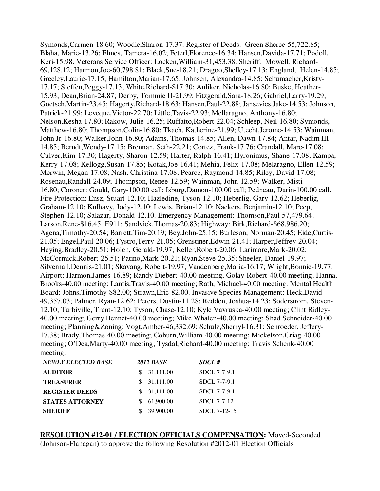Symonds,Carmen-18.60; Woodle,Sharon-17.37. Register of Deeds: Green Sheree-55,722.85; Blaha, Marie-13.26; Ehnes, Tamera-16.02; Feterl,Florence-16.34; Hansen,Davida-17.71; Podoll, Keri-15.98. Veterans Service Officer: Locken,William-31,453.38. Sheriff: Mowell, Richard-69,128.12; Harmon,Joe-60,798.81; Black,Sue-18.21; Dragoo,Shelley-17.13; England, Helen-14.85; Greeley,Laurie-17.15; Hamilton,Marian-17.65; Johnsen, Alexandra-14.85; Schumacher,Kristy-17.17; Steffen,Peggy-17.13; White,Richard-\$17.30; Anliker, Nicholas-16.80; Buske, Heather-15.93; Dean,Brian-24.87; Derby, Tommie II-21.99; Fitzgerald,Sara-18.26; Gabriel,Larry-19.29; Goetsch,Martin-23.45; Hagerty,Richard-18.63; Hansen,Paul-22.88; Jansevics,Jake-14.53; Johnson, Patrick-21.99; Leveque,Victor-22.70; Little,Tavis-22.93; Mellaragno, Anthony-16.80; Nelson,Kesha-17.80; Rakow, Julie-16.25; Ruffatto,Robert-22.04; Schleep, Neil-16.80; Symonds, Matthew-16.80; Thompson,Colin-16.80; Tkach, Katherine-21.99; Utecht,Jerome-14.53; Wainman, John Jr-16.80; Walker,John-16.80; Adams, Thomas-14.85; Allen, Dawn-17.84; Antar, Nadim III-14.85; Berndt,Wendy-17.15; Brennan, Seth-22.21; Cortez, Frank-17.76; Crandall, Marc-17.08; Culver,Kim-17.30; Hagerty, Sharon-12.59; Harter, Ralph-16.41; Hyronimus, Shane-17.08; Kampa, Kerry-17.08; Kellogg,Susan-17.85; Kotak,Joe-16.41; Mehia, Felix-17.08; Melaragno, Ellen-12.59; Merwin, Megan-17.08; Nash, Christina-17.08; Pearce, Raymond-14.85; Riley, David-17.08; Rosenau,Randall-24.09; Thompson, Renee-12.59; Wainman, John-12.59; Walker, Misti-16.80; Coroner: Gould, Gary-100.00 call; Isburg,Damon-100.00 call; Pedneau, Darin-100.00 call. Fire Protection: Ensz, Stuart-12.10; Hazledine, Tyson-12.10; Heberlig, Gary-12.62; Heberlig, Graham-12.10; Kulhavy, Jody-12.10; Lewis, Brian-12.10; Nackers, Benjamin-12.10; Peep, Stephen-12.10; Salazar, Donald-12.10. Emergency Management: Thomson,Paul-57,479.64; Larson,Rene-\$16.45. E911: Sandvick,Thomas-20.83; Highway: Birk,Richard-\$68,986.20; Agena,Timothy-20.54; Barrett,Tim-20.19; Bey,John-25.15; Burleson, Norman-20.45; Eide,Curtis-21.05; Engel,Paul-20.06; Fystro,Terry-21.05; Grenstiner,Edwin-21.41; Harper,Jeffrey-20.04; Heying,Bradley-20.51; Holen, Gerald-19.97; Keller,Robert-20.06; Larimore,Mark-20.02; McCormick,Robert-25.51; Patino,Mark-20.21; Ryan,Steve-25.35; Sheeler, Daniel-19.97; Silvernail,Dennis-21.01; Skavang, Robert-19.97; Vandenberg,Maria-16.17; Wright,Bonnie-19.77. Airport: Harmon,James-16.89; Randy Diebert-40.00 meeting, Golay-Robert-40.00 meeting; Hanna, Brooks-40.00 meeting; Lantis,Travis-40.00 meeting; Rath, Michael-40.00 meeting. Mental Health Board: Johns,Timothy-\$82.00; Strawn,Eric-82.00. Invasive Species Management: Heck,David-49,357.03; Palmer, Ryan-12.62; Peters, Dustin-11.28; Redden, Joshua-14.23; Soderstrom, Steven-12.10; Turbiville, Trent-12.10; Tyson, Chase-12.10; Kyle Vavruska-40.00 meeting; Clint Ridley-40.00 meeting; Gerry Bennet-40.00 meeting; Mike Whalen-40.00 meeting; Shad Schneider-40.00 meeting; Planning&Zoning: Vogt,Amber-46,332.69; Schulz,Sherryl-16.31; Schroeder, Jeffery-17.38; Brady,Thomas-40.00 meeting; Coburn,William-40.00 meeting; Mickelson,Criag-40.00 meeting; O'Dea,Marty-40.00 meeting; Tysdal,Richard-40.00 meeting; Travis Schenk-40.00 meeting.

| <b>NEWLY ELECTED BASE</b> | <b>2012 BASE</b> | SDCL#        |
|---------------------------|------------------|--------------|
| <b>AUDITOR</b>            | 31,111.00<br>S.  | SDCL 7-7-9.1 |
| <b>TREASURER</b>          | \$31,111.00      | SDCL 7-7-9.1 |
| <b>REGISTER DEEDS</b>     | \$31,111.00      | SDCL 7-7-9.1 |
| <b>STATES ATTORNEY</b>    | 61,900.00        | SDCL 7-7-12  |
| <b>SHERIFF</b>            | 39,900.00        | SDCL 7-12-15 |

**RESOLUTION #12-01 / ELECTION OFFICIALS COMPENSATION:** Moved-Seconded (Johnson-Flanagan) to approve the following Resolution #2012-01 Election Officials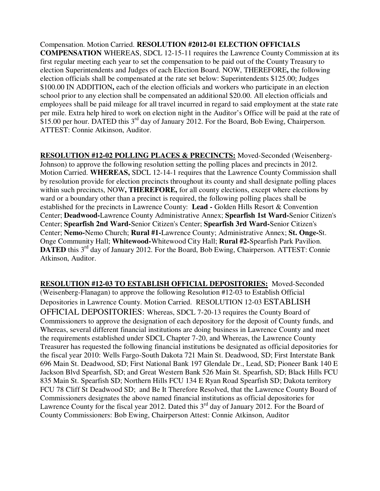Compensation. Motion Carried. **RESOLUTION #2012-01 ELECTION OFFICIALS COMPENSATION** WHEREAS, SDCL 12-15-11 requires the Lawrence County Commission at its first regular meeting each year to set the compensation to be paid out of the County Treasury to election Superintendents and Judges of each Election Board. NOW, THEREFORE**,** the following election officials shall be compensated at the rate set below: Superintendents \$125.00; Judges \$100.00 IN ADDITION**,** each of the election officials and workers who participate in an election school prior to any election shall be compensated an additional \$20.00. All election officials and employees shall be paid mileage for all travel incurred in regard to said employment at the state rate per mile. Extra help hired to work on election night in the Auditor's Office will be paid at the rate of \$15.00 per hour. DATED this  $3^{rd}$  day of January 2012. For the Board, Bob Ewing, Chairperson. ATTEST: Connie Atkinson, Auditor.

**RESOLUTION #12-02 POLLING PLACES & PRECINCTS:** Moved-Seconded (Weisenberg-Johnson) to approve the following resolution setting the polling places and precincts in 2012. Motion Carried. **WHEREAS,** SDCL 12-14-1 requires that the Lawrence County Commission shall by resolution provide for election precincts throughout its county and shall designate polling places within such precincts, NOW**, THEREFORE,** for all county elections, except where elections by ward or a boundary other than a precinct is required, the following polling places shall be established for the precincts in Lawrence County: **Lead -** Golden Hills Resort & Convention Center; **Deadwood-**Lawrence County Administrative Annex; **Spearfish 1st Ward-**Senior Citizen's Center; **Spearfish 2nd Ward-**Senior Citizen's Center; **Spearfish 3rd Ward-**Senior Citizen's Center; **Nemo-**Nemo Church; **Rural #1-**Lawrence County; Administrative Annex; **St. Onge-**St. Onge Community Hall; **Whitewood-**Whitewood City Hall; **Rural #2-**Spearfish Park Pavilion. **DATED** this 3<sup>rd</sup> day of January 2012. For the Board, Bob Ewing, Chairperson. ATTEST: Connie Atkinson, Auditor.

**RESOLUTION #12-03 TO ESTABLISH OFFICIAL DEPOSITORIES:** Moved-Seconded (Weisenberg-Flanagan) to approve the following Resolution #12-03 to Establish Official Depositories in Lawrence County. Motion Carried. RESOLUTION 12-03 ESTABLISH OFFICIAL DEPOSITORIES: Whereas, SDCL 7-20-13 requires the County Board of Commissioners to approve the designation of each depository for the deposit of County funds, and Whereas, several different financial institutions are doing business in Lawrence County and meet the requirements established under SDCL Chapter 7-20, and Whereas, the Lawrence County Treasurer has requested the following financial institutions be designated as official depositories for the fiscal year 2010: Wells Fargo-South Dakota 721 Main St. Deadwood, SD; First Interstate Bank 696 Main St. Deadwood, SD; First National Bank 197 Glendale Dr., Lead, SD; Pioneer Bank 140 E Jackson Blvd Spearfish, SD; and Great Western Bank 526 Main St. Spearfish, SD; Black Hills FCU 835 Main St. Spearfish SD; Northern Hills FCU 134 E Ryan Road Spearfish SD; Dakota territory FCU 78 Cliff St Deadwood SD; and Be It Therefore Resolved, that the Lawrence County Board of Commissioners designates the above named financial institutions as official depositories for Lawrence County for the fiscal year 2012. Dated this  $3<sup>rd</sup>$  day of January 2012. For the Board of County Commissioners: Bob Ewing, Chairperson Attest: Connie Atkinson, Auditor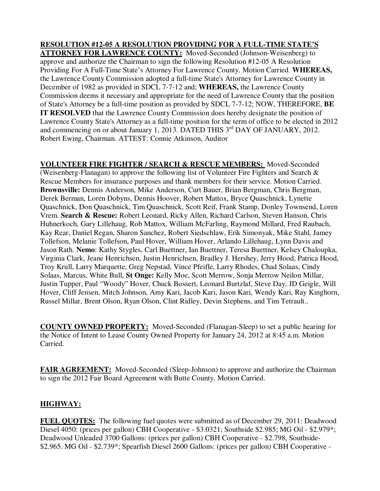**RESOLUTION #12-05 A RESOLUTION PROVIDING FOR A FULL-TIME STATE'S ATTORNEY FOR LAWRENCE COUNTY:** Moved-Seconded (Johnson-Weisenberg) to approve and authorize the Chairman to sign the following Resolution #12-05 A Resolution Providing For A Full-Time State's Attorney For Lawrence County. Motion Carried. **WHEREAS,**  the Lawrence County Commission adopted a full-time State's Attorney for Lawrence County in December of 1982 as provided in SDCL 7-7-12 and; **WHEREAS,** the Lawrence County Commission deems it necessary and appropriate for the need of Lawrence County that the position of State's Attorney be a full-time position as provided by SDCL 7-7-12; NOW, THEREFORE, **BE IT RESOLVED** that the Lawrence County Commission does hereby designate the position of Lawrence County State's Attorney as a full-time position for the term of office to be elected in 2012 and commencing on or about January 1, 2013. DATED THIS  $3^{rd}$  DAY OF JANUARY, 2012. Robert Ewing, Chairman. ATTEST: Connie Atkinson, Auditor

**VOLUNTEER FIRE FIGHTER / SEARCH & RESCUE MEMBERS:** Moved-Seconded (Weisenberg-Flanagan) to approve the following list of Volunteer Fire Fighters and Search & Rescue Members for insurance purposes and thank members for their service. Motion Carried. **Brownsville:** Dennis Anderson, Mike Anderson, Curt Bauer, Brian Bergman, Chris Bergman, Derek Berman, Loren Dobyns, Dennis Hoover, Robert Mattox, Bryce Quaschnick, Lynette Quaschnick, Don Quaschnick, Tim Quaschnick, Scott Reif, Frank Stamp, Donley Townsend, Loren Vrem. **Search & Rescue:** Robert Leonard, Ricky Allen, Richard Carlson, Steven Hanson, Chris Huhnerkoch, Gary Lillehaug, Rob Mattox, William McFarling, Raymond Millard, Fred Raubach, Kay Rear, Daniel Regan, Sharon Sanchez, Robert Siedschlaw, Erik Simonyak, Mike Stahl, Jamey Tollefson, Melanie Tollefson, Paul Hover, William Hover, Arlando Lillehaug, Lynn Davis and Jason Rath. **Nemo**: Kathy Stygles, Carl Buettner, Ian Buettner, Teresa Buettner, Kelsey Chaloupka, Virginia Clark, Jeane Henrichsen, Justin Henrichsen, Bradley J. Hershey, Jerry Hood, Patrica Hood, Troy Krull, Larry Marquette, Greg Nepstad, Vince Pfeifle, Larry Rhodes, Chad Solaas, Cindy Solaas, Marcus, White Bull, **St Onge:** Kelly Moe, Scott Merrow, Sonja Merrow Neilon Millar, Justin Tupper, Paul "Woody" Hover, Chuck Bossert, Leonard Burtzlaf, Steve Day, JD Geigle, Will Hover, Cliff Jensen, Mitch Johnson, Amy Kari, Jacob Kari, Jason Kari, Wendy Kari, Ray Kinghorn, Russel Millar, Brent Olson, Ryan Olson, Clint Ridley, Devin Stephens, and Tim Tetrault..

**COUNTY OWNED PROPERTY:** Moved-Seconded (Flanagan-Sleep) to set a public hearing for the Notice of Intent to Lease County Owned Property for January 24, 2012 at 8:45 a.m. Motion Carried.

**FAIR AGREEMENT:** Moved-Seconded (Sleep-Johnson) to approve and authorize the Chairman to sign the 2012 Fair Board Agreement with Butte County. Motion Carried.

# **HIGHWAY:**

**FUEL QUOTES:** The following fuel quotes were submitted as of December 29, 2011: Deadwood Diesel 4050: (prices per gallon) CBH Cooperative - \$3.0321; Southside \$2.985; MG Oil - \$2.979\*; Deadwood Unleaded 3700 Gallons: (prices per gallon) CBH Cooperative - \$2.798, Southside- \$2.965. MG Oil - \$2.739\*; Spearfish Diesel 2600 Gallons: (prices per gallon) CBH Cooperative -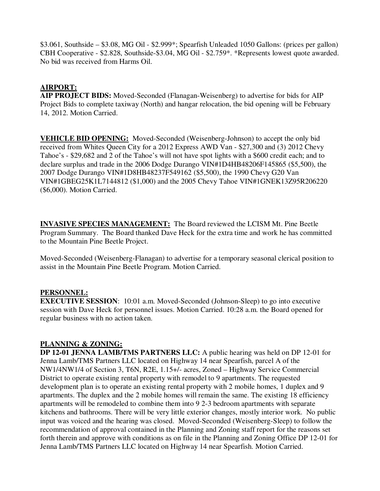\$3.061, Southside – \$3.08, MG Oil - \$2.999\*; Spearfish Unleaded 1050 Gallons: (prices per gallon) CBH Cooperative - \$2.828, Southside-\$3.04, MG Oil - \$2.759\*. \*Represents lowest quote awarded. No bid was received from Harms Oil.

## **AIRPORT:**

**AIP PROJECT BIDS:** Moved-Seconded (Flanagan-Weisenberg) to advertise for bids for AIP Project Bids to complete taxiway (North) and hangar relocation, the bid opening will be February 14, 2012. Motion Carried.

**VEHICLE BID OPENING:** Moved-Seconded (Weisenberg-Johnson) to accept the only bid received from Whites Queen City for a 2012 Express AWD Van - \$27,300 and (3) 2012 Chevy Tahoe's - \$29,682 and 2 of the Tahoe's will not have spot lights with a \$600 credit each; and to declare surplus and trade in the 2006 Dodge Durango VIN#1D4HB48206F145865 (\$5,500), the 2007 Dodge Durango VIN#1D8HB48237F549162 (\$5,500), the 1990 Chevy G20 Van VIN#1GBEG25K1L7144812 (\$1,000) and the 2005 Chevy Tahoe VIN#1GNEK13Z95R206220 (\$6,000). Motion Carried.

**INVASIVE SPECIES MANAGEMENT:** The Board reviewed the LCISM Mt. Pine Beetle Program Summary. The Board thanked Dave Heck for the extra time and work he has committed to the Mountain Pine Beetle Project.

Moved-Seconded (Weisenberg-Flanagan) to advertise for a temporary seasonal clerical position to assist in the Mountain Pine Beetle Program. Motion Carried.

## **PERSONNEL:**

**EXECUTIVE SESSION:** 10:01 a.m. Moved-Seconded (Johnson-Sleep) to go into executive session with Dave Heck for personnel issues. Motion Carried. 10:28 a.m. the Board opened for regular business with no action taken.

## **PLANNING & ZONING:**

**DP 12-01 JENNA LAMB/TMS PARTNERS LLC:** A public hearing was held on DP 12-01 for Jenna Lamb/TMS Partners LLC located on Highway 14 near Spearfish, parcel A of the NW1/4NW1/4 of Section 3, T6N, R2E, 1.15+/- acres, Zoned – Highway Service Commercial District to operate existing rental property with remodel to 9 apartments. The requested development plan is to operate an existing rental property with 2 mobile homes, 1 duplex and 9 apartments. The duplex and the 2 mobile homes will remain the same. The existing 18 efficiency apartments will be remodeled to combine them into 9 2-3 bedroom apartments with separate kitchens and bathrooms. There will be very little exterior changes, mostly interior work. No public input was voiced and the hearing was closed. Moved-Seconded (Weisenberg-Sleep) to follow the recommendation of approval contained in the Planning and Zoning staff report for the reasons set forth therein and approve with conditions as on file in the Planning and Zoning Office DP 12-01 for Jenna Lamb/TMS Partners LLC located on Highway 14 near Spearfish. Motion Carried.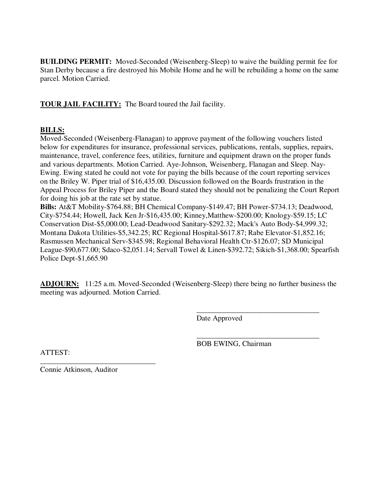**BUILDING PERMIT:** Moved-Seconded (Weisenberg-Sleep) to waive the building permit fee for Stan Derby because a fire destroyed his Mobile Home and he will be rebuilding a home on the same parcel. Motion Carried.

**TOUR JAIL FACILITY:** The Board toured the Jail facility.

## **BILLS:**

Moved-Seconded (Weisenberg-Flanagan) to approve payment of the following vouchers listed below for expenditures for insurance, professional services, publications, rentals, supplies, repairs, maintenance, travel, conference fees, utilities, furniture and equipment drawn on the proper funds and various departments. Motion Carried. Aye-Johnson, Weisenberg, Flanagan and Sleep. Nay-Ewing. Ewing stated he could not vote for paying the bills because of the court reporting services on the Briley W. Piper trial of \$16,435.00. Discussion followed on the Boards frustration in the Appeal Process for Briley Piper and the Board stated they should not be penalizing the Court Report for doing his job at the rate set by statue.

**Bills:** At&T Mobility-\$764.88; BH Chemical Company-\$149.47; BH Power-\$734.13; Deadwood, City-\$754.44; Howell, Jack Ken Jr-\$16,435.00; Kinney,Matthew-\$200.00; Knology-\$59.15; LC Conservation Dist-\$5,000.00; Lead-Deadwood Sanitary-\$292.32; Mack's Auto Body-\$4,999.32; Montana Dakota Utilities-\$5,342.25; RC Regional Hospital-\$617.87; Rabe Elevator-\$1,852.16; Rasmussen Mechanical Serv-\$345.98; Regional Behavioral Health Ctr-\$126.07; SD Municipal League-\$90,677.00; Sdaco-\$2,051.14; Servall Towel & Linen-\$392.72; Sikich-\$1,368.00; Spearfish Police Dept-\$1,665.90

**ADJOURN:** 11:25 a.m. Moved-Seconded (Weisenberg-Sleep) there being no further business the meeting was adjourned. Motion Carried.

 $\overline{\phantom{a}}$  , and the contract of the contract of the contract of the contract of the contract of the contract of the contract of the contract of the contract of the contract of the contract of the contract of the contrac

 $\overline{\phantom{a}}$  , and the contract of the contract of the contract of the contract of the contract of the contract of the contract of the contract of the contract of the contract of the contract of the contract of the contrac

Date Approved

BOB EWING, Chairman

ATTEST:

\_\_\_\_\_\_\_\_\_\_\_\_\_\_\_\_\_\_\_\_\_\_\_\_\_\_\_\_\_\_\_ Connie Atkinson, Auditor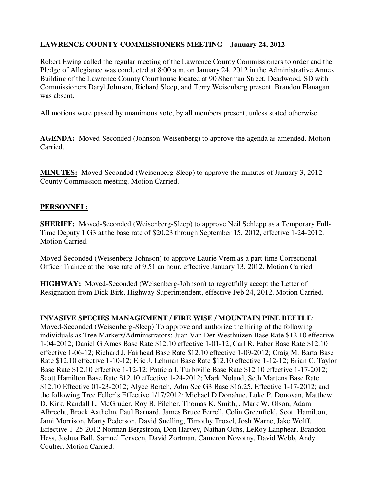## **LAWRENCE COUNTY COMMISSIONERS MEETING – January 24, 2012**

Robert Ewing called the regular meeting of the Lawrence County Commissioners to order and the Pledge of Allegiance was conducted at 8:00 a.m. on January 24, 2012 in the Administrative Annex Building of the Lawrence County Courthouse located at 90 Sherman Street, Deadwood, SD with Commissioners Daryl Johnson, Richard Sleep, and Terry Weisenberg present. Brandon Flanagan was absent.

All motions were passed by unanimous vote, by all members present, unless stated otherwise.

**AGENDA:** Moved-Seconded (Johnson-Weisenberg) to approve the agenda as amended. Motion Carried.

**MINUTES:** Moved-Seconded (Weisenberg-Sleep) to approve the minutes of January 3, 2012 County Commission meeting. Motion Carried.

## **PERSONNEL:**

**SHERIFF:** Moved-Seconded (Weisenberg-Sleep) to approve Neil Schlepp as a Temporary Full-Time Deputy 1 G3 at the base rate of \$20.23 through September 15, 2012, effective 1-24-2012. Motion Carried.

Moved-Seconded (Weisenberg-Johnson) to approve Laurie Vrem as a part-time Correctional Officer Trainee at the base rate of 9.51 an hour, effective January 13, 2012. Motion Carried.

**HIGHWAY:** Moved-Seconded (Weisenberg-Johnson) to regretfully accept the Letter of Resignation from Dick Birk, Highway Superintendent, effective Feb 24, 2012. Motion Carried.

#### **INVASIVE SPECIES MANAGEMENT / FIRE WISE / MOUNTAIN PINE BEETLE**:

Moved-Seconded (Weisenberg-Sleep) To approve and authorize the hiring of the following individuals as Tree Markers/Administrators: Juan Van Der Westhuizen Base Rate \$12.10 effective 1-04-2012; Daniel G Ames Base Rate \$12.10 effective 1-01-12; Carl R. Faber Base Rate \$12.10 effective 1-06-12; Richard J. Fairhead Base Rate \$12.10 effective 1-09-2012; Craig M. Barta Base Rate \$12.10 effective 1-10-12; Eric J. Lehman Base Rate \$12.10 effective 1-12-12; Brian C. Taylor Base Rate \$12.10 effective 1-12-12; Patricia I. Turbiville Base Rate \$12.10 effective 1-17-2012; Scott Hamilton Base Rate \$12.10 effective 1-24-2012; Mark Noland, Seth Martens Base Rate \$12.10 Effective 01-23-2012; Alyce Bertch, Adm Sec G3 Base \$16.25, Effective 1-17-2012; and the following Tree Feller's Effective 1/17/2012: Michael D Donahue, Luke P. Donovan, Matthew D. Kirk, Randall L. McGruder, Roy B. Pilcher, Thomas K. Smith, , Mark W. Olson, Adam Albrecht, Brock Axthelm, Paul Barnard, James Bruce Ferrell, Colin Greenfield, Scott Hamilton, Jami Morrison, Marty Pederson, David Snelling, Timothy Troxel, Josh Warne, Jake Wolff. Effective 1-25-2012 Norman Bergstrom, Don Harvey, Nathan Ochs, LeRoy Lanphear, Brandon Hess, Joshua Ball, Samuel Terveen, David Zortman, Cameron Novotny, David Webb, Andy Coulter. Motion Carried.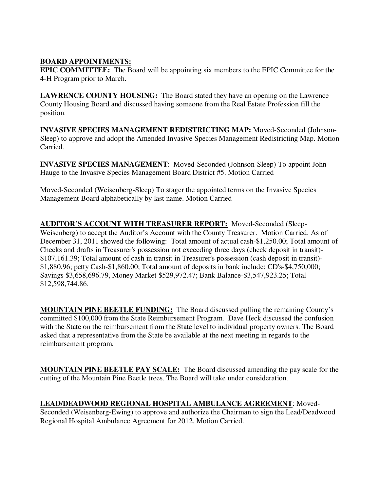## **BOARD APPOINTMENTS:**

**EPIC COMMITTEE:** The Board will be appointing six members to the EPIC Committee for the 4-H Program prior to March.

**LAWRENCE COUNTY HOUSING:** The Board stated they have an opening on the Lawrence County Housing Board and discussed having someone from the Real Estate Profession fill the position.

**INVASIVE SPECIES MANAGEMENT REDISTRICTING MAP:** Moved-Seconded (Johnson-Sleep) to approve and adopt the Amended Invasive Species Management Redistricting Map. Motion Carried.

**INVASIVE SPECIES MANAGEMENT**: Moved-Seconded (Johnson-Sleep) To appoint John Hauge to the Invasive Species Management Board District #5. Motion Carried

Moved-Seconded (Weisenberg-Sleep) To stager the appointed terms on the Invasive Species Management Board alphabetically by last name. Motion Carried

**AUDITOR'S ACCOUNT WITH TREASURER REPORT:** Moved-Seconded (Sleep-Weisenberg) to accept the Auditor's Account with the County Treasurer. Motion Carried. As of December 31, 2011 showed the following: Total amount of actual cash-\$1,250.00; Total amount of Checks and drafts in Treasurer's possession not exceeding three days (check deposit in transit)- \$107,161.39; Total amount of cash in transit in Treasurer's possession (cash deposit in transit)- \$1,880.96; petty Cash-\$1,860.00; Total amount of deposits in bank include: CD's-\$4,750,000; Savings \$3,658,696.79, Money Market \$529,972.47; Bank Balance-\$3,547,923.25; Total \$12,598,744.86.

**MOUNTAIN PINE BEETLE FUNDING:** The Board discussed pulling the remaining County's committed \$100,000 from the State Reimbursement Program. Dave Heck discussed the confusion with the State on the reimbursement from the State level to individual property owners. The Board asked that a representative from the State be available at the next meeting in regards to the reimbursement program.

**MOUNTAIN PINE BEETLE PAY SCALE:** The Board discussed amending the pay scale for the cutting of the Mountain Pine Beetle trees. The Board will take under consideration.

# **LEAD/DEADWOOD REGIONAL HOSPITAL AMBULANCE AGREEMENT**: Moved-

Seconded (Weisenberg-Ewing) to approve and authorize the Chairman to sign the Lead/Deadwood Regional Hospital Ambulance Agreement for 2012. Motion Carried.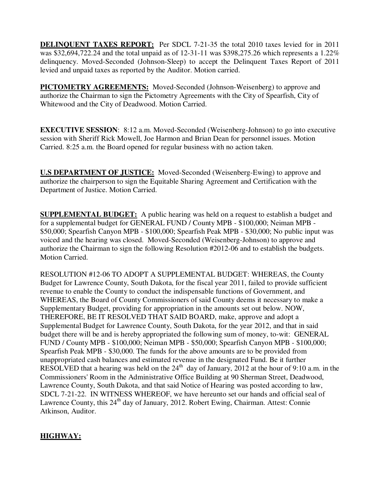**DELINQUENT TAXES REPORT:** Per SDCL 7-21-35 the total 2010 taxes levied for in 2011 was \$32,694,722.24 and the total unpaid as of 12-31-11 was \$398,275.26 which represents a 1.22% delinquency. Moved-Seconded (Johnson-Sleep) to accept the Delinquent Taxes Report of 2011 levied and unpaid taxes as reported by the Auditor. Motion carried.

**PICTOMETRY AGREEMENTS:** Moved-Seconded (Johnson-Weisenberg) to approve and authorize the Chairman to sign the Pictometry Agreements with the City of Spearfish, City of Whitewood and the City of Deadwood. Motion Carried.

**EXECUTIVE SESSION:** 8:12 a.m. Moved-Seconded (Weisenberg-Johnson) to go into executive session with Sheriff Rick Mowell, Joe Harmon and Brian Dean for personnel issues. Motion Carried. 8:25 a.m. the Board opened for regular business with no action taken.

**U.S DEPARTMENT OF JUSTICE:** Moved-Seconded (Weisenberg-Ewing) to approve and authorize the chairperson to sign the Equitable Sharing Agreement and Certification with the Department of Justice. Motion Carried.

**SUPPLEMENTAL BUDGET:** A public hearing was held on a request to establish a budget and for a supplemental budget for GENERAL FUND / County MPB - \$100,000; Neiman MPB - \$50,000; Spearfish Canyon MPB - \$100,000; Spearfish Peak MPB - \$30,000; No public input was voiced and the hearing was closed. Moved-Seconded (Weisenberg-Johnson) to approve and authorize the Chairman to sign the following Resolution #2012-06 and to establish the budgets. Motion Carried.

RESOLUTION #12-06 TO ADOPT A SUPPLEMENTAL BUDGET: WHEREAS, the County Budget for Lawrence County, South Dakota, for the fiscal year 2011, failed to provide sufficient revenue to enable the County to conduct the indispensable functions of Government, and WHEREAS, the Board of County Commissioners of said County deems it necessary to make a Supplementary Budget, providing for appropriation in the amounts set out below. NOW, THEREFORE, BE IT RESOLVED THAT SAID BOARD, make, approve and adopt a Supplemental Budget for Lawrence County, South Dakota, for the year 2012, and that in said budget there will be and is hereby appropriated the following sum of money, to-wit: GENERAL FUND / County MPB - \$100,000; Neiman MPB - \$50,000; Spearfish Canyon MPB - \$100,000; Spearfish Peak MPB - \$30,000. The funds for the above amounts are to be provided from unappropriated cash balances and estimated revenue in the designated Fund. Be it further RESOLVED that a hearing was held on the  $24<sup>th</sup>$  day of January, 2012 at the hour of 9:10 a.m. in the Commissioners' Room in the Administrative Office Building at 90 Sherman Street, Deadwood, Lawrence County, South Dakota, and that said Notice of Hearing was posted according to law, SDCL 7-21-22. IN WITNESS WHEREOF, we have hereunto set our hands and official seal of Lawrence County, this  $24<sup>th</sup>$  day of January, 2012. Robert Ewing, Chairman. Attest: Connie Atkinson, Auditor.

# **HIGHWAY:**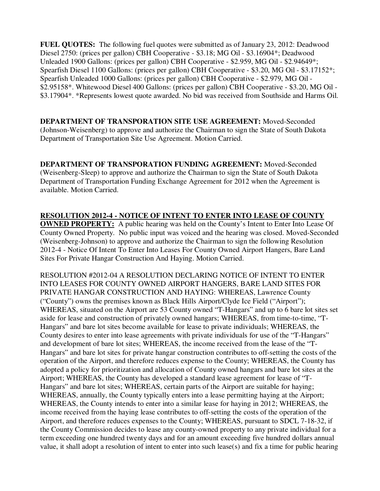**FUEL QUOTES:** The following fuel quotes were submitted as of January 23, 2012: Deadwood Diesel 2750: (prices per gallon) CBH Cooperative - \$3.18; MG Oil - \$3.16904\*; Deadwood Unleaded 1900 Gallons: (prices per gallon) CBH Cooperative - \$2.959, MG Oil - \$2.94649\*; Spearfish Diesel 1100 Gallons: (prices per gallon) CBH Cooperative - \$3.20, MG Oil - \$3.17152\*; Spearfish Unleaded 1000 Gallons: (prices per gallon) CBH Cooperative - \$2.979, MG Oil - \$2.95158\*. Whitewood Diesel 400 Gallons: (prices per gallon) CBH Cooperative - \$3.20, MG Oil - \$3.17904\*. \*Represents lowest quote awarded. No bid was received from Southside and Harms Oil.

**DEPARTMENT OF TRANSPORATION SITE USE AGREEMENT:** Moved-Seconded (Johnson-Weisenberg) to approve and authorize the Chairman to sign the State of South Dakota Department of Transportation Site Use Agreement. Motion Carried.

**DEPARTMENT OF TRANSPORATION FUNDING AGREEMENT:** Moved-Seconded (Weisenberg-Sleep) to approve and authorize the Chairman to sign the State of South Dakota Department of Transportation Funding Exchange Agreement for 2012 when the Agreement is available. Motion Carried.

**RESOLUTION 2012-4 - NOTICE OF INTENT TO ENTER INTO LEASE OF COUNTY OWNED PROPERTY:** A public hearing was held on the County's Intent to Enter Into Lease Of County Owned Property. No public input was voiced and the hearing was closed. Moved-Seconded (Weisenberg-Johnson) to approve and authorize the Chairman to sign the following Resolution 2012-4 - Notice Of Intent To Enter Into Leases For County Owned Airport Hangers, Bare Land Sites For Private Hangar Construction And Haying. Motion Carried.

RESOLUTION #2012-04 A RESOLUTION DECLARING NOTICE OF INTENT TO ENTER INTO LEASES FOR COUNTY OWNED AIRPORT HANGERS, BARE LAND SITES FOR PRIVATE HANGAR CONSTRUCTION AND HAYING: WHEREAS, Lawrence County ("County") owns the premises known as Black Hills Airport/Clyde Ice Field ("Airport"); WHEREAS, situated on the Airport are 53 County owned "T-Hangars" and up to 6 bare lot sites set aside for lease and construction of privately owned hangars; WHEREAS, from time-to-time, "T-Hangars" and bare lot sites become available for lease to private individuals; WHEREAS, the County desires to enter into lease agreements with private individuals for use of the "T-Hangars" and development of bare lot sites; WHEREAS, the income received from the lease of the "T-Hangars" and bare lot sites for private hangar construction contributes to off-setting the costs of the operation of the Airport, and therefore reduces expense to the County; WHEREAS, the County has adopted a policy for prioritization and allocation of County owned hangars and bare lot sites at the Airport; WHEREAS, the County has developed a standard lease agreement for lease of "T-Hangars" and bare lot sites; WHEREAS, certain parts of the Airport are suitable for haying; WHEREAS, annually, the County typically enters into a lease permitting haying at the Airport; WHEREAS, the County intends to enter into a similar lease for haying in 2012; WHEREAS, the income received from the haying lease contributes to off-setting the costs of the operation of the Airport, and therefore reduces expenses to the County; WHEREAS, pursuant to SDCL 7-18-32, if the County Commission decides to lease any county-owned property to any private individual for a term exceeding one hundred twenty days and for an amount exceeding five hundred dollars annual value, it shall adopt a resolution of intent to enter into such lease(s) and fix a time for public hearing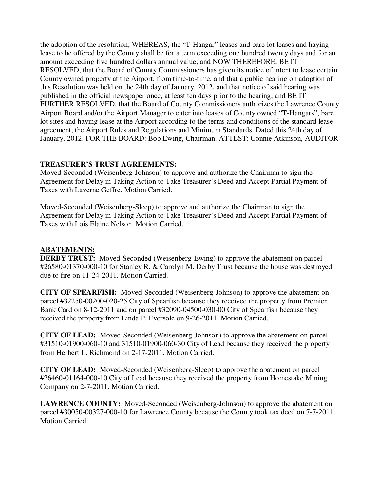the adoption of the resolution; WHEREAS, the "T-Hangar" leases and bare lot leases and haying lease to be offered by the County shall be for a term exceeding one hundred twenty days and for an amount exceeding five hundred dollars annual value; and NOW THEREFORE, BE IT RESOLVED, that the Board of County Commissioners has given its notice of intent to lease certain County owned property at the Airport, from time-to-time, and that a public hearing on adoption of this Resolution was held on the 24th day of January, 2012, and that notice of said hearing was published in the official newspaper once, at least ten days prior to the hearing; and BE IT FURTHER RESOLVED, that the Board of County Commissioners authorizes the Lawrence County Airport Board and/or the Airport Manager to enter into leases of County owned "T-Hangars", bare lot sites and haying lease at the Airport according to the terms and conditions of the standard lease agreement, the Airport Rules and Regulations and Minimum Standards. Dated this 24th day of January, 2012. FOR THE BOARD: Bob Ewing, Chairman. ATTEST: Connie Atkinson, AUDITOR

### **TREASURER'S TRUST AGREEMENTS:**

Moved-Seconded (Weisenberg-Johnson) to approve and authorize the Chairman to sign the Agreement for Delay in Taking Action to Take Treasurer's Deed and Accept Partial Payment of Taxes with Laverne Geffre. Motion Carried.

Moved-Seconded (Weisenberg-Sleep) to approve and authorize the Chairman to sign the Agreement for Delay in Taking Action to Take Treasurer's Deed and Accept Partial Payment of Taxes with Lois Elaine Nelson. Motion Carried.

#### **ABATEMENTS:**

**DERBY TRUST:** Moved-Seconded (Weisenberg-Ewing) to approve the abatement on parcel #26580-01370-000-10 for Stanley R. & Carolyn M. Derby Trust because the house was destroyed due to fire on 11-24-2011. Motion Carried.

**CITY OF SPEARFISH:** Moved-Seconded (Weisenberg-Johnson) to approve the abatement on parcel #32250-00200-020-25 City of Spearfish because they received the property from Premier Bank Card on 8-12-2011 and on parcel #32090-04500-030-00 City of Spearfish because they received the property from Linda P. Eversole on 9-26-2011. Motion Carried.

**CITY OF LEAD:** Moved-Seconded (Weisenberg-Johnson) to approve the abatement on parcel #31510-01900-060-10 and 31510-01900-060-30 City of Lead because they received the property from Herbert L. Richmond on 2-17-2011. Motion Carried.

**CITY OF LEAD:** Moved-Seconded (Weisenberg-Sleep) to approve the abatement on parcel #26460-01164-000-10 City of Lead because they received the property from Homestake Mining Company on 2-7-2011. Motion Carried.

**LAWRENCE COUNTY:** Moved-Seconded (Weisenberg-Johnson) to approve the abatement on parcel #30050-00327-000-10 for Lawrence County because the County took tax deed on 7-7-2011. Motion Carried.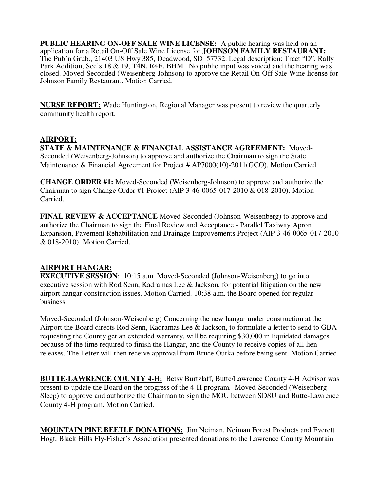**PUBLIC HEARING ON-OFF SALE WINE LICENSE:** A public hearing was held on an application for a Retail On-Off Sale Wine License for **JOHNSON FAMILY RESTAURANT:**  The Pub'n Grub., 21403 US Hwy 385, Deadwood, SD 57732. Legal description: Tract "D", Rally Park Addition, Sec's 18 & 19, T4N, R4E, BHM. No public input was voiced and the hearing was closed. Moved-Seconded (Weisenberg-Johnson) to approve the Retail On-Off Sale Wine license for Johnson Family Restaurant. Motion Carried.

**NURSE REPORT:** Wade Huntington, Regional Manager was present to review the quarterly community health report.

## **AIRPORT:**

**STATE & MAINTENANCE & FINANCIAL ASSISTANCE AGREEMENT:** Moved-Seconded (Weisenberg-Johnson) to approve and authorize the Chairman to sign the State Maintenance & Financial Agreement for Project # AP7000(10)-2011(GCO). Motion Carried.

**CHANGE ORDER #1:** Moved-Seconded (Weisenberg-Johnson) to approve and authorize the Chairman to sign Change Order #1 Project (AIP 3-46-0065-017-2010 & 018-2010). Motion Carried.

**FINAL REVIEW & ACCEPTANCE** Moved-Seconded (Johnson-Weisenberg) to approve and authorize the Chairman to sign the Final Review and Acceptance - Parallel Taxiway Apron Expansion, Pavement Rehabilitation and Drainage Improvements Project (AIP 3-46-0065-017-2010 & 018-2010). Motion Carried.

## **AIRPORT HANGAR:**

**EXECUTIVE SESSION:** 10:15 a.m. Moved-Seconded (Johnson-Weisenberg) to go into executive session with Rod Senn, Kadramas Lee & Jackson, for potential litigation on the new airport hangar construction issues. Motion Carried. 10:38 a.m. the Board opened for regular business.

Moved-Seconded (Johnson-Weisenberg) Concerning the new hangar under construction at the Airport the Board directs Rod Senn, Kadramas Lee & Jackson, to formulate a letter to send to GBA requesting the County get an extended warranty, will be requiring \$30,000 in liquidated damages because of the time required to finish the Hangar, and the County to receive copies of all lien releases. The Letter will then receive approval from Bruce Outka before being sent. Motion Carried.

**BUTTE-LAWRENCE COUNTY 4-H:** Betsy Burtzlaff, Butte/Lawrence County 4-H Advisor was present to update the Board on the progress of the 4-H program. Moved-Seconded (Weisenberg-Sleep) to approve and authorize the Chairman to sign the MOU between SDSU and Butte-Lawrence County 4-H program. Motion Carried.

**MOUNTAIN PINE BEETLE DONATIONS:** Jim Neiman, Neiman Forest Products and Everett Hogt, Black Hills Fly-Fisher's Association presented donations to the Lawrence County Mountain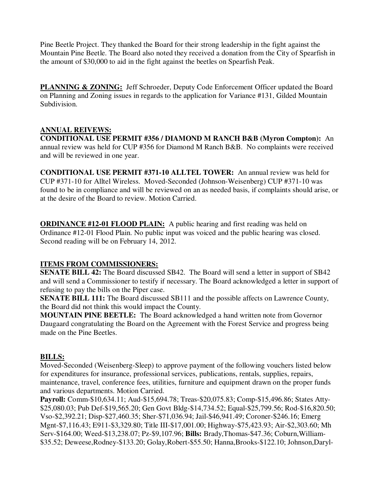Pine Beetle Project. They thanked the Board for their strong leadership in the fight against the Mountain Pine Beetle. The Board also noted they received a donation from the City of Spearfish in the amount of \$30,000 to aid in the fight against the beetles on Spearfish Peak.

**PLANNING & ZONING:** Jeff Schroeder, Deputy Code Enforcement Officer updated the Board on Planning and Zoning issues in regards to the application for Variance #131, Gilded Mountain Subdivision.

## **ANNUAL REIVEWS:**

**CONDITIONAL USE PERMIT #356 / DIAMOND M RANCH B&B (Myron Compton):** An annual review was held for CUP #356 for Diamond M Ranch B&B. No complaints were received and will be reviewed in one year.

**CONDITIONAL USE PERMIT #371-10 ALLTEL TOWER:** An annual review was held for CUP #371-10 for Alltel Wireless. Moved-Seconded (Johnson-Weisenberg) CUP #371-10 was found to be in compliance and will be reviewed on an as needed basis, if complaints should arise, or at the desire of the Board to review. Motion Carried.

**ORDINANCE #12-01 FLOOD PLAIN:** A public hearing and first reading was held on Ordinance #12-01 Flood Plain. No public input was voiced and the public hearing was closed. Second reading will be on February 14, 2012.

## **ITEMS FROM COMMISSIONERS:**

**SENATE BILL 42:** The Board discussed SB42. The Board will send a letter in support of SB42 and will send a Commissioner to testify if necessary. The Board acknowledged a letter in support of refusing to pay the bills on the Piper case.

**SENATE BILL 111:** The Board discussed SB111 and the possible affects on Lawrence County, the Board did not think this would impact the County.

**MOUNTAIN PINE BEETLE:** The Board acknowledged a hand written note from Governor Daugaard congratulating the Board on the Agreement with the Forest Service and progress being made on the Pine Beetles.

## **BILLS:**

Moved-Seconded (Weisenberg-Sleep) to approve payment of the following vouchers listed below for expenditures for insurance, professional services, publications, rentals, supplies, repairs, maintenance, travel, conference fees, utilities, furniture and equipment drawn on the proper funds and various departments. Motion Carried.

**Payroll:** Comm-\$10,634.11; Aud-\$15,694.78; Treas-\$20,075.83; Comp-\$15,496.86; States Atty- \$25,080.03; Pub Def-\$19,565.20; Gen Govt Bldg-\$14,734.52; Equal-\$25,799.56; Rod-\$16,820.50; Vso-\$2,392.21; Disp-\$27,460.35; Sher-\$71,036.94; Jail-\$46,941.49; Coroner-\$246.16; Emerg Mgnt-\$7,116.43; E911-\$3,329.80; Title III-\$17,001.00; Highway-\$75,423.93; Air-\$2,303.60; Mh Serv-\$164.00; Weed-\$13,238.07; Pz-\$9,107.96; **Bills:** Brady,Thomas-\$47.36; Coburn,William- \$35.52; Deweese,Rodney-\$133.20; Golay,Robert-\$55.50; Hanna,Brooks-\$122.10; Johnson,Daryl-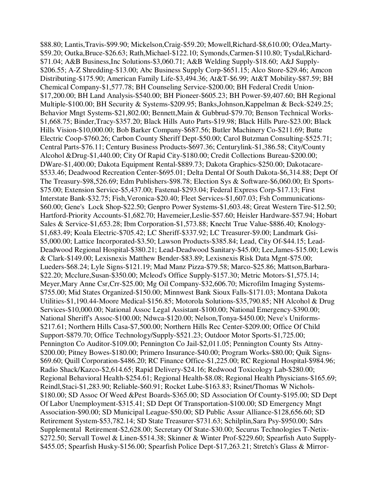\$88.80; Lantis,Travis-\$99.90; Mickelson,Craig-\$59.20; Mowell,Richard-\$8,610.00; O'dea,Marty- \$59.20; Outka,Bruce-\$26.63; Rath,Michael-\$122.10; Symonds,Carmen-\$110.80; Tysdal,Richard- \$71.04; A&B Business,Inc Solutions-\$3,060.71; A&B Welding Supply-\$18.60; A&J Supply- \$206.55; A-Z Shredding-\$13.00; Abc Business Supply Corp-\$651.15; Alco Store-\$29.46; Amcon Distributing-\$175.90; American Family Life-\$3,494.36; At&T-\$6.99; At&T Mobility-\$87.59; BH Chemical Company-\$1,577.78; BH Counseling Service-\$200.00; BH Federal Credit Union- \$17,200.00; BH Land Analysis-\$540.00; BH Pioneer-\$605.23; BH Power-\$9,407.60; BH Regional Multiple-\$100.00; BH Security & Systems-\$209.95; Banks,Johnson,Kappelman & Beck-\$249.25; Behavior Mngt Systems-\$21,802.00; Bennett,Main & Gubbrud-\$79.70; Benson Technical Works- \$1,668.75; Binder,Tracy-\$357.20; Black Hills Auto Parts-\$19.98; Black Hills Pure-\$23.00; Black Hills Vision-\$10,000.00; Bob Barker Company-\$687.56; Butler Machinery Co-\$211.69; Butte Electric Coop-\$760.26; Carbon County Sheriff Dept-\$50.00; Carol Butzman Consulting-\$525.71; Central Parts-\$76.11; Century Business Products-\$697.36; Centurylink-\$1,386.58; City/County Alcohol &Drug-\$1,440.00; City Of Rapid City-\$180.00; Credit Collections Bureau-\$200.00; DWare-\$1,400.00; Dakota Equipment Rental-\$889.73; Dakota Graphics-\$250.00; Dakotacare- \$533.46; Deadwood Recreation Center-\$695.01; Delta Dental Of South Dakota-\$6,314.88; Dept Of The Treasury-\$98,526.69; Edm Publishers-\$98.78; Election Sys & Software-\$6,060.00; Et Sports- \$75.00; Extension Service-\$5,437.00; Fastenal-\$293.04; Federal Express Corp-\$17.13; First Interstate Bank-\$32.75; Fish,Veronica-\$20.40; Fleet Services-\$1,607.03; Fsh Communications- \$60.00; Gene's Lock Shop-\$22.50; Genpro Power Systems-\$1,603.48; Great Western Tire-\$12.50; Hartford-Priority Accounts-\$1,682.70; Havemeier,Leslie-\$57.60; Heisler Hardware-\$57.94; Hobart Sales & Service-\$1,653.28; Ibm Corporation-\$1,573.88; Knecht True Value-\$886.40; Knology- \$1,683.49; Koala Electric-\$705.42; LC Sheriff-\$337.92; LC Treasurer-\$9.00; Landmark Gsi- \$5,000.00; Lattice Incorporated-\$3.50; Lawson Products-\$385.84; Lead, City Of-\$44.15; Lead-Deadwood Regional Hospital-\$380.21; Lead-Deadwood Sanitary-\$45.00; Lee,James-\$15.00; Lewis & Clark-\$149.00; Lexisnexis Matthew Bender-\$83.89; Lexisnexis Risk Data Mgnt-\$75.00; Lueders-\$68.24; Lyle Signs-\$121.19; Mad Manz Pizza-\$79.58; Marco-\$25.86; Mattson,Barbara- \$22.20; Mcclure,Susan-\$350.00; Mcleod's Office Supply-\$157.30; Metric Motors-\$1,575.14; Meyer,Mary Anne Csr,Crr-\$25.00; Mg Oil Company-\$32,606.70; Microfilm Imaging Systems- \$755.00; Mid States Organized-\$150.00; Minnwest Bank Sioux Falls-\$171.03; Montana Dakota Utilities-\$1,190.44-Moore Medical-\$156.85; Motorola Solutions-\$35,790.85; NH Alcohol & Drug Services-\$10,000.00; National Assoc Legal Assistant-\$100.00; National Emergency-\$390.00; National Sheriff's Assoc-\$100.00; Ndwca-\$120.00; Nelson,Tonya-\$450.00; Neve's Uniforms- \$217.61; Northern Hills Casa-\$7,500.00; Northern Hills Rec Center-\$209.00; Office Of Child Support-\$879.70; Office Technology/Supply-\$521.23; Outdoor Motor Sports-\$1,725.00; Pennington Co Auditor-\$109.00; Pennington Co Jail-\$2,011.05; Pennington County Sts Attny- \$200.00; Pitney Bowes-\$180.00; Primero Insurance-\$40.00; Program Works-\$80.00; Quik Signs- \$69.60; Quill Corporation-\$486.20; RC Finance Office-\$1,225.00; RC Regional Hospital-\$984.96; Radio Shack/Kazco-\$2,614.65; Rapid Delivery-\$24.16; Redwood Toxicology Lab-\$280.00; Regional Behavioral Health-\$254.61; Regional Health-\$8.08; Regional Health Physicians-\$165.69; Reindl,Staci-\$1,283.90; Reliable-\$60.91; Rocket Lube-\$163.83; Rsinet/Thomas W Nichols- \$180.00; SD Assoc Of Weed &Pest Boards-\$365.00; SD Association Of County-\$195.00; SD Dept Of Labor Unemployment-\$315.41; SD Dept Of Transportation-\$100.00; SD Emergency Mngt Association-\$90.00; SD Municipal League-\$50.00; SD Public Assur Alliance-\$128,656.60; SD Retirement System-\$53,782.14; SD State Treasurer-\$731.63; Schilplin,Sara Psy-\$950.00; Sdrs Supplemental Retirement-\$2,628.00; Secretary Of State-\$30.00; Securus Technologies T-Netix- \$272.50; Servall Towel & Linen-\$514.38; Skinner & Winter Prof-\$229.60; Spearfish Auto Supply- \$455.05; Spearfish Husky-\$156.00; Spearfish Police Dept-\$17,263.21; Stretch's Glass & Mirror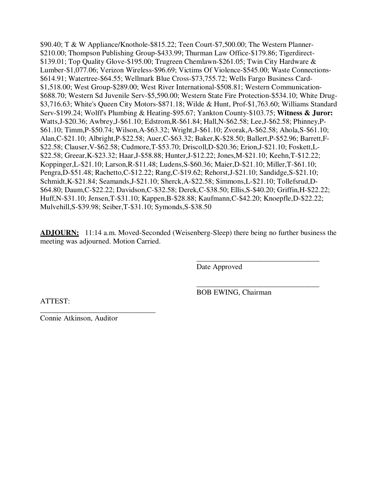\$90.40; T & W Appliance/Knothole-\$815.22; Teen Court-\$7,500.00; The Western Planner- \$210.00; Thompson Publishing Group-\$433.99; Thurman Law Office-\$179.86; Tigerdirect- \$139.01; Top Quality Glove-\$195.00; Trugreen Chemlawn-\$261.05; Twin City Hardware & Lumber-\$1,077.06; Verizon Wireless-\$96.69; Victims Of Violence-\$545.00; Waste Connections- \$614.91; Watertree-\$64.55; Wellmark Blue Cross-\$73,755.72; Wells Fargo Business Card- \$1,518.00; West Group-\$289.00; West River International-\$508.81; Western Communication- \$688.70; Western Sd Juvenile Serv-\$5,590.00; Western State Fire Protection-\$534.10; White Drug- \$3,716.63; White's Queen City Motors-\$871.18; Wilde & Hunt, Prof-\$1,763.60; Williams Standard Serv-\$199.24; Wolff's Plumbing & Heating-\$95.67; Yankton County-\$103.75; **Witness & Juror:**  Watts,J-\$20.36; Awbrey,J-\$61.10; Edstrom,R-\$61.84; Hall,N-\$62.58; Lee,J-\$62.58; Phinney,P- \$61.10; Timm,P-\$50.74; Wilson,A-\$63.32; Wright,J-\$61.10; Zvorak,A-\$62.58; Ahola,S-\$61.10; Alan,C-\$21.10; Albright,P-\$22.58; Auer,C-\$63.32; Baker,K-\$28.50; Ballert,P-\$52.96; Barrett,F- \$22.58; Clauser,V-\$62.58; Cudmore,T-\$53.70; Driscoll,D-\$20.36; Erion,J-\$21.10; Foskett,L- \$22.58; Greear,K-\$23.32; Haar,J-\$58.88; Hunter,J-\$12.22; Jones,M-\$21.10; Keehn,T-\$12.22; Koppinger,L-\$21.10; Larson,R-\$11.48; Ludens,S-\$60.36; Maier,D-\$21.10; Miller,T-\$61.10; Pengra,D-\$51.48; Rachetto,C-\$12.22; Rang,C-\$19.62; Rehorst,J-\$21.10; Sandidge,S-\$21.10; Schmidt,K-\$21.84; Seamands,J-\$21.10; Sherck,A-\$22.58; Simmons,L-\$21.10; Tollefsrud,D- \$64.80; Daum,C-\$22.22; Davidson,C-\$32.58; Derek,C-\$38.50; Ellis,S-\$40.20; Griffin,H-\$22.22; Huff,N-\$31.10; Jensen,T-\$31.10; Kappen,B-\$28.88; Kaufmann,C-\$42.20; Knoepfle,D-\$22.22; Mulvehill,S-\$39.98; Seiber,T-\$31.10; Symonds,S-\$38.50

**ADJOURN:** 11:14 a.m. Moved-Seconded (Weisenberg-Sleep) there being no further business the meeting was adjourned. Motion Carried.

 $\overline{\phantom{a}}$  , and the contract of the contract of the contract of the contract of the contract of the contract of the contract of the contract of the contract of the contract of the contract of the contract of the contrac

Date Approved

 $\overline{\phantom{a}}$  , and the contract of the contract of the contract of the contract of the contract of the contract of the contract of the contract of the contract of the contract of the contract of the contract of the contrac BOB EWING, Chairman

ATTEST:

Connie Atkinson, Auditor

\_\_\_\_\_\_\_\_\_\_\_\_\_\_\_\_\_\_\_\_\_\_\_\_\_\_\_\_\_\_\_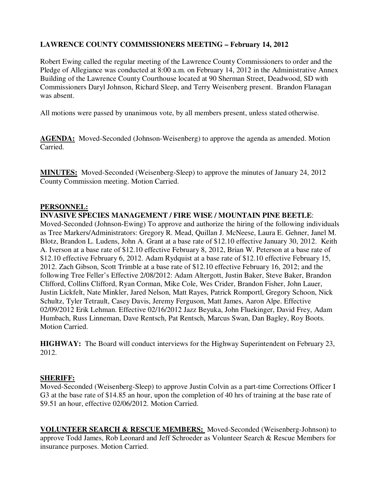## **LAWRENCE COUNTY COMMISSIONERS MEETING – February 14, 2012**

Robert Ewing called the regular meeting of the Lawrence County Commissioners to order and the Pledge of Allegiance was conducted at 8:00 a.m. on February 14, 2012 in the Administrative Annex Building of the Lawrence County Courthouse located at 90 Sherman Street, Deadwood, SD with Commissioners Daryl Johnson, Richard Sleep, and Terry Weisenberg present. Brandon Flanagan was absent.

All motions were passed by unanimous vote, by all members present, unless stated otherwise.

**AGENDA:** Moved-Seconded (Johnson-Weisenberg) to approve the agenda as amended. Motion Carried.

**MINUTES:** Moved-Seconded (Weisenberg-Sleep) to approve the minutes of January 24, 2012 County Commission meeting. Motion Carried.

### **PERSONNEL:**

#### **INVASIVE SPECIES MANAGEMENT / FIRE WISE / MOUNTAIN PINE BEETLE**:

Moved-Seconded (Johnson-Ewing) To approve and authorize the hiring of the following individuals as Tree Markers/Administrators: Gregory R. Mead, Quillan J. McNeese, Laura E. Gehner, Janel M. Blotz, Brandon L. Ludens, John A. Grant at a base rate of \$12.10 effective January 30, 2012. Keith A. Iverson at a base rate of \$12.10 effective February 8, 2012, Brian W. Peterson at a base rate of \$12.10 effective February 6, 2012. Adam Rydquist at a base rate of \$12.10 effective February 15, 2012. Zach Gibson, Scott Trimble at a base rate of \$12.10 effective February 16, 2012; and the following Tree Feller's Effective 2/08/2012: Adam Altergott, Justin Baker, Steve Baker, Brandon Clifford, Collins Clifford, Ryan Corman, Mike Cole, Wes Crider, Brandon Fisher, John Lauer, Justin Lickfelt, Nate Minkler, Jared Nelson, Matt Rayes, Patrick Romportl, Gregory Schoon, Nick Schultz, Tyler Tetrault, Casey Davis, Jeremy Ferguson, Matt James, Aaron Alpe. Effective 02/09/2012 Erik Lehman. Effective 02/16/2012 Jazz Beyuka, John Fluekinger, David Frey, Adam Humbach, Russ Linneman, Dave Rentsch, Pat Rentsch, Marcus Swan, Dan Bagley, Roy Boots. Motion Carried.

**HIGHWAY:** The Board will conduct interviews for the Highway Superintendent on February 23, 2012.

#### **SHERIFF:**

Moved-Seconded (Weisenberg-Sleep) to approve Justin Colvin as a part-time Corrections Officer I G3 at the base rate of \$14.85 an hour, upon the completion of 40 hrs of training at the base rate of \$9.51 an hour, effective 02/06/2012. Motion Carried.

**VOLUNTEER SEARCH & RESCUE MEMBERS:** Moved-Seconded (Weisenberg-Johnson) to approve Todd James, Rob Leonard and Jeff Schroeder as Volunteer Search & Rescue Members for insurance purposes. Motion Carried.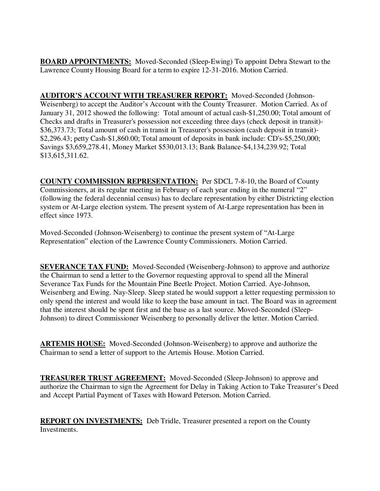**BOARD APPOINTMENTS:** Moved-Seconded (Sleep-Ewing) To appoint Debra Stewart to the Lawrence County Housing Board for a term to expire 12-31-2016. Motion Carried.

**AUDITOR'S ACCOUNT WITH TREASURER REPORT:** Moved-Seconded (Johnson-Weisenberg) to accept the Auditor's Account with the County Treasurer. Motion Carried. As of January 31, 2012 showed the following: Total amount of actual cash-\$1,250.00; Total amount of Checks and drafts in Treasurer's possession not exceeding three days (check deposit in transit)- \$36,373.73; Total amount of cash in transit in Treasurer's possession (cash deposit in transit)- \$2,296.43; petty Cash-\$1,860.00; Total amount of deposits in bank include: CD's-\$5,250,000; Savings \$3,659,278.41, Money Market \$530,013.13; Bank Balance-\$4,134,239.92; Total \$13,615,311.62.

**COUNTY COMMISSION REPRESENTATION:** Per SDCL 7-8-10, the Board of County Commissioners, at its regular meeting in February of each year ending in the numeral "2" (following the federal decennial census) has to declare representation by either Districting election system or At-Large election system. The present system of At-Large representation has been in effect since 1973.

Moved-Seconded (Johnson-Weisenberg) to continue the present system of "At-Large Representation" election of the Lawrence County Commissioners. Motion Carried.

**SEVERANCE TAX FUND:** Moved-Seconded (Weisenberg-Johnson) to approve and authorize the Chairman to send a letter to the Governor requesting approval to spend all the Mineral Severance Tax Funds for the Mountain Pine Beetle Project. Motion Carried. Aye-Johnson, Weisenberg and Ewing. Nay-Sleep. Sleep stated he would support a letter requesting permission to only spend the interest and would like to keep the base amount in tact. The Board was in agreement that the interest should be spent first and the base as a last source. Moved-Seconded (Sleep-Johnson) to direct Commissioner Weisenberg to personally deliver the letter. Motion Carried.

**ARTEMIS HOUSE:** Moved-Seconded (Johnson-Weisenberg) to approve and authorize the Chairman to send a letter of support to the Artemis House. Motion Carried.

**TREASURER TRUST AGREEMENT:** Moved-Seconded (Sleep-Johnson) to approve and authorize the Chairman to sign the Agreement for Delay in Taking Action to Take Treasurer's Deed and Accept Partial Payment of Taxes with Howard Peterson. Motion Carried.

**REPORT ON INVESTMENTS:** Deb Tridle, Treasurer presented a report on the County Investments.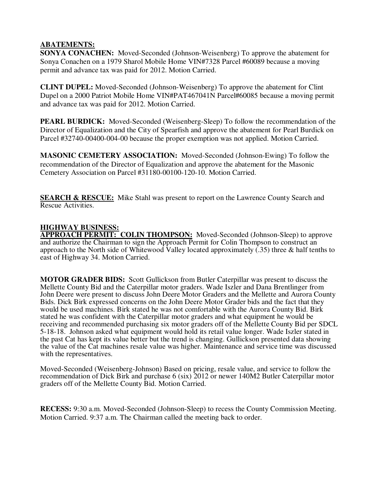### **ABATEMENTS:**

**SONYA CONACHEN:** Moved-Seconded (Johnson-Weisenberg) To approve the abatement for Sonya Conachen on a 1979 Sharol Mobile Home VIN#7328 Parcel #60089 because a moving permit and advance tax was paid for 2012. Motion Carried.

**CLINT DUPEL:** Moved-Seconded (Johnson-Weisenberg) To approve the abatement for Clint Dupel on a 2000 Patriot Mobile Home VIN#PAT467041N Parcel#60085 because a moving permit and advance tax was paid for 2012. Motion Carried.

**PEARL BURDICK:** Moved-Seconded (Weisenberg-Sleep) To follow the recommendation of the Director of Equalization and the City of Spearfish and approve the abatement for Pearl Burdick on Parcel #32740-00400-004-00 because the proper exemption was not applied. Motion Carried.

**MASONIC CEMETERY ASSOCIATION:** Moved-Seconded (Johnson-Ewing) To follow the recommendation of the Director of Equalization and approve the abatement for the Masonic Cemetery Association on Parcel #31180-00100-120-10. Motion Carried.

**SEARCH & RESCUE:** Mike Stahl was present to report on the Lawrence County Search and Rescue Activities.

## **HIGHWAY BUSINESS:**

**APPROACH PERMIT: COLIN THOMPSON:** Moved-Seconded (Johnson-Sleep) to approve and authorize the Chairman to sign the Approach Permit for Colin Thompson to construct an approach to the North side of Whitewood Valley located approximately  $(.35)$  three & half tenths to east of Highway 34. Motion Carried.

**MOTOR GRADER BIDS:** Scott Gullickson from Butler Caterpillar was present to discuss the Mellette County Bid and the Caterpillar motor graders. Wade Iszler and Dana Brentlinger from John Deere were present to discuss John Deere Motor Graders and the Mellette and Aurora County Bids. Dick Birk expressed concerns on the John Deere Motor Grader bids and the fact that they would be used machines. Birk stated he was not comfortable with the Aurora County Bid. Birk stated he was confident with the Caterpillar motor graders and what equipment he would be receiving and recommended purchasing six motor graders off of the Mellette County Bid per SDCL 5-18-18. Johnson asked what equipment would hold its retail value longer. Wade Iszler stated in the past Cat has kept its value better but the trend is changing. Gullickson presented data showing the value of the Cat machines resale value was higher. Maintenance and service time was discussed with the representatives.

Moved-Seconded (Weisenberg-Johnson) Based on pricing, resale value, and service to follow the recommendation of Dick Birk and purchase 6 (six) 2012 or newer 140M2 Butler Caterpillar motor graders off of the Mellette County Bid. Motion Carried.

**RECESS:** 9:30 a.m. Moved-Seconded (Johnson-Sleep) to recess the County Commission Meeting. Motion Carried. 9:37 a.m. The Chairman called the meeting back to order.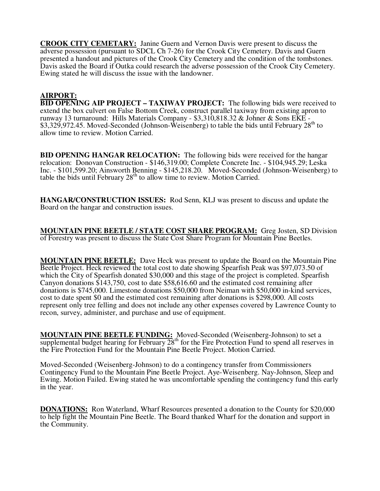**CROOK CITY CEMETARY:** Janine Guern and Vernon Davis were present to discuss the adverse possession (pursuant to SDCL Ch 7-26) for the Crook City Cemetery. Davis and Guern presented a handout and pictures of the Crook City Cemetery and the condition of the tombstones. Davis asked the Board if Outka could research the adverse possession of the Crook City Cemetery. Ewing stated he will discuss the issue with the landowner.

### **AIRPORT:**

**BID OPENING AIP PROJECT – TAXIWAY PROJECT:** The following bids were received to extend the box culvert on False Bottom Creek, construct parallel taxiway from existing apron to runway 13 turnaround: Hills Materials Company - \$3,310,818.32 & Johner & Sons EKE - \$3,329,972.45. Moved-Seconded (Johnson-Weisenberg) to table the bids until February 28<sup>th</sup> to allow time to review. Motion Carried.

**BID OPENING HANGAR RELOCATION:** The following bids were received for the hangar relocation: Donovan Construction - \$146,319.00; Complete Concrete Inc. - \$104,945.29; Leska Inc. - \$101,599.20; Ainsworth Benning - \$145,218.20. Moved-Seconded (Johnson-Weisenberg) to table the bids until February 28th to allow time to review. Motion Carried.

**HANGAR/CONSTRUCTION ISSUES:** Rod Senn, KLJ was present to discuss and update the Board on the hangar and construction issues.

**MOUNTAIN PINE BEETLE / STATE COST SHARE PROGRAM:** Greg Josten, SD Division of Forestry was present to discuss the State Cost Share Program for Mountain Pine Beetles.

**MOUNTAIN PINE BEETLE:** Dave Heck was present to update the Board on the Mountain Pine Beetle Project. Heck reviewed the total cost to date showing Spearfish Peak was \$97,073.50 of which the City of Spearfish donated \$30,000 and this stage of the project is completed. Spearfish Canyon donations \$143,750, cost to date \$58,616.60 and the estimated cost remaining after donations is \$745,000. Limestone donations \$50,000 from Neiman with \$50,000 in-kind services, cost to date spent \$0 and the estimated cost remaining after donations is \$298,000. All costs represent only tree felling and does not include any other expenses covered by Lawrence County to recon, survey, administer, and purchase and use of equipment.

**MOUNTAIN PINE BEETLE FUNDING:** Moved-Seconded (Weisenberg-Johnson) to set a supplemental budget hearing for February  $28<sup>th</sup>$  for the Fire Protection Fund to spend all reserves in the Fire Protection Fund for the Mountain Pine Beetle Project. Motion Carried.

Moved-Seconded (Weisenberg-Johnson) to do a contingency transfer from Commissioners Contingency Fund to the Mountain Pine Beetle Project. Aye-Weisenberg. Nay-Johnson, Sleep and Ewing. Motion Failed. Ewing stated he was uncomfortable spending the contingency fund this early in the year.

**DONATIONS:** Ron Waterland, Wharf Resources presented a donation to the County for \$20,000 to help fight the Mountain Pine Beetle. The Board thanked Wharf for the donation and support in the Community.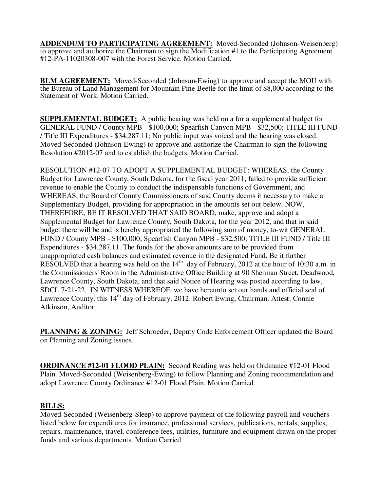**ADDENDUM TO PARTICIPATING AGREEMENT:** Moved-Seconded (Johnson-Weisenberg) to approve and authorize the Chairman to sign the Modification #1 to the Participating Agreement #12-PA-11020308-007 with the Forest Service. Motion Carried.

**BLM AGREEMENT:** Moved-Seconded (Johnson-Ewing) to approve and accept the MOU with the Bureau of Land Management for Mountain Pine Beetle for the limit of \$8,000 according to the Statement of Work. Motion Carried.

**SUPPLEMENTAL BUDGET:** A public hearing was held on a for a supplemental budget for GENERAL FUND / County MPB - \$100,000; Spearfish Canyon MPB - \$32,500; TITLE III FUND / Title III Expenditures - \$34,287.11; No public input was voiced and the hearing was closed. Moved-Seconded (Johnson-Ewing) to approve and authorize the Chairman to sign the following Resolution #2012-07 and to establish the budgets. Motion Carried.

RESOLUTION #12-07 TO ADOPT A SUPPLEMENTAL BUDGET: WHEREAS, the County Budget for Lawrence County, South Dakota, for the fiscal year 2011, failed to provide sufficient revenue to enable the County to conduct the indispensable functions of Government, and WHEREAS, the Board of County Commissioners of said County deems it necessary to make a Supplementary Budget, providing for appropriation in the amounts set out below. NOW, THEREFORE, BE IT RESOLVED THAT SAID BOARD, make, approve and adopt a Supplemental Budget for Lawrence County, South Dakota, for the year 2012, and that in said budget there will be and is hereby appropriated the following sum of money, to-wit GENERAL FUND / County MPB - \$100,000; Spearfish Canyon MPB - \$32,500; TITLE III FUND / Title III Expenditures - \$34,287.11. The funds for the above amounts are to be provided from unappropriated cash balances and estimated revenue in the designated Fund. Be it further RESOLVED that a hearing was held on the  $14<sup>th</sup>$  day of February, 2012 at the hour of 10:30 a.m. in the Commissioners' Room in the Administrative Office Building at 90 Sherman Street, Deadwood, Lawrence County, South Dakota, and that said Notice of Hearing was posted according to law, SDCL 7-21-22. IN WITNESS WHEREOF, we have hereunto set our hands and official seal of Lawrence County, this 14<sup>th</sup> day of February, 2012. Robert Ewing, Chairman. Attest: Connie Atkinson, Auditor.

**PLANNING & ZONING:** Jeff Schroeder, Deputy Code Enforcement Officer updated the Board on Planning and Zoning issues.

**ORDINANCE #12-01 FLOOD PLAIN:** Second Reading was held on Ordinance #12-01 Flood Plain. Moved-Seconded (Weisenberg-Ewing) to follow Planning and Zoning recommendation and adopt Lawrence County Ordinance #12-01 Flood Plain. Motion Carried.

## **BILLS:**

Moved-Seconded (Weisenberg-Sleep) to approve payment of the following payroll and vouchers listed below for expenditures for insurance, professional services, publications, rentals, supplies, repairs, maintenance, travel, conference fees, utilities, furniture and equipment drawn on the proper funds and various departments. Motion Carried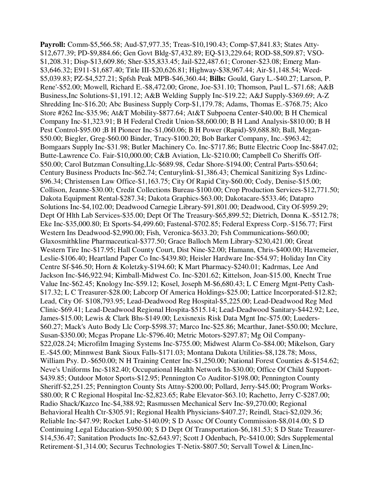**Payroll:** Comm-\$5,566.58; Aud-\$7,977.35; Treas-\$10,190.43; Comp-\$7,841.83; States Atty- \$12,677.39; PD-\$9,884.66; Gen Govt Bldg-\$7,432.89; EQ-\$13,229.64; ROD-\$8,509.87; VSO- \$1,208.31; Disp-\$13,609.86; Sher-\$35,833.45; Jail-\$22,487.61; Coroner-\$23.08; Emerg Man- \$3,646.32; E911-\$1,687.40; Title III-\$20,626.81; Highway-\$38,967.44; Air-\$1,148.54; Weed- \$5,039.83; PZ-\$4,527.21; Spfsh Peak MPB-\$46,360.44; **Bills:** Gould, Gary L.-\$40.27; Larson, P. Rene'-\$52.00; Mowell, Richard E.-\$8,472.00; Grone, Joe-\$31.10; Thomson, Paul L.-\$71.68; A&B Business,Inc Solutions-\$1,191.12; A&B Welding Supply Inc-\$19.22; A&J Supply-\$369.69; A-Z Shredding Inc-\$16.20; Abc Business Supply Corp-\$1,179.78; Adams, Thomas E.-\$768.75; Alco Store #262 Inc-\$35.96; At&T Mobility-\$877.64; At&T Subpoena Center-\$40.00; B H Chemical Company Inc-\$1,323.91; B H Federal Credit Union-\$8,600.00; B H Land Analysis-\$810.00; B H Pest Control-\$95.00 ;B H Pioneer Inc-\$1,060.06; B H Power (Rapid)-\$9,688.80; Ball, Megan- \$50.00; Biegler, Greg-\$60.00 Binder, Tracy-\$100.20; Bob Barker Company, Inc.-\$963.42; Bomgaars Supply Inc-\$31.98; Butler Machinery Co. Inc-\$717.86; Butte Electric Coop Inc-\$847.02; Butte-Lawrence Co. Fair-\$10,000.00; C&B Aviation, Llc-\$210.00; Campbell Co Sheriffs Off- \$50.00; Carol Butzman Consulting,Llc-\$689.98, Cedar Shore-\$194.00; Central Parts-\$50.64; Century Business Products Inc-\$62.74; Centurylink-\$1,386.43; Chemical Sanitizing Sys Ltdinc- \$96.34; Christensen Law Office-\$1,163.75; City Of Rapid City-\$60.00; Cody, Denise-\$15.00; Collison, Jeanne-\$30.00; Credit Collections Bureau-\$100.00; Crop Production Services-\$12,771.50; Dakota Equipment Rental-\$287.34; Dakota Graphics-\$63.00; Dakotacare-\$533.46; Datapro Solutions Inc-\$4,102.00; Deadwood Carnegie Library-\$91,801.00; Deadwood, City Of-\$959.29; Dept Of Hlth Lab Services-\$35.00; Dept Of The Treasury-\$65,899.52; Dietrich, Donna K.-\$512.78; Eke Inc-\$35,000.80; Et Sports-\$4,499.60; Fastenal-\$702.85; Federal Express Corp.-\$156.77; First Western Ins Deadwood-\$2,990.00; Fish, Veronica-\$633.20; Fsh Communications-\$60.00; Glaxosmithkline Pharmaceutical-\$377.50; Grace Balloch Mem Library-\$230,421.00; Great Western Tire Inc-\$17.95; Hall County Court, Dist Nine-\$2.00; Hamann, Chris-\$400.00; Havemeier, Leslie-\$106.40; Heartland Paper Co Inc-\$439.80; Heisler Hardware Inc-\$54.97; Holiday Inn City Centre Sf-\$46.50; Horn & Koletzky-\$194.60; K Mart Pharmacy-\$240.01; Kadrmas, Lee And Jackson Inc-\$46,922.94; Kimball-Midwest Co. Inc-\$201.62; Kittelson, Joan-\$15.00, Knecht True Value Inc-\$62.45; Knology Inc-\$59.12; Kosel, Joseph M-\$6,680.43; L C Emerg Mgnt-Petty Cash- \$17.32; L C Treasurer-\$28.00; Labcorp Of America Holdings-\$25.00; Lattice Incorporated-\$12.82; Lead, City Of- \$108,793.95; Lead-Deadwood Reg Hospital-\$5,225.00; Lead-Deadwood Reg Med Clinic-\$69.41; Lead-Deadwood Regional Hospita-\$515.14; Lead-Deadwood Sanitary-\$442.92; Lee, James-\$15.00; Lewis & Clark Bhs-\$149.00; Lexisnexis Risk Data Mgnt Inc-\$75.00; Lueders- \$60.27; Mack's Auto Body Llc Corp-\$598.37; Marco Inc-\$25.86; Mcarthur, Janet-\$50.00; Mcclure, Susan-\$350.00; Mcgas Propane Llc-\$796.40; Metric Motors-\$297.87; Mg Oil Company- \$22,028.24; Microfilm Imaging Systems Inc-\$755.00; Midwest Alarm Co-\$84.00; Mikelson, Gary E.-\$45.00; Minnwest Bank Sioux Falls-\$171.03; Montana Dakota Utilities-\$8,128.78; Moss, William Psy. D.-\$650.00; N H Training Center Inc-\$1,250.00; National Forest Counties &-\$154.62; Neve's Uniforms Inc-\$182.40; Occupational Health Network In-\$30.00; Office Of Child Support- \$439.85; Outdoor Motor Sports-\$12.95; Pennington Co Auditor-\$198.00; Pennington County Sheriff-\$2,251.25; Pennington County Sts Attny-\$200.00; Pollard, Jerry-\$45.00; Program Works- \$80.00; R C Regional Hospital Inc-\$2,823.65; Rabe Elevator-\$63.10; Rachetto, Jerry C-\$287.00; Radio Shack/Kazco Inc-\$4,388.92; Rasmussen Mechanical Serv Inc-\$9,270.00; Regional Behavioral Health Ctr-\$305.91; Regional Health Physicians-\$407.27; Reindl, Staci-\$2,029.36; Reliable Inc-\$47.99; Rocket Lube-\$140.09; S D Assoc Of County Commission-\$8,014.00; S D Continuing Legal Education-\$950.00; S D Dept Of Transportation-\$6,181.53; S D State Treasurer- \$14,536.47; Sanitation Products Inc-\$2,643.97; Scott J Odenbach, Pc-\$410.00; Sdrs Supplemental Retirement-\$1,314.00; Securus Technologies T-Netix-\$807.50; Servall Towel & Linen,Inc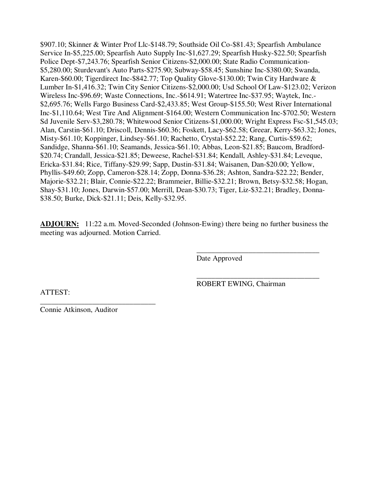\$907.10; Skinner & Winter Prof Llc-\$148.79; Southside Oil Co-\$81.43; Spearfish Ambulance Service In-\$5,225.00; Spearfish Auto Supply Inc-\$1,627.29; Spearfish Husky-\$22.50; Spearfish Police Dept-\$7,243.76; Spearfish Senior Citizens-\$2,000.00; State Radio Communication- \$5,280.00; Sturdevant's Auto Parts-\$275.90; Subway-\$58.45; Sunshine Inc-\$380.00; Swanda, Karen-\$60.00; Tigerdirect Inc-\$842.77; Top Quality Glove-\$130.00; Twin City Hardware & Lumber In-\$1,416.32; Twin City Senior Citizens-\$2,000.00; Usd School Of Law-\$123.02; Verizon Wireless Inc-\$96.69; Waste Connections, Inc.-\$614.91; Watertree Inc-\$37.95; Waytek, Inc.- \$2,695.76; Wells Fargo Business Card-\$2,433.85; West Group-\$155.50; West River International Inc-\$1,110.64; West Tire And Alignment-\$164.00; Western Communication Inc-\$702.50; Western Sd Juvenile Serv-\$3,280.78; Whitewood Senior Citizens-\$1,000.00; Wright Express Fsc-\$1,545.03; Alan, Carstin-\$61.10; Driscoll, Dennis-\$60.36; Foskett, Lacy-\$62.58; Greear, Kerry-\$63.32; Jones, Misty-\$61.10; Koppinger, Lindsey-\$61.10; Rachetto, Crystal-\$52.22; Rang, Curtis-\$59.62; Sandidge, Shanna-\$61.10; Seamands, Jessica-\$61.10; Abbas, Leon-\$21.85; Baucom, Bradford- \$20.74; Crandall, Jessica-\$21.85; Deweese, Rachel-\$31.84; Kendall, Ashley-\$31.84; Leveque, Ericka-\$31.84; Rice, Tiffany-\$29.99; Sapp, Dustin-\$31.84; Waisanen, Dan-\$20.00; Yellow, Phyllis-\$49.60; Zopp, Cameron-\$28.14; Zopp, Donna-\$36.28; Ashton, Sandra-\$22.22; Bender, Majorie-\$32.21; Blair, Connie-\$22.22; Brammeier, Billie-\$32.21; Brown, Betsy-\$32.58; Hogan, Shay-\$31.10; Jones, Darwin-\$57.00; Merrill, Dean-\$30.73; Tiger, Liz-\$32.21; Bradley, Donna- \$38.50; Burke, Dick-\$21.11; Deis, Kelly-\$32.95.

**ADJOURN:** 11:22 a.m. Moved-Seconded (Johnson-Ewing) there being no further business the meeting was adjourned. Motion Carried.

 $\overline{\phantom{a}}$  , and the contract of the contract of the contract of the contract of the contract of the contract of the contract of the contract of the contract of the contract of the contract of the contract of the contrac

 $\overline{\phantom{a}}$  , and the contract of the contract of the contract of the contract of the contract of the contract of the contract of the contract of the contract of the contract of the contract of the contract of the contrac

Date Approved

ROBERT EWING, Chairman

ATTEST:

Connie Atkinson, Auditor

\_\_\_\_\_\_\_\_\_\_\_\_\_\_\_\_\_\_\_\_\_\_\_\_\_\_\_\_\_\_\_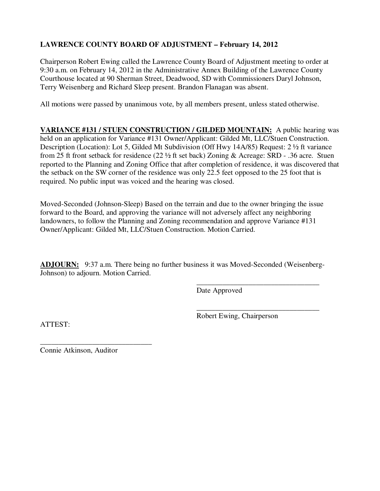# **LAWRENCE COUNTY BOARD OF ADJUSTMENT – February 14, 2012**

Chairperson Robert Ewing called the Lawrence County Board of Adjustment meeting to order at 9:30 a.m. on February 14, 2012 in the Administrative Annex Building of the Lawrence County Courthouse located at 90 Sherman Street, Deadwood, SD with Commissioners Daryl Johnson, Terry Weisenberg and Richard Sleep present. Brandon Flanagan was absent.

All motions were passed by unanimous vote, by all members present, unless stated otherwise.

**VARIANCE #131 / STUEN CONSTRUCTION / GILDED MOUNTAIN:** A public hearing was held on an application for Variance #131 Owner/Applicant: Gilded Mt, LLC/Stuen Construction. Description (Location): Lot 5, Gilded Mt Subdivision (Off Hwy 14A/85) Request: 2 ½ ft variance from 25 ft front setback for residence (22 ½ ft set back) Zoning & Acreage: SRD - .36 acre. Stuen reported to the Planning and Zoning Office that after completion of residence, it was discovered that the setback on the SW corner of the residence was only 22.5 feet opposed to the 25 foot that is required. No public input was voiced and the hearing was closed.

Moved-Seconded (Johnson-Sleep) Based on the terrain and due to the owner bringing the issue forward to the Board, and approving the variance will not adversely affect any neighboring landowners, to follow the Planning and Zoning recommendation and approve Variance #131 Owner/Applicant: Gilded Mt, LLC/Stuen Construction. Motion Carried.

**ADJOURN:** 9:37 a.m. There being no further business it was Moved-Seconded (Weisenberg-Johnson) to adjourn. Motion Carried.

 $\overline{\phantom{a}}$  , and the contract of the contract of the contract of the contract of the contract of the contract of the contract of the contract of the contract of the contract of the contract of the contract of the contrac

 $\overline{\phantom{a}}$  , and the contract of the contract of the contract of the contract of the contract of the contract of the contract of the contract of the contract of the contract of the contract of the contract of the contrac

Date Approved

Robert Ewing, Chairperson

ATTEST:

Connie Atkinson, Auditor

\_\_\_\_\_\_\_\_\_\_\_\_\_\_\_\_\_\_\_\_\_\_\_\_\_\_\_\_\_\_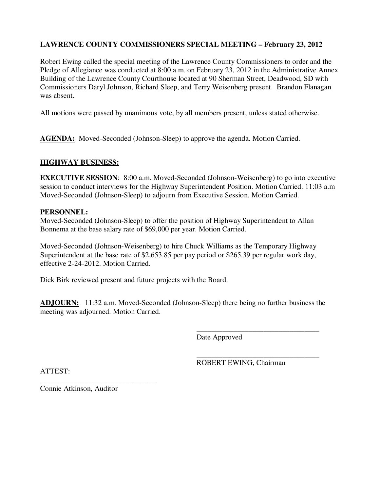## **LAWRENCE COUNTY COMMISSIONERS SPECIAL MEETING – February 23, 2012**

Robert Ewing called the special meeting of the Lawrence County Commissioners to order and the Pledge of Allegiance was conducted at 8:00 a.m. on February 23, 2012 in the Administrative Annex Building of the Lawrence County Courthouse located at 90 Sherman Street, Deadwood, SD with Commissioners Daryl Johnson, Richard Sleep, and Terry Weisenberg present. Brandon Flanagan was absent.

All motions were passed by unanimous vote, by all members present, unless stated otherwise.

**AGENDA:** Moved-Seconded (Johnson-Sleep) to approve the agenda. Motion Carried.

#### **HIGHWAY BUSINESS:**

**EXECUTIVE SESSION:** 8:00 a.m. Moved-Seconded (Johnson-Weisenberg) to go into executive session to conduct interviews for the Highway Superintendent Position. Motion Carried. 11:03 a.m Moved-Seconded (Johnson-Sleep) to adjourn from Executive Session. Motion Carried.

#### **PERSONNEL:**

Moved-Seconded (Johnson-Sleep) to offer the position of Highway Superintendent to Allan Bonnema at the base salary rate of \$69,000 per year. Motion Carried.

Moved-Seconded (Johnson-Weisenberg) to hire Chuck Williams as the Temporary Highway Superintendent at the base rate of \$2,653.85 per pay period or \$265.39 per regular work day, effective 2-24-2012. Motion Carried.

Dick Birk reviewed present and future projects with the Board.

**ADJOURN:** 11:32 a.m. Moved-Seconded (Johnson-Sleep) there being no further business the meeting was adjourned. Motion Carried.

 $\overline{\phantom{a}}$  , and the contract of the contract of the contract of the contract of the contract of the contract of the contract of the contract of the contract of the contract of the contract of the contract of the contrac

 $\overline{\phantom{a}}$  , and the contract of the contract of the contract of the contract of the contract of the contract of the contract of the contract of the contract of the contract of the contract of the contract of the contrac

Date Approved

ROBERT EWING, Chairman

ATTEST:

\_\_\_\_\_\_\_\_\_\_\_\_\_\_\_\_\_\_\_\_\_\_\_\_\_\_\_\_\_\_\_ Connie Atkinson, Auditor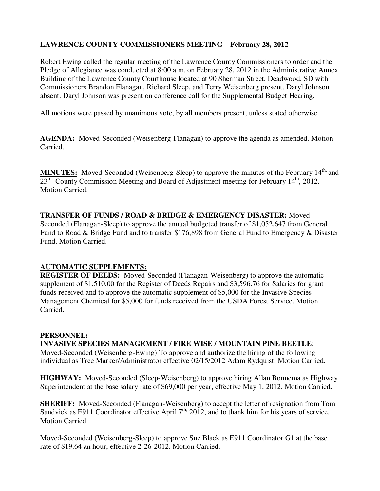# **LAWRENCE COUNTY COMMISSIONERS MEETING – February 28, 2012**

Robert Ewing called the regular meeting of the Lawrence County Commissioners to order and the Pledge of Allegiance was conducted at 8:00 a.m. on February 28, 2012 in the Administrative Annex Building of the Lawrence County Courthouse located at 90 Sherman Street, Deadwood, SD with Commissioners Brandon Flanagan, Richard Sleep, and Terry Weisenberg present. Daryl Johnson absent. Daryl Johnson was present on conference call for the Supplemental Budget Hearing.

All motions were passed by unanimous vote, by all members present, unless stated otherwise.

**AGENDA:** Moved-Seconded (Weisenberg-Flanagan) to approve the agenda as amended. Motion Carried.

**MINUTES:** Moved-Seconded (Weisenberg-Sleep) to approve the minutes of the February 14<sup>th,</sup> and 23<sup>rd,</sup> County Commission Meeting and Board of Adjustment meeting for February 14<sup>th</sup>, 2012. Motion Carried.

## **TRANSFER OF FUNDS / ROAD & BRIDGE & EMERGENCY DISASTER:** Moved-

Seconded (Flanagan-Sleep) to approve the annual budgeted transfer of \$1,052,647 from General Fund to Road & Bridge Fund and to transfer \$176,898 from General Fund to Emergency & Disaster Fund. Motion Carried.

## **AUTOMATIC SUPPLEMENTS:**

**REGISTER OF DEEDS:** Moved-Seconded (Flanagan-Weisenberg) to approve the automatic supplement of \$1,510.00 for the Register of Deeds Repairs and \$3,596.76 for Salaries for grant funds received and to approve the automatic supplement of \$5,000 for the Invasive Species Management Chemical for \$5,000 for funds received from the USDA Forest Service. Motion Carried.

## **PERSONNEL:**

**INVASIVE SPECIES MANAGEMENT / FIRE WISE / MOUNTAIN PINE BEETLE**: Moved-Seconded (Weisenberg-Ewing) To approve and authorize the hiring of the following individual as Tree Marker/Administrator effective 02/15/2012 Adam Rydquist. Motion Carried.

**HIGHWAY:** Moved-Seconded (Sleep-Weisenberg) to approve hiring Allan Bonnema as Highway Superintendent at the base salary rate of \$69,000 per year, effective May 1, 2012. Motion Carried.

**SHERIFF:** Moved-Seconded (Flanagan-Weisenberg) to accept the letter of resignation from Tom Sandvick as E911 Coordinator effective April  $7<sup>th</sup>$ , 2012, and to thank him for his years of service. Motion Carried.

Moved-Seconded (Weisenberg-Sleep) to approve Sue Black as E911 Coordinator G1 at the base rate of \$19.64 an hour, effective 2-26-2012. Motion Carried.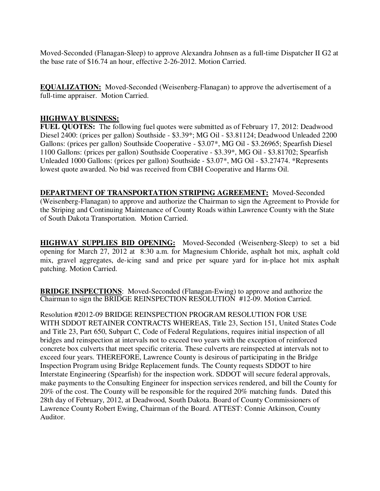Moved-Seconded (Flanagan-Sleep) to approve Alexandra Johnsen as a full-time Dispatcher II G2 at the base rate of \$16.74 an hour, effective 2-26-2012. Motion Carried.

**EQUALIZATION:** Moved-Seconded (Weisenberg-Flanagan) to approve the advertisement of a full-time appraiser. Motion Carried.

### **HIGHWAY BUSINESS:**

**FUEL QUOTES:** The following fuel quotes were submitted as of February 17, 2012: Deadwood Diesel 2400: (prices per gallon) Southside - \$3.39\*; MG Oil - \$3.81124; Deadwood Unleaded 2200 Gallons: (prices per gallon) Southside Cooperative - \$3.07\*, MG Oil - \$3.26965; Spearfish Diesel 1100 Gallons: (prices per gallon) Southside Cooperative - \$3.39\*, MG Oil - \$3.81702; Spearfish Unleaded 1000 Gallons: (prices per gallon) Southside - \$3.07\*, MG Oil - \$3.27474. \*Represents lowest quote awarded. No bid was received from CBH Cooperative and Harms Oil.

**DEPARTMENT OF TRANSPORTATION STRIPING AGREEMENT:** Moved-Seconded (Weisenberg-Flanagan) to approve and authorize the Chairman to sign the Agreement to Provide for the Striping and Continuing Maintenance of County Roads within Lawrence County with the State of South Dakota Transportation. Motion Carried.

**HIGHWAY SUPPLIES BID OPENING:** Moved-Seconded (Weisenberg-Sleep) to set a bid opening for March 27, 2012 at 8:30 a.m. for Magnesium Chloride, asphalt hot mix, asphalt cold mix, gravel aggregates, de-icing sand and price per square yard for in-place hot mix asphalt patching. Motion Carried.

**BRIDGE INSPECTIONS**: Moved-Seconded (Flanagan-Ewing) to approve and authorize the Chairman to sign the BRIDGE REINSPECTION RESOLUTION #12-09. Motion Carried.

Resolution #2012-09 BRIDGE REINSPECTION PROGRAM RESOLUTION FOR USE WITH SDDOT RETAINER CONTRACTS WHEREAS, Title 23, Section 151, United States Code and Title 23, Part 650, Subpart C, Code of Federal Regulations, requires initial inspection of all bridges and reinspection at intervals not to exceed two years with the exception of reinforced concrete box culverts that meet specific criteria. These culverts are reinspected at intervals not to exceed four years. THEREFORE, Lawrence County is desirous of participating in the Bridge Inspection Program using Bridge Replacement funds. The County requests SDDOT to hire Interstate Engineering (Spearfish) for the inspection work. SDDOT will secure federal approvals, make payments to the Consulting Engineer for inspection services rendered, and bill the County for 20% of the cost. The County will be responsible for the required 20% matching funds. Dated this 28th day of February, 2012, at Deadwood, South Dakota. Board of County Commissioners of Lawrence County Robert Ewing, Chairman of the Board. ATTEST: Connie Atkinson, County Auditor.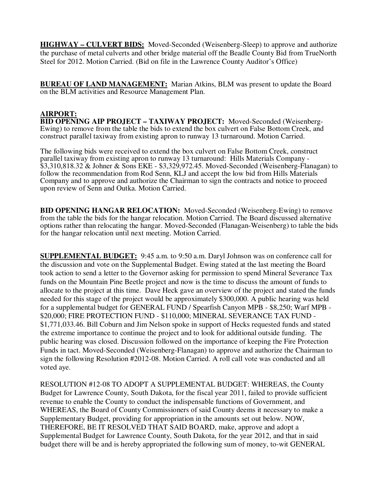**HIGHWAY – CULVERT BIDS:** Moved-Seconded (Weisenberg-Sleep) to approve and authorize the purchase of metal culverts and other bridge material off the Beadle County Bid from TrueNorth Steel for 2012. Motion Carried. (Bid on file in the Lawrence County Auditor's Office)

**BUREAU OF LAND MANAGEMENT:** Marian Atkins, BLM was present to update the Board on the BLM activities and Resource Management Plan.

### **AIRPORT:**

**BID OPENING AIP PROJECT – TAXIWAY PROJECT:** Moved-Seconded (Weisenberg-Ewing) to remove from the table the bids to extend the box culvert on False Bottom Creek, and construct parallel taxiway from existing apron to runway 13 turnaround. Motion Carried.

The following bids were received to extend the box culvert on False Bottom Creek, construct parallel taxiway from existing apron to runway 13 turnaround: Hills Materials Company - \$3,310,818.32 & Johner & Sons EKE - \$3,329,972.45. Moved-Seconded (Weisenberg-Flanagan) to follow the recommendation from Rod Senn, KLJ and accept the low bid from Hills Materials Company and to approve and authorize the Chairman to sign the contracts and notice to proceed upon review of Senn and Outka. Motion Carried.

**BID OPENING HANGAR RELOCATION:** Moved-Seconded (Weisenberg-Ewing) to remove from the table the bids for the hangar relocation. Motion Carried. The Board discussed alternative options rather than relocating the hangar. Moved-Seconded (Flanagan-Weisenberg) to table the bids for the hangar relocation until next meeting. Motion Carried.

**SUPPLEMENTAL BUDGET:** 9:45 a.m. to 9:50 a.m. Daryl Johnson was on conference call for the discussion and vote on the Supplemental Budget. Ewing stated at the last meeting the Board took action to send a letter to the Governor asking for permission to spend Mineral Severance Tax funds on the Mountain Pine Beetle project and now is the time to discuss the amount of funds to allocate to the project at this time. Dave Heck gave an overview of the project and stated the funds needed for this stage of the project would be approximately \$300,000. A public hearing was held for a supplemental budget for GENERAL FUND / Spearfish Canyon MPB - \$8,250; Warf MPB - \$20,000; FIRE PROTECTION FUND - \$110,000; MINERAL SEVERANCE TAX FUND - \$1,771,033.46. Bill Coburn and Jim Nelson spoke in support of Hecks requested funds and stated the extreme importance to continue the project and to look for additional outside funding. The public hearing was closed. Discussion followed on the importance of keeping the Fire Protection Funds in tact. Moved-Seconded (Weisenberg-Flanagan) to approve and authorize the Chairman to sign the following Resolution #2012-08. Motion Carried. A roll call vote was conducted and all voted aye.

RESOLUTION #12-08 TO ADOPT A SUPPLEMENTAL BUDGET: WHEREAS, the County Budget for Lawrence County, South Dakota, for the fiscal year 2011, failed to provide sufficient revenue to enable the County to conduct the indispensable functions of Government, and WHEREAS, the Board of County Commissioners of said County deems it necessary to make a Supplementary Budget, providing for appropriation in the amounts set out below. NOW, THEREFORE, BE IT RESOLVED THAT SAID BOARD, make, approve and adopt a Supplemental Budget for Lawrence County, South Dakota, for the year 2012, and that in said budget there will be and is hereby appropriated the following sum of money, to-wit GENERAL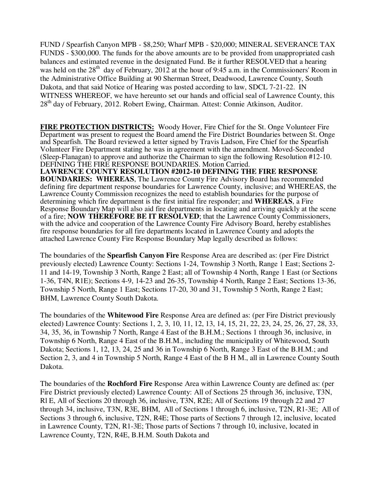FUND / Spearfish Canyon MPB - \$8,250; Wharf MPB - \$20,000; MINERAL SEVERANCE TAX FUNDS - \$300,000. The funds for the above amounts are to be provided from unappropriated cash balances and estimated revenue in the designated Fund. Be it further RESOLVED that a hearing was held on the  $28<sup>th</sup>$  day of February,  $2012$  at the hour of 9:45 a.m. in the Commissioners' Room in the Administrative Office Building at 90 Sherman Street, Deadwood, Lawrence County, South Dakota, and that said Notice of Hearing was posted according to law, SDCL 7-21-22. IN WITNESS WHEREOF, we have hereunto set our hands and official seal of Lawrence County, this 28<sup>th</sup> day of February, 2012. Robert Ewing, Chairman. Attest: Connie Atkinson, Auditor.

**FIRE PROTECTION DISTRICTS:** Woody Hover, Fire Chief for the St. Onge Volunteer Fire Department was present to request the Board amend the Fire District Boundaries between St. Onge and Spearfish. The Board reviewed a letter signed by Travis Ladson, Fire Chief for the Spearfish Volunteer Fire Department stating he was in agreement with the amendment. Moved-Seconded (Sleep-Flanagan) to approve and authorize the Chairman to sign the following Resolution #12-10. DEFINING THE FIRE RESPONSE BOUNDARIES. Motion Carried. **LAWRENCE COUNTY RESOLUTION #2012-10 DEFINING THE FIRE RESPONSE BOUNDARIES: WHEREAS**, The Lawrence County Fire Advisory Board has recommended defining fire department response boundaries for Lawrence County, inclusive; and WHEREAS, the Lawrence County Commission recognizes the need to establish boundaries for the purpose of determining which fire department is the first initial fire responder; and **WHEREAS**, a Fire Response Boundary Map will also aid fire departments in locating and arriving quickly at the scene of a fire; **NOW THEREFORE BE IT RESOLVED**; that the Lawrence County Commissioners, with the advice and cooperation of the Lawrence County Fire Advisory Board, hereby establishes fire response boundaries for all fire departments located in Lawrence County and adopts the attached Lawrence County Fire Response Boundary Map legally described as follows:

The boundaries of the **Spearfish Canyon Fire** Response Area are described as: (per Fire District previously elected) Lawrence County: Sections 1-24, Township 3 North, Range 1 East; Sections 2- 11 and 14-19, Township 3 North, Range 2 East; all of Township 4 North, Range 1 East (or Sections 1-36, T4N, R1E); Sections 4-9, 14-23 and 26-35, Township 4 North, Range 2 East; Sections 13-36, Township 5 North, Range 1 East; Sections 17-20, 30 and 31, Township 5 North, Range 2 East; BHM, Lawrence County South Dakota.

The boundaries of the **Whitewood Fire** Response Area are defined as: (per Fire District previously elected) Lawrence County: Sections 1, 2, 3, 10, 11, 12, 13, 14, 15, 21, 22, 23, 24, 25, 26, 27, 28, 33, 34, 35, 36, in Township 7 North, Range 4 East of the B.H.M.; Sections 1 through 36, inclusive, in Township 6 North, Range 4 East of the B.H.M., including the municipality of Whitewood, South Dakota; Sections 1, 12, 13, 24, 25 and 36 in Township 6 North, Range 3 East of the B.H.M.; and Section 2, 3, and 4 in Township 5 North, Range 4 East of the B H M., all in Lawrence County South Dakota.

The boundaries of the **Rochford Fire** Response Area within Lawrence County are defined as: (per Fire District previously elected) Lawrence County: All of Sections 25 through 36, inclusive, T3N, Rl E, All of Sections 20 through 36, inclusive, T3N, R2E; All of Sections 19 through 22 and 27 through 34, inclusive, T3N, R3E, BHM, All of Sections 1 through 6, inclusive, T2N, R1-3E; All of Sections 3 through 6, inclusive, T2N, R4E; Those parts of Sections 7 through 12, inclusive, located in Lawrence County, T2N, R1-3E; Those parts of Sections 7 through 10, inclusive, located in Lawrence County, T2N, R4E, B.H.M. South Dakota and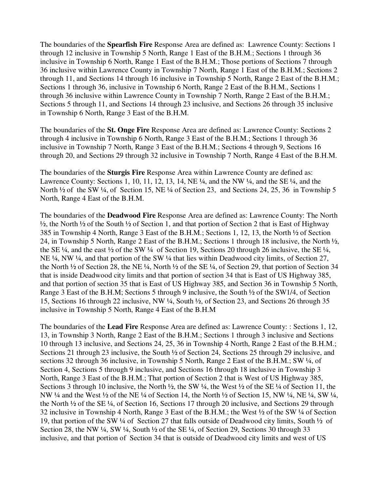The boundaries of the **Spearfish Fire** Response Area are defined as: Lawrence County: Sections 1 through 12 inclusive in Township 5 North, Range 1 East of the B.H.M.; Sections 1 through 36 inclusive in Township 6 North, Range 1 East of the B.H.M.; Those portions of Sections 7 through 36 inclusive within Lawrence County in Township 7 North, Range 1 East of the B.H.M.; Sections 2 through 11, and Sections 14 through 16 inclusive in Township 5 North, Range 2 East of the B.H.M.; Sections 1 through 36, inclusive in Township 6 North, Range 2 East of the B.H.M., Sections 1 through 36 inclusive within Lawrence County in Township 7 North, Range 2 East of the B.H.M.; Sections 5 through 11, and Sections 14 through 23 inclusive, and Sections 26 through 35 inclusive in Township 6 North, Range 3 East of the B.H.M.

The boundaries of the **St. Onge Fire** Response Area are defined as: Lawrence County: Sections 2 through 4 inclusive in Township 6 North, Range 3 East of the B.H.M.; Sections 1 through 36 inclusive in Township 7 North, Range 3 East of the B.H.M.; Sections 4 through 9, Sections 16 through 20, and Sections 29 through 32 inclusive in Township 7 North, Range 4 East of the B.H.M.

The boundaries of the **Sturgis Fire** Response Area within Lawrence County are defined as: Lawrence County: Sections 1, 10, 11, 12, 13, 14, NE ¼, and the NW ¼, and the SE ¼, and the North <sup>1/2</sup> of the SW <sup>1/2</sup>, of Section 15, NE <sup>1/2</sup> of Section 23, and Sections 24, 25, 36 in Township 5 North, Range 4 East of the B.H.M.

The boundaries of the **Deadwood Fire** Response Area are defined as: Lawrence County: The North ½, the North ½ of the South ½ of Section 1, and that portion of Section 2 that is East of Highway 385 in Township 4 North, Range 3 East of the B.H.M.; Sections 1, 12, 13, the North ½ of Section 24, in Township 5 North, Range 2 East of the B.H.M.; Sections 1 through 18 inclusive, the North ½, the SE  $\frac{1}{4}$ , and the east  $\frac{1}{2}$  of the SW  $\frac{1}{4}$  of Section 19, Sections 20 through 26 inclusive, the SE  $\frac{1}{4}$ , NE ¼, NW ¼, and that portion of the SW ¼ that lies within Deadwood city limits, of Section 27, the North ½ of Section 28, the NE ¼, North ½ of the SE ¼, of Section 29, that portion of Section 34 that is inside Deadwood city limits and that portion of section 34 that is East of US Highway 385, and that portion of section 35 that is East of US Highway 385, and Section 36 in Township 5 North, Range 3 East of the B.H.M; Sections 5 through 9 inclusive, the South ½ of the SW1/4, of Section 15, Sections 16 through 22 inclusive, NW ¼, South ½, of Section 23, and Sections 26 through 35 inclusive in Township 5 North, Range 4 East of the B.H.M

The boundaries of the **Lead Fire** Response Area are defined as: Lawrence County: : Sections 1, 12, 13, in Township 3 North, Range 2 East of the B.H.M.; Sections 1 through 3 inclusive and Sections 10 through 13 inclusive, and Sections 24, 25, 36 in Township 4 North, Range 2 East of the B.H.M.; Sections 21 through 23 inclusive, the South ½ of Section 24, Sections 25 through 29 inclusive, and sections 32 through 36 inclusive, in Township 5 North, Range 2 East of the B.H.M.; SW  $\frac{1}{4}$ , of Section 4, Sections 5 through 9 inclusive, and Sections 16 through 18 inclusive in Township 3 North, Range 3 East of the B.H.M.; That portion of Section 2 that is West of US Highway 385, Sections 3 through 10 inclusive, the North ½, the SW ¼, the West ½ of the SE ¼ of Section 11, the NW ¼ and the West ½ of the NE ¼ of Section 14, the North ½ of Section 15, NW ¼, NE ¼, SW ¼, the North ½ of the SE ¼, of Section 16, Sections 17 through 20 inclusive, and Sections 29 through 32 inclusive in Township 4 North, Range 3 East of the B.H.M.; the West ½ of the SW ¼ of Section 19, that portion of the SW ¼ of Section 27 that falls outside of Deadwood city limits, South ½ of Section 28, the NW ¼, SW ¼, South ½ of the SE ¼, of Section 29, Sections 30 through 33 inclusive, and that portion of Section 34 that is outside of Deadwood city limits and west of US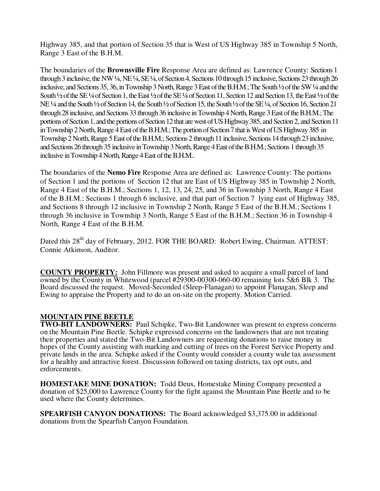Highway 385, and that portion of Section 35 that is West of US Highway 385 in Township 5 North, Range 3 East of the B.H.M.

The boundaries of the **Brownsville Fire** Response Area are defined as: Lawrence County: Sections 1 through 3 inclusive, the NW ¼, NE ¼, SE ¼, of Section 4, Sections 10 through 15 inclusive, Sections 23 through 26 inclusive, and Sections 35, 36, in Township 3 North, Range 3 East of the B.H.M.; The South ½ of the SW ¼ and the South <sup>1</sup>/2 of the SE <sup>1</sup>/4 of Section 1, the East <sup>1</sup>/2 of the SE <sup>1</sup>/4 of Section 11, Section 12 and Section 13, the East <sup>1</sup>/2 of the NE ¼ and the South ½ of Section 14, the South ½ of Section 15, the South ½ of the SE ¼, of Section 16, Section 21 through 28 inclusive, and Sections 33 through 36 inclusive in Township 4 North, Range 3 East of the B.H.M.; The portions of Section 1, and the portions of Section 12 that are west of US Highway 385, and Section 2, and Section 11 in Township 2 North, Range 4 East of the B.H.M.; The portion of Section 7 that is West of US Highway 385 in Township 2 North, Range 5 East of the B.H.M.; Sections 2 through 11 inclusive, Sections 14 through 23 inclusive, and Sections 26 through 35 inclusive in Township 3 North, Range 4 East of the B.H.M.; Sections 1 through 35 inclusive in Township 4 North, Range 4 East of the B.H.M..

The boundaries of the **Nemo Fire** Response Area are defined as: Lawrence County: The portions of Section 1 and the portions of Section 12 that are East of US Highway 385 in Township 2 North, Range 4 East of the B.H.M.; Sections 1, 12, 13, 24, 25, and 36 in Township 3 North, Range 4 East of the B.H.M.; Sections 1 through 6 inclusive, and that part of Section 7 lying east of Highway 385, and Sections 8 through 12 inclusive in Township 2 North, Range 5 East of the B.H.M.; Sections 1 through 36 inclusive in Township 3 North, Range 5 East of the B.H.M.; Section 36 in Township 4 North, Range 4 East of the B.H.M.

Dated this 28<sup>th</sup> day of February, 2012. FOR THE BOARD: Robert Ewing, Chairman. ATTEST: Connie Atkinson, Auditor.

**COUNTY PROPERTY:** John Fillmore was present and asked to acquire a small parcel of land owned by the County in Whitewood (parcel #29300-00300-060-00 remaining lots 5&6 Blk 3. The Board discussed the request. Moved-Seconded (Sleep-Flanagan) to appoint Flanagan, Sleep and Ewing to appraise the Property and to do an on-site on the property. Motion Carried.

## **MOUNTAIN PINE BEETLE**

**TWO-BIT LANDOWNERS:** Paul Schipke, Two-Bit Landowner was present to express concerns on the Mountain Pine Beetle. Schipke expressed concerns on the landowners that are not treating their properties and stated the Two-Bit Landowners are requesting donations to raise money in hopes of the County assisting with marking and cutting of trees on the Forest Service Property and private lands in the area. Schipke asked if the County would consider a county wide tax assessment for a healthy and attractive forest. Discussion followed on taxing districts, tax opt outs, and enforcements.

**HOMESTAKE MINE DONATION:** Todd Deux, Homestake Mining Company presented a donation of \$25,000 to Lawrence County for the fight against the Mountain Pine Beetle and to be used where the County determines.

**SPEARFISH CANYON DONATIONS:** The Board acknowledged \$3,375.00 in additional donations from the Spearfish Canyon Foundation.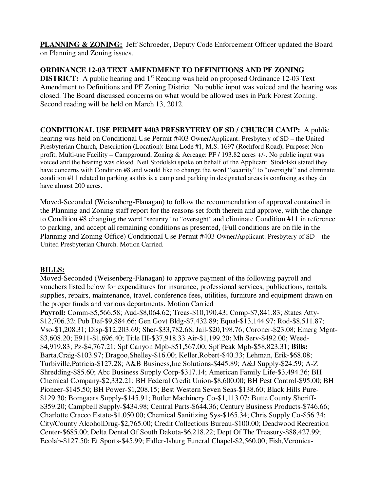**PLANNING & ZONING:** Jeff Schroeder, Deputy Code Enforcement Officer updated the Board on Planning and Zoning issues.

**ORDINANCE 12-03 TEXT AMENDMENT TO DEFINITIONS AND PF ZONING DISTRICT:** A public hearing and 1<sup>st</sup> Reading was held on proposed Ordinance 12-03 Text Amendment to Definitions and PF Zoning District. No public input was voiced and the hearing was closed. The Board discussed concerns on what would be allowed uses in Park Forest Zoning. Second reading will be held on March 13, 2012.

# **CONDITIONAL USE PERMIT #403 PRESBYTERY OF SD / CHURCH CAMP:** A public

hearing was held on Conditional Use Permit #403 Owner/Applicant: Presbytery of SD – the United Presbyterian Church, Description (Location): Etna Lode #1, M.S. 1697 (Rochford Road), Purpose: Nonprofit, Multi-use Facility – Campground, Zoning & Acreage: PF / 193.82 acres +/-. No public input was voiced and the hearing was closed. Neil Stodolski spoke on behalf of the Applicant. Stodolski stated they have concerns with Condition #8 and would like to change the word "security" to "oversight" and eliminate condition #11 related to parking as this is a camp and parking in designated areas is confusing as they do have almost 200 acres.

Moved-Seconded (Weisenberg-Flanagan) to follow the recommendation of approval contained in the Planning and Zoning staff report for the reasons set forth therein and approve, with the change to Condition #8 changing the word "security" to "oversight" and eliminate Condition #11 in reference to parking, and accept all remaining conditions as presented, (Full conditions are on file in the Planning and Zoning Office) Conditional Use Permit #403 Owner/Applicant: Presbytery of SD – the United Presbyterian Church. Motion Carried.

## **BILLS:**

Moved-Seconded (Weisenberg-Flanagan) to approve payment of the following payroll and vouchers listed below for expenditures for insurance, professional services, publications, rentals, supplies, repairs, maintenance, travel, conference fees, utilities, furniture and equipment drawn on the proper funds and various departments. Motion Carried

**Payroll:** Comm-\$5,566.58; Aud-\$8,064.62; Treas-\$10,190.43; Comp-\$7,841.83; States Atty- \$12,706.32; Pub Def-\$9,884.66; Gen Govt Bldg-\$7,432.89; Equal-\$13,144.97; Rod-\$8,511.87; Vso-\$1,208.31; Disp-\$12,203.69; Sher-\$33,782.68; Jail-\$20,198.76; Coroner-\$23.08; Emerg Mgnt- \$3,608.20; E911-\$1,696.40; Title III-\$37,918.33 Air-\$1,199.20; Mh Serv-\$492.00; Weed- \$4,919.83; Pz-\$4,767.21; Spf Canyon Mpb-\$51,567.00; Spf Peak Mpb-\$58,823.31; **Bills:**  Barta,Craig-\$103.97; Dragoo,Shelley-\$16.00; Keller,Robert-\$40.33; Lehman, Erik-\$68.08; Turbiville,Patricia-\$127.28; A&B Business,Inc Solutions-\$445.89; A&J Supply-\$24.59; A-Z Shredding-\$85.60; Abc Business Supply Corp-\$317.14; American Family Life-\$3,494.36; BH Chemical Company-\$2,332.21; BH Federal Credit Union-\$8,600.00; BH Pest Control-\$95.00; BH Pioneer-\$145.50; BH Power-\$1,208.15; Best Western Seven Seas-\$138.60; Black Hills Pure- \$129.30; Bomgaars Supply-\$145.91; Butler Machinery Co-\$1,113.07; Butte County Sheriff- \$359.20; Campbell Supply-\$434.98; Central Parts-\$644.36; Century Business Products-\$746.66; Charlotte Cracco Estate-\$1,050.00; Chemical Sanitizing Sys-\$165.34; Chris Supply Co-\$56.34; City/County AlcoholDrug-\$2,765.00; Credit Collections Bureau-\$100.00; Deadwood Recreation Center-\$685.00; Delta Dental Of South Dakota-\$6,218.22; Dept Of The Treasury-\$88,427.99; Ecolab-\$127.50; Et Sports-\$45.99; Fidler-Isburg Funeral Chapel-\$2,560.00; Fish,Veronica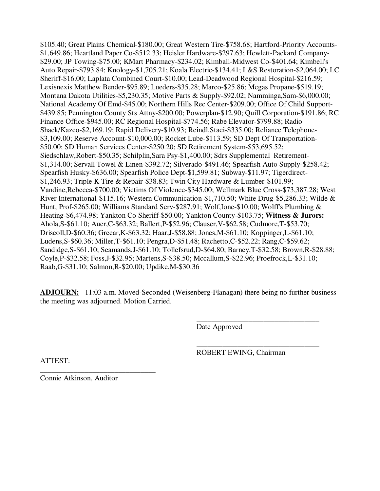\$105.40; Great Plains Chemical-\$180.00; Great Western Tire-\$758.68; Hartford-Priority Accounts- \$1,649.86; Heartland Paper Co-\$512.33; Heisler Hardware-\$297.63; Hewlett-Packard Company- \$29.00; JP Towing-\$75.00; KMart Pharmacy-\$234.02; Kimball-Midwest Co-\$401.64; Kimbell's Auto Repair-\$793.84; Knology-\$1,705.21; Koala Electric-\$134.41; L&S Restoration-\$2,064.00; LC Sheriff-\$16.00; Laplata Combined Court-\$10.00; Lead-Deadwood Regional Hospital-\$216.59; Lexisnexis Matthew Bender-\$95.89; Lueders-\$35.28; Marco-\$25.86; Mcgas Propane-\$519.19; Montana Dakota Utilities-\$5,230.35; Motive Parts & Supply-\$92.02; Namminga,Sam-\$6,000.00; National Academy Of Emd-\$45.00; Northern Hills Rec Center-\$209.00; Office Of Child Support- \$439.85; Pennington County Sts Attny-\$200.00; Powerplan-\$12.90; Quill Corporation-\$191.86; RC Finance Office-\$945.00; RC Regional Hospital-\$774.56; Rabe Elevator-\$799.88; Radio Shack/Kazco-\$2,169.19; Rapid Delivery-\$10.93; Reindl,Staci-\$335.00; Reliance Telephone- \$3,109.00; Reserve Account-\$10,000.00; Rocket Lube-\$113.59; SD Dept Of Transportation- \$50.00; SD Human Services Center-\$250.20; SD Retirement System-\$53,695.52; Siedschlaw,Robert-\$50.35; Schilplin,Sara Psy-\$1,400.00; Sdrs Supplemental Retirement- \$1,314.00; Servall Towel & Linen-\$392.72; Silverado-\$491.46; Spearfish Auto Supply-\$258.42; Spearfish Husky-\$636.00; Spearfish Police Dept-\$1,599.81; Subway-\$11.97; Tigerdirect- \$1,246.93; Triple K Tire & Repair-\$38.83; Twin City Hardware & Lumber-\$101.99; Vandine,Rebecca-\$700.00; Victims Of Violence-\$345.00; Wellmark Blue Cross-\$73,387.28; West River International-\$115.16; Western Communication-\$1,710.50; White Drug-\$5,286.33; Wilde & Hunt, Prof-\$265.00; Williams Standard Serv-\$287.91; Wolf,Ione-\$10.00; Wolff's Plumbing & Heating-\$6,474.98; Yankton Co Sheriff-\$50.00; Yankton County-\$103.75; **Witness & Jurors:**  Ahola,S-\$61.10; Auer,C-\$63.32; Ballert,P-\$52.96; Clauser,V-\$62.58; Cudmore,T-\$53.70; Driscoll,D-\$60.36; Greear,K-\$63.32; Haar,J-\$58.88; Jones,M-\$61.10; Koppinger,L-\$61.10; Ludens,S-\$60.36; Miller,T-\$61.10; Pengra,D-\$51.48; Rachetto,C-\$52.22; Rang,C-\$59.62; Sandidge,S-\$61.10; Seamands,J-\$61.10; Tollefsrud,D-\$64.80; Barney,T-\$32.58; Brown,R-\$28.88; Coyle,P-\$32.58; Foss,J-\$32.95; Martens,S-\$38.50; Mccallum,S-\$22.96; Proefrock,L-\$31.10; Raab,G-\$31.10; Salmon,R-\$20.00; Updike,M-\$30.36

**ADJOURN:** 11:03 a.m. Moved-Seconded (Weisenberg-Flanagan) there being no further business the meeting was adjourned. Motion Carried.

 $\overline{\phantom{a}}$  , and the contract of the contract of the contract of the contract of the contract of the contract of the contract of the contract of the contract of the contract of the contract of the contract of the contrac

 $\overline{\phantom{a}}$  , and the contract of the contract of the contract of the contract of the contract of the contract of the contract of the contract of the contract of the contract of the contract of the contract of the contrac

Date Approved

ROBERT EWING, Chairman

ATTEST:

\_\_\_\_\_\_\_\_\_\_\_\_\_\_\_\_\_\_\_\_\_\_\_\_\_\_\_\_\_\_\_ Connie Atkinson, Auditor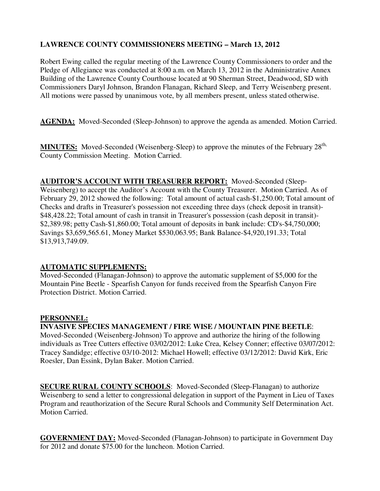## **LAWRENCE COUNTY COMMISSIONERS MEETING – March 13, 2012**

Robert Ewing called the regular meeting of the Lawrence County Commissioners to order and the Pledge of Allegiance was conducted at 8:00 a.m. on March 13, 2012 in the Administrative Annex Building of the Lawrence County Courthouse located at 90 Sherman Street, Deadwood, SD with Commissioners Daryl Johnson, Brandon Flanagan, Richard Sleep, and Terry Weisenberg present. All motions were passed by unanimous vote, by all members present, unless stated otherwise.

**AGENDA:** Moved-Seconded (Sleep-Johnson) to approve the agenda as amended. Motion Carried.

**MINUTES:** Moved-Seconded (Weisenberg-Sleep) to approve the minutes of the February 28<sup>th,</sup> County Commission Meeting. Motion Carried.

# **AUDITOR'S ACCOUNT WITH TREASURER REPORT:** Moved-Seconded (Sleep-

Weisenberg) to accept the Auditor's Account with the County Treasurer. Motion Carried. As of February 29, 2012 showed the following: Total amount of actual cash-\$1,250.00; Total amount of Checks and drafts in Treasurer's possession not exceeding three days (check deposit in transit)- \$48,428.22; Total amount of cash in transit in Treasurer's possession (cash deposit in transit)- \$2,389.98; petty Cash-\$1,860.00; Total amount of deposits in bank include: CD's-\$4,750,000; Savings \$3,659,565.61, Money Market \$530,063.95; Bank Balance-\$4,920,191.33; Total \$13,913,749.09.

## **AUTOMATIC SUPPLEMENTS:**

Moved-Seconded (Flanagan-Johnson) to approve the automatic supplement of \$5,000 for the Mountain Pine Beetle - Spearfish Canyon for funds received from the Spearfish Canyon Fire Protection District. Motion Carried.

## **PERSONNEL:**

**INVASIVE SPECIES MANAGEMENT / FIRE WISE / MOUNTAIN PINE BEETLE**: Moved-Seconded (Weisenberg-Johnson) To approve and authorize the hiring of the following individuals as Tree Cutters effective 03/02/2012: Luke Crea, Kelsey Conner; effective 03/07/2012: Tracey Sandidge; effective 03/10-2012: Michael Howell; effective 03/12/2012: David Kirk, Eric Roesler, Dan Essink, Dylan Baker. Motion Carried.

**SECURE RURAL COUNTY SCHOOLS**: Moved-Seconded (Sleep-Flanagan) to authorize Weisenberg to send a letter to congressional delegation in support of the Payment in Lieu of Taxes Program and reauthorization of the Secure Rural Schools and Community Self Determination Act. Motion Carried.

**GOVERNMENT DAY:** Moved-Seconded (Flanagan-Johnson) to participate in Government Day for 2012 and donate \$75.00 for the luncheon. Motion Carried.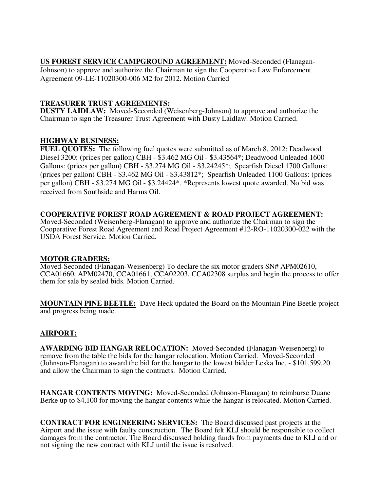**US FOREST SERVICE CAMPGROUND AGREEMENT:** Moved-Seconded (Flanagan-Johnson) to approve and authorize the Chairman to sign the Cooperative Law Enforcement Agreement 09-LE-11020300-006 M2 for 2012. Motion Carried

## **TREASURER TRUST AGREEMENTS:**

**DUSTY LAIDLAW:** Moved-Seconded (Weisenberg-Johnson) to approve and authorize the Chairman to sign the Treasurer Trust Agreement with Dusty Laidlaw. Motion Carried.

## **HIGHWAY BUSINESS:**

**FUEL QUOTES:** The following fuel quotes were submitted as of March 8, 2012: Deadwood Diesel 3200: (prices per gallon) CBH - \$3.462 MG Oil - \$3.43564\*; Deadwood Unleaded 1600 Gallons: (prices per gallon) CBH - \$3.274 MG Oil - \$3.24245\*; Spearfish Diesel 1700 Gallons: (prices per gallon) CBH - \$3.462 MG Oil - \$3.43812\*; Spearfish Unleaded 1100 Gallons: (prices per gallon) CBH - \$3.274 MG Oil - \$3.24424\*. \*Represents lowest quote awarded. No bid was received from Southside and Harms Oil.

# **COOPERATIVE FOREST ROAD AGREEMENT & ROAD PROJECT AGREEMENT:**

Moved-Seconded (Weisenberg-Flanagan) to approve and authorize the Chairman to sign the Cooperative Forest Road Agreement and Road Project Agreement #12-RO-11020300-022 with the USDA Forest Service. Motion Carried.

## **MOTOR GRADERS:**

Moved-Seconded (Flanagan-Weisenberg) To declare the six motor graders SN# APM02610, CCA01660, APM02470, CCA01661, CCA02203, CCA02308 surplus and begin the process to offer them for sale by sealed bids. Motion Carried.

**MOUNTAIN PINE BEETLE:** Dave Heck updated the Board on the Mountain Pine Beetle project and progress being made.

# **AIRPORT:**

**AWARDING BID HANGAR RELOCATION:** Moved-Seconded (Flanagan-Weisenberg) to remove from the table the bids for the hangar relocation. Motion Carried. Moved-Seconded (Johnson-Flanagan) to award the bid for the hangar to the lowest bidder Leska Inc. - \$101,599.20 and allow the Chairman to sign the contracts. Motion Carried.

**HANGAR CONTENTS MOVING:** Moved-Seconded (Johnson-Flanagan) to reimburse Duane Berke up to \$4,100 for moving the hangar contents while the hangar is relocated. Motion Carried.

**CONTRACT FOR ENGINEERING SERVICES:** The Board discussed past projects at the Airport and the issue with faulty construction. The Board felt KLJ should be responsible to collect damages from the contractor. The Board discussed holding funds from payments due to KLJ and or not signing the new contract with KLJ until the issue is resolved.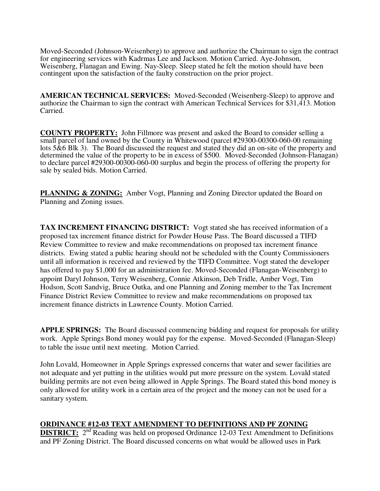Moved-Seconded (Johnson-Weisenberg) to approve and authorize the Chairman to sign the contract for engineering services with Kadrmas Lee and Jackson. Motion Carried. Aye-Johnson, Weisenberg, Flanagan and Ewing. Nay-Sleep. Sleep stated he felt the motion should have been contingent upon the satisfaction of the faulty construction on the prior project.

**AMERICAN TECHNICAL SERVICES:** Moved-Seconded (Weisenberg-Sleep) to approve and authorize the Chairman to sign the contract with American Technical Services for \$31,413. Motion Carried.

**COUNTY PROPERTY:** John Fillmore was present and asked the Board to consider selling a small parcel of land owned by the County in Whitewood (parcel #29300-00300-060-00 remaining lots 5&6 Blk 3). The Board discussed the request and stated they did an on-site of the property and determined the value of the property to be in excess of \$500. Moved-Seconded (Johnson-Flanagan) to declare parcel #29300-00300-060-00 surplus and begin the process of offering the property for sale by sealed bids. Motion Carried.

**PLANNING & ZONING:** Amber Vogt, Planning and Zoning Director updated the Board on Planning and Zoning issues.

**TAX INCREMENT FINANCING DISTRICT:** Vogt stated she has received information of a proposed tax increment finance district for Powder House Pass. The Board discussed a TIFD Review Committee to review and make recommendations on proposed tax increment finance districts. Ewing stated a public hearing should not be scheduled with the County Commissioners until all information is received and reviewed by the TIFD Committee. Vogt stated the developer has offered to pay \$1,000 for an administration fee. Moved-Seconded (Flanagan-Weisenberg) to appoint Daryl Johnson, Terry Weisenberg, Connie Atkinson, Deb Tridle, Amber Vogt, Tim Hodson, Scott Sandvig, Bruce Outka, and one Planning and Zoning member to the Tax Increment Finance District Review Committee to review and make recommendations on proposed tax increment finance districts in Lawrence County. Motion Carried.

**APPLE SPRINGS:** The Board discussed commencing bidding and request for proposals for utility work. Apple Springs Bond money would pay for the expense. Moved-Seconded (Flanagan-Sleep) to table the issue until next meeting. Motion Carried.

John Lovald, Homeowner in Apple Springs expressed concerns that water and sewer facilities are not adequate and yet putting in the utilities would put more pressure on the system. Lovald stated building permits are not even being allowed in Apple Springs. The Board stated this bond money is only allowed for utility work in a certain area of the project and the money can not be used for a sanitary system.

#### **ORDINANCE #12-03 TEXT AMENDMENT TO DEFINITIONS AND PF ZONING**

**DISTRICT:** 2<sup>nd</sup> Reading was held on proposed Ordinance 12-03 Text Amendment to Definitions and PF Zoning District. The Board discussed concerns on what would be allowed uses in Park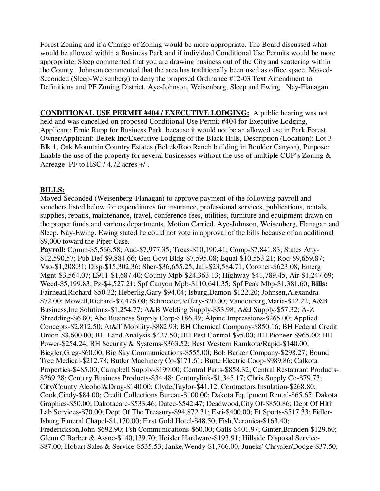Forest Zoning and if a Change of Zoning would be more appropriate. The Board discussed what would be allowed within a Business Park and if individual Conditional Use Permits would be more appropriate. Sleep commented that you are drawing business out of the City and scattering within the County. Johnson commented that the area has traditionally been used as office space. Moved-Seconded (Sleep-Weisenberg) to deny the proposed Ordinance #12-03 Text Amendment to Definitions and PF Zoning District. Aye-Johnson, Weisenberg, Sleep and Ewing. Nay-Flanagan.

**CONDITIONAL USE PERMIT #404 / EXECUTIVE LODGING:** A public hearing was not held and was cancelled on proposed Conditional Use Permit #404 for Executive Lodging, Applicant: Ernie Rupp for Business Park, because it would not be an allowed use in Park Forest. Owner/Applicant: Beltek Inc/Executive Lodging of the Black Hills, Description (Location): Lot 3 Blk 1, Oak Mountain Country Estates (Beltek/Roo Ranch building in Boulder Canyon), Purpose: Enable the use of the property for several businesses without the use of multiple CUP's Zoning & Acreage: PF to HSC / 4.72 acres +/-.

#### **BILLS:**

Moved-Seconded (Weisenberg-Flanagan) to approve payment of the following payroll and vouchers listed below for expenditures for insurance, professional services, publications, rentals, supplies, repairs, maintenance, travel, conference fees, utilities, furniture and equipment drawn on the proper funds and various departments. Motion Carried. Aye-Johnson, Weisenberg, Flanagan and Sleep. Nay-Ewing. Ewing stated he could not vote in approval of the bills because of an additional \$9,000 toward the Piper Case.

**Payroll:** Comm-\$5,566.58; Aud-\$7,977.35; Treas-\$10,190.41; Comp-\$7,841.83; States Atty- \$12,590.57; Pub Def-\$9,884.66; Gen Govt Bldg-\$7,595.08; Equal-\$10,553.21; Rod-\$9,659.87; Vso-\$1,208.31; Disp-\$15,302.36; Sher-\$36,655.25; Jail-\$23,584.71; Coroner-\$623.08; Emerg Mgnt-\$3,564.07; E911-\$1,687.40; County Mpb-\$24,363.13; Highway-\$41,789.45, Air-\$1,247.69; Weed-\$5,199.83; Pz-\$4,527.21; Spf Canyon Mpb-\$110,641.35; Spf Peak Mbp-\$1,381.60; **Bills:**  Fairhead,Richard-\$50.32; Heberlig,Gary-\$94.04; Isburg,Damon-\$122.20; Johnsen,Alexandra- \$72.00; Mowell,Richard-\$7,476.00; Schroeder,Jeffery-\$20.00; Vandenberg,Maria-\$12.22; A&B Business,Inc Solutions-\$1,254.77; A&B Welding Supply-\$53.98; A&J Supply-\$57.32; A-Z Shredding-\$6.80; Abc Business Supply Corp-\$186.49; Alpine Impressions-\$265.00; Applied Concepts-\$2,812.50; At&T Mobility-\$882.93; BH Chemical Company-\$850.16; BH Federal Credit Union-\$8,600.00; BH Land Analysis-\$427.50; BH Pest Control-\$95.00; BH Pioneer-\$965.00; BH Power-\$254.24; BH Security & Systems-\$363.52; Best Western Ramkota/Rapid-\$140.00; Biegler,Greg-\$60.00; Big Sky Communications-\$555.00; Bob Barker Company-\$298.27; Bound Tree Medical-\$212.78; Butler Machinery Co-\$171.61; Butte Electric Coop-\$989.86; Calkota Properties-\$485.00; Campbell Supply-\$199.00; Central Parts-\$858.32; Central Restaurant Products- \$269.28; Century Business Products-\$34.48; Centurylink-\$1,345.17; Chris Supply Co-\$79.73; City/County Alcohol&Drug-\$140.00; Clyde,Taylor-\$41.12; Contractors Insulation-\$268.80; Cook,Cindy-\$84.00; Credit Collections Bureau-\$100.00; Dakota Equipment Rental-\$65.65; Dakota Graphics-\$50.00; Dakotacare-\$533.46; Datec-\$542.47; Deadwood,City Of-\$850.86; Dept Of Hlth Lab Services-\$70.00; Dept Of The Treasury-\$94,872.31; Esri-\$400.00; Et Sports-\$517.33; Fidler-Isburg Funeral Chapel-\$1,170.00; First Gold Hotel-\$48.50; Fish,Veronica-\$163.40; Frederickson,John-\$692.90; Fsh Communications-\$60.00; Galls-\$401.97; Ginter,Branden-\$129.60; Glenn C Barber & Assoc-\$140,139.70; Heisler Hardware-\$193.91; Hillside Disposal Service- \$87.00; Hobart Sales & Service-\$535.53; Janke,Wendy-\$1,766.00; Juneks' Chrysler/Dodge-\$37.50;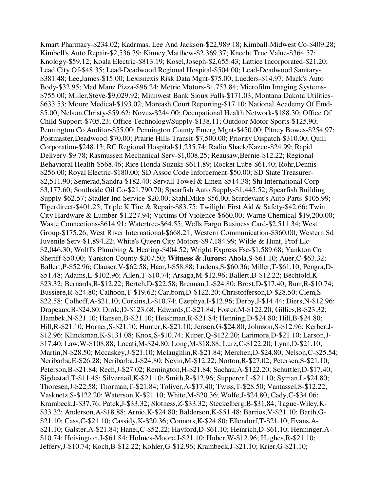Kmart Pharmacy-\$234.02; Kadrmas, Lee And Jackson-\$22,989.18; Kimball-Midwest Co-\$409.28; Kimbell's Auto Repair-\$2,536.39; Kinney,Matthew-\$2,369.37; Knecht True Value-\$364.57; Knology-\$59.12; Koala Electric-\$813.19; Kosel,Joseph-\$2,655.43; Lattice Incorporated-\$21.20; Lead,City Of-\$48.35; Lead-Deadwood Regional Hospital-\$504.00; Lead-Deadwood Sanitary- \$381.48; Lee,James-\$15.00; Lexisnexis Risk Data Mgnt-\$75.00; Lueders-\$14.97; Mack's Auto Body-\$32.95; Mad Manz Pizza-\$96.24; Metric Motors-\$1,753.84; Microfilm Imaging Systems- \$755.00; Miller,Steve-\$9,029.92; Minnwest Bank Sioux Falls-\$171.03; Montana Dakota Utilities- \$633.53; Moore Medical-\$193.02; Moreash Court Reporting-\$17.10; National Academy Of Emd- \$5.00; Nelson,Christy-\$59.62; Novus-\$244.00; Occupational Health Network-\$188.30; Office Of Child Support-\$705.23; Office Technology/Supply-\$138.11; Outdoor Motor Sports-\$125.90; Pennington Co Auditor-\$55.00; Pennington County Emerg Mgnt-\$450.00; Pitney Bowes-\$254.97; Postmaster,Deadwood-\$70.00; Prairie Hills Transit-\$7,500.00; Priority Dispatch-\$310.00; Quill Corporation-\$248.13; RC Regional Hospital-\$1,235.74; Radio Shack/Kazco-\$24.99; Rapid Delivery-\$9.78; Rasmussen Mechanical Serv-\$1,008.25; Reausaw,Bernie-\$12.22; Regional Behavioral Health-\$568.46; Rice Honda Suzuki-\$611.89; Rocket Lube-\$61.40; Rohr,Dennis- \$256.00; Royal Electric-\$180.00; SD Assoc Code Inforcement-\$50.00; SD State Treasurer- \$2,511.90; Semerad,Sandra-\$182.40; Servall Towel & Linen-\$514.38; Shi International Corp- \$3,177.60; Southside Oil Co-\$21,790.70; Spearfish Auto Supply-\$1,445.52; Spearfish Building Supply-\$62.57; Stadler Ind Service-\$20.00; Stahl,Mike-\$56.00; Sturdevant's Auto Parts-\$105.99; Tigerdirect-\$401.25; Triple K Tire & Repair-\$83.75; Twilight First Aid & Safety-\$42.66; Twin City Hardware & Lumber-\$1,227.94; Victims Of Violence-\$660.00; Warne Chemical-\$19,200.00; Waste Connections-\$614.91; Watertree-\$64.55; Wells Fargo Business Card-\$2,511.34; West Group-\$175.26; West River International-\$668.21; Western Communication-\$360.00; Western Sd Juvenile Serv-\$1,894.22; White's Queen City Motors-\$97,184.99; Wilde & Hunt, Prof Llc- \$2,046.30; Wolff's Plumbing & Heating-\$404.52; Wright Express Fsc-\$1,589.68; Yankton Co Sheriff-\$50.00; Yankton County-\$207.50; **Witness & Jurors:** Ahola,S-\$61.10; Auer,C-\$63.32; Ballert,P-\$52.96; Clauser,V-\$62.58; Haar,J-\$58.88; Ludens,S-\$60.36; Miller,T-\$61.10; Pengra,D- \$51.48; Adams,L-\$102.96; Allen,T-\$10.74; Arsaga,M-\$12.96; Ballert,D-\$12.22; Bechtold,K- \$23.32; Bernards,R-\$12.22; Bertch,D-\$22.58; Brennan,L-\$24.80; Brost,D-\$17.40; Burr,R-\$10.74; Bussiere,R-\$24.80; Calhoon,T-\$19.62; Carlbom,D-\$122.20; Christofferson,D-\$28.50; Clem,S- \$22.58; Colhoff,A-\$21.10; Corkins,L-\$10.74; Czephya,I-\$12.96; Derby,J-\$14.44; Diers,N-\$12.96; Drapeaux,B-\$24.80; Drolc,D-\$123.68; Edwards,C-\$21.84; Foster,M-\$122.20; Gillies,B-\$23.32; Hambek,N-\$21.10; Hansen,B-\$21.10; Heishman,R-\$21.84; Henning,D-\$24.80; Hill,B-\$24.80; Hill,R-\$21.10; Horner,S-\$21.10; Hunter,K-\$21.10; Jensen,G-\$24.80; Johnson,S-\$12.96; Kerber,J- \$12.96; Klinckman,K-\$131.08; Knox,S-\$10.74; Kuper,Q-\$122.20; Larimore,D-\$21.10; Larson,J- \$17.40; Law,W-\$108.88; Locati,M-\$24.80; Long,M-\$18.88; Lurz,C-\$122.20; Lynn,D-\$21.10; Martin,N-\$28.50; Mccaskey,J-\$21.10; Mclaughlin,R-\$21.84; Merchen,D-\$24.80; Nelson,C-\$25.54; Neribarba,E-\$26.28; Neribarba,J-\$24.80; Nevin,M-\$12.22; Norton,R-\$27.02; Petersen,S-\$21.10; Peterson,B-\$21.84; Rech,J-\$27.02; Remington,H-\$21.84; Sachau,A-\$122.20; Schuttler,D-\$17.40; Sigdestad,T-\$11.48; Silvernail,K-\$21.10; Smith,R-\$12.96; Supperer,L-\$21.10; Syman,L-\$24.80; Thoresen,J-\$22.58; Thorman,T-\$21.84; Toliver,A-\$17.40; Twiss,T-\$28.50; Vantassel,S-\$12.22; Vasknetz,S-\$122.20; Waterson,K-\$21.10; White,M-\$20.36; Wolfe,J-\$24.80; Cady,C-\$34.06; Krambeck,J-\$37.76; Patek,J-\$33.32; Slotness,Z-\$33.32; Steckelberg,B-\$31.84; Tague-Wiley,K- \$33.32; Anderson,A-\$18.88; Arnio,K-\$24.80; Balderson,K-\$51.48; Barrios,V-\$21.10; Barth,G- \$21.10; Cass,C-\$21.10; Cassidy,K-\$20.36; Connors,K-\$24.80; Ellendorf,T-\$21.10; Evans,A- \$21.10; Galster,A-\$21.84; Hanel,C-\$52.22; Hayford,D-\$61.10; Heinrich,D-\$61.10; Henninger,A- \$10.74; Hoisington,J-\$61.84; Holmes-Moore,J-\$21.10; Huber,W-\$12.96; Hughes,R-\$21.10; Jeffery,J-\$10.74; Koch,B-\$12.22; Kohler,G-\$12.96; Krambeck,J-\$21.10; Krier,G-\$21.10;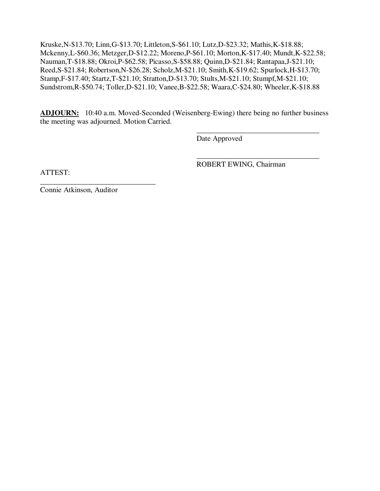Kruske,N-\$13.70; Linn,G-\$13.70; Littleton,S-\$61.10; Lutz,D-\$23.32; Mathis,K-\$18.88; Mckenny,L-\$60.36; Metzger,D-\$12.22; Moreno,P-\$61.10; Morton,K-\$17.40; Mundt,K-\$22.58; Nauman,T-\$18.88; Okroi,P-\$62.58; Picasso,S-\$58.88; Quinn,D-\$21.84; Rantapaa,J-\$21.10; Reed,S-\$21.84; Robertson,N-\$26.28; Scholz,M-\$21.10; Smith,K-\$19.62; Spurlock,H-\$13.70; Stamp,F-\$17.40; Startz,T-\$21.10; Stratton,D-\$13.70; Stults,M-\$21.10; Stumpf,M-\$21.10; Sundstrom,R-\$50.74; Toller,D-\$21.10; Vanee,B-\$22.58; Waara,C-\$24.80; Wheeler,K-\$18.88

**ADJOURN:** 10:40 a.m. Moved-Seconded (Weisenberg-Ewing) there being no further business the meeting was adjourned. Motion Carried.

 $\overline{\phantom{a}}$  , and the contract of the contract of the contract of the contract of the contract of the contract of the contract of the contract of the contract of the contract of the contract of the contract of the contrac Date Approved

 $\overline{\phantom{a}}$  , and the contract of the contract of the contract of the contract of the contract of the contract of the contract of the contract of the contract of the contract of the contract of the contract of the contrac ROBERT EWING, Chairman

ATTEST:

\_\_\_\_\_\_\_\_\_\_\_\_\_\_\_\_\_\_\_\_\_\_\_\_\_\_\_\_\_\_\_ Connie Atkinson, Auditor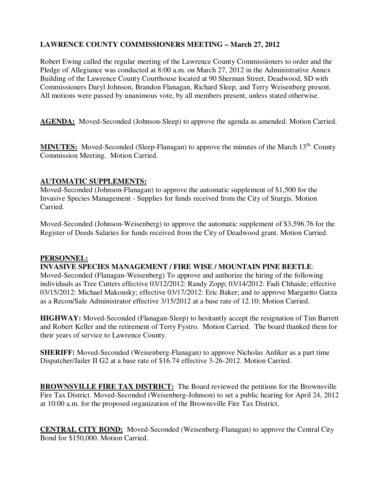## **LAWRENCE COUNTY COMMISSIONERS MEETING – March 27, 2012**

Robert Ewing called the regular meeting of the Lawrence County Commissioners to order and the Pledge of Allegiance was conducted at 8:00 a.m. on March 27, 2012 in the Administrative Annex Building of the Lawrence County Courthouse located at 90 Sherman Street, Deadwood, SD with Commissioners Daryl Johnson, Brandon Flanagan, Richard Sleep, and Terry Weisenberg present. All motions were passed by unanimous vote, by all members present, unless stated otherwise.

AGENDA: Moved-Seconded (Johnson-Sleep) to approve the agenda as amended. Motion Carried.

**MINUTES:** Moved-Seconded (Sleep-Flanagan) to approve the minutes of the March 13<sup>th,</sup> County Commission Meeting. Motion Carried.

## **AUTOMATIC SUPPLEMENTS:**

Moved-Seconded (Johnson-Flanagan) to approve the automatic supplement of \$1,500 for the Invasive Species Management - Supplies for funds received from the City of Sturgis. Motion Carried.

Moved-Seconded (Johnson-Weisenberg) to approve the automatic supplement of \$3,596.76 for the Register of Deeds Salaries for funds received from the City of Deadwood grant. Motion Carried.

## **PERSONNEL:**

#### **INVASIVE SPECIES MANAGEMENT / FIRE WISE / MOUNTAIN PINE BEETLE**:

Moved-Seconded (Flanagan-Weisenberg) To approve and authorize the hiring of the following individuals as Tree Cutters effective 03/12/2012: Randy Zopp; 03/14/2012: Fadi Chhaide; effective 03/15/2012: Michael Makousky; effective 03/17/2012: Eric Baker; and to approve Margarito Garza as a Recon/Sale Administrator effective 3/15/2012 at a base rate of 12.10; Motion Carried.

**HIGHWAY:** Moved-Seconded (Flanagan-Sleep) to hesitantly accept the resignation of Tim Barrett and Robert Keller and the retirement of Terry Fystro. Motion Carried. The board thanked them for their years of service to Lawrence County.

**SHERIFF:** Moved-Seconded (Weisenberg-Flanagan) to approve Nicholas Anliker as a part time Dispatcher/Jailer II G2 at a base rate of \$16.74 effective 3-26-2012. Motion Carried.

**BROWNSVILLE FIRE TAX DISTRICT:** The Board reviewed the petitions for the Brownsville Fire Tax District. Moved-Seconded (Weisenberg-Johnson) to set a public hearing for April 24, 2012 at 10:00 a.m. for the proposed organization of the Brownsville Fire Tax District.

**CENTRAL CITY BOND:** Moved-Seconded (Weisenberg-Flanagan) to approve the Central City Bond for \$150,000. Motion Carried.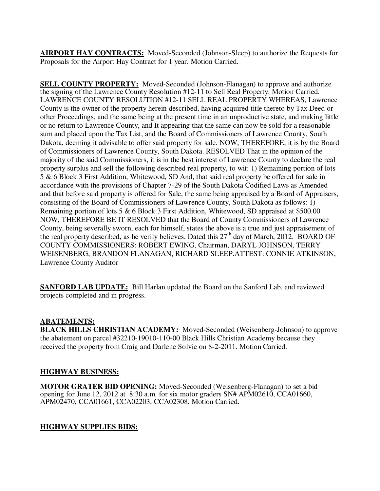**AIRPORT HAY CONTRACTS:** Moved-Seconded (Johnson-Sleep) to authorize the Requests for Proposals for the Airport Hay Contract for 1 year. Motion Carried.

**SELL COUNTY PROPERTY:** Moved-Seconded (Johnson-Flanagan) to approve and authorize the signing of the Lawrence County Resolution #12-11 to Sell Real Property. Motion Carried. LAWRENCE COUNTY RESOLUTION #12-11 SELL REAL PROPERTY WHEREAS, Lawrence County is the owner of the property herein described, having acquired title thereto by Tax Deed or other Proceedings, and the same being at the present time in an unproductive state, and making little or no return to Lawrence County, and It appearing that the same can now be sold for a reasonable sum and placed upon the Tax List, and the Board of Commissioners of Lawrence County, South Dakota, deeming it advisable to offer said property for sale. NOW, THEREFORE, it is by the Board of Commissioners of Lawrence County, South Dakota. RESOLVED That in the opinion of the majority of the said Commissioners, it is in the best interest of Lawrence County to declare the real property surplus and sell the following described real property, to wit: 1) Remaining portion of lots 5 & 6 Block 3 First Addition, Whitewood, SD And, that said real property be offered for sale in accordance with the provisions of Chapter 7-29 of the South Dakota Codified Laws as Amended and that before said property is offered for Sale, the same being appraised by a Board of Appraisers, consisting of the Board of Commissioners of Lawrence County, South Dakota as follows: 1) Remaining portion of lots 5 & 6 Block 3 First Addition, Whitewood, SD appraised at \$500.00 NOW, THEREFORE BE IT RESOLVED that the Board of County Commissioners of Lawrence County, being severally sworn, each for himself, states the above is a true and just appraisement of the real property described, as he verily believes. Dated this 27<sup>th</sup> day of March, 2012. BOARD OF COUNTY COMMISSIONERS: ROBERT EWING, Chairman, DARYL JOHNSON, TERRY WEISENBERG, BRANDON FLANAGAN, RICHARD SLEEP.ATTEST: CONNIE ATKINSON, Lawrence County Auditor

**SANFORD LAB UPDATE:** Bill Harlan updated the Board on the Sanford Lab, and reviewed projects completed and in progress.

## **ABATEMENTS:**

**BLACK HILLS CHRISTIAN ACADEMY:** Moved-Seconded (Weisenberg-Johnson) to approve the abatement on parcel #32210-19010-110-00 Black Hills Christian Academy because they received the property from Craig and Darlene Solvie on 8-2-2011. Motion Carried.

## **HIGHWAY BUSINESS:**

**MOTOR GRATER BID OPENING:** Moved-Seconded (Weisenberg-Flanagan) to set a bid opening for June 12, 2012 at 8:30 a.m. for six motor graders SN# APM02610, CCA01660, APM02470, CCA01661, CCA02203, CCA02308. Motion Carried.

# **HIGHWAY SUPPLIES BIDS:**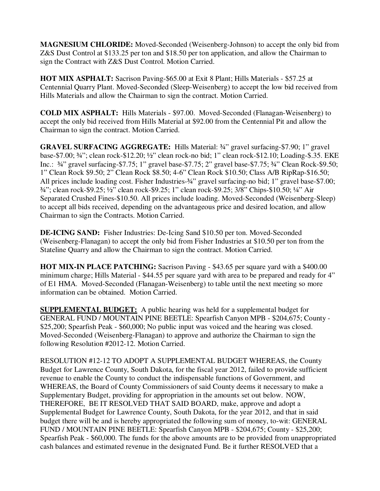**MAGNESIUM CHLORIDE:** Moved-Seconded (Weisenberg-Johnson) to accept the only bid from Z&S Dust Control at \$133.25 per ton and \$18.50 per ton application, and allow the Chairman to sign the Contract with Z&S Dust Control. Motion Carried.

**HOT MIX ASPHALT:** Sacrison Paving-\$65.00 at Exit 8 Plant; Hills Materials - \$57.25 at Centennial Quarry Plant. Moved-Seconded (Sleep-Weisenberg) to accept the low bid received from Hills Materials and allow the Chairman to sign the contract. Motion Carried.

**COLD MIX ASPHALT:** Hills Materials - \$97.00. Moved-Seconded (Flanagan-Weisenberg) to accept the only bid received from Hills Material at \$92.00 from the Centennial Pit and allow the Chairman to sign the contract. Motion Carried.

**GRAVEL SURFACING AGGREGATE:** Hills Material: ¾" gravel surfacing-\$7.90; 1" gravel base-\$7.00; ¾"; clean rock-\$12.20; ½" clean rock-no bid; 1" clean rock-\$12.10; Loading-\$.35. EKE Inc.: ¾" gravel surfacing-\$7.75; 1" gravel base-\$7.75; 2" gravel base-\$7.75; ¾" Clean Rock-\$9.50; 1" Clean Rock \$9.50; 2" Clean Rock \$8.50; 4-6" Clean Rock \$10.50; Class A/B RipRap-\$16.50; All prices include loading cost. Fisher Industries- $\frac{3}{4}$ " gravel surfacing-no bid; 1" gravel base-\$7.00; ¾"; clean rock-\$9.25; ½" clean rock-\$9.25; 1" clean rock-\$9.25; 3/8" Chips-\$10.50; ¼" Air Separated Crushed Fines-\$10.50. All prices include loading. Moved-Seconded (Weisenberg-Sleep) to accept all bids received, depending on the advantageous price and desired location, and allow Chairman to sign the Contracts. Motion Carried.

**DE-ICING SAND:** Fisher Industries: De-Icing Sand \$10.50 per ton. Moved-Seconded (Weisenberg-Flanagan) to accept the only bid from Fisher Industries at \$10.50 per ton from the Stateline Quarry and allow the Chairman to sign the contract. Motion Carried.

**HOT MIX-IN PLACE PATCHING:** Sacrison Paving - \$43.65 per square yard with a \$400.00 minimum charge; Hills Material - \$44.55 per square yard with area to be prepared and ready for 4" of E1 HMA. Moved-Seconded (Flanagan-Weisenberg) to table until the next meeting so more information can be obtained. Motion Carried.

**SUPPLEMENTAL BUDGET:** A public hearing was held for a supplemental budget for GENERAL FUND / MOUNTAIN PINE BEETLE: Spearfish Canyon MPB - \$204,675; County - \$25,200; Spearfish Peak - \$60,000; No public input was voiced and the hearing was closed. Moved-Seconded (Weisenberg-Flanagan) to approve and authorize the Chairman to sign the following Resolution #2012-12. Motion Carried.

RESOLUTION #12-12 TO ADOPT A SUPPLEMENTAL BUDGET WHEREAS, the County Budget for Lawrence County, South Dakota, for the fiscal year 2012, failed to provide sufficient revenue to enable the County to conduct the indispensable functions of Government, and WHEREAS, the Board of County Commissioners of said County deems it necessary to make a Supplementary Budget, providing for appropriation in the amounts set out below. NOW, THEREFORE, BE IT RESOLVED THAT SAID BOARD, make, approve and adopt a Supplemental Budget for Lawrence County, South Dakota, for the year 2012, and that in said budget there will be and is hereby appropriated the following sum of money, to-wit: GENERAL FUND / MOUNTAIN PINE BEETLE: Spearfish Canyon MPB - \$204,675; County - \$25,200; Spearfish Peak - \$60,000. The funds for the above amounts are to be provided from unappropriated cash balances and estimated revenue in the designated Fund. Be it further RESOLVED that a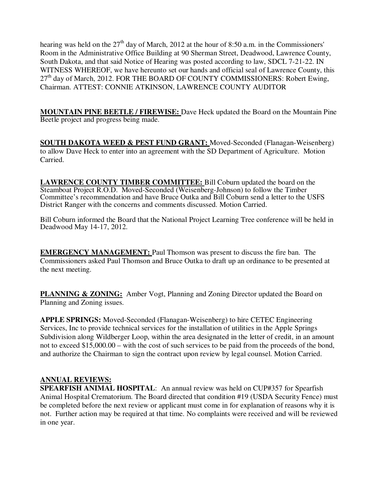hearing was held on the  $27<sup>th</sup>$  day of March, 2012 at the hour of 8:50 a.m. in the Commissioners' Room in the Administrative Office Building at 90 Sherman Street, Deadwood, Lawrence County, South Dakota, and that said Notice of Hearing was posted according to law, SDCL 7-21-22. IN WITNESS WHEREOF, we have hereunto set our hands and official seal of Lawrence County, this  $27<sup>th</sup>$  day of March, 2012. FOR THE BOARD OF COUNTY COMMISSIONERS: Robert Ewing, Chairman. ATTEST: CONNIE ATKINSON, LAWRENCE COUNTY AUDITOR

**MOUNTAIN PINE BEETLE / FIREWISE:** Dave Heck updated the Board on the Mountain Pine Beetle project and progress being made.

**SOUTH DAKOTA WEED & PEST FUND GRANT:** Moved-Seconded (Flanagan-Weisenberg) to allow Dave Heck to enter into an agreement with the SD Department of Agriculture. Motion Carried.

**LAWRENCE COUNTY TIMBER COMMITTEE:** Bill Coburn updated the board on the Steamboat Project R.O.D. Moved-Seconded (Weisenberg-Johnson) to follow the Timber Committee's recommendation and have Bruce Outka and Bill Coburn send a letter to the USFS District Ranger with the concerns and comments discussed. Motion Carried.

Bill Coburn informed the Board that the National Project Learning Tree conference will be held in Deadwood May 14-17, 2012.

**EMERGENCY MANAGEMENT:** Paul Thomson was present to discuss the fire ban. The Commissioners asked Paul Thomson and Bruce Outka to draft up an ordinance to be presented at the next meeting.

**PLANNING & ZONING:** Amber Vogt, Planning and Zoning Director updated the Board on Planning and Zoning issues.

**APPLE SPRINGS:** Moved-Seconded (Flanagan-Weisenberg) to hire CETEC Engineering Services, Inc to provide technical services for the installation of utilities in the Apple Springs Subdivision along Wildberger Loop, within the area designated in the letter of credit, in an amount not to exceed \$15,000.00 – with the cost of such services to be paid from the proceeds of the bond, and authorize the Chairman to sign the contract upon review by legal counsel. Motion Carried.

## **ANNUAL REVIEWS:**

**SPEARFISH ANIMAL HOSPITAL**: An annual review was held on CUP#357 for Spearfish Animal Hospital Crematorium. The Board directed that condition #19 (USDA Security Fence) must be completed before the next review or applicant must come in for explanation of reasons why it is not. Further action may be required at that time. No complaints were received and will be reviewed in one year.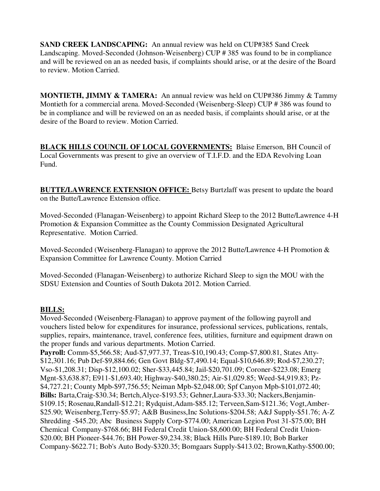**SAND CREEK LANDSCAPING:** An annual review was held on CUP#385 Sand Creek Landscaping. Moved-Seconded (Johnson-Weisenberg) CUP # 385 was found to be in compliance and will be reviewed on an as needed basis, if complaints should arise, or at the desire of the Board to review. Motion Carried.

**MONTIETH, JIMMY & TAMERA:** An annual review was held on CUP#386 Jimmy & Tammy Montieth for a commercial arena. Moved-Seconded (Weisenberg-Sleep) CUP # 386 was found to be in compliance and will be reviewed on an as needed basis, if complaints should arise, or at the desire of the Board to review. Motion Carried.

**BLACK HILLS COUNCIL OF LOCAL GOVERNMENTS:** Blaise Emerson, BH Council of Local Governments was present to give an overview of T.I.F.D. and the EDA Revolving Loan Fund.

**BUTTE/LAWRENCE EXTENSION OFFICE:** Betsy Burtzlaff was present to update the board on the Butte/Lawrence Extension office.

Moved-Seconded (Flanagan-Weisenberg) to appoint Richard Sleep to the 2012 Butte/Lawrence 4-H Promotion & Expansion Committee as the County Commission Designated Agricultural Representative. Motion Carried.

Moved-Seconded (Weisenberg-Flanagan) to approve the 2012 Butte/Lawrence 4-H Promotion & Expansion Committee for Lawrence County. Motion Carried

Moved-Seconded (Flanagan-Weisenberg) to authorize Richard Sleep to sign the MOU with the SDSU Extension and Counties of South Dakota 2012. Motion Carried.

## **BILLS:**

Moved-Seconded (Weisenberg-Flanagan) to approve payment of the following payroll and vouchers listed below for expenditures for insurance, professional services, publications, rentals, supplies, repairs, maintenance, travel, conference fees, utilities, furniture and equipment drawn on the proper funds and various departments. Motion Carried.

**Payroll:** Comm-\$5,566.58; Aud-\$7,977.37, Treas-\$10,190.43; Comp-\$7,800.81, States Atty- \$12,301.16; Pub Def-\$9,884.66; Gen Govt Bldg-\$7,490.14; Equal-\$10,646.89; Rod-\$7,230.27; Vso-\$1,208.31; Disp-\$12,100.02; Sher-\$33,445.84; Jail-\$20,701.09; Coroner-\$223.08; Emerg Mgnt-\$3,638.87; E911-\$1,693.40; Highway-\$40,380.25; Air-\$1,029.85; Weed-\$4,919.83; Pz- \$4,727.21; County Mpb-\$97,756.55; Neiman Mpb-\$2,048.00; Spf Canyon Mpb-\$101,072.40; **Bills:** Barta,Craig-\$30.34; Bertch,Alyce-\$193.53; Gehner,Laura-\$33.30; Nackers,Benjamin- \$109.15; Rosenau,Randall-\$12.21; Rydquist,Adam-\$85.12; Terveen,Sam-\$121.36; Vogt,Amber- \$25.90; Weisenberg,Terry-\$5.97; A&B Business,Inc Solutions-\$204.58; A&J Supply-\$51.76; A-Z Shredding -\$45.20; Abc Business Supply Corp-\$774.00; American Legion Post 31-\$75.00; BH Chemical Company-\$768.66; BH Federal Credit Union-\$8,600.00; BH Federal Credit Union- \$20.00; BH Pioneer-\$44.76; BH Power-\$9,234.38; Black Hills Pure-\$189.10; Bob Barker Company-\$622.71; Bob's Auto Body-\$320.35; Bomgaars Supply-\$413.02; Brown,Kathy-\$500.00;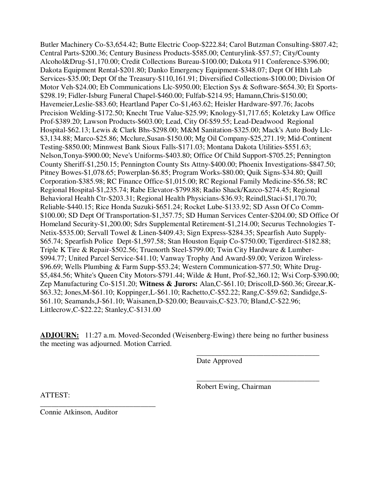Butler Machinery Co-\$3,654.42; Butte Electric Coop-\$222.84; Carol Butzman Consulting-\$807.42; Central Parts-\$200.36; Century Business Products-\$585.00; Centurylink-\$57.57; City/County Alcohol&Drug-\$1,170.00; Credit Collections Bureau-\$100.00; Dakota 911 Conference-\$396.00; Dakota Equipment Rental-\$201.80; Danko Emergency Equipment-\$348.07; Dept Of Hlth Lab Services-\$35.00; Dept Of the Treasury-\$110,161.91; Diversified Collections-\$100.00; Division Of Motor Veh-\$24.00; Eb Communications Llc-\$950.00; Election Sys & Software-\$654.30; Et Sports- \$298.19; Fidler-Isburg Funeral Chapel-\$460.00; Fulfab-\$214.95; Hamann,Chris-\$150.00; Havemeier,Leslie-\$83.60; Heartland Paper Co-\$1,463.62; Heisler Hardware-\$97.76; Jacobs Precision Welding-\$172.50; Knecht True Value-\$25.99; Knology-\$1,717.65; Koletzky Law Office Prof-\$389.20; Lawson Products-\$603.00; Lead, City Of-\$59.55; Lead-Deadwood Regional Hospital-\$62.13; Lewis & Clark Bhs-\$298.00; M&M Sanitation-\$325.00; Mack's Auto Body Llc- \$3,134.88; Marco-\$25.86; Mcclure,Susan-\$150.00; Mg Oil Company-\$25,271.19; Mid-Continent Testing-\$850.00; Minnwest Bank Sioux Falls-\$171.03; Montana Dakota Utilities-\$551.63; Nelson,Tonya-\$900.00; Neve's Uniforms-\$403.80; Office Of Child Support-\$705.25; Pennington County Sheriff-\$1,250.15; Pennington County Sts Attny-\$400.00; Phoenix Investigations-\$847.50; Pitney Bowes-\$1,078.65; Powerplan-\$6.85; Program Works-\$80.00; Quik Signs-\$34.80; Quill Corporation-\$385.98; RC Finance Office-\$1,015.00; RC Regional Family Medicine-\$56.58; RC Regional Hospital-\$1,235.74; Rabe Elevator-\$799.88; Radio Shack/Kazco-\$274.45; Regional Behavioral Health Ctr-\$203.31; Regional Health Physicians-\$36.93; Reindl,Staci-\$1,170.70; Reliable-\$440.15; Rice Honda Suzuki-\$651.24; Rocket Lube-\$133.92; SD Assn Of Co Comm- \$100.00; SD Dept Of Transportation-\$1,357.75; SD Human Services Center-\$204.00; SD Office Of Homeland Security-\$1,200.00; Sdrs Supplemental Retirement-\$1,214.00; Securus Technologies T-Netix-\$535.00; Servall Towel & Linen-\$409.43; Sign Express-\$284.35; Spearfish Auto Supply- \$65.74; Spearfish Police Dept-\$1,597.58; Stan Houston Equip Co-\$750.00; Tigerdirect-\$182.88; Triple K Tire & Repair-\$502.56; Truenorth Steel-\$799.00; Twin City Hardware & Lumber- \$994.77; United Parcel Service-\$41.10; Vanway Trophy And Award-\$9.00; Verizon Wireless- \$96.69; Wells Plumbing & Farm Supp-\$53.24; Western Communication-\$77.50; White Drug- \$5,484.56; White's Queen City Motors-\$791.44; Wilde & Hunt, Prof-\$2,360.12; Wsi Corp-\$390.00; Zep Manufacturing Co-\$151.20; **Witness & Jurors:** Alan,C-\$61.10; Driscoll,D-\$60.36; Greear,K- \$63.32; Jones,M-\$61.10; Koppinger,L-\$61.10; Rachetto,C-\$52.22; Rang,C-\$59.62; Sandidge,S- \$61.10; Seamands,J-\$61.10; Waisanen,D-\$20.00; Beauvais,C-\$23.70; Bland,C-\$22.96; Littlecrow,C-\$22.22; Stanley,C-\$131.00

**ADJOURN:** 11:27 a.m. Moved-Seconded (Weisenberg-Ewing) there being no further business the meeting was adjourned. Motion Carried.

 $\overline{\phantom{a}}$  , and the contract of the contract of the contract of the contract of the contract of the contract of the contract of the contract of the contract of the contract of the contract of the contract of the contrac

 $\overline{\phantom{a}}$  , and the contract of the contract of the contract of the contract of the contract of the contract of the contract of the contract of the contract of the contract of the contract of the contract of the contrac

Date Approved

Robert Ewing, Chairman

ATTEST:

Connie Atkinson, Auditor

\_\_\_\_\_\_\_\_\_\_\_\_\_\_\_\_\_\_\_\_\_\_\_\_\_\_\_\_\_\_\_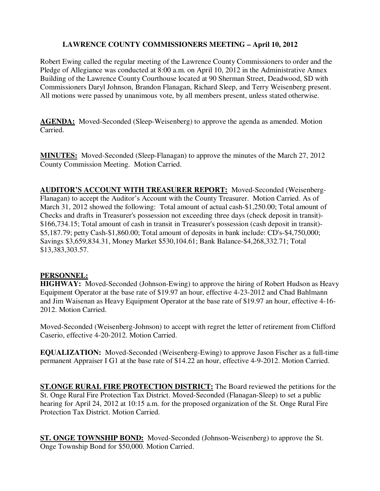## **LAWRENCE COUNTY COMMISSIONERS MEETING – April 10, 2012**

Robert Ewing called the regular meeting of the Lawrence County Commissioners to order and the Pledge of Allegiance was conducted at 8:00 a.m. on April 10, 2012 in the Administrative Annex Building of the Lawrence County Courthouse located at 90 Sherman Street, Deadwood, SD with Commissioners Daryl Johnson, Brandon Flanagan, Richard Sleep, and Terry Weisenberg present. All motions were passed by unanimous vote, by all members present, unless stated otherwise.

**AGENDA:** Moved-Seconded (Sleep-Weisenberg) to approve the agenda as amended. Motion Carried.

**MINUTES:** Moved-Seconded (Sleep-Flanagan) to approve the minutes of the March 27, 2012 County Commission Meeting. Motion Carried.

**AUDITOR'S ACCOUNT WITH TREASURER REPORT:** Moved-Seconded (Weisenberg-Flanagan) to accept the Auditor's Account with the County Treasurer. Motion Carried. As of March 31, 2012 showed the following: Total amount of actual cash-\$1,250.00; Total amount of Checks and drafts in Treasurer's possession not exceeding three days (check deposit in transit)- \$166,734.15; Total amount of cash in transit in Treasurer's possession (cash deposit in transit)- \$5,187.79; petty Cash-\$1,860.00; Total amount of deposits in bank include: CD's-\$4,750,000; Savings \$3,659,834.31, Money Market \$530,104.61; Bank Balance-\$4,268,332.71; Total \$13,383,303.57.

## **PERSONNEL:**

**HIGHWAY:** Moved-Seconded (Johnson-Ewing) to approve the hiring of Robert Hudson as Heavy Equipment Operator at the base rate of \$19.97 an hour, effective 4-23-2012 and Chad Bahlmann and Jim Waisenan as Heavy Equipment Operator at the base rate of \$19.97 an hour, effective 4-16- 2012. Motion Carried.

Moved-Seconded (Weisenberg-Johnson) to accept with regret the letter of retirement from Clifford Caserio, effective 4-20-2012. Motion Carried.

**EQUALIZATION:** Moved-Seconded (Weisenberg-Ewing) to approve Jason Fischer as a full-time permanent Appraiser I G1 at the base rate of \$14.22 an hour, effective 4-9-2012. Motion Carried.

**ST.ONGE RURAL FIRE PROTECTION DISTRICT:** The Board reviewed the petitions for the St. Onge Rural Fire Protection Tax District. Moved-Seconded (Flanagan-Sleep) to set a public hearing for April 24, 2012 at 10:15 a.m. for the proposed organization of the St. Onge Rural Fire Protection Tax District. Motion Carried.

**ST. ONGE TOWNSHIP BOND:** Moved-Seconded (Johnson-Weisenberg) to approve the St. Onge Township Bond for \$50,000. Motion Carried.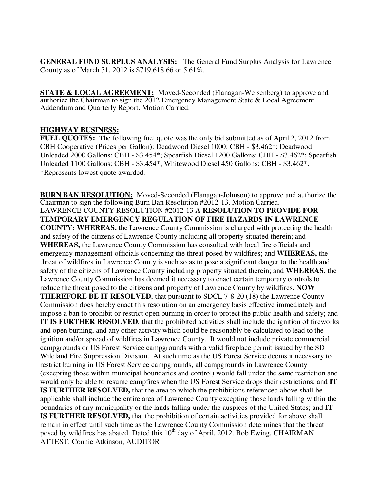**GENERAL FUND SURPLUS ANALYSIS:** The General Fund Surplus Analysis for Lawrence County as of March 31, 2012 is \$719,618.66 or 5.61%.

**STATE & LOCAL AGREEMENT:** Moved-Seconded (Flanagan-Weisenberg) to approve and authorize the Chairman to sign the 2012 Emergency Management State & Local Agreement Addendum and Quarterly Report. Motion Carried.

#### **HIGHWAY BUSINESS:**

**FUEL QUOTES:** The following fuel quote was the only bid submitted as of April 2, 2012 from CBH Cooperative (Prices per Gallon): Deadwood Diesel 1000: CBH - \$3.462\*; Deadwood Unleaded 2000 Gallons: CBH - \$3.454\*; Spearfish Diesel 1200 Gallons: CBH - \$3.462\*; Spearfish Unleaded 1100 Gallons: CBH - \$3.454\*; Whitewood Diesel 450 Gallons: CBH - \$3.462\*. \*Represents lowest quote awarded.

**BURN BAN RESOLUTION:** Moved-Seconded (Flanagan-Johnson) to approve and authorize the Chairman to sign the following Burn Ban Resolution #2012-13. Motion Carried. LAWRENCE COUNTY RESOLUTION #2012-13 **A RESOLUTION TO PROVIDE FOR TEMPORARY EMERGENCY REGULATION OF FIRE HAZARDS IN LAWRENCE COUNTY: WHEREAS,** the Lawrence County Commission is charged with protecting the health and safety of the citizens of Lawrence County including all property situated therein; and **WHEREAS,** the Lawrence County Commission has consulted with local fire officials and emergency management officials concerning the threat posed by wildfires; and **WHEREAS,** the threat of wildfires in Lawrence County is such so as to pose a significant danger to the health and safety of the citizens of Lawrence County including property situated therein; and **WHEREAS,** the Lawrence County Commission has deemed it necessary to enact certain temporary controls to reduce the threat posed to the citizens and property of Lawrence County by wildfires. **NOW THEREFORE BE IT RESOLVED**, that pursuant to SDCL 7-8-20 (18) the Lawrence County Commission does hereby enact this resolution on an emergency basis effective immediately and impose a ban to prohibit or restrict open burning in order to protect the public health and safety; and **IT IS FURTHER RESOLVED**, that the prohibited activities shall include the ignition of fireworks and open burning, and any other activity which could be reasonably be calculated to lead to the ignition and/or spread of wildfires in Lawrence County. It would not include private commercial campgrounds or US Forest Service campgrounds with a valid fireplace permit issued by the SD Wildland Fire Suppression Division. At such time as the US Forest Service deems it necessary to restrict burning in US Forest Service campgrounds, all campgrounds in Lawrence County (excepting those within municipal boundaries and control) would fall under the same restriction and would only be able to resume campfires when the US Forest Service drops their restrictions; and **IT IS FURTHER RESOLVED,** that the area to which the prohibitions referenced above shall be applicable shall include the entire area of Lawrence County excepting those lands falling within the boundaries of any municipality or the lands falling under the auspices of the United States; and **IT IS FURTHER RESOLVED,** that the prohibition of certain activities provided for above shall remain in effect until such time as the Lawrence County Commission determines that the threat posed by wildfires has abated. Dated this 10<sup>th</sup> day of April, 2012. Bob Ewing, CHAIRMAN ATTEST: Connie Atkinson, AUDITOR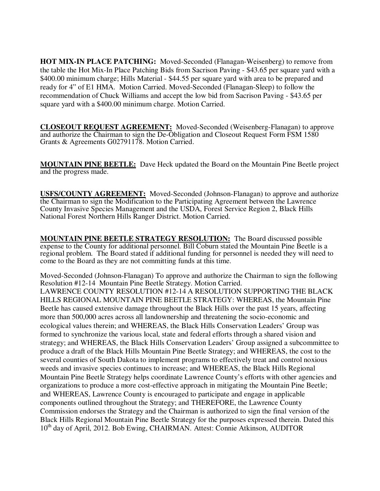**HOT MIX-IN PLACE PATCHING:** Moved-Seconded (Flanagan-Weisenberg) to remove from the table the Hot Mix-In Place Patching Bids from Sacrison Paving - \$43.65 per square yard with a \$400.00 minimum charge; Hills Material - \$44.55 per square yard with area to be prepared and ready for 4" of E1 HMA. Motion Carried. Moved-Seconded (Flanagan-Sleep) to follow the recommendation of Chuck Williams and accept the low bid from Sacrison Paving - \$43.65 per square yard with a \$400.00 minimum charge. Motion Carried.

**CLOSEOUT REQUEST AGREEMENT:** Moved-Seconded (Weisenberg-Flanagan) to approve and authorize the Chairman to sign the De-Obligation and Closeout Request Form FSM 1580 Grants & Agreements G02791178. Motion Carried.

**MOUNTAIN PINE BEETLE:** Dave Heck updated the Board on the Mountain Pine Beetle project and the progress made.

**USFS/COUNTY AGREEMENT:** Moved-Seconded (Johnson-Flanagan) to approve and authorize the Chairman to sign the Modification to the Participating Agreement between the Lawrence County Invasive Species Management and the USDA, Forest Service Region 2, Black Hills National Forest Northern Hills Ranger District. Motion Carried.

**MOUNTAIN PINE BEETLE STRATEGY RESOLUTION:** The Board discussed possible expense to the County for additional personnel. Bill Coburn stated the Mountain Pine Beetle is a regional problem. The Board stated if additional funding for personnel is needed they will need to come to the Board as they are not committing funds at this time.

Moved-Seconded (Johnson-Flanagan) To approve and authorize the Chairman to sign the following Resolution #12-14 Mountain Pine Beetle Strategy. Motion Carried. LAWRENCE COUNTY RESOLUTION #12-14 A RESOLUTION SUPPORTING THE BLACK HILLS REGIONAL MOUNTAIN PINE BEETLE STRATEGY: WHEREAS, the Mountain Pine Beetle has caused extensive damage throughout the Black Hills over the past 15 years, affecting more than 500,000 acres across all landownership and threatening the socio-economic and ecological values therein; and WHEREAS, the Black Hills Conservation Leaders' Group was formed to synchronize the various local, state and federal efforts through a shared vision and strategy; and WHEREAS, the Black Hills Conservation Leaders' Group assigned a subcommittee to produce a draft of the Black Hills Mountain Pine Beetle Strategy; and WHEREAS, the cost to the several counties of South Dakota to implement programs to effectively treat and control noxious weeds and invasive species continues to increase; and WHEREAS, the Black Hills Regional Mountain Pine Beetle Strategy helps coordinate Lawrence County's efforts with other agencies and organizations to produce a more cost-effective approach in mitigating the Mountain Pine Beetle; and WHEREAS, Lawrence County is encouraged to participate and engage in applicable components outlined throughout the Strategy; and THEREFORE, the Lawrence County Commission endorses the Strategy and the Chairman is authorized to sign the final version of the Black Hills Regional Mountain Pine Beetle Strategy for the purposes expressed therein. Dated this 10<sup>th</sup> day of April, 2012. Bob Ewing, CHAIRMAN. Attest: Connie Atkinson, AUDITOR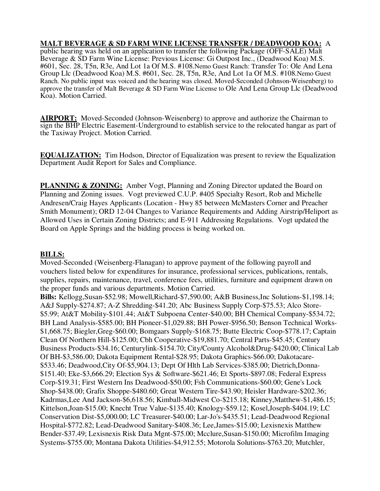## **MALT BEVERAGE & SD FARM WINE LICENSE TRANSFER / DEADWOOD KOA:** A

public hearing was held on an application to transfer the following Package (OFF-SALE) Malt Beverage & SD Farm Wine License: Previous License: Gi Outpost Inc., (Deadwood Koa) M.S. #601, Sec. 28, T5n, R3e, And Lot 1a Of M.S. #108.Nemo Guest Ranch: Transfer To: Ole And Lena Group Llc (Deadwood Koa) M.S. #601, Sec. 28, T5n, R3e, And Lot 1a Of M.S. #108.Nemo Guest Ranch. No public input was voiced and the hearing was closed. Moved-Seconded (Johnson-Weisenberg) to approve the transfer of Malt Beverage & SD Farm Wine License to Ole And Lena Group Llc (Deadwood Koa). Motion Carried.

**AIRPORT:** Moved-Seconded (Johnson-Weisenberg) to approve and authorize the Chairman to sign the BHP Electric Easement-Underground to establish service to the relocated hangar as part of the Taxiway Project. Motion Carried.

**EQUALIZATION:** Tim Hodson, Director of Equalization was present to review the Equalization Department Audit Report for Sales and Compliance.

**PLANNING & ZONING:** Amber Vogt, Planning and Zoning Director updated the Board on Planning and Zoning issues. Vogt previewed C.U.P. #405 Specialty Resort, Rob and Michelle Andresen/Craig Hayes Applicants (Location - Hwy 85 between McMasters Corner and Preacher Smith Monument); ORD 12-04 Changes to Variance Requirements and Adding Airstrip/Heliport as Allowed Uses in Certain Zoning Districts; and E-911 Addressing Regulations. Vogt updated the Board on Apple Springs and the bidding process is being worked on.

#### **BILLS:**

Moved-Seconded (Weisenberg-Flanagan) to approve payment of the following payroll and vouchers listed below for expenditures for insurance, professional services, publications, rentals, supplies, repairs, maintenance, travel, conference fees, utilities, furniture and equipment drawn on the proper funds and various departments. Motion Carried.

**Bills:** Kellogg,Susan-\$52.98; Mowell,Richard-\$7,590.00; A&B Business,Inc Solutions-\$1,198.14; A&J Supply-\$274.87; A-Z Shredding-\$41.20; Abc Business Supply Corp-\$75.53; Alco Store- \$5.99; At&T Mobility-\$101.44; At&T Subpoena Center-\$40.00; BH Chemical Company-\$534.72; BH Land Analysis-\$585.00; BH Pioneer-\$1,029.88; BH Power-\$956.50; Benson Technical Works- \$1,668.75; Biegler,Greg-\$60.00; Bomgaars Supply-\$168.75; Butte Electric Coop-\$778.17; Captain Clean Of Northern Hill-\$125.00; Cbh Cooperative-\$19,881.70; Central Parts-\$45.45; Century Business Products-\$34.16; Centurylink-\$154.70; City/County Alcohol&Drug-\$420.00; Clinical Lab Of BH-\$3,586.00; Dakota Equipment Rental-\$28.95; Dakota Graphics-\$66.00; Dakotacare- \$533.46; Deadwood,City Of-\$5,904.13; Dept Of Hlth Lab Services-\$385.00; Dietrich,Donna- \$151.40; Eke-\$3,666.29; Election Sys & Software-\$621.46; Et Sports-\$897.08; Federal Express Corp-\$19.31; First Western Ins Deadwood-\$50.00; Fsh Communications-\$60.00; Gene's Lock Shop-\$438.00; Grafix Shoppe-\$480.60; Great Western Tire-\$43.90; Heisler Hardware-\$202.36; Kadrmas,Lee And Jackson-\$6,618.56; Kimball-Midwest Co-\$215.18; Kinney,Matthew-\$1,486.15; Kittelson,Joan-\$15.00; Knecht True Value-\$135.40; Knology-\$59.12; Kosel,Joseph-\$404.19; LC Conservation Dist-\$5,000.00; LC Treasurer-\$40.00; Lar-Jo's-\$435.51; Lead-Deadwood Regional Hospital-\$772.82; Lead-Deadwood Sanitary-\$408.36; Lee,James-\$15.00; Lexisnexis Matthew Bender-\$37.49; Lexisnexis Risk Data Mgnt-\$75.00; Mcclure,Susan-\$150.00; Microfilm Imaging Systems-\$755.00; Montana Dakota Utilities-\$4,912.55; Motorola Solutions-\$763.20; Mutchler,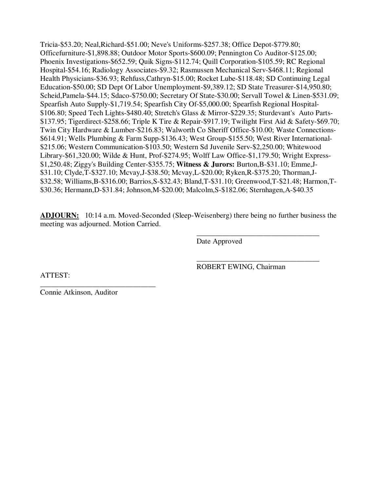Tricia-\$53.20; Neal,Richard-\$51.00; Neve's Uniforms-\$257.38; Office Depot-\$779.80; Officefurniture-\$1,898.88; Outdoor Motor Sports-\$600.09; Pennington Co Auditor-\$125.00; Phoenix Investigations-\$652.59; Quik Signs-\$112.74; Quill Corporation-\$105.59; RC Regional Hospital-\$54.16; Radiology Associates-\$9.32; Rasmussen Mechanical Serv-\$468.11; Regional Health Physicians-\$36.93; Rehfuss,Cathryn-\$15.00; Rocket Lube-\$118.48; SD Continuing Legal Education-\$50.00; SD Dept Of Labor Unemployment-\$9,389.12; SD State Treasurer-\$14,950.80; Scheid,Pamela-\$44.15; Sdaco-\$750.00; Secretary Of State-\$30.00; Servall Towel & Linen-\$531.09; Spearfish Auto Supply-\$1,719.54; Spearfish City Of-\$5,000.00; Spearfish Regional Hospital- \$106.80; Speed Tech Lights-\$480.40; Stretch's Glass & Mirror-\$229.35; Sturdevant's Auto Parts- \$137.95; Tigerdirect-\$258.66; Triple K Tire & Repair-\$917.19; Twilight First Aid & Safety-\$69.70; Twin City Hardware & Lumber-\$216.83; Walworth Co Sheriff Office-\$10.00; Waste Connections- \$614.91; Wells Plumbing & Farm Supp-\$136.43; West Group-\$155.50; West River International- \$215.06; Western Communication-\$103.50; Western Sd Juvenile Serv-\$2,250.00; Whitewood Library-\$61,320.00; Wilde & Hunt, Prof-\$274.95; Wolff Law Office-\$1,179.50; Wright Express- \$1,250.48; Ziggy's Building Center-\$355.75; **Witness & Jurors:** Burton,B-\$31.10; Emme,J- \$31.10; Clyde,T-\$327.10; Mcvay,J-\$38.50; Mcvay,L-\$20.00; Ryken,R-\$375.20; Thorman,J- \$32.58; Williams,B-\$316.00; Barrios,S-\$32.43; Bland,T-\$31.10; Greenwood,T-\$21.48; Harmon,T- \$30.36; Hermann,D-\$31.84; Johnson,M-\$20.00; Malcolm,S-\$182.06; Sternhagen,A-\$40.35

**ADJOURN:** 10:14 a.m. Moved-Seconded (Sleep-Weisenberg) there being no further business the meeting was adjourned. Motion Carried.

 $\overline{\phantom{a}}$  , and the contract of the contract of the contract of the contract of the contract of the contract of the contract of the contract of the contract of the contract of the contract of the contract of the contrac

 $\overline{\phantom{a}}$  , and the contract of the contract of the contract of the contract of the contract of the contract of the contract of the contract of the contract of the contract of the contract of the contract of the contrac

Date Approved

ATTEST:

ROBERT EWING, Chairman

\_\_\_\_\_\_\_\_\_\_\_\_\_\_\_\_\_\_\_\_\_\_\_\_\_\_\_\_\_\_\_ Connie Atkinson, Auditor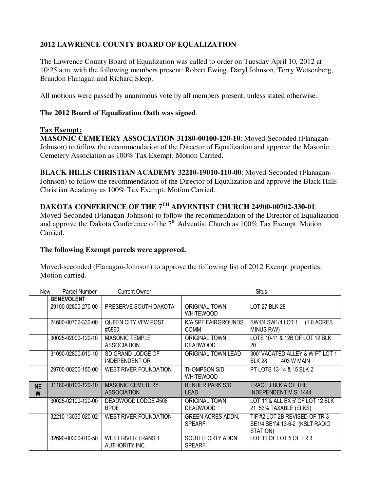# **2012 LAWRENCE COUNTY BOARD OF EQUALIZATION**

The Lawrence County Board of Equalization was called to order on Tuesday April 10, 2012 at 10:25 a.m. with the following members present: Robert Ewing, Daryl Johnson, Terry Weisenberg, Brandon Flanagan and Richard Sleep.

All motions were passed by unanimous vote by all members present, unless stated otherwise.

## **The 2012 Board of Equalization Oath was signed**.

## **Tax Exempt:**

**MASONIC CEMETERY ASSOCIATION 31180-00100-120-10**: Moved-Seconded (Flanagan-Johnson) to follow the recommendation of the Director of Equalization and approve the Masonic Cemetery Association as 100% Tax Exempt. Motion Carried.

**BLACK HILLS CHRISTIAN ACADEMY 32210-19010-110-00**: Moved-Seconded (Flanagan-Johnson) to follow the recommendation of the Director of Equalization and approve the Black Hills Christian Academy as 100% Tax Exempt. Motion Carried.

# **DAKOTA CONFERENCE OF THE 7TH ADVENTIST CHURCH 24900-00702-330-01**:

Moved-Seconded (Flanagan-Johnson) to follow the recommendation of the Director of Equalization and approve the Dakota Conference of the  $7<sup>th</sup>$  Adventist Church as 100% Tax Exempt. Motion Carried.

## **The following Exempt parcels were approved.**

Moved-seconded (Flanagan-Johnson) to approve the following list of 2012 Exempt properties. Motion carried.

| New            | Parcel Number      | <b>Current Owner</b>                              |                                            | <b>Situs</b>                                                                |
|----------------|--------------------|---------------------------------------------------|--------------------------------------------|-----------------------------------------------------------------------------|
|                | <b>BENEVOLENT</b>  |                                                   |                                            |                                                                             |
|                | 29100-02800-270-00 | PRESERVE SOUTH DAKOTA                             | <b>ORIGINAL TOWN</b><br><b>WHITEWOOD</b>   | <b>LOT 27 BLK 28</b>                                                        |
|                | 24600-00702-330-00 | QUEEN CITY VFW POST<br>#5860                      | K/A SPF FAIRGROUNDS<br><b>COMM</b>         | SW1/4 SW1/4 LOT 1<br>$(1.0 \text{ ACRES})$<br>MINUS R/W)                    |
|                | 30025-02000-120-10 | MASONIC TEMPLE<br>ASSOCIATION                     | <b>ORIGINAL TOWN</b><br><b>DEADWOOD</b>    | LOTS 10-11 & 12B OF LOT 12 BLK<br>20                                        |
|                | 31090-02800-010-10 | SD GRAND LODGE OF<br><b>INDEPENDENT OR</b>        | ORIGINAL TOWN LEAD                         | 300' VACATED ALLEY & W PT LOT 1<br><b>BLK 28</b><br>403 W MAIN              |
|                | 29700-00200-150-00 | WEST RIVER FOUNDATION                             | THOMPSON S/D<br><b>WHITEWOOD</b>           | PT LOTS 13-14 & 15 BLK 2                                                    |
| <b>NE</b><br>W | 31180-00100-120-10 | <b>MASONIC CEMETERY</b><br><b>ASSOCIATION</b>     | <b>BENDER PARK S/D</b><br><b>LEAD</b>      | TRACT J BLK A OF THE<br><b>INDEPENDENT M.S. 1444</b>                        |
|                | 30025-02100-120-00 | DEADWOOD LODGE #508<br><b>BPOE</b>                | <b>ORIGINAL TOWN</b><br><b>DEADWOOD</b>    | LOT 11 & ALL EX 5' OF LOT 12 BLK<br>21 53% TAXABLE (ELKS)                   |
|                | 32210-13030-020-02 | WEST RIVER FOUNDATION                             | <b>GREEN ACRES ADDN.</b><br><b>SPEARFI</b> | TIF #2 LOT 2B REVISED OF TR 3<br>SE1\4 SE1\4 13-6-2 (KSLT RADIO<br>STATION) |
|                | 32690-00300-010-50 | <b>WEST RIVER TRANSIT</b><br><b>AUTHORITY INC</b> | SOUTH FORTY ADDN.<br><b>SPEARFI</b>        | LOT 11 OF LOT 5 OF TR 3                                                     |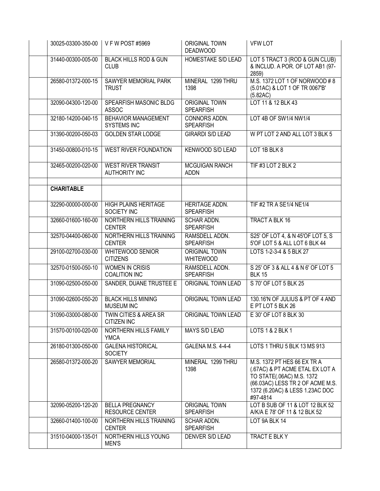| 30025-03300-350-00 | $\sqrt{\phantom{0}}$ V F W POST #5969             | <b>ORIGINAL TOWN</b><br><b>DEADWOOD</b>   | <b>VFW LOT</b>                                                                                                                                                                 |
|--------------------|---------------------------------------------------|-------------------------------------------|--------------------------------------------------------------------------------------------------------------------------------------------------------------------------------|
| 31440-00300-005-00 | <b>BLACK HILLS ROD &amp; GUN</b><br><b>CLUB</b>   | HOMESTAKE S/D LEAD                        | LOT 5 TRACT 3 (ROD & GUN CLUB)<br>& INCLUD. A POR. OF LOT AB1 (97-<br>2859)                                                                                                    |
| 26580-01372-000-15 | SAWYER MEMORIAL PARK<br><b>TRUST</b>              | MINERAL 1299 THRU<br>1398                 | M.S. 1372 LOT 1 OF NORWOOD # 8<br>(5.01AC) & LOT 1 OF TR 0067'B'<br>(5.82AC)                                                                                                   |
| 32090-04300-120-00 | SPEARFISH MASONIC BLDG<br><b>ASSOC</b>            | <b>ORIGINAL TOWN</b><br><b>SPEARFISH</b>  | LOT 11 & 12 BLK 43                                                                                                                                                             |
| 32180-14200-040-15 | <b>BEHAVIOR MANAGEMENT</b><br><b>SYSTEMS INC</b>  | CONNORS ADDN.<br><b>SPEARFISH</b>         | LOT 4B OF SW1/4 NW1/4                                                                                                                                                          |
| 31390-00200-050-03 | <b>GOLDEN STAR LODGE</b>                          | <b>GIRARDI S/D LEAD</b>                   | W PT LOT 2 AND ALL LOT 3 BLK 5                                                                                                                                                 |
| 31450-00800-010-15 | <b>WEST RIVER FOUNDATION</b>                      | KENWOOD S/D LEAD                          | LOT 1B BLK 8                                                                                                                                                                   |
| 32465-00200-020-00 | <b>WEST RIVER TRANSIT</b><br><b>AUTHORITY INC</b> | <b>MCGUIGAN RANCH</b><br><b>ADDN</b>      | TIF #3 LOT 2 BLK 2                                                                                                                                                             |
| <b>CHARITABLE</b>  |                                                   |                                           |                                                                                                                                                                                |
| 32290-00000-000-00 | <b>HIGH PLAINS HERITAGE</b><br>SOCIETY INC        | <b>HERITAGE ADDN.</b><br><b>SPEARFISH</b> | TIF #2 TR A SE1/4 NE1/4                                                                                                                                                        |
| 32660-01600-160-00 | NORTHERN HILLS TRAINING<br><b>CENTER</b>          | SCHAR ADDN.<br><b>SPEARFISH</b>           | <b>TRACT A BLK 16</b>                                                                                                                                                          |
| 32570-04400-060-00 | NORTHERN HILLS TRAINING<br><b>CENTER</b>          | RAMSDELL ADDN.<br><b>SPEARFISH</b>        | S25' OF LOT 4, & N 45'OF LOT 5, S<br>5'OF LOT 5 & ALL LOT 6 BLK 44                                                                                                             |
| 29100-02700-030-00 | <b>WHITEWOOD SENIOR</b><br><b>CITIZENS</b>        | <b>ORIGINAL TOWN</b><br><b>WHITEWOOD</b>  | LOTS 1-2-3-4 & 5 BLK 27                                                                                                                                                        |
| 32570-01500-050-10 | <b>WOMEN IN CRISIS</b><br><b>COALITION INC</b>    | RAMSDELL ADDN.<br><b>SPEARFISH</b>        | S 25' OF 3 & ALL 4 & N 6' OF LOT 5<br><b>BLK 15</b>                                                                                                                            |
| 31090-02500-050-00 | SANDER, DUANE TRUSTEE E                           | ORIGINAL TOWN LEAD                        | S 70' OF LOT 5 BLK 25                                                                                                                                                          |
| 31090-02600-050-20 | <b>BLACK HILLS MINING</b><br><b>MUSEUM INC</b>    | <b>ORIGINAL TOWN LEAD</b>                 | 130.16'N OF JULIUS & PT OF 4 AND<br>E PT LOT 5 BLK 26                                                                                                                          |
| 31090-03000-080-00 | TWIN CITIES & AREA SR<br><b>CITIZEN INC</b>       | ORIGINAL TOWN LEAD                        | E 30' OF LOT 8 BLK 30                                                                                                                                                          |
| 31570-00100-020-00 | NORTHERN HILLS FAMILY<br><b>YMCA</b>              | MAYS S/D LEAD                             | LOTS 1 & 2 BLK 1                                                                                                                                                               |
| 26180-01300-050-00 | <b>GALENA HISTORICAL</b><br><b>SOCIETY</b>        | GALENA M.S. 4-4-4                         | LOTS 1 THRU 5 BLK 13 MS 913                                                                                                                                                    |
| 26580-01372-000-20 | SAWYER MEMORIAL                                   | MINERAL 1299 THRU<br>1398                 | M.S. 1372 PT HES 66 EX TR A<br>(.67AC) & PT ACME ETAL EX LOT A<br>TO STATE(.06AC) M.S. 1372<br>(66.03AC) LESS TR 2 OF ACME M.S.<br>1372 (6.20AC) & LESS 1.23AC DOC<br>#97-4814 |
| 32090-05200-120-20 | <b>BELLA PREGNANCY</b><br><b>RESOURCE CENTER</b>  | <b>ORIGINAL TOWN</b><br><b>SPEARFISH</b>  | LOT B SUB OF 11 & LOT 12 BLK 52<br>A/K/A E 78' OF 11 & 12 BLK 52                                                                                                               |
| 32660-01400-100-00 | NORTHERN HILLS TRAINING<br><b>CENTER</b>          | SCHAR ADDN.<br><b>SPEARFISH</b>           | LOT 9A BLK 14                                                                                                                                                                  |
| 31510-04000-135-01 | NORTHERN HILLS YOUNG<br><b>MEN'S</b>              | DENVER S/D LEAD                           | TRACT E BLK Y                                                                                                                                                                  |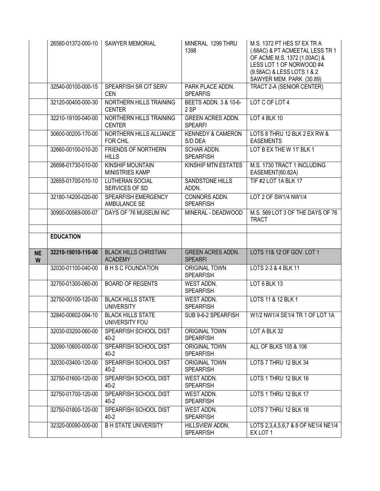|                | 26580-01372-000-10 | <b>SAWYER MEMORIAL</b>                            | MINERAL 1299 THRU<br>1398                  | M.S. 1372 PT HES 57 EX TR A<br>(.68AC) & PT ACMEETAL LESS TR 1<br>OF ACME M.S. 1372 (1.00AC) &<br>LESS LOT 1 OF NORWOOD #4<br>(9.58AC) & LESS LOTS 1 & 2<br>SAWYER MEM. PARK (30.89) |
|----------------|--------------------|---------------------------------------------------|--------------------------------------------|--------------------------------------------------------------------------------------------------------------------------------------------------------------------------------------|
|                | 32540-00100-000-15 | SPEARFISH SR CIT SERV<br><b>CEN</b>               | PARK PLACE ADDN.<br><b>SPEARFIS</b>        | <b>TRACT 2-A (SENIOR CENTER)</b>                                                                                                                                                     |
|                | 32120-00400-000-30 | NORTHERN HILLS TRAINING<br><b>CENTER</b>          | <b>BEETS ADDN. 3 &amp; 10-6-</b><br>2 SP   | LOT C OF LOT 4                                                                                                                                                                       |
|                | 32210-19100-040-00 | NORTHERN HILLS TRAINING<br><b>CENTER</b>          | <b>GREEN ACRES ADDN.</b><br><b>SPEARFI</b> | LOT 4 BLK 10                                                                                                                                                                         |
|                | 30600-00200-170-00 | NORTHERN HILLS ALLIANCE<br>FOR CHIL               | <b>KENNEDY &amp; CAMERON</b><br>S/D DEA    | LOTS 8 THRU 12 BLK 2 EX RW &<br><b>EASEMENTS</b>                                                                                                                                     |
|                | 32660-00100-010-20 | <b>FRIENDS OF NORTHERN</b><br><b>HILLS</b>        | <b>SCHAR ADDN.</b><br><b>SPEARFISH</b>     | LOT B EX THE W 11' BLK 1                                                                                                                                                             |
|                | 26698-01730-010-00 | <b>KINSHIP MOUNTAIN</b><br><b>MINISTRIES KAMP</b> | KINSHIP MTN ESTATES                        | M.S. 1730 TRACT 1 INCLUDING<br>EASEMENT(60.82A)                                                                                                                                      |
|                | 32655-01700-010-10 | <b>LUTHERAN SOCIAL</b><br>SERVICES OF SD          | <b>SANDSTONE HILLS</b><br>ADDN.            | TIF #2 LOT 1A BLK 17                                                                                                                                                                 |
|                | 32180-14200-020-00 | SPEARFISH EMERGENCY<br>AMBULANCE SE               | CONNORS ADDN.<br><b>SPEARFISH</b>          | LOT 2 OF SW1/4 NW1/4                                                                                                                                                                 |
|                | 30900-00569-000-07 | DAYS OF '76 MUSEUM INC                            | MINERAL - DEADWOOD                         | M.S. 569 LOT 3 OF THE DAYS OF 76<br><b>TRACT</b>                                                                                                                                     |
|                |                    |                                                   |                                            |                                                                                                                                                                                      |
|                | <b>EDUCATION</b>   |                                                   |                                            |                                                                                                                                                                                      |
|                |                    |                                                   |                                            |                                                                                                                                                                                      |
| <b>NE</b><br>W | 32210-19010-110-00 | <b>BLACK HILLS CHRISTIAN</b><br><b>ACADEMY</b>    | <b>GREEN ACRES ADDN.</b><br><b>SPEARFI</b> | LOTS 11& 12 OF GOV. LOT 1                                                                                                                                                            |
|                | 32030-01100-040-00 | <b>B H S C FOUNDATION</b>                         | <b>ORIGINAL TOWN</b><br><b>SPEARFISH</b>   | LOTS 2-3 & 4 BLK 11                                                                                                                                                                  |
|                | 32750-01300-060-00 | <b>BOARD OF REGENTS</b>                           | <b>WEST ADDN.</b><br><b>SPEARFISH</b>      | LOT 6 BLK 13                                                                                                                                                                         |
|                | 32750-00100-120-00 | <b>BLACK HILLS STATE</b><br><b>UNIVERSITY</b>     | WEST ADDN.<br><b>SPEARFISH</b>             | LOTS 11 & 12 BLK 1                                                                                                                                                                   |
|                | 32840-00602-094-10 | <b>BLACK HILLS STATE</b><br>UNIVERSITY FOU        | SUB 9-6-2 SPEARFISH                        | W1/2 NW1/4 SE1/4 TR 1 OF LOT 1A                                                                                                                                                      |
|                | 32030-03200-060-00 | SPEARFISH SCHOOL DIST<br>$40 - 2$                 | <b>ORIGINAL TOWN</b><br><b>SPEARFISH</b>   | LOT A BLK 32                                                                                                                                                                         |
|                | 32090-10600-000-00 | SPEARFISH SCHOOL DIST<br>40-2                     | <b>ORIGINAL TOWN</b><br><b>SPEARFISH</b>   | ALL OF BLKS 105 & 106                                                                                                                                                                |
|                | 32030-03400-120-00 | SPEARFISH SCHOOL DIST<br>$40 - 2$                 | <b>ORIGINAL TOWN</b><br><b>SPEARFISH</b>   | LOTS 7 THRU 12 BLK 34                                                                                                                                                                |
|                | 32750-01600-120-00 | <b>SPEARFISH SCHOOL DIST</b><br>40-2              | <b>WEST ADDN.</b><br><b>SPEARFISH</b>      | LOTS 1 THRU 12 BLK 16                                                                                                                                                                |
|                | 32750-01700-120-00 | SPEARFISH SCHOOL DIST<br>$40 - 2$                 | WEST ADDN.<br><b>SPEARFISH</b>             | LOTS 1 THRU 12 BLK 17                                                                                                                                                                |
|                | 32750-01800-120-00 | SPEARFISH SCHOOL DIST<br>40-2                     | WEST ADDN.<br><b>SPEARFISH</b>             | LOTS 7 THRU 12 BLK 18                                                                                                                                                                |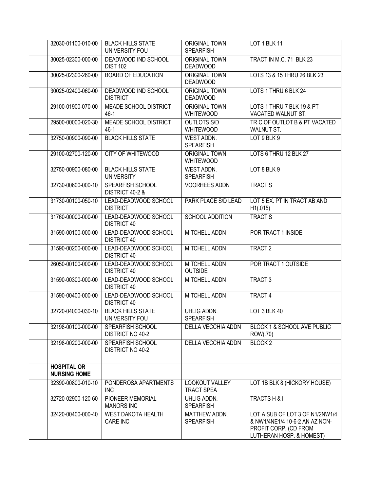| 32030-01100-010-00                        | <b>BLACK HILLS STATE</b><br>UNIVERSITY FOU         | <b>ORIGINAL TOWN</b><br><b>SPEARFISH</b> | LOT 1 BLK 11                                                                                                           |
|-------------------------------------------|----------------------------------------------------|------------------------------------------|------------------------------------------------------------------------------------------------------------------------|
| 30025-02300-000-00                        | DEADWOOD IND SCHOOL<br><b>DIST 102</b>             | <b>ORIGINAL TOWN</b><br><b>DEADWOOD</b>  | TRACT IN M.C. 71 BLK 23                                                                                                |
| 30025-02300-260-00                        | <b>BOARD OF EDUCATION</b>                          | <b>ORIGINAL TOWN</b><br><b>DEADWOOD</b>  | LOTS 13 & 15 THRU 26 BLK 23                                                                                            |
| 30025-02400-060-00                        | DEADWOOD IND SCHOOL<br><b>DISTRICT</b>             | <b>ORIGINAL TOWN</b><br><b>DEADWOOD</b>  | LOTS 1 THRU 6 BLK 24                                                                                                   |
| 29100-01900-070-00                        | MEADE SCHOOL DISTRICT<br>$46-1$                    | <b>ORIGINAL TOWN</b><br><b>WHITEWOOD</b> | LOTS 1 THRU 7 BLK 19 & PT<br>VACATED WALNUT ST.                                                                        |
| 29500-00000-020-30                        | <b>MEADE SCHOOL DISTRICT</b><br>$46-1$             | <b>OUTLOTS S/D</b><br><b>WHITEWOOD</b>   | TR C OF OUTLOT B & PT VACATED<br><b>WALNUT ST.</b>                                                                     |
| 32750-00900-090-00                        | <b>BLACK HILLS STATE</b>                           | <b>WEST ADDN.</b><br><b>SPEARFISH</b>    | LOT 9 BLK 9                                                                                                            |
| 29100-02700-120-00                        | <b>CITY OF WHITEWOOD</b>                           | <b>ORIGINAL TOWN</b><br><b>WHITEWOOD</b> | LOTS 6 THRU 12 BLK 27                                                                                                  |
| 32750-00900-080-00                        | <b>BLACK HILLS STATE</b><br><b>UNIVERSITY</b>      | WEST ADDN.<br><b>SPEARFISH</b>           | LOT 8 BLK 9                                                                                                            |
| 32730-00600-000-10                        | <b>SPEARFISH SCHOOL</b><br>DISTRICT 40-2 &         | <b>VOORHEES ADDN</b>                     | <b>TRACT S</b>                                                                                                         |
| 31730-00100-050-10                        | LEAD-DEADWOOD SCHOOL<br><b>DISTRICT</b>            | PARK PLACE S/D LEAD                      | LOT 5 EX. PT IN TRACT AB AND<br>H1(.015)                                                                               |
| 31760-00000-000-00                        | LEAD-DEADWOOD SCHOOL<br><b>DISTRICT 40</b>         | <b>SCHOOL ADDITION</b>                   | <b>TRACT S</b>                                                                                                         |
| 31590-00100-000-00                        | LEAD-DEADWOOD SCHOOL<br><b>DISTRICT 40</b>         | <b>MITCHELL ADDN</b>                     | POR TRACT 1 INSIDE                                                                                                     |
| 31590-00200-000-00                        | LEAD-DEADWOOD SCHOOL<br><b>DISTRICT 40</b>         | <b>MITCHELL ADDN</b>                     | TRACT <sub>2</sub>                                                                                                     |
| 26050-00100-000-00                        | LEAD-DEADWOOD SCHOOL<br><b>DISTRICT 40</b>         | <b>MITCHELL ADDN</b><br><b>OUTSIDE</b>   | POR TRACT 1 OUTSIDE                                                                                                    |
| 31590-00300-000-00                        | LEAD-DEADWOOD SCHOOL<br><b>DISTRICT 40</b>         | <b>MITCHELL ADDN</b>                     | TRACT <sub>3</sub>                                                                                                     |
| 31590-00400-000-00                        | LEAD-DEADWOOD SCHOOL<br><b>DISTRICT 40</b>         | MITCHELL ADDN                            | TRACT 4                                                                                                                |
| 32720-04000-030-10                        | <b>BLACK HILLS STATE</b><br>UNIVERSITY FOU         | <b>UHLIG ADDN.</b><br>SPEARFISH          | LOT 3 BLK 40                                                                                                           |
| 32198-00100-000-00                        | SPEARFISH SCHOOL<br><b>DISTRICT NO 40-2</b>        | <b>DELLA VECCHIA ADDN</b>                | <b>BLOCK 1 &amp; SCHOOL AVE PUBLIC</b><br>ROW(.70)                                                                     |
| 32198-00200-000-00                        | <b>SPEARFISH SCHOOL</b><br><b>DISTRICT NO 40-2</b> | DELLA VECCHIA ADDN                       | BLOCK <sub>2</sub>                                                                                                     |
| <b>HOSPITAL OR</b><br><b>NURSING HOME</b> |                                                    |                                          |                                                                                                                        |
| 32390-00800-010-10                        | PONDEROSA APARTMENTS<br><b>INC</b>                 | LOOKOUT VALLEY<br><b>TRACT SPEA</b>      | LOT 1B BLK 8 (HICKORY HOUSE)                                                                                           |
| 32720-02900-120-60                        | PIONEER MEMORIAL<br><b>MANORS INC</b>              | UHLIG ADDN.<br><b>SPEARFISH</b>          | TRACTS H & I                                                                                                           |
| 32420-00400-000-40                        | <b>WEST DAKOTA HEALTH</b><br>CARE INC              | MATTHEW ADDN.<br><b>SPEARFISH</b>        | LOT A SUB OF LOT 3 OF N1/2NW1/4<br>& NW1/4NE1/4 10-6-2 AN AZ NON-<br>PROFIT CORP. (CD FROM<br>LUTHERAN HOSP. & HOMEST) |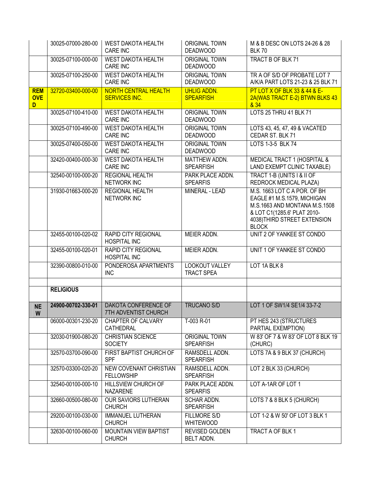|                               | 30025-07000-280-00 | <b>WEST DAKOTA HEALTH</b><br><b>CARE INC</b>               | <b>ORIGINAL TOWN</b><br><b>DEADWOOD</b>  | M & B DESC ON LOTS 24-26 & 28<br><b>BLK 70</b>                                                                                                                              |
|-------------------------------|--------------------|------------------------------------------------------------|------------------------------------------|-----------------------------------------------------------------------------------------------------------------------------------------------------------------------------|
|                               | 30025-07100-000-00 | <b>WEST DAKOTA HEALTH</b><br><b>CARE INC</b>               | <b>ORIGINAL TOWN</b><br><b>DEADWOOD</b>  | TRACT B OF BLK 71                                                                                                                                                           |
|                               | 30025-07100-250-00 | <b>WEST DAKOTA HEALTH</b><br><b>CARE INC</b>               | <b>ORIGINAL TOWN</b><br><b>DEADWOOD</b>  | TR A OF S/D OF PROBATE LOT 7<br>A/K/A PART LOTS 21-23 & 25 BLK 71                                                                                                           |
| <b>REM</b><br><b>OVE</b><br>D | 32720-03400-000-00 | <b>NORTH CENTRAL HEALTH</b><br><b>SERVICES INC.</b>        | <b>UHLIG ADDN.</b><br><b>SPEARFISH</b>   | <b>PT LOT X OF BLK 33 &amp; 44 &amp; E-</b><br>2A(WAS TRACT E-2) BTWN BLKS 43<br>& 34                                                                                       |
|                               | 30025-07100-410-00 | <b>WEST DAKOTA HEALTH</b><br><b>CARE INC</b>               | <b>ORIGINAL TOWN</b><br><b>DEADWOOD</b>  | LOTS 25 THRU 41 BLK 71                                                                                                                                                      |
|                               | 30025-07100-490-00 | <b>WEST DAKOTA HEALTH</b><br>CARE INC                      | <b>ORIGINAL TOWN</b><br><b>DEADWOOD</b>  | LOTS 43, 45, 47, 49 & VACATED<br>CEDAR ST. BLK 71                                                                                                                           |
|                               | 30025-07400-050-00 | <b>WEST DAKOTA HEALTH</b><br><b>CARE INC</b>               | <b>ORIGINAL TOWN</b><br><b>DEADWOOD</b>  | LOTS 1-3-5 BLK 74                                                                                                                                                           |
|                               | 32420-00400-000-30 | <b>WEST DAKOTA HEALTH</b><br><b>CARE INC</b>               | MATTHEW ADDN.<br><b>SPEARFISH</b>        | MEDICAL TRACT 1 (HOSPITAL &<br>LAND EXEMPT CLINIC TAXABLE)                                                                                                                  |
|                               | 32540-00100-000-20 | <b>REGIONAL HEALTH</b><br><b>NETWORK INC</b>               | PARK PLACE ADDN.<br><b>SPEARFIS</b>      | TRACT 1-B (UNITS I & II OF<br><b>REDROCK MEDICAL PLAZA)</b>                                                                                                                 |
|                               | 31930-01663-000-20 | <b>REGIONAL HEALTH</b><br><b>NETWORK INC</b>               | MINERAL - LEAD                           | M.S. 1663 LOT C A POR. OF BH<br>EAGLE #1 M.S.1579, MICHIGAN<br>M.S.1663 AND MONTANA M.S.1508<br>& LOT C1(1285.6' PLAT 2010-<br>4038) THIRD STREET EXTENSION<br><b>BLOCK</b> |
|                               | 32455-00100-020-02 | <b>RAPID CITY REGIONAL</b><br><b>HOSPITAL INC</b>          | MEIER ADDN.                              | UNIT 2 OF YANKEE ST CONDO                                                                                                                                                   |
|                               | 32455-00100-020-01 | <b>RAPID CITY REGIONAL</b><br><b>HOSPITAL INC</b>          | MEIER ADDN.                              | UNIT 1 OF YANKEE ST CONDO                                                                                                                                                   |
|                               | 32390-00800-010-00 | PONDEROSA APARTMENTS<br><b>INC</b>                         | LOOKOUT VALLEY<br><b>TRACT SPEA</b>      | LOT 1A BLK 8                                                                                                                                                                |
|                               | <b>RELIGIOUS</b>   |                                                            |                                          |                                                                                                                                                                             |
| <b>NE</b><br>W                | 24900-00702-330-01 | <b>DAKOTA CONFERENCE OF</b><br><b>7TH ADVENTIST CHURCH</b> | <b>TRUCANO S/D</b>                       | LOT 1 OF SW1/4 SE1/4 33-7-2                                                                                                                                                 |
|                               | 06000-00301-230-20 | CHAPTER OF CALVARY<br>CATHEDRAL                            | T-003 R-01                               | PT HES 243 (STRUCTURES<br>PARTIAL EXEMPTION)                                                                                                                                |
|                               | 32030-01900-080-20 | CHRISTIAN SCIENCE<br><b>SOCIETY</b>                        | <b>ORIGINAL TOWN</b><br><b>SPEARFISH</b> | W 83' OF 7 & W 83' OF LOT 8 BLK 19<br>(CHURC)                                                                                                                               |
|                               | 32570-03700-090-00 | FIRST BAPTIST CHURCH OF<br><b>SPF</b>                      | RAMSDELL ADDN.<br><b>SPEARFISH</b>       | LOTS 7A & 9 BLK 37 (CHURCH)                                                                                                                                                 |
|                               | 32570-03300-020-20 | NEW COVENANT CHRISTIAN<br><b>FELLOWSHIP</b>                | RAMSDELL ADDN.<br><b>SPEARFISH</b>       | LOT 2 BLK 33 (CHURCH)                                                                                                                                                       |
|                               | 32540-00100-000-10 | <b>HILLSVIEW CHURCH OF</b><br><b>NAZARENE</b>              | PARK PLACE ADDN.<br><b>SPEARFIS</b>      | LOT A-1AR OF LOT 1                                                                                                                                                          |
|                               | 32660-00500-080-00 | <b>OUR SAVIORS LUTHERAN</b><br><b>CHURCH</b>               | SCHAR ADDN.<br><b>SPEARFISH</b>          | LOTS 7 & 8 BLK 5 (CHURCH)                                                                                                                                                   |
|                               | 29200-00100-030-00 | <b>IMMANUEL LUTHERAN</b><br><b>CHURCH</b>                  | <b>FILLMORE S/D</b><br><b>WHITEWOOD</b>  | LOT 1-2 & W 50' OF LOT 3 BLK 1                                                                                                                                              |
|                               | 32630-00100-060-00 | <b>MOUNTAIN VIEW BAPTIST</b><br><b>CHURCH</b>              | REVISED GOLDEN<br><b>BELT ADDN.</b>      | TRACT A OF BLK 1                                                                                                                                                            |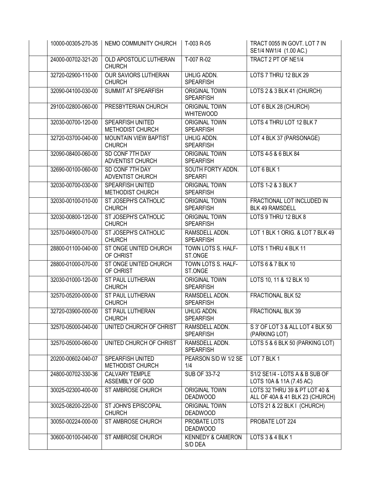| 10000-00305-270-35 | NEMO COMMUNITY CHURCH                         | T-003 R-05                               | TRACT 0055 IN GOVT. LOT 7 IN<br>SE1/4 NW1/4 (1.00 AC.)           |
|--------------------|-----------------------------------------------|------------------------------------------|------------------------------------------------------------------|
| 24000-00702-321-20 | OLD APOSTOLIC LUTHERAN<br><b>CHURCH</b>       | T-007 R-02                               | TRACT 2 PT OF NE1/4                                              |
| 32720-02900-110-00 | <b>OUR SAVIORS LUTHERAN</b><br><b>CHURCH</b>  | UHLIG ADDN.<br><b>SPEARFISH</b>          | LOTS 7 THRU 12 BLK 29                                            |
| 32090-04100-030-00 | SUMMIT AT SPEARFISH                           | <b>ORIGINAL TOWN</b><br><b>SPEARFISH</b> | LOTS 2 & 3 BLK 41 (CHURCH)                                       |
| 29100-02800-060-00 | PRESBYTERIAN CHURCH                           | <b>ORIGINAL TOWN</b><br><b>WHITEWOOD</b> | LOT 6 BLK 28 (CHURCH)                                            |
| 32030-00700-120-00 | SPEARFISH UNITED<br>METHODIST CHURCH          | <b>ORIGINAL TOWN</b><br><b>SPEARFISH</b> | LOTS 4 THRU LOT 12 BLK 7                                         |
| 32720-03700-040-00 | <b>MOUNTAIN VIEW BAPTIST</b><br><b>CHURCH</b> | UHLIG ADDN.<br><b>SPEARFISH</b>          | LOT 4 BLK 37 (PARSONAGE)                                         |
| 32090-08400-060-00 | SD CONF 7TH DAY<br>ADVENTIST CHURCH           | <b>ORIGINAL TOWN</b><br><b>SPEARFISH</b> | LOTS 4-5 & 6 BLK 84                                              |
| 32690-00100-060-00 | SD CONF 7TH DAY<br>ADVENTIST CHURCH           | SOUTH FORTY ADDN.<br><b>SPEARFI</b>      | LOT 6 BLK 1                                                      |
| 32030-00700-030-00 | SPEARFISH UNITED<br>METHODIST CHURCH          | <b>ORIGINAL TOWN</b><br><b>SPEARFISH</b> | LOTS 1-2 & 3 BLK 7                                               |
| 32030-00100-010-00 | ST JOSEPH'S CATHOLIC<br><b>CHURCH</b>         | <b>ORIGINAL TOWN</b><br><b>SPEARFISH</b> | FRACTIONAL LOT INCLUDED IN<br><b>BLK 49 RAMSDELL</b>             |
| 32030-00800-120-00 | ST JOSEPH'S CATHOLIC<br><b>CHURCH</b>         | <b>ORIGINAL TOWN</b><br><b>SPEARFISH</b> | LOTS 9 THRU 12 BLK 8                                             |
| 32570-04900-070-00 | ST JOSEPH'S CATHOLIC<br><b>CHURCH</b>         | RAMSDELL ADDN.<br><b>SPEARFISH</b>       | LOT 1 BLK 1 ORIG. & LOT 7 BLK 49                                 |
| 28800-01100-040-00 | ST ONGE UNITED CHURCH<br>OF CHRIST            | TOWN LOTS S. HALF-<br>ST.ONGE            | LOTS 1 THRU 4 BLK 11                                             |
| 28800-01000-070-00 | ST ONGE UNITED CHURCH<br>OF CHRIST            | TOWN LOTS S. HALF-<br>ST.ONGE            | LOTS 6 & 7 BLK 10                                                |
| 32030-01000-120-00 | ST PAUL LUTHERAN<br><b>CHURCH</b>             | <b>ORIGINAL TOWN</b><br><b>SPEARFISH</b> | LOTS 10, 11 & 12 BLK 10                                          |
| 32570-05200-000-00 | <b>ST PAUL LUTHERAN</b><br><b>CHURCH</b>      | RAMSDELL ADDN.<br><b>SPEARFISH</b>       | <b>FRACTIONAL BLK 52</b>                                         |
| 32720-03900-000-00 | ST PAUL LUTHERAN<br><b>CHURCH</b>             | <b>UHLIG ADDN.</b><br><b>SPEARFISH</b>   | <b>FRACTIONAL BLK 39</b>                                         |
| 32570-05000-040-00 | UNITED CHURCH OF CHRIST                       | RAMSDELL ADDN.<br><b>SPEARFISH</b>       | S 3' OF LOT 3 & ALL LOT 4 BLK 50<br>(PARKING LOT)                |
| 32570-05000-060-00 | UNITED CHURCH OF CHRIST                       | RAMSDELL ADDN.<br><b>SPEARFISH</b>       | LOTS 5 & 6 BLK 50 (PARKING LOT)                                  |
| 20200-00602-040-07 | SPEARFISH UNITED<br>METHODIST CHURCH          | PEARSON S/D W 1/2 SE<br>1/4              | LOT 7 BLK 1                                                      |
| 24800-00702-330-36 | CALVARY TEMPLE<br>ASSEMBLY OF GOD             | SUB OF 33-7-2                            | S1/2 SE1/4 - LOTS A & B SUB OF<br>LOTS 10A & 11A (7.45 AC)       |
| 30025-02300-400-00 | ST AMBROSE CHURCH                             | <b>ORIGINAL TOWN</b><br><b>DEADWOOD</b>  | LOTS 32 THRU 39 & PT LOT 40 &<br>ALL OF 40A & 41 BLK 23 (CHURCH) |
| 30025-08200-220-00 | ST JOHN'S EPISCOPAL<br><b>CHURCH</b>          | <b>ORIGINAL TOWN</b><br><b>DEADWOOD</b>  | LOTS 21 & 22 BLK I (CHURCH)                                      |
| 30050-00224-000-00 | ST AMBROSE CHURCH                             | PROBATE LOTS<br><b>DEADWOOD</b>          | PROBATE LOT 224                                                  |
| 30600-00100-040-00 | ST AMBROSE CHURCH                             | <b>KENNEDY &amp; CAMERON</b><br>S/D DEA  | LOTS 3 & 4 BLK 1                                                 |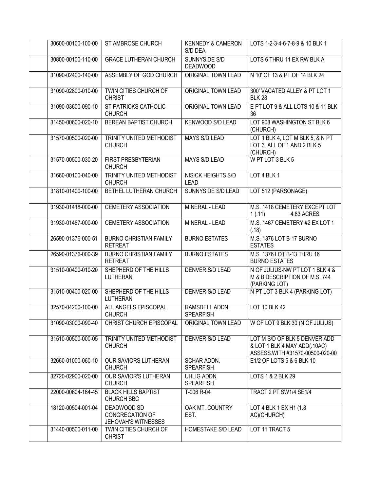| 30600-00100-100-00 | ST AMBROSE CHURCH                                            | <b>KENNEDY &amp; CAMERON</b><br>S/D DEA  | LOTS 1-2-3-4-6-7-8-9 & 10 BLK 1                                                                  |
|--------------------|--------------------------------------------------------------|------------------------------------------|--------------------------------------------------------------------------------------------------|
| 30800-00100-110-00 | <b>GRACE LUTHERAN CHURCH</b>                                 | SUNNYSIDE S/D<br><b>DEADWOOD</b>         | LOTS 6 THRU 11 EX RW BLK A                                                                       |
| 31090-02400-140-00 | ASSEMBLY OF GOD CHURCH                                       | ORIGINAL TOWN LEAD                       | N 10' OF 13 & PT OF 14 BLK 24                                                                    |
| 31090-02800-010-00 | TWIN CITIES CHURCH OF<br><b>CHRIST</b>                       | ORIGINAL TOWN LEAD                       | 300' VACATED ALLEY & PT LOT 1<br><b>BLK 28</b>                                                   |
| 31090-03600-090-10 | <b>ST PATRICKS CATHOLIC</b><br><b>CHURCH</b>                 | <b>ORIGINAL TOWN LEAD</b>                | E PT LOT 9 & ALL LOTS 10 & 11 BLK<br>36                                                          |
| 31450-00600-020-10 | <b>BEREAN BAPTIST CHURCH</b>                                 | <b>KENWOOD S/D LEAD</b>                  | LOT 908 WASHINGTON ST BLK 6<br>(CHURCH)                                                          |
| 31570-00500-020-00 | TRINITY UNITED METHODIST<br><b>CHURCH</b>                    | <b>MAYS S/D LEAD</b>                     | LOT 1 BLK 4, LOT M BLK 5, & N PT<br>LOT 3, ALL OF 1 AND 2 BLK 5<br>(CHURCH)                      |
| 31570-00500-030-20 | FIRST PRESBYTERIAN<br><b>CHURCH</b>                          | <b>MAYS S/D LEAD</b>                     | W PT LOT 3 BLK 5                                                                                 |
| 31660-00100-040-00 | TRINITY UNITED METHODIST<br><b>CHURCH</b>                    | <b>NISICK HEIGHTS S/D</b><br><b>LEAD</b> | LOT 4 BLK 1                                                                                      |
| 31810-01400-100-00 | BETHEL LUTHERAN CHURCH                                       | SUNNYSIDE S/D LEAD                       | LOT 512 (PARSONAGE)                                                                              |
| 31930-01418-000-00 | <b>CEMETERY ASSOCIATION</b>                                  | MINERAL - LEAD                           | M.S. 1418 CEMETERY EXCEPT LOT<br>1(.11)<br>4.83 ACRES                                            |
| 31930-01467-000-00 | <b>CEMETERY ASSOCIATION</b>                                  | MINERAL - LEAD                           | M.S. 1467 CEMETERY #2 EX LOT 1<br>(.18)                                                          |
| 26590-01376-000-51 | <b>BURNO CHRISTIAN FAMILY</b><br><b>RETREAT</b>              | <b>BURNO ESTATES</b>                     | M.S. 1376 LOT B-17 BURNO<br><b>ESTATES</b>                                                       |
| 26590-01376-000-39 | <b>BURNO CHRISTIAN FAMILY</b><br><b>RETREAT</b>              | <b>BURNO ESTATES</b>                     | M.S. 1376 LOT B-13 THRU 16<br><b>BURNO ESTATES</b>                                               |
| 31510-00400-010-20 | SHEPHERD OF THE HILLS<br>LUTHERAN                            | <b>DENVER S/D LEAD</b>                   | N OF JULIUS-NW PT LOT 1 BLK 4 &<br>M & B DESCRIPTION OF M.S. 744<br>(PARKING LOT)                |
| 31510-00400-020-00 | SHEPHERD OF THE HILLS<br>LUTHERAN                            | <b>DENVER S/D LEAD</b>                   | N PT LOT 3 BLK 4 (PARKING LOT)                                                                   |
| 32570-04200-100-00 | ALL ANGELS EPISCOPAL<br><b>CHURCH</b>                        | RAMSDELL ADDN.<br><b>SPEARFISH</b>       | <b>LOT 10 BLK 42</b>                                                                             |
| 31090-03000-090-40 | CHRIST CHURCH EPISCOPAL                                      | ORIGINAL TOWN LEAD                       | W OF LOT 9 BLK 30 (N OF JULIUS)                                                                  |
| 31510-00500-000-05 | TRINITY UNITED METHODIST<br><b>CHURCH</b>                    | DENVER S/D LEAD                          | LOT M S/D OF BLK 5 DENVER ADD<br>& LOT 1 BLK 4 MAY ADD(.10AC)<br>ASSESS.WITH #31570-00500-020-00 |
| 32660-01000-060-10 | OUR SAVIORS LUTHERAN<br><b>CHURCH</b>                        | SCHAR ADDN.<br><b>SPEARFISH</b>          | E1/2 OF LOTS 5 & 6 BLK 10                                                                        |
| 32720-02900-020-00 | <b>OUR SAVIOR'S LUTHERAN</b><br><b>CHURCH</b>                | UHLIG ADDN.<br><b>SPEARFISH</b>          | LOTS 1 & 2 BLK 29                                                                                |
| 22000-00604-164-45 | <b>BLACK HILLS BAPTIST</b><br>CHURCH SBC                     | T-006 R-04                               | TRACT 2 PT SW1/4 SE1/4                                                                           |
| 18120-00504-001-04 | DEADWOOD SD<br>CONGREGATION OF<br><b>JEHOVAH'S WITNESSES</b> | OAK MT. COUNTRY<br>EST.                  | LOT 4 BLK 1 EX H1 (1.8<br>AC)(CHURCH)                                                            |
| 31440-00500-011-00 | TWIN CITIES CHURCH OF<br><b>CHRIST</b>                       | HOMESTAKE S/D LEAD                       | LOT 11 TRACT 5                                                                                   |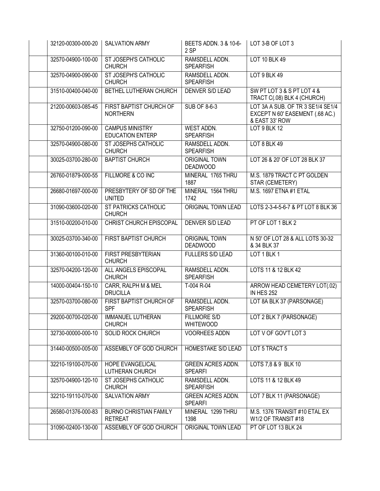| 32120-00300-000-20 | <b>SALVATION ARMY</b>                                   | BEETS ADDN. 3 & 10-6-<br>2 SP              | LOT 3-B OF LOT 3                                                                       |
|--------------------|---------------------------------------------------------|--------------------------------------------|----------------------------------------------------------------------------------------|
| 32570-04900-100-00 | ST JOSEPH'S CATHOLIC<br><b>CHURCH</b>                   | RAMSDELL ADDN.<br><b>SPEARFISH</b>         | <b>LOT 10 BLK 49</b>                                                                   |
| 32570-04900-090-00 | <b>ST JOSEPH'S CATHOLIC</b><br><b>CHURCH</b>            | RAMSDELL ADDN.<br><b>SPEARFISH</b>         | LOT 9 BLK 49                                                                           |
| 31510-00400-040-00 | BETHEL LUTHERAN CHURCH                                  | <b>DENVER S/D LEAD</b>                     | SW PT LOT 3 & S PT LOT 4 &<br>TRACT C(.08) BLK 4 (CHURCH)                              |
| 21200-00603-085-45 | FIRST BAPTIST CHURCH OF<br><b>NORTHERN</b>              | SUB OF 8-6-3                               | LOT 3A A SUB. OF TR 3 SE1/4 SE1/4<br>EXCEPT N 60' EASEMENT (.68 AC.)<br>& EAST 33' ROW |
| 32750-01200-090-00 | <b>CAMPUS MINISTRY</b><br><b>EDUCATION ENTERP</b>       | WEST ADDN.<br><b>SPEARFISH</b>             | LOT 9 BLK 12                                                                           |
| 32570-04900-080-00 | ST JOSEPHS CATHOLIC<br><b>CHURCH</b>                    | RAMSDELL ADDN.<br><b>SPEARFISH</b>         | LOT 8 BLK 49                                                                           |
| 30025-03700-280-00 | <b>BAPTIST CHURCH</b>                                   | <b>ORIGINAL TOWN</b><br><b>DEADWOOD</b>    | LOT 26 & 20' OF LOT 28 BLK 37                                                          |
| 26760-01879-000-55 | FILLMORE & CO INC                                       | MINERAL 1765 THRU<br>1887                  | M.S. 1879 TRACT C PT GOLDEN<br>STAR (CEMETERY)                                         |
| 26680-01697-000-00 | PRESBYTERY OF SD OF THE<br><b>UNITED</b>                | MINERAL 1564 THRU<br>1742                  | M.S. 1697 ETNA #1 ETAL                                                                 |
| 31090-03600-020-00 | ST PATRICKS CATHOLIC<br><b>CHURCH</b>                   | <b>ORIGINAL TOWN LEAD</b>                  | LOTS 2-3-4-5-6-7 & PT LOT 8 BLK 36                                                     |
| 31510-00200-010-00 | <b>CHRIST CHURCH EPISCOPAL</b>                          | <b>DENVER S/D LEAD</b>                     | PT OF LOT 1 BLK 2                                                                      |
| 30025-03700-340-00 | <b>FIRST BAPTIST CHURCH</b>                             | <b>ORIGINAL TOWN</b><br><b>DEADWOOD</b>    | N 50' OF LOT 28 & ALL LOTS 30-32<br>& 34 BLK 37                                        |
| 31360-00100-010-00 | <b>FIRST PRESBYTERIAN</b><br><b>CHURCH</b>              | <b>FULLERS S/D LEAD</b>                    | LOT 1 BLK 1                                                                            |
| 32570-04200-120-00 | ALL ANGELS EPISCOPAL<br><b>CHURCH</b>                   | RAMSDELL ADDN.<br><b>SPEARFISH</b>         | LOTS 11 & 12 BLK 42                                                                    |
| 14000-00404-150-10 | CARR, RALPH M & MEL<br><b>DRUCILLA</b>                  | T-004 R-04                                 | ARROW HEAD CEMETERY LOT(.02)<br><b>IN HES 252</b>                                      |
| 32570-03700-080-00 | FIRST BAPTIST CHURCH OF<br><b>SPF</b>                   | RAMSDELL ADDN.<br><b>SPEARFISH</b>         | LOT 8A BLK 37 (PARSONAGE)                                                              |
|                    | 29200-00700-020-00   IMMANUEL LUTHERAN<br><b>CHURCH</b> | <b>FILLMORE S/D</b><br><b>WHITEWOOD</b>    | LOT 2 BLK 7 (PARSONAGE)                                                                |
| 32730-00000-000-10 | SOLID ROCK CHURCH                                       | <b>VOORHEES ADDN</b>                       | LOT V OF GOV'T LOT 3                                                                   |
| 31440-00500-005-00 | ASSEMBLY OF GOD CHURCH                                  | <b>HOMESTAKE S/D LEAD</b>                  | LOT 5 TRACT 5                                                                          |
| 32210-19100-070-00 | HOPE EVANGELICAL<br>LUTHERAN CHURCH                     | <b>GREEN ACRES ADDN.</b><br><b>SPEARFI</b> | LOTS 7,8 & 9 BLK 10                                                                    |
| 32570-04900-120-10 | ST JOSEPHS CATHOLIC<br><b>CHURCH</b>                    | RAMSDELL ADDN.<br><b>SPEARFISH</b>         | LOTS 11 & 12 BLK 49                                                                    |
| 32210-19110-070-00 | <b>SALVATION ARMY</b>                                   | <b>GREEN ACRES ADDN.</b><br><b>SPEARFI</b> | LOT 7 BLK 11 (PARSONAGE)                                                               |
| 26580-01376-000-83 | <b>BURNO CHRISTIAN FAMILY</b><br><b>RETREAT</b>         | MINERAL 1299 THRU<br>1398                  | M.S. 1376 TRANSIT #10 ETAL EX<br>W1/2 OF TRANSIT #18                                   |
| 31090-02400-130-00 | ASSEMBLY OF GOD CHURCH                                  | ORIGINAL TOWN LEAD                         | PT OF LOT 13 BLK 24                                                                    |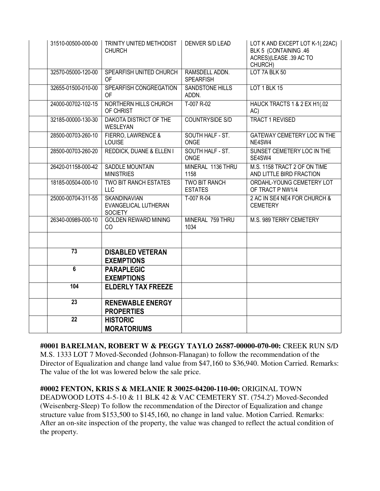| 31510-00500-000-00 | TRINITY UNITED METHODIST<br><b>CHURCH</b>                     | <b>DENVER S/D LEAD</b>                 | LOT K AND EXCEPT LOT K-1(.22AC)<br>BLK 5 (CONTAINING .46<br>ACRES)(LEASE .39 AC TO<br>CHURCH) |
|--------------------|---------------------------------------------------------------|----------------------------------------|-----------------------------------------------------------------------------------------------|
| 32570-05000-120-00 | SPEARFISH UNITED CHURCH<br><b>OF</b>                          | RAMSDELL ADDN.<br><b>SPEARFISH</b>     | LOT 7A BLK 50                                                                                 |
| 32655-01500-010-00 | SPEARFISH CONGREGATION<br><b>OF</b>                           | <b>SANDSTONE HILLS</b><br>ADDN.        | LOT 1 BLK 15                                                                                  |
| 24000-00702-102-15 | NORTHERN HILLS CHURCH<br>OF CHRIST                            | T-007 R-02                             | HAUCK TRACTS 1 & 2 EX H1(.02<br>AC)                                                           |
| 32185-00000-130-30 | DAKOTA DISTRICT OF THE<br>WESLEYAN                            | <b>COUNTRYSIDE S/D</b>                 | <b>TRACT 1 REVISED</b>                                                                        |
| 28500-00703-260-10 | FIERRO, LAWRENCE &<br>LOUISE                                  | SOUTH HALF - ST.<br><b>ONGE</b>        | <b>GATEWAY CEMETERY LOC IN THE</b><br>NE4SW4                                                  |
| 28500-00703-260-20 | <b>REDDICK, DUANE &amp; ELLEN I</b>                           | SOUTH HALF - ST.<br><b>ONGE</b>        | SUNSET CEMETERY LOC IN THE<br>SE4SW4                                                          |
| 26420-01158-000-42 | <b>SADDLE MOUNTAIN</b><br><b>MINISTRIES</b>                   | MINERAL 1136 THRU<br>1158              | M.S. 1158 TRACT 2 OF ON TIME<br>AND LITTLE BIRD FRACTION                                      |
| 18185-00504-000-10 | <b>TWO BIT RANCH ESTATES</b><br><b>LLC</b>                    | <b>TWO BIT RANCH</b><br><b>ESTATES</b> | ORDAHL-YOUNG CEMETERY LOT<br>OF TRACT P NW1/4                                                 |
| 25000-00704-311-55 | <b>SKANDINAVIAN</b><br>EVANGELICAL LUTHERAN<br><b>SOCIETY</b> | T-007 R-04                             | 2 AC IN SE4 NE4 FOR CHURCH &<br><b>CEMETERY</b>                                               |
| 26340-00989-000-10 | <b>GOLDEN REWARD MINING</b><br>CO                             | MINERAL 759 THRU<br>1034               | M.S. 989 TERRY CEMETERY                                                                       |
|                    |                                                               |                                        |                                                                                               |
| $\overline{73}$    | <b>DISABLED VETERAN</b><br><b>EXEMPTIONS</b>                  |                                        |                                                                                               |
| 6                  | <b>PARAPLEGIC</b><br><b>EXEMPTIONS</b>                        |                                        |                                                                                               |
| 104                | <b>ELDERLY TAX FREEZE</b>                                     |                                        |                                                                                               |
| 23                 | <b>RENEWABLE ENERGY</b><br><b>PROPERTIES</b>                  |                                        |                                                                                               |
| $\overline{22}$    | <b>HISTORIC</b><br><b>MORATORIUMS</b>                         |                                        |                                                                                               |

**#0001 BARELMAN, ROBERT W & PEGGY TAYLO 26587-00000-070-00:** CREEK RUN S/D M.S. 1333 LOT 7 Moved-Seconded (Johnson-Flanagan) to follow the recommendation of the Director of Equalization and change land value from \$47,160 to \$36,940. Motion Carried. Remarks: The value of the lot was lowered below the sale price.

**#0002 FENTON, KRIS S & MELANIE R 30025-04200-110-00:** ORIGINAL TOWN DEADWOOD LOTS 4-5-10 & 11 BLK 42 & VAC CEMETERY ST. (754.2') Moved-Seconded (Weisenberg-Sleep) To follow the recommendation of the Director of Equalization and change structure value from \$153,500 to \$145,160, no change in land value. Motion Carried. Remarks: After an on-site inspection of the property, the value was changed to reflect the actual condition of the property.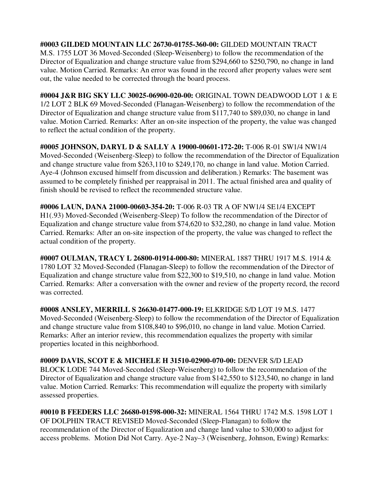**#0003 GILDED MOUNTAIN LLC 26730-01755-360-00:** GILDED MOUNTAIN TRACT M.S. 1755 LOT 36 Moved-Seconded (Sleep-Weisenberg) to follow the recommendation of the Director of Equalization and change structure value from \$294,660 to \$250,790, no change in land value. Motion Carried. Remarks: An error was found in the record after property values were sent out, the value needed to be corrected through the board process.

**#0004 J&R BIG SKY LLC 30025-06900-020-00:** ORIGINAL TOWN DEADWOOD LOT 1 & E 1/2 LOT 2 BLK 69 Moved-Seconded (Flanagan-Weisenberg) to follow the recommendation of the Director of Equalization and change structure value from \$117,740 to \$89,030, no change in land value. Motion Carried. Remarks: After an on-site inspection of the property, the value was changed to reflect the actual condition of the property.

**#0005 JOHNSON, DARYL D & SALLY A 19000-00601-172-20:** T-006 R-01 SW1/4 NW1/4 Moved-Seconded (Weisenberg-Sleep) to follow the recommendation of the Director of Equalization and change structure value from \$263,110 to \$249,170, no change in land value. Motion Carried. Aye-4 (Johnson excused himself from discussion and deliberation.) Remarks: The basement was assumed to be completely finished per reappraisal in 2011. The actual finished area and quality of finish should be revised to reflect the recommended structure value.

**#0006 LAUN, DANA 21000-00603-354-20:** T-006 R-03 TR A OF NW1/4 SE1/4 EXCEPT H1(.93) Moved-Seconded (Weisenberg-Sleep) To follow the recommendation of the Director of Equalization and change structure value from \$74,620 to \$32,280, no change in land value. Motion Carried. Remarks: After an on-site inspection of the property, the value was changed to reflect the actual condition of the property.

**#0007 OULMAN, TRACY L 26800-01914-000-80:** MINERAL 1887 THRU 1917 M.S. 1914 & 1780 LOT 32 Moved-Seconded (Flanagan-Sleep) to follow the recommendation of the Director of Equalization and change structure value from \$22,300 to \$19,510, no change in land value. Motion Carried. Remarks: After a conversation with the owner and review of the property record, the record was corrected.

**#0008 ANSLEY, MERRILL S 26630-01477-000-19:** ELKRIDGE S/D LOT 19 M.S. 1477 Moved-Seconded (Weisenberg-Sleep) to follow the recommendation of the Director of Equalization and change structure value from \$108,840 to \$96,010, no change in land value. Motion Carried. Remarks: After an interior review, this recommendation equalizes the property with similar properties located in this neighborhood.

**#0009 DAVIS, SCOT E & MICHELE H 31510-02900-070-00:** DENVER S/D LEAD BLOCK LODE 744 Moved-Seconded (Sleep-Weisenberg) to follow the recommendation of the Director of Equalization and change structure value from \$142,550 to \$123,540, no change in land value. Motion Carried. Remarks: This recommendation will equalize the property with similarly assessed properties.

**#0010 B FEEDERS LLC 26680-01598-000-32:** MINERAL 1564 THRU 1742 M.S. 1598 LOT 1 OF DOLPHIN TRACT REVISED Moved-Seconded (Sleep-Flanagan) to follow the recommendation of the Director of Equalization and change land value to \$30,000 to adjust for access problems. Motion Did Not Carry. Aye-2 Nay–3 (Weisenberg, Johnson, Ewing) Remarks: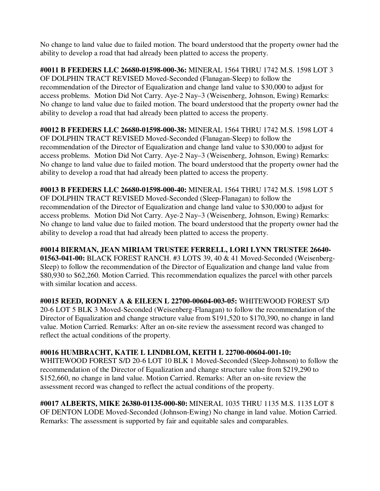No change to land value due to failed motion. The board understood that the property owner had the ability to develop a road that had already been platted to access the property.

**#0011 B FEEDERS LLC 26680-01598-000-36:** MINERAL 1564 THRU 1742 M.S. 1598 LOT 3 OF DOLPHIN TRACT REVISED Moved-Seconded (Flanagan-Sleep) to follow the recommendation of the Director of Equalization and change land value to \$30,000 to adjust for access problems. Motion Did Not Carry. Aye-2 Nay–3 (Weisenberg, Johnson, Ewing) Remarks: No change to land value due to failed motion. The board understood that the property owner had the ability to develop a road that had already been platted to access the property.

**#0012 B FEEDERS LLC 26680-01598-000-38:** MINERAL 1564 THRU 1742 M.S. 1598 LOT 4 OF DOLPHIN TRACT REVISED Moved-Seconded (Flanagan-Sleep) to follow the recommendation of the Director of Equalization and change land value to \$30,000 to adjust for access problems. Motion Did Not Carry. Aye-2 Nay–3 (Weisenberg, Johnson, Ewing) Remarks: No change to land value due to failed motion. The board understood that the property owner had the ability to develop a road that had already been platted to access the property.

**#0013 B FEEDERS LLC 26680-01598-000-40:** MINERAL 1564 THRU 1742 M.S. 1598 LOT 5 OF DOLPHIN TRACT REVISED Moved-Seconded (Sleep-Flanagan) to follow the recommendation of the Director of Equalization and change land value to \$30,000 to adjust for access problems. Motion Did Not Carry. Aye-2 Nay–3 (Weisenberg, Johnson, Ewing) Remarks: No change to land value due to failed motion. The board understood that the property owner had the ability to develop a road that had already been platted to access the property.

**#0014 BIERMAN, JEAN MIRIAM TRUSTEE FERRELL, LORI LYNN TRUSTEE 26640- 01563-041-00:** BLACK FOREST RANCH. #3 LOTS 39, 40 & 41 Moved-Seconded (Weisenberg-Sleep) to follow the recommendation of the Director of Equalization and change land value from \$80,930 to \$62,260. Motion Carried. This recommendation equalizes the parcel with other parcels with similar location and access.

**#0015 REED, RODNEY A & EILEEN L 22700-00604-003-05:** WHITEWOOD FOREST S/D 20-6 LOT 5 BLK 3 Moved-Seconded (Weisenberg-Flanagan) to follow the recommendation of the Director of Equalization and change structure value from \$191,520 to \$170,390, no change in land value. Motion Carried. Remarks: After an on-site review the assessment record was changed to reflect the actual conditions of the property.

## **#0016 HUMBRACHT, KATIE L LINDBLOM, KEITH L 22700-00604-001-10:**

WHITEWOOD FOREST S/D 20-6 LOT 10 BLK 1 Moved-Seconded (Sleep-Johnson) to follow the recommendation of the Director of Equalization and change structure value from \$219,290 to \$152,660, no change in land value. Motion Carried. Remarks: After an on-site review the assessment record was changed to reflect the actual conditions of the property.

**#0017 ALBERTS, MIKE 26380-01135-000-80:** MINERAL 1035 THRU 1135 M.S. 1135 LOT 8 OF DENTON LODE Moved-Seconded (Johnson-Ewing) No change in land value. Motion Carried. Remarks: The assessment is supported by fair and equitable sales and comparables.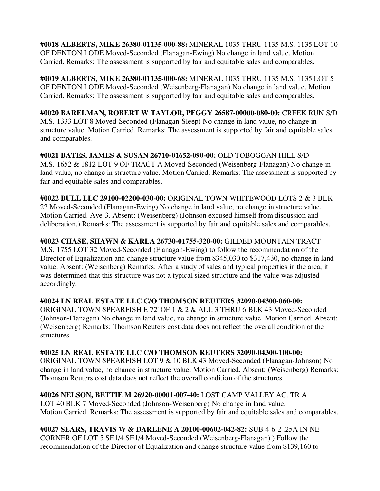**#0018 ALBERTS, MIKE 26380-01135-000-88:** MINERAL 1035 THRU 1135 M.S. 1135 LOT 10 OF DENTON LODE Moved-Seconded (Flanagan-Ewing) No change in land value. Motion Carried. Remarks: The assessment is supported by fair and equitable sales and comparables.

**#0019 ALBERTS, MIKE 26380-01135-000-68:** MINERAL 1035 THRU 1135 M.S. 1135 LOT 5 OF DENTON LODE Moved-Seconded (Weisenberg-Flanagan) No change in land value. Motion Carried. Remarks: The assessment is supported by fair and equitable sales and comparables.

**#0020 BARELMAN, ROBERT W TAYLOR, PEGGY 26587-00000-080-00:** CREEK RUN S/D M.S. 1333 LOT 8 Moved-Seconded (Flanagan-Sleep) No change in land value, no change in structure value. Motion Carried. Remarks: The assessment is supported by fair and equitable sales and comparables.

**#0021 BATES, JAMES & SUSAN 26710-01652-090-00:** OLD TOBOGGAN HILL S/D M.S. 1652 & 1812 LOT 9 OF TRACT A Moved-Seconded (Weisenberg-Flanagan) No change in land value, no change in structure value. Motion Carried. Remarks: The assessment is supported by fair and equitable sales and comparables.

**#0022 BULL LLC 29100-02200-030-00:** ORIGINAL TOWN WHITEWOOD LOTS 2 & 3 BLK 22 Moved-Seconded (Flanagan-Ewing) No change in land value, no change in structure value. Motion Carried. Aye-3. Absent: (Weisenberg) (Johnson excused himself from discussion and deliberation.) Remarks: The assessment is supported by fair and equitable sales and comparables.

**#0023 CHASE, SHAWN & KARLA 26730-01755-320-00:** GILDED MOUNTAIN TRACT M.S. 1755 LOT 32 Moved-Seconded (Flanagan-Ewing) to follow the recommendation of the Director of Equalization and change structure value from \$345,030 to \$317,430, no change in land value. Absent: (Weisenberg) Remarks: After a study of sales and typical properties in the area, it was determined that this structure was not a typical sized structure and the value was adjusted accordingly.

**#0024 LN REAL ESTATE LLC C/O THOMSON REUTERS 32090-04300-060-00:** 

ORIGINAL TOWN SPEARFISH E 72' OF 1 & 2 & ALL 3 THRU 6 BLK 43 Moved-Seconded (Johnson-Flanagan) No change in land value, no change in structure value. Motion Carried. Absent: (Weisenberg) Remarks: Thomson Reuters cost data does not reflect the overall condition of the structures.

**#0025 LN REAL ESTATE LLC C/O THOMSON REUTERS 32090-04300-100-00:** 

ORIGINAL TOWN SPEARFISH LOT 9 & 10 BLK 43 Moved-Seconded (Flanagan-Johnson) No change in land value, no change in structure value. Motion Carried. Absent: (Weisenberg) Remarks: Thomson Reuters cost data does not reflect the overall condition of the structures.

# **#0026 NELSON, BETTIE M 26920-00001-007-40:** LOST CAMP VALLEY AC. TR A

LOT 40 BLK 7 Moved-Seconded (Johnson-Weisenberg) No change in land value. Motion Carried. Remarks: The assessment is supported by fair and equitable sales and comparables.

**#0027 SEARS, TRAVIS W & DARLENE A 20100-00602-042-82:** SUB 4-6-2 .25A IN NE CORNER OF LOT 5 SE1/4 SE1/4 Moved-Seconded (Weisenberg-Flanagan) ) Follow the recommendation of the Director of Equalization and change structure value from \$139,160 to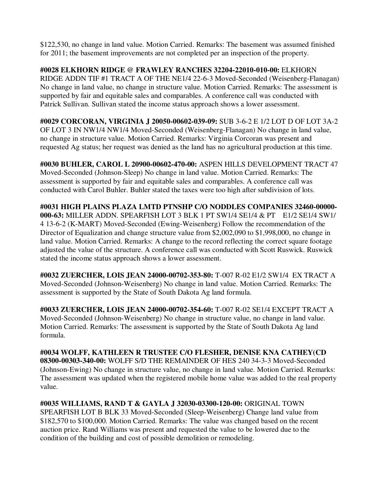\$122,530, no change in land value. Motion Carried. Remarks: The basement was assumed finished for 2011; the basement improvements are not completed per an inspection of the property.

**#0028 ELKHORN RIDGE @ FRAWLEY RANCHES 32204-22010-010-00:** ELKHORN RIDGE ADDN TIF #1 TRACT A OF THE NE1/4 22-6-3 Moved-Seconded (Weisenberg-Flanagan) No change in land value, no change in structure value. Motion Carried. Remarks: The assessment is supported by fair and equitable sales and comparables. A conference call was conducted with Patrick Sullivan. Sullivan stated the income status approach shows a lower assessment.

**#0029 CORCORAN, VIRGINIA J 20050-00602-039-09:** SUB 3-6-2 E 1/2 LOT D OF LOT 3A-2 OF LOT 3 IN NW1/4 NW1/4 Moved-Seconded (Weisenberg-Flanagan) No change in land value, no change in structure value. Motion Carried. Remarks: Virginia Corcoran was present and requested Ag status; her request was denied as the land has no agricultural production at this time.

**#0030 BUHLER, CAROL L 20900-00602-470-00:** ASPEN HILLS DEVELOPMENT TRACT 47 Moved-Seconded (Johnson-Sleep) No change in land value. Motion Carried. Remarks: The assessment is supported by fair and equitable sales and comparables. A conference call was conducted with Carol Buhler. Buhler stated the taxes were too high after subdivision of lots.

**#0031 HIGH PLAINS PLAZA LMTD PTNSHP C/O NODDLES COMPANIES 32460-00000- 000-63:** MILLER ADDN. SPEARFISH LOT 3 BLK 1 PT SW1/4 SE1/4 & PT E1/2 SE1/4 SW1/ 4 13-6-2 (K-MART) Moved-Seconded (Ewing-Weisenberg) Follow the recommendation of the Director of Equalization and change structure value from \$2,002,090 to \$1,998,000, no change in land value. Motion Carried. Remarks: A change to the record reflecting the correct square footage adjusted the value of the structure. A conference call was conducted with Scott Ruswick. Ruswick stated the income status approach shows a lower assessment.

**#0032 ZUERCHER, LOIS JEAN 24000-00702-353-80:** T-007 R-02 E1/2 SW1/4 EX TRACT A Moved-Seconded (Johnson-Weisenberg) No change in land value. Motion Carried. Remarks: The assessment is supported by the State of South Dakota Ag land formula.

**#0033 ZUERCHER, LOIS JEAN 24000-00702-354-60:** T-007 R-02 SE1/4 EXCEPT TRACT A Moved-Seconded (Johnson-Weisenberg) No change in structure value, no change in land value. Motion Carried. Remarks: The assessment is supported by the State of South Dakota Ag land formula.

**#0034 WOLFF, KATHLEEN R TRUSTEE C/O FLESHER, DENISE KNA CATHEY(CD 08300-00303-340-00:** WOLFF S/D THE REMAINDER OF HES 240 34-3-3 Moved-Seconded (Johnson-Ewing) No change in structure value, no change in land value. Motion Carried. Remarks: The assessment was updated when the registered mobile home value was added to the real property value.

**#0035 WILLIAMS, RAND T & GAYLA J 32030-03300-120-00:** ORIGINAL TOWN SPEARFISH LOT B BLK 33 Moved-Seconded (Sleep-Weisenberg) Change land value from \$182,570 to \$100,000. Motion Carried. Remarks: The value was changed based on the recent auction price. Rand Williams was present and requested the value to be lowered due to the condition of the building and cost of possible demolition or remodeling.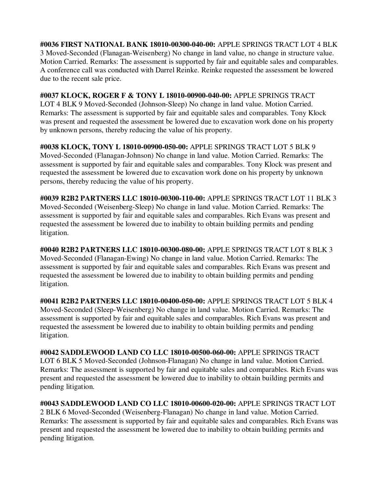**#0036 FIRST NATIONAL BANK 18010-00300-040-00:** APPLE SPRINGS TRACT LOT 4 BLK 3 Moved-Seconded (Flanagan-Weisenberg) No change in land value, no change in structure value. Motion Carried. Remarks: The assessment is supported by fair and equitable sales and comparables. A conference call was conducted with Darrel Reinke. Reinke requested the assessment be lowered due to the recent sale price.

**#0037 KLOCK, ROGER F & TONY L 18010-00900-040-00:** APPLE SPRINGS TRACT

LOT 4 BLK 9 Moved-Seconded (Johnson-Sleep) No change in land value. Motion Carried. Remarks: The assessment is supported by fair and equitable sales and comparables. Tony Klock was present and requested the assessment be lowered due to excavation work done on his property by unknown persons, thereby reducing the value of his property.

**#0038 KLOCK, TONY L 18010-00900-050-00:** APPLE SPRINGS TRACT LOT 5 BLK 9 Moved-Seconded (Flanagan-Johnson) No change in land value. Motion Carried. Remarks: The assessment is supported by fair and equitable sales and comparables. Tony Klock was present and requested the assessment be lowered due to excavation work done on his property by unknown persons, thereby reducing the value of his property.

**#0039 R2B2 PARTNERS LLC 18010-00300-110-00:** APPLE SPRINGS TRACT LOT 11 BLK 3 Moved-Seconded (Weisenberg-Sleep) No change in land value. Motion Carried. Remarks: The assessment is supported by fair and equitable sales and comparables. Rich Evans was present and requested the assessment be lowered due to inability to obtain building permits and pending litigation.

**#0040 R2B2 PARTNERS LLC 18010-00300-080-00:** APPLE SPRINGS TRACT LOT 8 BLK 3 Moved-Seconded (Flanagan-Ewing) No change in land value. Motion Carried. Remarks: The assessment is supported by fair and equitable sales and comparables. Rich Evans was present and requested the assessment be lowered due to inability to obtain building permits and pending litigation.

**#0041 R2B2 PARTNERS LLC 18010-00400-050-00:** APPLE SPRINGS TRACT LOT 5 BLK 4 Moved-Seconded (Sleep-Weisenberg) No change in land value. Motion Carried. Remarks: The assessment is supported by fair and equitable sales and comparables. Rich Evans was present and requested the assessment be lowered due to inability to obtain building permits and pending litigation.

**#0042 SADDLEWOOD LAND CO LLC 18010-00500-060-00:** APPLE SPRINGS TRACT LOT 6 BLK 5 Moved-Seconded (Johnson-Flanagan) No change in land value. Motion Carried. Remarks: The assessment is supported by fair and equitable sales and comparables. Rich Evans was present and requested the assessment be lowered due to inability to obtain building permits and pending litigation.

**#0043 SADDLEWOOD LAND CO LLC 18010-00600-020-00:** APPLE SPRINGS TRACT LOT 2 BLK 6 Moved-Seconded (Weisenberg-Flanagan) No change in land value. Motion Carried. Remarks: The assessment is supported by fair and equitable sales and comparables. Rich Evans was present and requested the assessment be lowered due to inability to obtain building permits and pending litigation.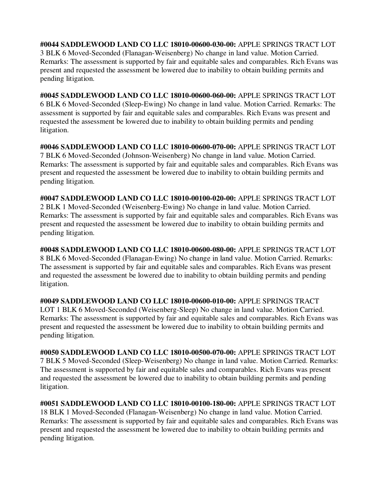**#0044 SADDLEWOOD LAND CO LLC 18010-00600-030-00:** APPLE SPRINGS TRACT LOT 3 BLK 6 Moved-Seconded (Flanagan-Weisenberg) No change in land value. Motion Carried. Remarks: The assessment is supported by fair and equitable sales and comparables. Rich Evans was present and requested the assessment be lowered due to inability to obtain building permits and pending litigation.

**#0045 SADDLEWOOD LAND CO LLC 18010-00600-060-00:** APPLE SPRINGS TRACT LOT 6 BLK 6 Moved-Seconded (Sleep-Ewing) No change in land value. Motion Carried. Remarks: The assessment is supported by fair and equitable sales and comparables. Rich Evans was present and requested the assessment be lowered due to inability to obtain building permits and pending litigation.

**#0046 SADDLEWOOD LAND CO LLC 18010-00600-070-00:** APPLE SPRINGS TRACT LOT 7 BLK 6 Moved-Seconded (Johnson-Weisenberg) No change in land value. Motion Carried. Remarks: The assessment is supported by fair and equitable sales and comparables. Rich Evans was present and requested the assessment be lowered due to inability to obtain building permits and pending litigation.

**#0047 SADDLEWOOD LAND CO LLC 18010-00100-020-00:** APPLE SPRINGS TRACT LOT 2 BLK 1 Moved-Seconded (Weisenberg-Ewing) No change in land value. Motion Carried. Remarks: The assessment is supported by fair and equitable sales and comparables. Rich Evans was present and requested the assessment be lowered due to inability to obtain building permits and pending litigation.

**#0048 SADDLEWOOD LAND CO LLC 18010-00600-080-00:** APPLE SPRINGS TRACT LOT 8 BLK 6 Moved-Seconded (Flanagan-Ewing) No change in land value. Motion Carried. Remarks: The assessment is supported by fair and equitable sales and comparables. Rich Evans was present and requested the assessment be lowered due to inability to obtain building permits and pending litigation.

**#0049 SADDLEWOOD LAND CO LLC 18010-00600-010-00:** APPLE SPRINGS TRACT LOT 1 BLK 6 Moved-Seconded (Weisenberg-Sleep) No change in land value. Motion Carried. Remarks: The assessment is supported by fair and equitable sales and comparables. Rich Evans was present and requested the assessment be lowered due to inability to obtain building permits and pending litigation.

**#0050 SADDLEWOOD LAND CO LLC 18010-00500-070-00:** APPLE SPRINGS TRACT LOT 7 BLK 5 Moved-Seconded (Sleep-Weisenberg) No change in land value. Motion Carried. Remarks: The assessment is supported by fair and equitable sales and comparables. Rich Evans was present and requested the assessment be lowered due to inability to obtain building permits and pending litigation.

**#0051 SADDLEWOOD LAND CO LLC 18010-00100-180-00:** APPLE SPRINGS TRACT LOT 18 BLK 1 Moved-Seconded (Flanagan-Weisenberg) No change in land value. Motion Carried. Remarks: The assessment is supported by fair and equitable sales and comparables. Rich Evans was present and requested the assessment be lowered due to inability to obtain building permits and pending litigation.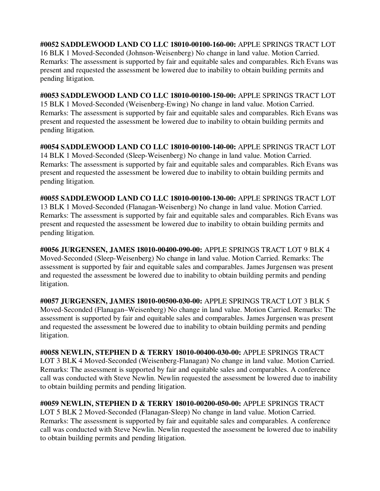**#0052 SADDLEWOOD LAND CO LLC 18010-00100-160-00:** APPLE SPRINGS TRACT LOT 16 BLK 1 Moved-Seconded (Johnson-Weisenberg) No change in land value. Motion Carried. Remarks: The assessment is supported by fair and equitable sales and comparables. Rich Evans was present and requested the assessment be lowered due to inability to obtain building permits and pending litigation.

**#0053 SADDLEWOOD LAND CO LLC 18010-00100-150-00:** APPLE SPRINGS TRACT LOT 15 BLK 1 Moved-Seconded (Weisenberg-Ewing) No change in land value. Motion Carried. Remarks: The assessment is supported by fair and equitable sales and comparables. Rich Evans was present and requested the assessment be lowered due to inability to obtain building permits and pending litigation.

**#0054 SADDLEWOOD LAND CO LLC 18010-00100-140-00:** APPLE SPRINGS TRACT LOT 14 BLK 1 Moved-Seconded (Sleep-Weisenberg) No change in land value. Motion Carried. Remarks: The assessment is supported by fair and equitable sales and comparables. Rich Evans was present and requested the assessment be lowered due to inability to obtain building permits and pending litigation.

**#0055 SADDLEWOOD LAND CO LLC 18010-00100-130-00:** APPLE SPRINGS TRACT LOT 13 BLK 1 Moved-Seconded (Flanagan-Weisenberg) No change in land value. Motion Carried. Remarks: The assessment is supported by fair and equitable sales and comparables. Rich Evans was present and requested the assessment be lowered due to inability to obtain building permits and pending litigation.

**#0056 JURGENSEN, JAMES 18010-00400-090-00:** APPLE SPRINGS TRACT LOT 9 BLK 4 Moved-Seconded (Sleep-Weisenberg) No change in land value. Motion Carried. Remarks: The assessment is supported by fair and equitable sales and comparables. James Jurgensen was present and requested the assessment be lowered due to inability to obtain building permits and pending litigation.

**#0057 JURGENSEN, JAMES 18010-00500-030-00:** APPLE SPRINGS TRACT LOT 3 BLK 5 Moved-Seconded (Flanagan–Weisenberg) No change in land value. Motion Carried. Remarks: The assessment is supported by fair and equitable sales and comparables. James Jurgensen was present and requested the assessment be lowered due to inability to obtain building permits and pending litigation.

**#0058 NEWLIN, STEPHEN D & TERRY 18010-00400-030-00:** APPLE SPRINGS TRACT LOT 3 BLK 4 Moved-Seconded (Weisenberg-Flanagan) No change in land value. Motion Carried. Remarks: The assessment is supported by fair and equitable sales and comparables. A conference call was conducted with Steve Newlin. Newlin requested the assessment be lowered due to inability to obtain building permits and pending litigation.

**#0059 NEWLIN, STEPHEN D & TERRY 18010-00200-050-00:** APPLE SPRINGS TRACT LOT 5 BLK 2 Moved-Seconded (Flanagan-Sleep) No change in land value. Motion Carried. Remarks: The assessment is supported by fair and equitable sales and comparables. A conference call was conducted with Steve Newlin. Newlin requested the assessment be lowered due to inability to obtain building permits and pending litigation.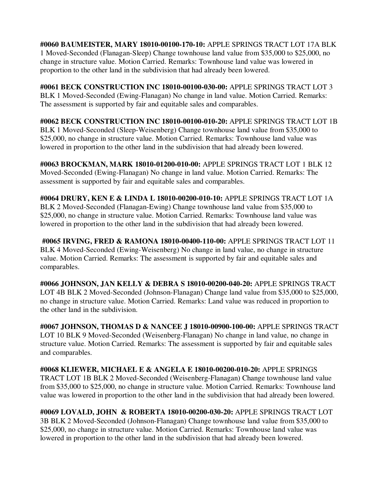**#0060 BAUMEISTER, MARY 18010-00100-170-10:** APPLE SPRINGS TRACT LOT 17A BLK 1 Moved-Seconded (Flanagan-Sleep) Change townhouse land value from \$35,000 to \$25,000, no change in structure value. Motion Carried. Remarks: Townhouse land value was lowered in proportion to the other land in the subdivision that had already been lowered.

**#0061 BECK CONSTRUCTION INC 18010-00100-030-00:** APPLE SPRINGS TRACT LOT 3 BLK 1 Moved-Seconded (Ewing-Flanagan) No change in land value. Motion Carried. Remarks: The assessment is supported by fair and equitable sales and comparables.

**#0062 BECK CONSTRUCTION INC 18010-00100-010-20:** APPLE SPRINGS TRACT LOT 1B BLK 1 Moved-Seconded (Sleep-Weisenberg) Change townhouse land value from \$35,000 to \$25,000, no change in structure value. Motion Carried. Remarks: Townhouse land value was lowered in proportion to the other land in the subdivision that had already been lowered.

**#0063 BROCKMAN, MARK 18010-01200-010-00:** APPLE SPRINGS TRACT LOT 1 BLK 12 Moved-Seconded (Ewing-Flanagan) No change in land value. Motion Carried. Remarks: The assessment is supported by fair and equitable sales and comparables.

**#0064 DRURY, KEN E & LINDA L 18010-00200-010-10:** APPLE SPRINGS TRACT LOT 1A BLK 2 Moved-Seconded (Flanagan-Ewing) Change townhouse land value from \$35,000 to \$25,000, no change in structure value. Motion Carried. Remarks: Townhouse land value was lowered in proportion to the other land in the subdivision that had already been lowered.

 **#0065 IRVING, FRED & RAMONA 18010-00400-110-00:** APPLE SPRINGS TRACT LOT 11 BLK 4 Moved-Seconded (Ewing-Weisenberg) No change in land value, no change in structure value. Motion Carried. Remarks: The assessment is supported by fair and equitable sales and comparables.

**#0066 JOHNSON, JAN KELLY & DEBRA S 18010-00200-040-20:** APPLE SPRINGS TRACT LOT 4B BLK 2 Moved-Seconded (Johnson-Flanagan) Change land value from \$35,000 to \$25,000, no change in structure value. Motion Carried. Remarks: Land value was reduced in proportion to the other land in the subdivision.

**#0067 JOHNSON, THOMAS D & NANCEE J 18010-00900-100-00:** APPLE SPRINGS TRACT LOT 10 BLK 9 Moved-Seconded (Weisenberg-Flanagan) No change in land value, no change in structure value. Motion Carried. Remarks: The assessment is supported by fair and equitable sales and comparables.

**#0068 KLIEWER, MICHAEL E & ANGELA E 18010-00200-010-20:** APPLE SPRINGS TRACT LOT 1B BLK 2 Moved-Seconded (Weisenberg-Flanagan) Change townhouse land value from \$35,000 to \$25,000, no change in structure value. Motion Carried. Remarks: Townhouse land value was lowered in proportion to the other land in the subdivision that had already been lowered.

**#0069 LOVALD, JOHN & ROBERTA 18010-00200-030-20:** APPLE SPRINGS TRACT LOT 3B BLK 2 Moved-Seconded (Johnson-Flanagan) Change townhouse land value from \$35,000 to \$25,000, no change in structure value. Motion Carried. Remarks: Townhouse land value was lowered in proportion to the other land in the subdivision that had already been lowered.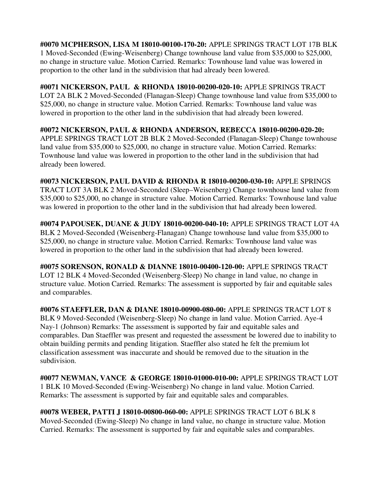**#0070 MCPHERSON, LISA M 18010-00100-170-20:** APPLE SPRINGS TRACT LOT 17B BLK 1 Moved-Seconded (Ewing-Weisenberg) Change townhouse land value from \$35,000 to \$25,000, no change in structure value. Motion Carried. Remarks: Townhouse land value was lowered in proportion to the other land in the subdivision that had already been lowered.

**#0071 NICKERSON, PAUL & RHONDA 18010-00200-020-10:** APPLE SPRINGS TRACT LOT 2A BLK 2 Moved-Seconded (Flanagan-Sleep) Change townhouse land value from \$35,000 to \$25,000, no change in structure value. Motion Carried. Remarks: Townhouse land value was lowered in proportion to the other land in the subdivision that had already been lowered.

**#0072 NICKERSON, PAUL & RHONDA ANDERSON, REBECCA 18010-00200-020-20:**  APPLE SPRINGS TRACT LOT 2B BLK 2 Moved-Seconded (Flanagan-Sleep) Change townhouse land value from \$35,000 to \$25,000, no change in structure value. Motion Carried. Remarks: Townhouse land value was lowered in proportion to the other land in the subdivision that had already been lowered.

**#0073 NICKERSON, PAUL DAVID & RHONDA R 18010-00200-030-10:** APPLE SPRINGS TRACT LOT 3A BLK 2 Moved-Seconded (Sleep–Weisenberg) Change townhouse land value from \$35,000 to \$25,000, no change in structure value. Motion Carried. Remarks: Townhouse land value was lowered in proportion to the other land in the subdivision that had already been lowered.

**#0074 PAPOUSEK, DUANE & JUDY 18010-00200-040-10:** APPLE SPRINGS TRACT LOT 4A BLK 2 Moved-Seconded (Weisenberg-Flanagan) Change townhouse land value from \$35,000 to \$25,000, no change in structure value. Motion Carried. Remarks: Townhouse land value was lowered in proportion to the other land in the subdivision that had already been lowered.

**#0075 SORENSON, RONALD & DIANNE 18010-00400-120-00:** APPLE SPRINGS TRACT LOT 12 BLK 4 Moved-Seconded (Weisenberg-Sleep) No change in land value, no change in structure value. Motion Carried. Remarks: The assessment is supported by fair and equitable sales and comparables.

**#0076 STAEFFLER, DAN & DIANE 18010-00900-080-00:** APPLE SPRINGS TRACT LOT 8 BLK 9 Moved-Seconded (Weisenberg-Sleep) No change in land value. Motion Carried. Aye-4 Nay-1 (Johnson) Remarks: The assessment is supported by fair and equitable sales and comparables. Dan Staeffler was present and requested the assessment be lowered due to inability to obtain building permits and pending litigation. Staeffler also stated he felt the premium lot classification assessment was inaccurate and should be removed due to the situation in the subdivision.

**#0077 NEWMAN, VANCE & GEORGE 18010-01000-010-00:** APPLE SPRINGS TRACT LOT 1 BLK 10 Moved-Seconded (Ewing-Weisenberg) No change in land value. Motion Carried. Remarks: The assessment is supported by fair and equitable sales and comparables.

**#0078 WEBER, PATTI J 18010-00800-060-00:** APPLE SPRINGS TRACT LOT 6 BLK 8 Moved-Seconded (Ewing-Sleep) No change in land value, no change in structure value. Motion Carried. Remarks: The assessment is supported by fair and equitable sales and comparables.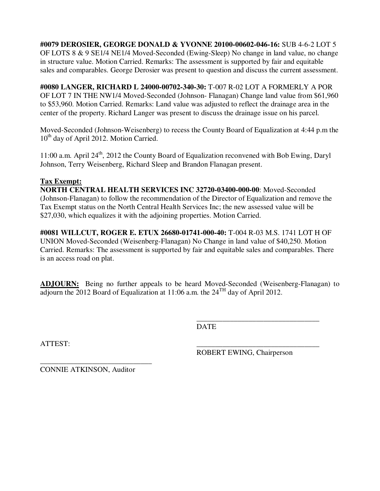**#0079 DEROSIER, GEORGE DONALD & YVONNE 20100-00602-046-16:** SUB 4-6-2 LOT 5 OF LOTS 8 & 9 SE1/4 NE1/4 Moved-Seconded (Ewing-Sleep) No change in land value, no change in structure value. Motion Carried. Remarks: The assessment is supported by fair and equitable sales and comparables. George Derosier was present to question and discuss the current assessment.

**#0080 LANGER, RICHARD L 24000-00702-340-30:** T-007 R-02 LOT A FORMERLY A POR OF LOT 7 IN THE NW1/4 Moved-Seconded (Johnson- Flanagan) Change land value from \$61,960 to \$53,960. Motion Carried. Remarks: Land value was adjusted to reflect the drainage area in the center of the property. Richard Langer was present to discuss the drainage issue on his parcel.

Moved-Seconded (Johnson-Weisenberg) to recess the County Board of Equalization at 4:44 p.m the 10<sup>th</sup> day of April 2012. Motion Carried.

11:00 a.m. April 24<sup>th</sup>, 2012 the County Board of Equalization reconvened with Bob Ewing, Daryl Johnson, Terry Weisenberg, Richard Sleep and Brandon Flanagan present.

#### **Tax Exempt:**

**NORTH CENTRAL HEALTH SERVICES INC 32720-03400-000-00**: Moved-Seconded (Johnson-Flanagan) to follow the recommendation of the Director of Equalization and remove the Tax Exempt status on the North Central Health Services Inc; the new assessed value will be \$27,030, which equalizes it with the adjoining properties. Motion Carried.

**#0081 WILLCUT, ROGER E. ETUX 26680-01741-000-40:** T-004 R-03 M.S. 1741 LOT H OF UNION Moved-Seconded (Weisenberg-Flanagan) No Change in land value of \$40,250. Motion Carried. Remarks: The assessment is supported by fair and equitable sales and comparables. There is an access road on plat.

**ADJOURN:** Being no further appeals to be heard Moved-Seconded (Weisenberg-Flanagan) to adjourn the 2012 Board of Equalization at 11:06 a.m. the  $24^{TH}$  day of April 2012.

 $\overline{\phantom{a}}$  , and the contract of the contract of the contract of the contract of the contract of the contract of the contract of the contract of the contract of the contract of the contract of the contract of the contrac

DATE DATE

ATTEST: \_\_\_\_\_\_\_\_\_\_\_\_\_\_\_\_\_\_\_\_\_\_\_\_\_\_\_\_\_\_\_\_\_

ROBERT EWING, Chairperson

CONNIE ATKINSON, Auditor

\_\_\_\_\_\_\_\_\_\_\_\_\_\_\_\_\_\_\_\_\_\_\_\_\_\_\_\_\_\_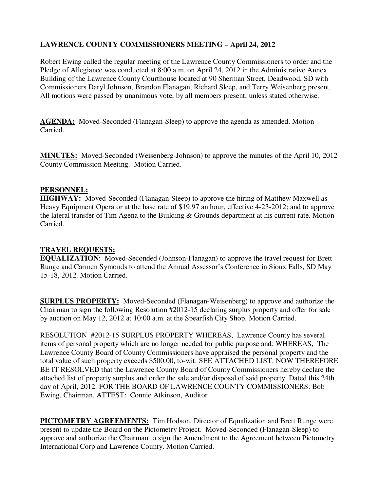# **LAWRENCE COUNTY COMMISSIONERS MEETING – April 24, 2012**

Robert Ewing called the regular meeting of the Lawrence County Commissioners to order and the Pledge of Allegiance was conducted at 8:00 a.m. on April 24, 2012 in the Administrative Annex Building of the Lawrence County Courthouse located at 90 Sherman Street, Deadwood, SD with Commissioners Daryl Johnson, Brandon Flanagan, Richard Sleep, and Terry Weisenberg present. All motions were passed by unanimous vote, by all members present, unless stated otherwise.

**AGENDA:** Moved-Seconded (Flanagan-Sleep) to approve the agenda as amended. Motion Carried.

**MINUTES:** Moved-Seconded (Weisenberg-Johnson) to approve the minutes of the April 10, 2012 County Commission Meeting. Motion Carried.

#### **PERSONNEL:**

**HIGHWAY:** Moved-Seconded (Flanagan-Sleep) to approve the hiring of Matthew Maxwell as Heavy Equipment Operator at the base rate of \$19.97 an hour, effective 4-23-2012; and to approve the lateral transfer of Tim Agena to the Building & Grounds department at his current rate. Motion Carried.

#### **TRAVEL REQUESTS:**

**EQUALIZATION**: Moved-Seconded (Johnson-Flanagan) to approve the travel request for Brett Runge and Carmen Symonds to attend the Annual Assessor's Conference in Sioux Falls, SD May 15-18, 2012. Motion Carried.

**SURPLUS PROPERTY:** Moved-Seconded (Flanagan-Weisenberg) to approve and authorize the Chairman to sign the following Resolution #2012-15 declaring surplus property and offer for sale by auction on May 12, 2012 at 10:00 a.m. at the Spearfish City Shop. Motion Carried.

RESOLUTION #2012-15 SURPLUS PROPERTY WHEREAS, Lawrence County has several items of personal property which are no longer needed for public purpose and; WHEREAS, The Lawrence County Board of County Commissioners have appraised the personal property and the total value of such property exceeds \$500.00, to-wit: SEE ATTACHED LIST: NOW THEREFORE BE IT RESOLVED that the Lawrence County Board of County Commissioners hereby declare the attached list of property surplus and order the sale and/or disposal of said property. Dated this 24th day of April, 2012. FOR THE BOARD OF LAWRENCE COUNTY COMMISSIONERS: Bob Ewing, Chairman. ATTEST: Connie Atkinson, Auditor

**PICTOMETRY AGREEMENTS:** Tim Hodson, Director of Equalization and Brett Runge were present to update the Board on the Pictometry Project. Moved-Seconded (Flanagan-Sleep) to approve and authorize the Chairman to sign the Amendment to the Agreement between Pictometry International Corp and Lawrence County. Motion Carried.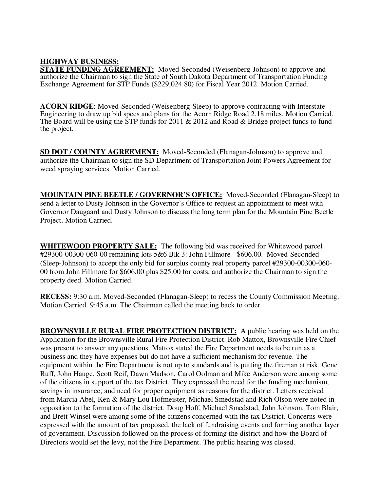# **HIGHWAY BUSINESS:**

**STATE FUNDING AGREEMENT:** Moved-Seconded (Weisenberg-Johnson) to approve and authorize the Chairman to sign the State of South Dakota Department of Transportation Funding Exchange Agreement for STP Funds (\$229,024.80) for Fiscal Year 2012. Motion Carried.

**ACORN RIDGE**: Moved-Seconded (Weisenberg-Sleep) to approve contracting with Interstate Engineering to draw up bid specs and plans for the Acorn Ridge Road 2.18 miles. Motion Carried. The Board will be using the STP funds for 2011 & 2012 and Road & Bridge project funds to fund the project.

**SD DOT / COUNTY AGREEMENT:** Moved-Seconded (Flanagan-Johnson) to approve and authorize the Chairman to sign the SD Department of Transportation Joint Powers Agreement for weed spraying services. Motion Carried.

**MOUNTAIN PINE BEETLE / GOVERNOR'S OFFICE:** Moved-Seconded (Flanagan-Sleep) to send a letter to Dusty Johnson in the Governor's Office to request an appointment to meet with Governor Daugaard and Dusty Johnson to discuss the long term plan for the Mountain Pine Beetle Project. Motion Carried.

**WHITEWOOD PROPERTY SALE:** The following bid was received for Whitewood parcel #29300-00300-060-00 remaining lots 5&6 Blk 3: John Fillmore - \$606.00. Moved-Seconded (Sleep-Johnson) to accept the only bid for surplus county real property parcel #29300-00300-060- 00 from John Fillmore for \$606.00 plus \$25.00 for costs, and authorize the Chairman to sign the property deed. Motion Carried.

**RECESS:** 9:30 a.m. Moved-Seconded (Flanagan-Sleep) to recess the County Commission Meeting. Motion Carried. 9:45 a.m. The Chairman called the meeting back to order.

**BROWNSVILLE RURAL FIRE PROTECTION DISTRICT:** A public hearing was held on the Application for the Brownsville Rural Fire Protection District. Rob Mattox, Brownsville Fire Chief was present to answer any questions. Mattox stated the Fire Department needs to be run as a business and they have expenses but do not have a sufficient mechanism for revenue. The equipment within the Fire Department is not up to standards and is putting the fireman at risk. Gene Ruff, John Hauge, Scott Reif, Dawn Madson, Carol Oolman and Mike Anderson were among some of the citizens in support of the tax District. They expressed the need for the funding mechanism, savings in insurance, and need for proper equipment as reasons for the district. Letters received from Marcia Abel, Ken & Mary Lou Hofmeister, Michael Smedstad and Rich Olson were noted in opposition to the formation of the district. Doug Hoff, Michael Smedstad, John Johnson, Tom Blair, and Brett Winsel were among some of the citizens concerned with the tax District. Concerns were expressed with the amount of tax proposed, the lack of fundraising events and forming another layer of government. Discussion followed on the process of forming the district and how the Board of Directors would set the levy, not the Fire Department. The public hearing was closed.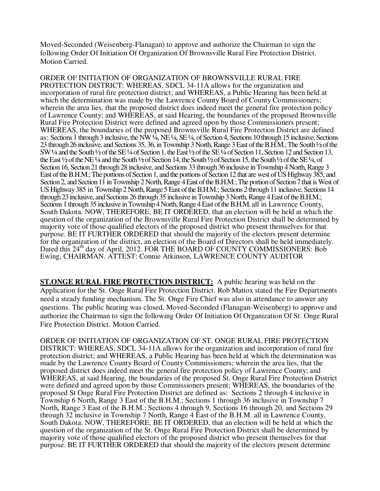Moved-Seconded (Weisenberg-Flanagan) to approve and authorize the Chairman to sign the following Order Of Initiation Of Organization Of Brownsville Rural Fire Protection District. Motion Carried.

ORDER OF INITIATION OF ORGANIZATION OF BROWNSVILLE RURAL FIRE PROTECTION DISTRICT: WHEREAS, SDCL 34-11A allows for the organization and incorporation of rural fire protection district; and WHEREAS, a Public Hearing has been held at which the determination was made by the Lawrence County Board of County Commissioners; wherein the area lies, that the proposed district does indeed meet the general fire protection policy of Lawrence County; and WHEREAS, at said Hearing, the boundaries of the proposed Brownsville Rural Fire Protection District were defined and agreed upon by those Commissioners present; WHEREAS, the boundaries of the proposed Brownsville Rural Fire Protection District are defined as: Sections 1 through 3 inclusive, the NW ¼, NE ¼, SE ¼, of Section 4, Sections 10 through 15 inclusive, Sections 23 through 26 inclusive, and Sections 35, 36, in Township 3 North, Range 3 East of the B.H.M.; The South ½ of the SW ¼ and the South ½ of the SE ¼ of Section 1, the East ½ of the SE ¼ of Section 11, Section 12 and Section 13, the East ½ of the NE ¼ and the South ½ of Section 14, the South ½ of Section 15, the South ½ of the SE ¼, of Section 16, Section 21 through 28 inclusive, and Sections 33 through 36 inclusive in Township 4 North, Range 3 East of the B.H.M.; The portions of Section 1, and the portions of Section 12 that are west of US Highway 385, and Section 2, and Section 11 in Township 2 North, Range 4 East of the B.H.M.; The portion of Section 7 that is West of US Highway 385 in Township 2 North, Range 5 East of the B.H.M.; Sections 2 through 11 inclusive, Sections 14 through 23 inclusive, and Sections 26 through 35 inclusive in Township 3 North, Range 4 East of the B.H.M.; Sections 1 through 35 inclusive in Township 4 North, Range 4 East of the B.H.M. all in Lawrence County, South Dakota. NOW, THEREFORE, BE IT ORDERED, that an election will be held at which the question of the organization of the Brownsville Rural Fire Protection District shall be determined by majority vote of those qualified electors of the proposed district who present themselves for that purpose. BE IT FURTHER ORDERED that should the majority of the electors present determine for the organization of the district, an election of the Board of Directors shall be held immediately. Dated this 24<sup>th</sup> day of April, 2012. FOR THE BOARD OF COUNTY COMMISSIONERS: Bob Ewing, CHAIRMAN. ATTEST: Connie Atkinson, LAWRENCE COUNTY AUDITOR

**ST.ONGE RURAL FIRE PROTECTION DISTRICT:** A public hearing was held on the Application for the St. Onge Rural Fire Protection District. Rob Mattox stated the Fire Departments need a steady funding mechanism. The St. Onge Fire Chief was also in attendance to answer any questions. The public hearing was closed. Moved-Seconded (Flanagan-Weisenberg) to approve and authorize the Chairman to sign the following Order Of Initiation Of Organization Of St. Onge Rural Fire Protection District. Motion Carried.

ORDER OF INITIATION OF ORGANIZATION OF ST. ONGE RURAL FIRE PROTECTION DISTRICT: WHEREAS, SDCL 34-11A allows for the organization and incorporation of rural fire protection district; and WHEREAS, a Public Hearing has been held at which the determination was made by the Lawrence County Board of County Commissioners; wherein the area lies, that the proposed district does indeed meet the general fire protection policy of Lawrence County; and WHEREAS, at said Hearing, the boundaries of the proposed St. Onge Rural Fire Protection District were defined and agreed upon by those Commissioners present; WHEREAS, the boundaries of the proposed St Onge Rural Fire Protection District are defined as: Sections 2 through 4 inclusive in Township 6 North, Range 3 East of the B.H.M.; Sections 1 through 36 inclusive in Township 7 North, Range 3 East of the B.H.M.; Sections 4 through 9, Sections 16 through 20, and Sections 29 through 32 inclusive in Township 7 North, Range 4 East of the B.H.M. all in Lawrence County, South Dakota. NOW, THEREFORE, BE IT ORDERED, that an election will be held at which the question of the organization of the St. Onge Rural Fire Protection District shall be determined by majority vote of those qualified electors of the proposed district who present themselves for that purpose. BE IT FURTHER ORDERED that should the majority of the electors present determine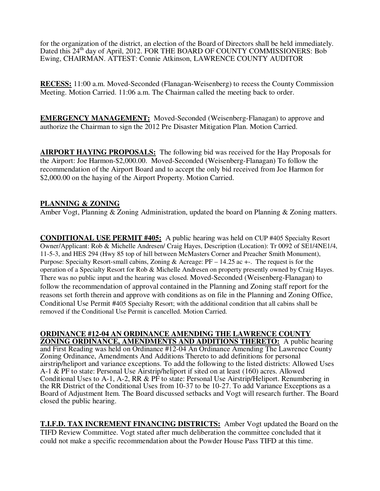for the organization of the district, an election of the Board of Directors shall be held immediately. Dated this 24<sup>th</sup> day of April, 2012. FOR THE BOARD OF COUNTY COMMISSIONERS: Bob Ewing, CHAIRMAN. ATTEST: Connie Atkinson, LAWRENCE COUNTY AUDITOR

**RECESS:** 11:00 a.m. Moved-Seconded (Flanagan-Weisenberg) to recess the County Commission Meeting. Motion Carried. 11:06 a.m. The Chairman called the meeting back to order.

**EMERGENCY MANAGEMENT:** Moved-Seconded (Weisenberg-Flanagan) to approve and authorize the Chairman to sign the 2012 Pre Disaster Mitigation Plan. Motion Carried.

**AIRPORT HAYING PROPOSALS:** The following bid was received for the Hay Proposals for the Airport: Joe Harmon-\$2,000.00. Moved-Seconded (Weisenberg-Flanagan) To follow the recommendation of the Airport Board and to accept the only bid received from Joe Harmon for \$2,000.00 on the haying of the Airport Property. Motion Carried.

### **PLANNING & ZONING**

Amber Vogt, Planning  $&$  Zoning Administration, updated the board on Planning  $&$  Zoning matters.

**CONDITIONAL USE PERMIT #405:** A public hearing was held on CUP #405 Specialty Resort Owner/Applicant: Rob & Michelle Andresen/ Craig Hayes, Description (Location): Tr 0092 of SE1/4NE1/4, 11-5-3, and HES 294 (Hwy 85 top of hill between McMasters Corner and Preacher Smith Monument), Purpose: Specialty Resort-small cabins, Zoning & Acreage: PF – 14.25 ac +-. The request is for the operation of a Specialty Resort for Rob & Michelle Andresen on property presently owned by Craig Hayes. There was no public input and the hearing was closed. Moved-Seconded (Weisenberg-Flanagan) to follow the recommendation of approval contained in the Planning and Zoning staff report for the reasons set forth therein and approve with conditions as on file in the Planning and Zoning Office, Conditional Use Permit #405 Specialty Resort; with the additional condition that all cabins shall be removed if the Conditional Use Permit is cancelled. Motion Carried.

**ORDINANCE #12-04 AN ORDINANCE AMENDING THE LAWRENCE COUNTY ZONING ORDINANCE, AMENDMENTS AND ADDITIONS THERETO:** A public hearing and First Reading was held on Ordinance #12-04 An Ordinance Amending The Lawrence County Zoning Ordinance, Amendments And Additions Thereto to add definitions for personal airstrip/heliport and variance exceptions. To add the following to the listed districts: Allowed Uses A-1 & PF to state: Personal Use Airstrip/heliport if sited on at least (160) acres. Allowed Conditional Uses to A-1, A-2, RR & PF to state: Personal Use Airstrip/Heliport. Renumbering in the RR District of the Conditional Uses from 10-37 to be 10-27. To add Variance Exceptions as a Board of Adjustment Item. The Board discussed setbacks and Vogt will research further. The Board closed the public hearing.

**T.I.F.D. TAX INCREMENT FINANCING DISTRICTS:** Amber Vogt updated the Board on the TIFD Review Committee. Vogt stated after much deliberation the committee concluded that it could not make a specific recommendation about the Powder House Pass TIFD at this time.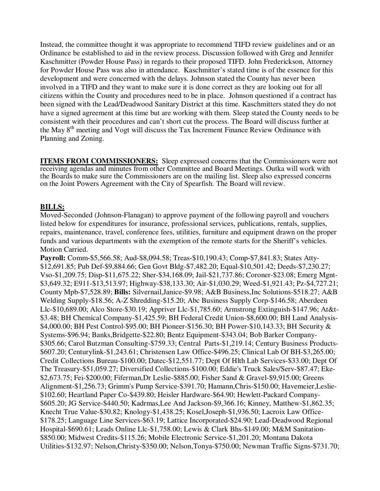Instead, the committee thought it was appropriate to recommend TIFD review guidelines and or an Ordinance be established to aid in the review process. Discussion followed with Greg and Jennifer Kaschmitter (Powder House Pass) in regards to their proposed TIFD. John Frederickson, Attorney for Powder House Pass was also in attendance. Kaschmitter's stated time is of the essence for this development and were concerned with the delays. Johnson stated the County has never been involved in a TIFD and they want to make sure it is done correct as they are looking out for all citizens within the County and procedures need to be in place. Johnson questioned if a contract has been signed with the Lead/Deadwood Sanitary District at this time. Kaschmitters stated they do not have a signed agreement at this time but are working with them. Sleep stated the County needs to be consistent with their procedures and can't short cut the process. The Board will discuss further at the May 8<sup>th</sup> meeting and Vogt will discuss the Tax Increment Finance Review Ordinance with Planning and Zoning.

**ITEMS FROM COMMISSIONERS:** Sleep expressed concerns that the Commissioners were not receiving agendas and minutes from other Committee and Board Meetings. Outka will work with the Boards to make sure the Commissioners are on the mailing list. Sleep also expressed concerns on the Joint Powers Agreement with the City of Spearfish. The Board will review.

### **BILLS:**

Moved-Seconded (Johnson-Flanagan) to approve payment of the following payroll and vouchers listed below for expenditures for insurance, professional services, publications, rentals, supplies, repairs, maintenance, travel, conference fees, utilities, furniture and equipment drawn on the proper funds and various departments with the exemption of the remote starts for the Sheriff's vehicles. Motion Carried.

**Payroll:** Comm-\$5,566.58; Aud-\$8,094.58; Treas-\$10,190.43; Comp-\$7,841.83; States Atty- \$12,691.85; Pub Def-\$9,884.66; Gen Govt Bldg-\$7,482.20; Equal-\$10,501.42; Deeds-\$7,230.27; Vso-\$1,209.75; Disp-\$11,675.22; Sher-\$34,168.09; Jail-\$21,737.86; Coroner-\$23.08; Emerg Mgnt- \$3,649.32; E911-\$13,513.97; Highway-\$38,133.30; Air-\$1,030.29; Weed-\$1,921.43; Pz-\$4,727.21; County Mpb-\$7,528.89; **Bills:** Silvernail,Janice-\$9.98; A&B Business,Inc Solutions-\$518.27; A&B Welding Supply-\$18.56; A-Z Shredding-\$15.20; Abc Business Supply Corp-\$146.58; Aberdeen Llc-\$10,689.00; Alco Store-\$30.19; Appriver Llc-\$1,785.60; Armstrong Extinguish-\$147.96; At&t- \$3.48; BH Chemical Company-\$1,425.59; BH Federal Credit Union-\$8,600.00; BH Land Analysis- \$4,000.00; BH Pest Control-\$95.00; BH Pioneer-\$156.30; BH Power-\$10,143.33; BH Security & Systems-\$96.94; Banks,Bridgette-\$22.80; Bentz Equipment-\$343.04; Bob Barker Company- \$305.66; Carol Butzman Consulting-\$759.33; Central Parts-\$1,219.14; Century Business Products- \$607.20; Centurylink-\$1,243.61; Christensen Law Office-\$496.25; Clinical Lab Of BH-\$3,265.00; Credit Collections Bureau-\$100.00; Datec-\$12,551.77; Dept Of Hlth Lab Services-\$33.00; Dept Of The Treasury-\$51,059.27; Diversified Collections-\$100.00; Eddie's Truck Sales/Serv-\$87.47; Eke- \$2,673.75; Fei-\$200.00; Fiferman,Dr Leslie-\$885.00; Fisher Sand & Gravel-\$9,915.00; Greens Alignment-\$1,256.73; Grimm's Pump Service-\$391.70; Hamann,Chris-\$150.00; Havemeier,Leslie- \$102.60; Heartland Paper Co-\$439.80; Heisler Hardware-\$64.90; Hewlett-Packard Company- \$605.20; JG Service-\$440.50; Kadrmas,Lee And Jackson-\$9,366.16; Kinney, Matthew-\$1,862.35; Knecht True Value-\$30.82; Knology-\$1,438.25; Kosel,Joseph-\$1,936.50; Lacroix Law Office- \$178.25; Language Line Services-\$63.19; Lattice Incorporated-\$24.90; Lead-Deadwood Regional Hospital-\$690.61; Leads Online Llc-\$1,758.00; Lewis & Clark Bhs-\$149.00; M&M Sanitation- \$850.00; Midwest Credits-\$115.26; Mobile Electronic Service-\$1,201.20; Montana Dakota Utilities-\$132.97; Nelson,Christy-\$350.00; Nelson,Tonya-\$750.00; Newman Traffic Signs-\$731.70;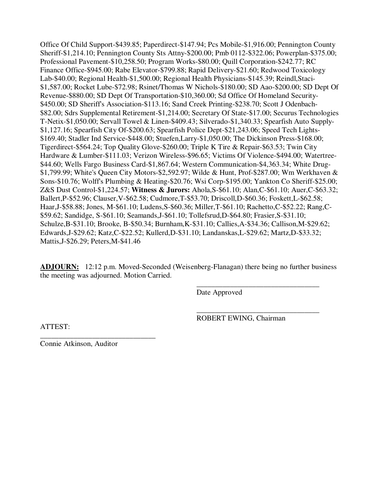Office Of Child Support-\$439.85; Paperdirect-\$147.94; Pcs Mobile-\$1,916.00; Pennington County Sheriff-\$1,214.10; Pennington County Sts Attny-\$200.00; Pmb 0112-\$322.06; Powerplan-\$375.00; Professional Pavement-\$10,258.50; Program Works-\$80.00; Quill Corporation-\$242.77; RC Finance Office-\$945.00; Rabe Elevator-\$799.88; Rapid Delivery-\$21.60; Redwood Toxicology Lab-\$40.00; Regional Health-\$1,500.00; Regional Health Physicians-\$145.39; Reindl,Staci- \$1,587.00; Rocket Lube-\$72.98; Rsinet/Thomas W Nichols-\$180.00; SD Aao-\$200.00; SD Dept Of Revenue-\$880.00; SD Dept Of Transportation-\$10,360.00; Sd Office Of Homeland Security- \$450.00; SD Sheriff's Association-\$113.16; Sand Creek Printing-\$238.70; Scott J Odenbach- \$82.00; Sdrs Supplemental Retirement-\$1,214.00; Secretary Of State-\$17.00; Securus Technologies T-Netix-\$1,050.00; Servall Towel & Linen-\$409.43; Silverado-\$1,340.33; Spearfish Auto Supply- \$1,127.16; Spearfish City Of-\$200.63; Spearfish Police Dept-\$21,243.06; Speed Tech Lights- \$169.40; Stadler Ind Service-\$448.00; Stuefen,Larry-\$1,050.00; The Dickinson Press-\$168.00; Tigerdirect-\$564.24; Top Quality Glove-\$260.00; Triple K Tire & Repair-\$63.53; Twin City Hardware & Lumber-\$111.03; Verizon Wireless-\$96.65; Victims Of Violence-\$494.00; Watertree- \$44.60; Wells Fargo Business Card-\$1,867.64; Western Communication-\$4,363.34; White Drug- \$1,799.99; White's Queen City Motors-\$2,592.97; Wilde & Hunt, Prof-\$287.00; Wm Werkhaven & Sons-\$10.76; Wolff's Plumbing & Heating-\$20.76; Wsi Corp-\$195.00; Yankton Co Sheriff-\$25.00; Z&S Dust Control-\$1,224.57; **Witness & Jurors:** Ahola,S-\$61.10; Alan,C-\$61.10; Auer,C-\$63.32; Ballert,P-\$52.96; Clauser,V-\$62.58; Cudmore,T-\$53.70; Driscoll,D-\$60.36; Foskett,L-\$62.58; Haar,J-\$58.88; Jones, M-\$61.10; Ludens,S-\$60.36; Miller,T-\$61.10; Rachetto,C-\$52.22; Rang,C- \$59.62; Sandidge, S-\$61.10; Seamands,J-\$61.10; Tollefsrud,D-\$64.80; Frasier,S-\$31.10; Schulze,B-\$31.10; Brooke, B-\$50.34; Burnham,K-\$31.10; Callies,A-\$34.36; Callison,M-\$29.62; Edwards,J-\$29.62; Katz,C-\$22.52; Kullerd,D-\$31.10; Landanskas,L-\$29.62; Martz,D-\$33.32; Mattis,J-\$26.29; Peters,M-\$41.46

**ADJOURN:** 12:12 p.m. Moved-Seconded (Weisenberg-Flanagan) there being no further business the meeting was adjourned. Motion Carried.

 $\overline{\phantom{a}}$  , and the contract of the contract of the contract of the contract of the contract of the contract of the contract of the contract of the contract of the contract of the contract of the contract of the contrac

 $\overline{\phantom{a}}$  , and the contract of the contract of the contract of the contract of the contract of the contract of the contract of the contract of the contract of the contract of the contract of the contract of the contrac

Date Approved

ATTEST:

ROBERT EWING, Chairman

Connie Atkinson, Auditor

\_\_\_\_\_\_\_\_\_\_\_\_\_\_\_\_\_\_\_\_\_\_\_\_\_\_\_\_\_\_\_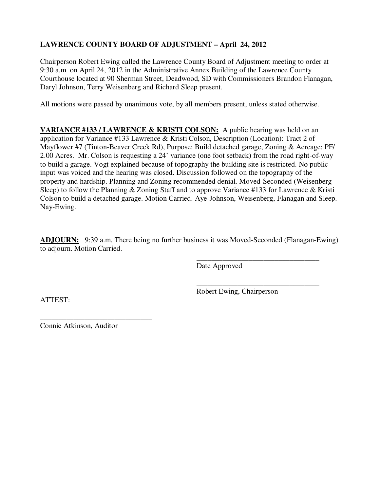# **LAWRENCE COUNTY BOARD OF ADJUSTMENT – April 24, 2012**

Chairperson Robert Ewing called the Lawrence County Board of Adjustment meeting to order at 9:30 a.m. on April 24, 2012 in the Administrative Annex Building of the Lawrence County Courthouse located at 90 Sherman Street, Deadwood, SD with Commissioners Brandon Flanagan, Daryl Johnson, Terry Weisenberg and Richard Sleep present.

All motions were passed by unanimous vote, by all members present, unless stated otherwise.

**VARIANCE #133 / LAWRENCE & KRISTI COLSON:** A public hearing was held on an application for Variance #133 Lawrence & Kristi Colson, Description (Location): Tract 2 of Mayflower #7 (Tinton-Beaver Creek Rd), Purpose: Build detached garage, Zoning & Acreage: PF/ 2.00 Acres. Mr. Colson is requesting a 24' variance (one foot setback) from the road right-of-way to build a garage. Vogt explained because of topography the building site is restricted. No public input was voiced and the hearing was closed. Discussion followed on the topography of the property and hardship. Planning and Zoning recommended denial. Moved-Seconded (Weisenberg-Sleep) to follow the Planning & Zoning Staff and to approve Variance #133 for Lawrence & Kristi Colson to build a detached garage. Motion Carried. Aye-Johnson, Weisenberg, Flanagan and Sleep. Nay-Ewing.

**ADJOURN:** 9:39 a.m. There being no further business it was Moved-Seconded (Flanagan-Ewing) to adjourn. Motion Carried.

 $\overline{\phantom{a}}$  , and the contract of the contract of the contract of the contract of the contract of the contract of the contract of the contract of the contract of the contract of the contract of the contract of the contrac

 $\overline{\phantom{a}}$  , and the contract of the contract of the contract of the contract of the contract of the contract of the contract of the contract of the contract of the contract of the contract of the contract of the contrac

Date Approved

Robert Ewing, Chairperson

ATTEST:

\_\_\_\_\_\_\_\_\_\_\_\_\_\_\_\_\_\_\_\_\_\_\_\_\_\_\_\_\_\_ Connie Atkinson, Auditor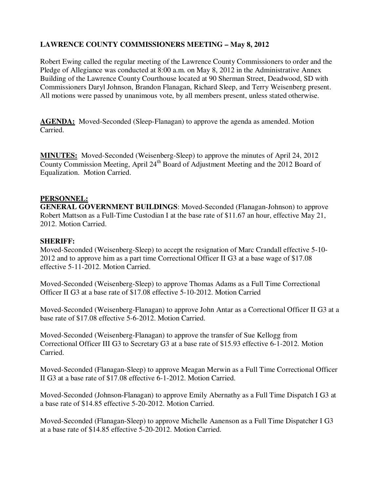# **LAWRENCE COUNTY COMMISSIONERS MEETING – May 8, 2012**

Robert Ewing called the regular meeting of the Lawrence County Commissioners to order and the Pledge of Allegiance was conducted at 8:00 a.m. on May 8, 2012 in the Administrative Annex Building of the Lawrence County Courthouse located at 90 Sherman Street, Deadwood, SD with Commissioners Daryl Johnson, Brandon Flanagan, Richard Sleep, and Terry Weisenberg present. All motions were passed by unanimous vote, by all members present, unless stated otherwise.

**AGENDA:** Moved-Seconded (Sleep-Flanagan) to approve the agenda as amended. Motion Carried.

**MINUTES:** Moved-Seconded (Weisenberg-Sleep) to approve the minutes of April 24, 2012 County Commission Meeting, April  $24<sup>th</sup>$  Board of Adjustment Meeting and the 2012 Board of Equalization. Motion Carried.

#### **PERSONNEL:**

**GENERAL GOVERNMENT BUILDINGS**: Moved-Seconded (Flanagan-Johnson) to approve Robert Mattson as a Full-Time Custodian I at the base rate of \$11.67 an hour, effective May 21, 2012. Motion Carried.

#### **SHERIFF:**

Moved-Seconded (Weisenberg-Sleep) to accept the resignation of Marc Crandall effective 5-10- 2012 and to approve him as a part time Correctional Officer II G3 at a base wage of \$17.08 effective 5-11-2012. Motion Carried.

Moved-Seconded (Weisenberg-Sleep) to approve Thomas Adams as a Full Time Correctional Officer II G3 at a base rate of \$17.08 effective 5-10-2012. Motion Carried

Moved-Seconded (Weisenberg-Flanagan) to approve John Antar as a Correctional Officer II G3 at a base rate of \$17.08 effective 5-6-2012. Motion Carried.

Moved-Seconded (Weisenberg-Flanagan) to approve the transfer of Sue Kellogg from Correctional Officer III G3 to Secretary G3 at a base rate of \$15.93 effective 6-1-2012. Motion Carried.

Moved-Seconded (Flanagan-Sleep) to approve Meagan Merwin as a Full Time Correctional Officer II G3 at a base rate of \$17.08 effective 6-1-2012. Motion Carried.

Moved-Seconded (Johnson-Flanagan) to approve Emily Abernathy as a Full Time Dispatch I G3 at a base rate of \$14.85 effective 5-20-2012. Motion Carried.

Moved-Seconded (Flanagan-Sleep) to approve Michelle Aanenson as a Full Time Dispatcher I G3 at a base rate of \$14.85 effective 5-20-2012. Motion Carried.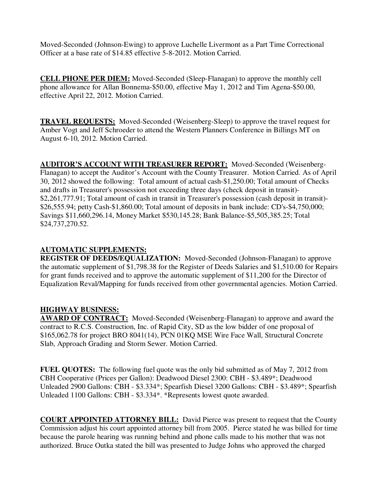Moved-Seconded (Johnson-Ewing) to approve Luchelle Livermont as a Part Time Correctional Officer at a base rate of \$14.85 effective 5-8-2012. Motion Carried.

**CELL PHONE PER DIEM:** Moved-Seconded (Sleep-Flanagan) to approve the monthly cell phone allowance for Allan Bonnema-\$50.00, effective May 1, 2012 and Tim Agena-\$50.00, effective April 22, 2012. Motion Carried.

**TRAVEL REQUESTS:** Moved-Seconded (Weisenberg-Sleep) to approve the travel request for Amber Vogt and Jeff Schroeder to attend the Western Planners Conference in Billings MT on August 6-10, 2012. Motion Carried.

**AUDITOR'S ACCOUNT WITH TREASURER REPORT:** Moved-Seconded (Weisenberg-Flanagan) to accept the Auditor's Account with the County Treasurer. Motion Carried. As of April 30, 2012 showed the following: Total amount of actual cash-\$1,250.00; Total amount of Checks and drafts in Treasurer's possession not exceeding three days (check deposit in transit)- \$2,261,777.91; Total amount of cash in transit in Treasurer's possession (cash deposit in transit)- \$26,555.94; petty Cash-\$1,860.00; Total amount of deposits in bank include: CD's-\$4,750,000; Savings \$11,660,296.14, Money Market \$530,145.28; Bank Balance-\$5,505,385.25; Total \$24,737,270.52.

## **AUTOMATIC SUPPLEMENTS:**

**REGISTER OF DEEDS/EQUALIZATION:** Moved-Seconded (Johnson-Flanagan) to approve the automatic supplement of \$1,798.38 for the Register of Deeds Salaries and \$1,510.00 for Repairs for grant funds received and to approve the automatic supplement of \$11,200 for the Director of Equalization Reval/Mapping for funds received from other governmental agencies. Motion Carried.

### **HIGHWAY BUSINESS:**

**AWARD OF CONTRACT:** Moved-Seconded (Weisenberg-Flanagan) to approve and award the contract to R.C.S. Construction, Inc. of Rapid City, SD as the low bidder of one proposal of \$165,062.78 for project BRO 8041(14), PCN 01KQ MSE Wire Face Wall, Structural Concrete Slab, Approach Grading and Storm Sewer. Motion Carried.

**FUEL QUOTES:** The following fuel quote was the only bid submitted as of May 7, 2012 from CBH Cooperative (Prices per Gallon): Deadwood Diesel 2300: CBH - \$3.489\*; Deadwood Unleaded 2900 Gallons: CBH - \$3.334\*; Spearfish Diesel 3200 Gallons: CBH - \$3.489\*; Spearfish Unleaded 1100 Gallons: CBH - \$3.334\*. \*Represents lowest quote awarded.

**COURT APPOINTED ATTORNEY BILL:** David Pierce was present to request that the County Commission adjust his court appointed attorney bill from 2005. Pierce stated he was billed for time because the parole hearing was running behind and phone calls made to his mother that was not authorized. Bruce Outka stated the bill was presented to Judge Johns who approved the charged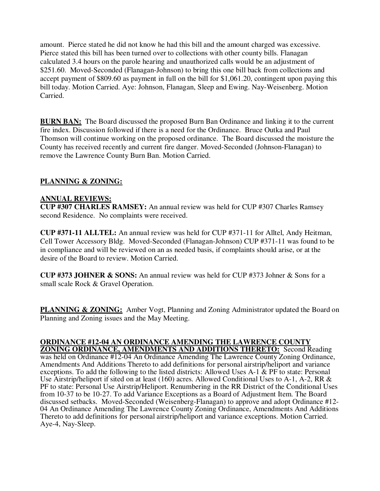amount. Pierce stated he did not know he had this bill and the amount charged was excessive. Pierce stated this bill has been turned over to collections with other county bills. Flanagan calculated 3.4 hours on the parole hearing and unauthorized calls would be an adjustment of \$251.60. Moved-Seconded (Flanagan-Johnson) to bring this one bill back from collections and accept payment of \$809.60 as payment in full on the bill for \$1,061.20, contingent upon paying this bill today. Motion Carried. Aye: Johnson, Flanagan, Sleep and Ewing. Nay-Weisenberg. Motion Carried.

**BURN BAN:** The Board discussed the proposed Burn Ban Ordinance and linking it to the current fire index. Discussion followed if there is a need for the Ordinance. Bruce Outka and Paul Thomson will continue working on the proposed ordinance. The Board discussed the moisture the County has received recently and current fire danger. Moved-Seconded (Johnson-Flanagan) to remove the Lawrence County Burn Ban. Motion Carried.

# **PLANNING & ZONING:**

### **ANNUAL REVIEWS:**

**CUP #307 CHARLES RAMSEY:** An annual review was held for CUP #307 Charles Ramsey second Residence. No complaints were received.

**CUP #371-11 ALLTEL:** An annual review was held for CUP #371-11 for Alltel, Andy Heitman, Cell Tower Accessory Bldg. Moved-Seconded (Flanagan-Johnson) CUP #371-11 was found to be in compliance and will be reviewed on an as needed basis, if complaints should arise, or at the desire of the Board to review. Motion Carried.

**CUP #373 JOHNER & SONS:** An annual review was held for CUP #373 Johner & Sons for a small scale Rock & Gravel Operation.

**PLANNING & ZONING:** Amber Vogt, Planning and Zoning Administrator updated the Board on Planning and Zoning issues and the May Meeting.

#### **ORDINANCE #12-04 AN ORDINANCE AMENDING THE LAWRENCE COUNTY ZONING ORDINANCE, AMENDMENTS AND ADDITIONS THERETO:** Second Reading

was held on Ordinance #12-04 An Ordinance Amending The Lawrence County Zoning Ordinance, Amendments And Additions Thereto to add definitions for personal airstrip/heliport and variance exceptions. To add the following to the listed districts: Allowed Uses A-1 & PF to state: Personal Use Airstrip/heliport if sited on at least (160) acres. Allowed Conditional Uses to A-1, A-2, RR & PF to state: Personal Use Airstrip/Heliport. Renumbering in the RR District of the Conditional Uses from 10-37 to be 10-27. To add Variance Exceptions as a Board of Adjustment Item. The Board discussed setbacks. Moved-Seconded (Weisenberg-Flanagan) to approve and adopt Ordinance #12- 04 An Ordinance Amending The Lawrence County Zoning Ordinance, Amendments And Additions Thereto to add definitions for personal airstrip/heliport and variance exceptions. Motion Carried. Aye-4, Nay-Sleep.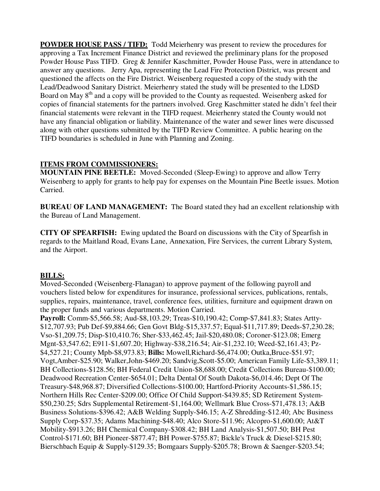**POWDER HOUSE PASS / TIFD:** Todd Meierhenry was present to review the procedures for approving a Tax Increment Finance District and reviewed the preliminary plans for the proposed Powder House Pass TIFD. Greg & Jennifer Kaschmitter, Powder House Pass, were in attendance to answer any questions. Jerry Apa, representing the Lead Fire Protection District, was present and questioned the affects on the Fire District. Weisenberg requested a copy of the study with the Lead/Deadwood Sanitary District. Meierhenry stated the study will be presented to the LDSD Board on May  $8<sup>th</sup>$  and a copy will be provided to the County as requested. Weisenberg asked for copies of financial statements for the partners involved. Greg Kaschmitter stated he didn't feel their financial statements were relevant in the TIFD request. Meierhenry stated the County would not have any financial obligation or liability. Maintenance of the water and sewer lines were discussed along with other questions submitted by the TIFD Review Committee. A public hearing on the TIFD boundaries is scheduled in June with Planning and Zoning.

### **ITEMS FROM COMMISSIONERS:**

**MOUNTAIN PINE BEETLE:** Moved-Seconded (Sleep-Ewing) to approve and allow Terry Weisenberg to apply for grants to help pay for expenses on the Mountain Pine Beetle issues. Motion Carried.

**BUREAU OF LAND MANAGEMENT:** The Board stated they had an excellent relationship with the Bureau of Land Management.

**CITY OF SPEARFISH:** Ewing updated the Board on discussions with the City of Spearfish in regards to the Maitland Road, Evans Lane, Annexation, Fire Services, the current Library System, and the Airport.

# **BILLS:**

Moved-Seconded (Weisenberg-Flanagan) to approve payment of the following payroll and vouchers listed below for expenditures for insurance, professional services, publications, rentals, supplies, repairs, maintenance, travel, conference fees, utilities, furniture and equipment drawn on the proper funds and various departments. Motion Carried.

**Payroll:** Comm-\$5,566.58; Aud-\$8,103.29; Treas-\$10,190.42; Comp-\$7,841.83; States Artty- \$12,707.93; Pub Def-\$9,884.66; Gen Govt Bldg-\$15,337.57; Equal-\$11,717.89; Deeds-\$7,230.28; Vso-\$1,209.75; Disp-\$10,410.76; Sher-\$33,462.45; Jail-\$20,480.08; Coroner-\$123.08; Emerg Mgnt-\$3,547.62; E911-\$1,607.20; Highway-\$38,216.54; Air-\$1,232.10; Weed-\$2,161.43; Pz- \$4,527.21; County Mpb-\$8,973.83; **Bills:** Mowell,Richard-\$6,474.00; Outka,Bruce-\$51.97; Vogt,Amber-\$25.90; Walker,John-\$469.20; Sandvig,Scott-\$5.00; American Family Life-\$3,389.11; BH Collections-\$128.56; BH Federal Credit Union-\$8,688.00; Credit Collections Bureau-\$100.00; Deadwood Recreation Center-\$654.01; Delta Dental Of South Dakota-\$6,014.46; Dept Of The Treasury-\$48,968.87; Diversified Collections-\$100.00; Hartford-Priority Accounts-\$1,586.15; Northern Hills Rec Center-\$209.00; Office Of Child Support-\$439.85; SD Retirement System- \$50,230.25; Sdrs Supplemental Retirement-\$1,164.00; Wellmark Blue Cross-\$71,478.13; A&B Business Solutions-\$396.42; A&B Welding Supply-\$46.15; A-Z Shredding-\$12.40; Abc Business Supply Corp-\$37.35; Adams Machining-\$48.40; Alco Store-\$11.96; Alcopro-\$1,600.00; At&T Mobility-\$913.26; BH Chemical Company-\$308.42; BH Land Analysis-\$1,507.50; BH Pest Control-\$171.60; BH Pioneer-\$877.47; BH Power-\$755.87; Bickle's Truck & Diesel-\$215.80; Bierschbach Equip & Supply-\$129.35; Bomgaars Supply-\$205.78; Brown & Saenger-\$203.54;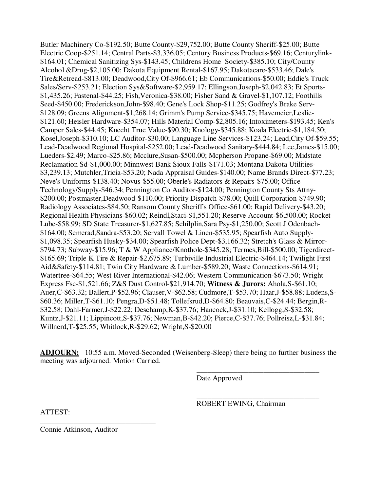Butler Machinery Co-\$192.50; Butte County-\$29,752.00; Butte County Sheriff-\$25.00; Butte Electric Coop-\$251.14; Central Parts-\$3,336.05; Century Business Products-\$69.16; Centurylink- \$164.01; Chemical Sanitizing Sys-\$143.45; Childrens Home Society-\$385.10; City/County Alcohol &Drug-\$2,105.00; Dakota Equipment Rental-\$167.95; Dakotacare-\$533.46; Dale's Tire&Retread-\$813.00; Deadwood,City Of-\$966.61; Eb Communications-\$50.00; Eddie's Truck Sales/Serv-\$253.21; Election Sys&Software-\$2,959.17; Ellingson,Joseph-\$2,042.83; Et Sports- \$1,435.26; Fastenal-\$44.25; Fish,Veronica-\$38.00; Fisher Sand & Gravel-\$1,107.12; Foothills Seed-\$450.00; Frederickson,John-\$98.40; Gene's Lock Shop-\$11.25; Godfrey's Brake Serv- \$128.09; Greens Alignment-\$1,268.14; Grimm's Pump Service-\$345.75; Havemeier,Leslie- \$121.60; Heisler Hardware-\$354.07; Hills Material Comp-\$2,805.16; Intoximeters-\$193.45; Ken's Camper Sales-\$44.45; Knecht True Value-\$90.30; Knology-\$345.88; Koala Electric-\$1,184.50; Kosel,Joseph-\$310.10; LC Auditor-\$30.00; Language Line Services-\$123.24; Lead,City Of-\$59.55; Lead-Deadwood Regional Hospital-\$252.00; Lead-Deadwood Sanitary-\$444.84; Lee,James-\$15.00; Lueders-\$2.49; Marco-\$25.86; Mcclure,Susan-\$500.00; Mcpherson Propane-\$69.00; Midstate Reclamation Sd-\$1,000.00; Minnwest Bank Sioux Falls-\$171.03; Montana Dakota Utilities- \$3,239.13; Mutchler,Tricia-\$53.20; Nada Appraisal Guides-\$140.00; Name Brands Direct-\$77.23; Neve's Uniforms-\$138.40; Novus-\$55.00; Oberle's Radiators & Repairs-\$75.00; Office Technology/Supply-\$46.34; Pennington Co Auditor-\$124.00; Pennington County Sts Attny- \$200.00; Postmaster,Deadwood-\$110.00; Priority Dispatch-\$78.00; Quill Corporation-\$749.90; Radiology Associates-\$84.50; Ransom County Sheriff's Office-\$61.00; Rapid Delivery-\$43.20; Regional Health Physicians-\$60.02; Reindl,Staci-\$1,551.20; Reserve Account-\$6,500.00; Rocket Lube-\$58.99; SD State Treasurer-\$1,627.85; Schilplin,Sara Psy-\$1,250.00; Scott J Odenbach- \$164.00; Semerad,Sandra-\$53.20; Servall Towel & Linen-\$535.95; Spearfish Auto Supply- \$1,098.35; Spearfish Husky-\$34.00; Spearfish Police Dept-\$3,166.32; Stretch's Glass & Mirror- \$794.73; Subway-\$15.96; T & W Appliance/Knothole-\$345.28; Termes,Bill-\$500.00; Tigerdirect- \$165.69; Triple K Tire & Repair-\$2,675.89; Turbiville Industrial Electric-\$464.14; Twilight First Aid&Safety-\$114.81; Twin City Hardware & Lumber-\$589.20; Waste Connections-\$614.91; Watertree-\$64.55; West River International-\$42.06; Western Communication-\$673.50; Wright Express Fsc-\$1,521.66; Z&S Dust Control-\$21,914.70; **Witness & Jurors:** Ahola,S-\$61.10; Auer,C-\$63.32; Ballert,P-\$52.96; Clauser,V-\$62.58; Cudmore,T-\$53.70; Haar,J-\$58.88; Ludens,S- \$60.36; Miller,T-\$61.10; Pengra,D-\$51.48; Tollefsrud,D-\$64.80; Beauvais,C-\$24.44; Bergin,R- \$32.58; Dahl-Farmer,J-\$22.22; Deschamp,K-\$37.76; Hancock,J-\$31.10; Kellogg,S-\$32.58; Kuntz,J-\$21.11; Lippincott,S-\$37.76; Newman,B-\$42.20; Pierce,C-\$37.76; Pollreisz,L-\$31.84; Willnerd,T-\$25.55; Whitlock,R-\$29.62; Wright,S-\$20.00

**ADJOURN:** 10:55 a.m. Moved-Seconded (Weisenberg-Sleep) there being no further business the meeting was adjourned. Motion Carried.

 $\overline{\phantom{a}}$  , and the contract of the contract of the contract of the contract of the contract of the contract of the contract of the contract of the contract of the contract of the contract of the contract of the contrac

 $\overline{\phantom{a}}$  , and the contract of the contract of the contract of the contract of the contract of the contract of the contract of the contract of the contract of the contract of the contract of the contract of the contrac

Date Approved

ROBERT EWING, Chairman

ATTEST:

Connie Atkinson, Auditor

\_\_\_\_\_\_\_\_\_\_\_\_\_\_\_\_\_\_\_\_\_\_\_\_\_\_\_\_\_\_\_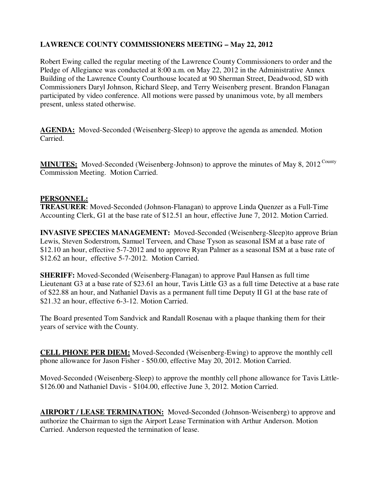# **LAWRENCE COUNTY COMMISSIONERS MEETING – May 22, 2012**

Robert Ewing called the regular meeting of the Lawrence County Commissioners to order and the Pledge of Allegiance was conducted at 8:00 a.m. on May 22, 2012 in the Administrative Annex Building of the Lawrence County Courthouse located at 90 Sherman Street, Deadwood, SD with Commissioners Daryl Johnson, Richard Sleep, and Terry Weisenberg present. Brandon Flanagan participated by video conference. All motions were passed by unanimous vote, by all members present, unless stated otherwise.

**AGENDA:** Moved-Seconded (Weisenberg-Sleep) to approve the agenda as amended. Motion Carried.

MINUTES: Moved-Seconded (Weisenberg-Johnson) to approve the minutes of May 8, 2012<sup>County</sup> Commission Meeting. Motion Carried.

### **PERSONNEL:**

**TREASURER**: Moved-Seconded (Johnson-Flanagan) to approve Linda Quenzer as a Full-Time Accounting Clerk, G1 at the base rate of \$12.51 an hour, effective June 7, 2012. Motion Carried.

**INVASIVE SPECIES MANAGEMENT:** Moved-Seconded (Weisenberg-Sleep)to approve Brian Lewis, Steven Soderstrom, Samuel Terveen, and Chase Tyson as seasonal ISM at a base rate of \$12.10 an hour, effective 5-7-2012 and to approve Ryan Palmer as a seasonal ISM at a base rate of \$12.62 an hour, effective 5-7-2012. Motion Carried.

**SHERIFF:** Moved-Seconded (Weisenberg-Flanagan) to approve Paul Hansen as full time Lieutenant G3 at a base rate of \$23.61 an hour, Tavis Little G3 as a full time Detective at a base rate of \$22.88 an hour, and Nathaniel Davis as a permanent full time Deputy II G1 at the base rate of \$21.32 an hour, effective 6-3-12. Motion Carried.

The Board presented Tom Sandvick and Randall Rosenau with a plaque thanking them for their years of service with the County.

**CELL PHONE PER DIEM:** Moved-Seconded (Weisenberg-Ewing) to approve the monthly cell phone allowance for Jason Fisher - \$50.00, effective May 20, 2012. Motion Carried.

Moved-Seconded (Weisenberg-Sleep) to approve the monthly cell phone allowance for Tavis Little- \$126.00 and Nathaniel Davis - \$104.00, effective June 3, 2012. Motion Carried.

**AIRPORT / LEASE TERMINATION:** Moved-Seconded (Johnson-Weisenberg) to approve and authorize the Chairman to sign the Airport Lease Termination with Arthur Anderson. Motion Carried. Anderson requested the termination of lease.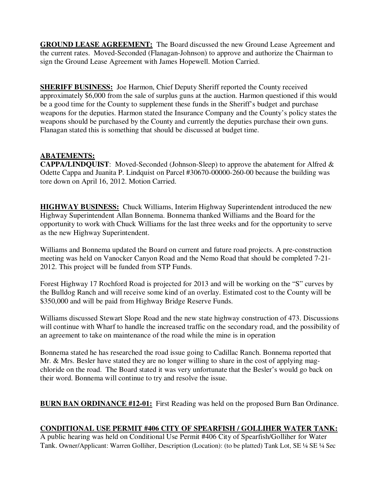**GROUND LEASE AGREEMENT:** The Board discussed the new Ground Lease Agreement and the current rates. Moved-Seconded (Flanagan-Johnson) to approve and authorize the Chairman to sign the Ground Lease Agreement with James Hopewell. Motion Carried.

**SHERIFF BUSINESS:** Joe Harmon, Chief Deputy Sheriff reported the County received approximately \$6,000 from the sale of surplus guns at the auction. Harmon questioned if this would be a good time for the County to supplement these funds in the Sheriff's budget and purchase weapons for the deputies. Harmon stated the Insurance Company and the County's policy states the weapons should be purchased by the County and currently the deputies purchase their own guns. Flanagan stated this is something that should be discussed at budget time.

# **ABATEMENTS:**

**CAPPA/LINDQUIST**: Moved-Seconded (Johnson-Sleep) to approve the abatement for Alfred & Odette Cappa and Juanita P. Lindquist on Parcel #30670-00000-260-00 because the building was tore down on April 16, 2012. Motion Carried.

**HIGHWAY BUSINESS:** Chuck Williams, Interim Highway Superintendent introduced the new Highway Superintendent Allan Bonnema. Bonnema thanked Williams and the Board for the opportunity to work with Chuck Williams for the last three weeks and for the opportunity to serve as the new Highway Superintendent.

Williams and Bonnema updated the Board on current and future road projects. A pre-construction meeting was held on Vanocker Canyon Road and the Nemo Road that should be completed 7-21- 2012. This project will be funded from STP Funds.

Forest Highway 17 Rochford Road is projected for 2013 and will be working on the "S" curves by the Bulldog Ranch and will receive some kind of an overlay. Estimated cost to the County will be \$350,000 and will be paid from Highway Bridge Reserve Funds.

Williams discussed Stewart Slope Road and the new state highway construction of 473. Discussions will continue with Wharf to handle the increased traffic on the secondary road, and the possibility of an agreement to take on maintenance of the road while the mine is in operation

Bonnema stated he has researched the road issue going to Cadillac Ranch. Bonnema reported that Mr. & Mrs. Besler have stated they are no longer willing to share in the cost of applying magchloride on the road. The Board stated it was very unfortunate that the Besler's would go back on their word. Bonnema will continue to try and resolve the issue.

**BURN BAN ORDINANCE #12-01:** First Reading was held on the proposed Burn Ban Ordinance.

### **CONDITIONAL USE PERMIT #406 CITY OF SPEARFISH / GOLLIHER WATER TANK:**

A public hearing was held on Conditional Use Permit #406 City of Spearfish/Golliher for Water Tank. Owner/Applicant: Warren Golliher, Description (Location): (to be platted) Tank Lot, SE ¼ SE ¼ Sec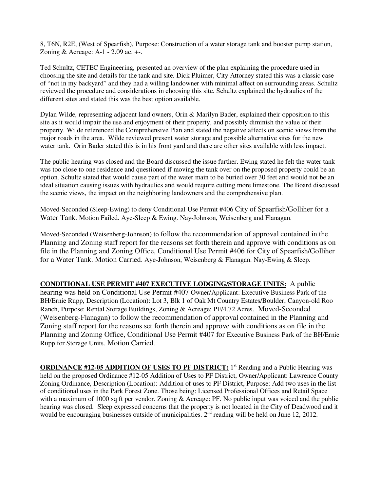8, T6N, R2E, (West of Spearfish), Purpose: Construction of a water storage tank and booster pump station, Zoning & Acreage: A-1 - 2.09 ac. +-.

Ted Schultz, CETEC Engineering, presented an overview of the plan explaining the procedure used in choosing the site and details for the tank and site. Dick Pluimer, City Attorney stated this was a classic case of "not in my backyard" and they had a willing landowner with minimal affect on surrounding areas. Schultz reviewed the procedure and considerations in choosing this site. Schultz explained the hydraulics of the different sites and stated this was the best option available.

Dylan Wilde, representing adjacent land owners, Orin & Marilyn Bader, explained their opposition to this site as it would impair the use and enjoyment of their property, and possibly diminish the value of their property. Wilde referenced the Comprehensive Plan and stated the negative affects on scenic views from the major roads in the area. Wilde reviewed present water storage and possible alternative sites for the new water tank. Orin Bader stated this is in his front yard and there are other sites available with less impact.

The public hearing was closed and the Board discussed the issue further. Ewing stated he felt the water tank was too close to one residence and questioned if moving the tank over on the proposed property could be an option. Schultz stated that would cause part of the water main to be buried over 30 feet and would not be an ideal situation causing issues with hydraulics and would require cutting more limestone. The Board discussed the scenic views, the impact on the neighboring landowners and the comprehensive plan.

Moved-Seconded (Sleep-Ewing) to deny Conditional Use Permit #406 City of Spearfish/Golliher for a Water Tank. Motion Failed. Aye-Sleep & Ewing. Nay-Johnson, Weisenberg and Flanagan.

Moved-Seconded (Weisenberg-Johnson) to follow the recommendation of approval contained in the Planning and Zoning staff report for the reasons set forth therein and approve with conditions as on file in the Planning and Zoning Office, Conditional Use Permit #406 for City of Spearfish/Golliher for a Water Tank. Motion Carried. Aye-Johnson, Weisenberg & Flanagan. Nay-Ewing & Sleep.

**CONDITIONAL USE PERMIT #407 EXECUTIVE LODGING/STORAGE UNITS:** A public

hearing was held on Conditional Use Permit #407 Owner/Applicant: Executive Business Park of the BH/Ernie Rupp, Description (Location): Lot 3, Blk 1 of Oak Mt Country Estates/Boulder, Canyon-old Roo Ranch, Purpose: Rental Storage Buildings, Zoning & Acreage: PF/4.72 Acres. Moved-Seconded (Weisenberg-Flanagan) to follow the recommendation of approval contained in the Planning and Zoning staff report for the reasons set forth therein and approve with conditions as on file in the Planning and Zoning Office, Conditional Use Permit #407 for Executive Business Park of the BH/Ernie Rupp for Storage Units. Motion Carried.

**ORDINANCE #12-05 ADDITION OF USES TO PF DISTRICT:** 1<sup>st</sup> Reading and a Public Hearing was held on the proposed Ordinance #12-05 Addition of Uses to PF District, Owner/Applicant: Lawrence County Zoning Ordinance, Description (Location): Addition of uses to PF District, Purpose: Add two uses in the list of conditional uses in the Park Forest Zone. Those being: Licensed Professional Offices and Retail Space with a maximum of 1000 sq ft per vendor. Zoning & Acreage: PF. No public input was voiced and the public hearing was closed. Sleep expressed concerns that the property is not located in the City of Deadwood and it would be encouraging businesses outside of municipalities.  $2<sup>nd</sup>$  reading will be held on June 12, 2012.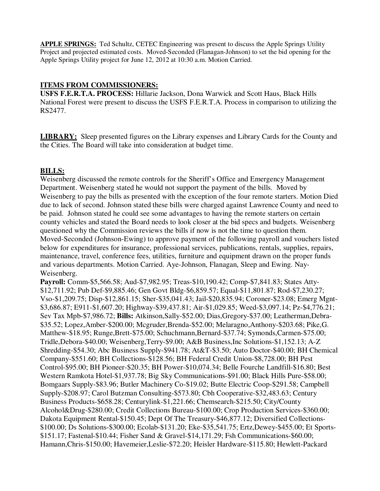**APPLE SPRINGS:** Ted Schultz, CETEC Engineering was present to discuss the Apple Springs Utility Project and projected estimated costs. Moved-Seconded (Flanagan-Johnson) to set the bid opening for the Apple Springs Utility project for June 12, 2012 at 10:30 a.m. Motion Carried.

### **ITEMS FROM COMMISSIONERS:**

**USFS F.E.R.T.A. PROCESS:** Hillarie Jackson, Dona Warwick and Scott Haus, Black Hills National Forest were present to discuss the USFS F.E.R.T.A. Process in comparison to utilizing the RS2477.

**LIBRARY:** Sleep presented figures on the Library expenses and Library Cards for the County and the Cities. The Board will take into consideration at budget time.

### **BILLS:**

Weisenberg discussed the remote controls for the Sheriff's Office and Emergency Management Department. Weisenberg stated he would not support the payment of the bills. Moved by Weisenberg to pay the bills as presented with the exception of the four remote starters. Motion Died due to lack of second. Johnson stated these bills were charged against Lawrence County and need to be paid. Johnson stated he could see some advantages to having the remote starters on certain county vehicles and stated the Board needs to look closer at the bid specs and budgets. Weisenberg questioned why the Commission reviews the bills if now is not the time to question them. Moved-Seconded (Johnson-Ewing) to approve payment of the following payroll and vouchers listed below for expenditures for insurance, professional services, publications, rentals, supplies, repairs, maintenance, travel, conference fees, utilities, furniture and equipment drawn on the proper funds and various departments. Motion Carried. Aye-Johnson, Flanagan, Sleep and Ewing. Nay-Weisenberg.

**Payroll:** Comm-\$5,566.58; Aud-\$7,982.95; Treas-\$10,190.42; Comp-\$7,841.83; States Atty- \$12,711.92; Pub Def-\$9,885.46; Gen Govt Bldg-\$6,859.57; Equal-\$11,801.87; Rod-\$7,230.27; Vso-\$1,209.75; Disp-\$12,861.15; Sher-\$35,041.43; Jail-\$20,835.94; Coroner-\$23.08; Emerg Mgnt- \$3,686.87; E911-\$1,607.20; Highway-\$39,437.81; Air-\$1,029.85; Weed-\$3,097.14; Pz-\$4,776.21; Sev Tax Mpb-\$7,986.72; **Bills:** Atkinson,Sally-\$52.00; Dias,Gregory-\$37.00; Leatherman,Debra- \$35.52; Lopez,Amber-\$200.00; Mcgruder,Brenda-\$52.00; Melaragno,Anthony-\$203.68; Pike,G. Matthew-\$18.95; Runge,Brett-\$75.00; Schuchmann,Bernard-\$37.74; Symonds,Carmen-\$75.00; Tridle,Debora-\$40.00; Weisenberg,Terry-\$9.00; A&B Business,Inc Solutions-\$1,152.13; A-Z Shredding-\$54.30; Abc Business Supply-\$941.78; At&T-\$3.50; Auto Doctor-\$40.00; BH Chemical Company-\$551.60; BH Collections-\$128.56; BH Federal Credit Union-\$8,728.00; BH Pest Control-\$95.00; BH Pioneer-\$20.35; BH Power-\$10,074.34; Belle Fourche Landfill-\$16.80; Best Western Ramkota Hotel-\$1,937.78; Big Sky Communications-\$91.00; Black Hills Pure-\$58.00; Bomgaars Supply-\$83.96; Butler Machinery Co-\$19.02; Butte Electric Coop-\$291.58; Campbell Supply-\$208.97; Carol Butzman Consulting-\$573.80; Cbh Cooperative-\$32,483.63; Century Business Products-\$658.28; Centurylink-\$1,221.66; Chemsearch-\$215.50; City/County Alcohol&Drug-\$280.00; Credit Collections Bureau-\$100.00; Crop Production Services-\$360.00; Dakota Equipment Rental-\$150.45; Dept Of The Treasury-\$46,877.12; Diversified Collections- \$100.00; Ds Solutions-\$300.00; Ecolab-\$131.20; Eke-\$35,541.75; Ertz,Dewey-\$455.00; Et Sports- \$151.17; Fastenal-\$10.44; Fisher Sand & Gravel-\$14,171.29; Fsh Communications-\$60.00; Hamann,Chris-\$150.00; Havemeier,Leslie-\$72.20; Heisler Hardware-\$115.80; Hewlett-Packard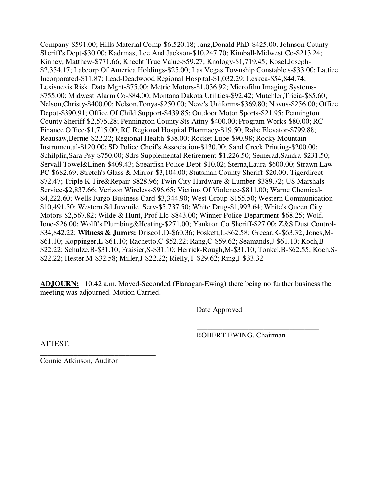Company-\$591.00; Hills Material Comp-\$6,520.18; Janz,Donald PhD-\$425.00; Johnson County Sheriff's Dept-\$30.00; Kadrmas, Lee And Jackson-\$10,247.70; Kimball-Midwest Co-\$213.24; Kinney, Matthew-\$771.66; Knecht True Value-\$59.27; Knology-\$1,719.45; Kosel,Joseph- \$2,354.17; Labcorp Of America Holdings-\$25.00; Las Vegas Township Constable's-\$33.00; Lattice Incorporated-\$11.87; Lead-Deadwood Regional Hospital-\$1,032.29; Leskca-\$54,844.74; Lexisnexis Risk Data Mgnt-\$75.00; Metric Motors-\$1,036.92; Microfilm Imaging Systems- \$755.00; Midwest Alarm Co-\$84.00; Montana Dakota Utilities-\$92.42; Mutchler,Tricia-\$85.60; Nelson,Christy-\$400.00; Nelson,Tonya-\$250.00; Neve's Uniforms-\$369.80; Novus-\$256.00; Office Depot-\$390.91; Office Of Child Support-\$439.85; Outdoor Motor Sports-\$21.95; Pennington County Sheriff-\$2,575.28; Pennington County Sts Attny-\$400.00; Program Works-\$80.00; RC Finance Office-\$1,715.00; RC Regional Hospital Pharmacy-\$19.50; Rabe Elevator-\$799.88; Reausaw,Bernie-\$22.22; Regional Health-\$38.00; Rocket Lube-\$90.98; Rocky Mountain Instrumental-\$120.00; SD Police Cheif's Association-\$130.00; Sand Creek Printing-\$200.00; Schilplin,Sara Psy-\$750.00; Sdrs Supplemental Retirement-\$1,226.50; Semerad,Sandra-\$231.50; Servall Towel&Linen-\$409.43; Spearfish Police Dept-\$10.02; Sterna,Laura-\$600.00; Strawn Law PC-\$682.69; Stretch's Glass & Mirror-\$3,104.00; Stutsman County Sheriff-\$20.00; Tigerdirect- \$72.47; Triple K Tire&Repair-\$828.96; Twin City Hardware & Lumber-\$389.72; US Marshals Service-\$2,837.66; Verizon Wireless-\$96.65; Victims Of Violence-\$811.00; Warne Chemical- \$4,222.60; Wells Fargo Business Card-\$3,344.90; West Group-\$155.50; Western Communication- \$10,491.50; Western Sd Juvenile Serv-\$5,737.50; White Drug-\$1,993.64; White's Queen City Motors-\$2,567.82; Wilde & Hunt, Prof Llc-\$843.00; Winner Police Department-\$68.25; Wolf, Ione-\$26.00; Wolff's Plumbing&Heating-\$271.00; Yankton Co Sheriff-\$27.00; Z&S Dust Control- \$34,842.22; **Witness & Jurors:** Driscoll,D-\$60.36; Foskett,L-\$62.58; Greear,K-\$63.32; Jones,M- \$61.10; Koppinger,L-\$61.10; Rachetto,C-\$52.22; Rang,C-\$59.62; Seamands,J-\$61.10; Koch,B- \$22.22; Schulze,B-\$31.10; Fraisier,S-\$31.10; Herrick-Rough,M-\$31.10; Tonkel,B-\$62.55; Koch,S- \$22.22; Hester,M-\$32.58; Miller,J-\$22.22; Rielly,T-\$29.62; Ring,J-\$33.32

**ADJOURN:** 10:42 a.m. Moved-Seconded (Flanagan-Ewing) there being no further business the meeting was adjourned. Motion Carried.

 $\overline{\phantom{a}}$  , and the contract of the contract of the contract of the contract of the contract of the contract of the contract of the contract of the contract of the contract of the contract of the contract of the contrac

Date Approved

 $\overline{\phantom{a}}$  , and the contract of the contract of the contract of the contract of the contract of the contract of the contract of the contract of the contract of the contract of the contract of the contract of the contrac ROBERT EWING, Chairman

ATTEST:

\_\_\_\_\_\_\_\_\_\_\_\_\_\_\_\_\_\_\_\_\_\_\_\_\_\_\_\_\_\_\_ Connie Atkinson, Auditor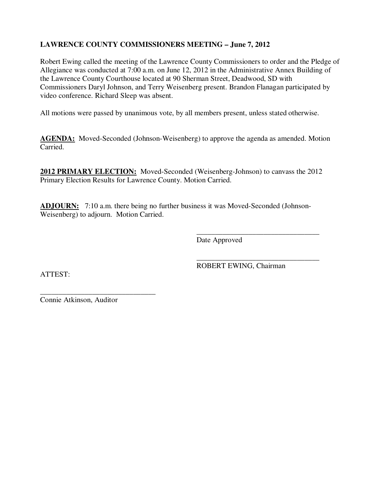# **LAWRENCE COUNTY COMMISSIONERS MEETING – June 7, 2012**

Robert Ewing called the meeting of the Lawrence County Commissioners to order and the Pledge of Allegiance was conducted at 7:00 a.m. on June 12, 2012 in the Administrative Annex Building of the Lawrence County Courthouse located at 90 Sherman Street, Deadwood, SD with Commissioners Daryl Johnson, and Terry Weisenberg present. Brandon Flanagan participated by video conference. Richard Sleep was absent.

All motions were passed by unanimous vote, by all members present, unless stated otherwise.

AGENDA: Moved-Seconded (Johnson-Weisenberg) to approve the agenda as amended. Motion Carried.

**2012 PRIMARY ELECTION:** Moved-Seconded (Weisenberg-Johnson) to canvass the 2012 Primary Election Results for Lawrence County. Motion Carried.

**ADJOURN:** 7:10 a.m. there being no further business it was Moved-Seconded (Johnson-Weisenberg) to adjourn. Motion Carried.

 $\overline{\phantom{a}}$  , and the contract of the contract of the contract of the contract of the contract of the contract of the contract of the contract of the contract of the contract of the contract of the contract of the contrac

 $\overline{\phantom{a}}$  , and the contract of the contract of the contract of the contract of the contract of the contract of the contract of the contract of the contract of the contract of the contract of the contract of the contrac

Date Approved

ATTEST:

ROBERT EWING, Chairman

\_\_\_\_\_\_\_\_\_\_\_\_\_\_\_\_\_\_\_\_\_\_\_\_\_\_\_\_\_\_\_ Connie Atkinson, Auditor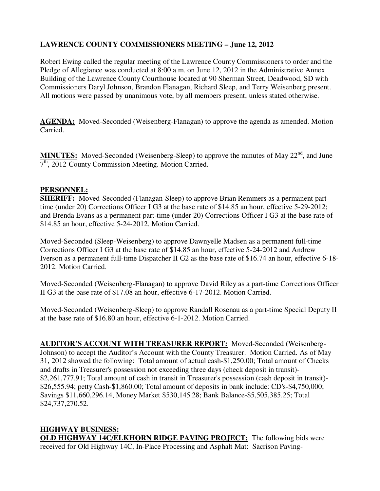# **LAWRENCE COUNTY COMMISSIONERS MEETING – June 12, 2012**

Robert Ewing called the regular meeting of the Lawrence County Commissioners to order and the Pledge of Allegiance was conducted at 8:00 a.m. on June 12, 2012 in the Administrative Annex Building of the Lawrence County Courthouse located at 90 Sherman Street, Deadwood, SD with Commissioners Daryl Johnson, Brandon Flanagan, Richard Sleep, and Terry Weisenberg present. All motions were passed by unanimous vote, by all members present, unless stated otherwise.

**AGENDA:** Moved-Seconded (Weisenberg-Flanagan) to approve the agenda as amended. Motion Carried.

**MINUTES:** Moved-Seconded (Weisenberg-Sleep) to approve the minutes of May  $22<sup>nd</sup>$ , and June 7<sup>th</sup>, 2012 County Commission Meeting. Motion Carried.

#### **PERSONNEL:**

**SHERIFF:** Moved-Seconded (Flanagan-Sleep) to approve Brian Remmers as a permanent parttime (under 20) Corrections Officer I G3 at the base rate of \$14.85 an hour, effective 5-29-2012; and Brenda Evans as a permanent part-time (under 20) Corrections Officer I G3 at the base rate of \$14.85 an hour, effective 5-24-2012. Motion Carried.

Moved-Seconded (Sleep-Weisenberg) to approve Dawnyelle Madsen as a permanent full-time Corrections Officer I G3 at the base rate of \$14.85 an hour, effective 5-24-2012 and Andrew Iverson as a permanent full-time Dispatcher II G2 as the base rate of \$16.74 an hour, effective 6-18- 2012. Motion Carried.

Moved-Seconded (Weisenberg-Flanagan) to approve David Riley as a part-time Corrections Officer II G3 at the base rate of \$17.08 an hour, effective 6-17-2012. Motion Carried.

Moved-Seconded (Weisenberg-Sleep) to approve Randall Rosenau as a part-time Special Deputy II at the base rate of \$16.80 an hour, effective 6-1-2012. Motion Carried.

**AUDITOR'S ACCOUNT WITH TREASURER REPORT:** Moved-Seconded (Weisenberg-Johnson) to accept the Auditor's Account with the County Treasurer. Motion Carried. As of May 31, 2012 showed the following: Total amount of actual cash-\$1,250.00; Total amount of Checks and drafts in Treasurer's possession not exceeding three days (check deposit in transit)- \$2,261,777.91; Total amount of cash in transit in Treasurer's possession (cash deposit in transit)- \$26,555.94; petty Cash-\$1,860.00; Total amount of deposits in bank include: CD's-\$4,750,000; Savings \$11,660,296.14, Money Market \$530,145.28; Bank Balance-\$5,505,385.25; Total \$24,737,270.52.

**HIGHWAY BUSINESS: OLD HIGHWAY 14C/ELKHORN RIDGE PAVING PROJECT:** The following bids were received for Old Highway 14C, In-Place Processing and Asphalt Mat: Sacrison Paving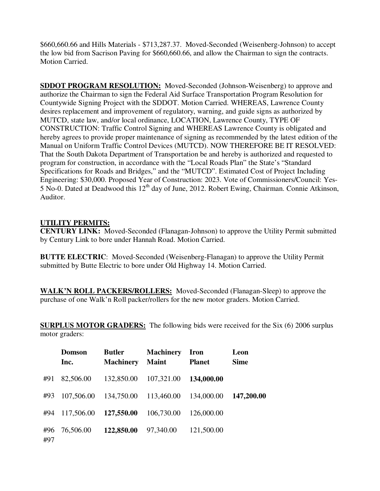\$660,660.66 and Hills Materials - \$713,287.37. Moved-Seconded (Weisenberg-Johnson) to accept the low bid from Sacrison Paving for \$660,660.66, and allow the Chairman to sign the contracts. Motion Carried.

**SDDOT PROGRAM RESOLUTION:** Moved-Seconded (Johnson-Weisenberg) to approve and authorize the Chairman to sign the Federal Aid Surface Transportation Program Resolution for Countywide Signing Project with the SDDOT. Motion Carried. WHEREAS, Lawrence County desires replacement and improvement of regulatory, warning, and guide signs as authorized by MUTCD, state law, and/or local ordinance, LOCATION, Lawrence County, TYPE OF CONSTRUCTION: Traffic Control Signing and WHEREAS Lawrence County is obligated and hereby agrees to provide proper maintenance of signing as recommended by the latest edition of the Manual on Uniform Traffic Control Devices (MUTCD). NOW THEREFORE BE IT RESOLVED: That the South Dakota Department of Transportation be and hereby is authorized and requested to program for construction, in accordance with the "Local Roads Plan" the State's "Standard Specifications for Roads and Bridges," and the "MUTCD". Estimated Cost of Project Including Engineering: \$30,000. Proposed Year of Construction: 2023. Vote of Commissioners/Council: Yes-5 No-0. Dated at Deadwood this 12th day of June, 2012. Robert Ewing, Chairman. Connie Atkinson, Auditor.

### **UTILITY PERMITS:**

**CENTURY LINK:** Moved-Seconded (Flanagan-Johnson) to approve the Utility Permit submitted by Century Link to bore under Hannah Road. Motion Carried.

**BUTTE ELECTRIC**: Moved-Seconded (Weisenberg-Flanagan) to approve the Utility Permit submitted by Butte Electric to bore under Old Highway 14. Motion Carried.

**WALK'N ROLL PACKERS/ROLLERS:** Moved-Seconded (Flanagan-Sleep) to approve the purchase of one Walk'n Roll packer/rollers for the new motor graders. Motion Carried.

**SURPLUS MOTOR GRADERS:** The following bids were received for the Six (6) 2006 surplus motor graders:

|            | <b>Domson</b><br>Inc. | <b>Butler</b><br><b>Machinery</b> | <b>Machinery</b><br><b>Maint</b> | <b>Iron</b><br><b>Planet</b> | Leon<br><b>Sime</b> |
|------------|-----------------------|-----------------------------------|----------------------------------|------------------------------|---------------------|
| #91        | 82,506.00             | 132,850.00                        | 107,321.00                       | 134,000.00                   |                     |
| #93        | 107,506.00            | 134,750.00                        | 113,460.00                       | 134,000.00                   | 147,200.00          |
| #94        | 117,506.00            | 127,550.00                        | 106,730.00                       | 126,000.00                   |                     |
| #96<br>#97 | 76,506.00             | 122,850.00                        | 97,340.00                        | 121,500.00                   |                     |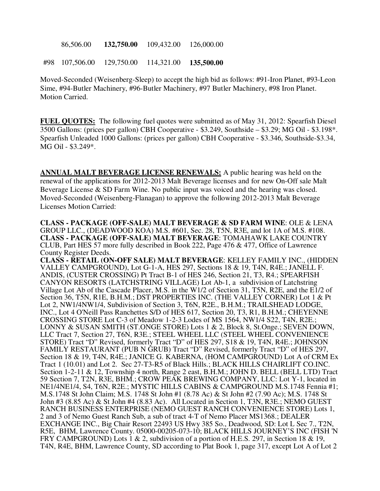86,506.00 **132,750.00** 109,432.00 126,000.00

#98 107,506.00 129,750.00 114,321.00 **135,500.00** 

Moved-Seconded (Weisenberg-Sleep) to accept the high bid as follows: #91-Iron Planet, #93-Leon Sime, #94-Butler Machinery, #96-Butler Machinery, #97 Butler Machinery, #98 Iron Planet. Motion Carried.

**FUEL QUOTES:** The following fuel quotes were submitted as of May 31, 2012: Spearfish Diesel 3500 Gallons: (prices per gallon) CBH Cooperative - \$3.249, Southside – \$3.29; MG Oil - \$3.198\*. Spearfish Unleaded 1000 Gallons: (prices per gallon) CBH Cooperative - \$3.346, Southside-\$3.34, MG Oil - \$3.249\*.

**ANNUAL MALT BEVERAGE LICENSE RENEWALS:** A public hearing was held on the renewal of the applications for 2012-2013 Malt Beverage licenses and for new On-Off sale Malt Beverage License & SD Farm Wine. No public input was voiced and the hearing was closed. Moved-Seconded (Weisenberg-Flanagan) to approve the following 2012-2013 Malt Beverage Licenses Motion Carried:

**CLASS - PACKAGE (OFF-SALE) MALT BEVERAGE & SD FARM WINE**: OLE & LENA GROUP LLC., (DEADWOOD KOA) M.S. #601, Sec. 28, T5N, R3E, and lot 1A of M.S. #108. **CLASS - PACKAGE (OFF-SALE) MALT BEVERAGE**: TOMAHAWK LAKE COUNTRY CLUB, Part HES 57 more fully described in Book 222, Page 476 & 477, Office of Lawrence County Register Deeds.

**CLASS - RETAIL (ON-OFF SALE) MALT BEVERAGE**: KELLEY FAMILY INC., (HIDDEN VALLEY CAMPGROUND), Lot G-1-A, HES 297, Sections 18 & 19, T4N, R4E.; JANELL F. ANDIS, (CUSTER CROSSING) Pt Tract B-1 of HES 246, Section 21, T3, R4.; SPEARFISH CANYON RESORTS (LATCHSTRING VILLAGE) Lot Ab-1, a subdivision of Latchstring Village Lot Ab of the Cascade Placer, M.S. in the W1/2 of Section 31, T5N, R2E, and the E1/2 of Section 36, T5N, R1E, B.H.M.; DST PROPERTIES INC. (THE VALLEY CORNER) Lot 1 & Pt Lot 2, NW1/4NW1/4, Subdivision of Section 3, T6N, R2E., B.H.M.; TRAILSHEAD LODGE, INC., Lot 4 O'Neill Pass Ranchettes S/D of HES 617, Section 20, T3, R1, B.H.M.; CHEYENNE CROSSING STORE Lot C-3 of Meadow 1-2-3 Lodes of MS 1564, NW1/4 S22, T4N, R2E.; LONNY & SUSAN SMITH (ST.ONGE STORE) Lots 1 & 2, Block 8, St.Onge.; SEVEN DOWN, LLC Tract 7, Section 27, T6N, R3E.; STEEL WHEEL LLC (STEEL WHEEL CONVENIENCE STORE) Tract "D" Revised, formerly Tract "D" of HES 297, S18 & 19, T4N, R4E.; JOHNSON FAMILY RESTAURANT (PUB N GRUB) Tract "D" Revised, formerly Tract "D" of HES 297, Section 18 & 19, T4N, R4E.; JANICE G. KABERNA, (HOM CAMPGROUND) Lot A of CRM Ex Tract 1 (10.01) and Lot 2. Sec 27-T3-R5 of Black Hills.; BLACK HILLS CHAIRLIFT CO.INC. Section 1-2-11 & 12, Township 4 north, Range 2 east, B.H.M.; JOHN D. BELL (BELL LTD) Tract 59 Section 7, T2N, R3E, BHM.; CROW PEAK BREWING COMPANY, LLC: Lot Y-1, located in NE1/4NE1/4, S4, T6N, R2E.; MYSTIC HILLS CABINS & CAMPGROUND M.S.1748 Fennia #1; M.S.1748 St John Claim; M.S. 1748 St John #1 (8.78 Ac) & St John #2 (7.90 Ac); M.S. 1748 St John #3 (8.85 Ac) & St John #4 (8.83 Ac). All Located in Section 1, T3N, R3E.; NEMO GUEST RANCH BUSINESS ENTERPRISE (NEMO GUEST RANCH CONVENIENCE STORE) Lots 1, 2 and 3 of Nemo Guest Ranch Sub, a sub of tract 4-T of Nemo Placer MS1368.; DEALER EXCHANGE INC., Big Chair Resort 22493 US Hwy 385 So., Deadwood, SD: Lot L Sec 7., T2N, R5E, BHM, Lawrence County. 05000-00205-073-10; BLACK HILLS JOURNEY'S INC (FISH 'N FRY CAMPGROUND) Lots 1 & 2, subdivision of a portion of H.E.S. 297, in Section 18 & 19, T4N, R4E, BHM, Lawrence County, SD according to Plat Book 1, page 317, except Lot A of Lot 2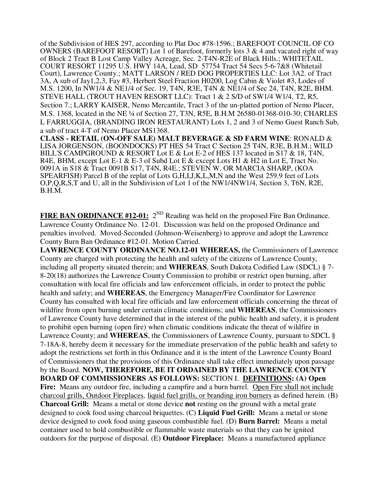of the Subdivision of HES 297, according to Plat Doc #78-1596.; BAREFOOT COUNCIL OF CO OWNERS (BAREFOOT RESORT) Lot 1 of Barefoot, formerly lots 3  $\&$  4 and vacated right of way of Block 2 Tract B Lost Camp Valley Acreage, Sec. 2-T4N-R2E of Black Hills.; WHITETAIL COURT RESORT 11295 U.S. HWY 14A, Lead, SD 57754 Tract 54 Secs 5-6-7&8 (Whitetail Court), Lawrence County.; MATT LARSON / RED DOG PROPERTIES LLC: Lot 3A2. of Tract 3A, A sub of Jay1,2,3, Fay #3, Herbert Steel Fraction H0200, Log Cabin & Violet #3, Lodes of M.S. 1200, In NW1/4 & NE1/4 of Sec. 19, T4N, R3E, T4N & NE1/4 of Sec 24, T4N, R2E, BHM. STEVE HALL (TROUT HAVEN RESORT LLC): Tract 1 & 2 S/D of SW1/4 W1/4, T2, R5, Section 7.; LARRY KAISER, Nemo Mercantile, Tract 3 of the un-platted portion of Nemo Placer, M.S. 1368, located in the NE ¼ of Section 27, T3N, R5E, B.H.M 26580-01368-010-30; CHARLES L FARRUGGIA, (BRANDING IRON RESTAURANT) Lots 1, 2 and 3 of Nemo Guest Ranch Sub, a sub of tract 4-T of Nemo Placer MS1368.

**CLASS - RETAIL (ON-OFF SALE) MALT BEVERAGE & SD FARM WINE**: RONALD & LISA JORGENSON, (BOONDOCKS) PT HES 54 Tract C Section 25 T4N, R3E, B.H.M.; WILD BILL'S CAMPGROUND & RESORT Lot E & Lot E-2 of HES 137 located in S17 & 18, T4N, R4E, BHM, except Lot E-1 & E-3 of Subd Lot E & except Lots H1 & H2 in Lot E, Tract No. 0091A in S18 & Tract 0091B S17, T4N, R4E.; STEVEN W. OR MARCIA SHARP, (KOA SPEARFISH) Parcel B of the replat of Lots G,H,I,J,K,L,M,N and the West 259.9 feet of Lots O,P,Q,R,S,T and U, all in the Subdivision of Lot 1 of the NW1/4NW1/4, Section 3, T6N, R2E, B.H.M.

**FIRE BAN ORDINANCE #12-01:** 2<sup>ND</sup> Reading was held on the proposed Fire Ban Ordinance. Lawrence County Ordinance No. 12-01. Discussion was held on the proposed Ordinance and penalties involved. Moved-Seconded (Johnson-Weisenberg) to approve and adopt the Lawrence County Burn Ban Ordinance #12-01. Motion Carried.

**LAWRENCE COUNTY ORDINANCE NO.12-01 WHEREAS,** the Commissioners of Lawrence County are charged with protecting the health and safety of the citizens of Lawrence County, including all property situated therein; and **WHEREAS**, South Dakota Codified Law (SDCL) § 7- 8-20(18) authorizes the Lawrence County Commission to prohibit or restrict open burning, after consultation with local fire officials and law enforcement officials, in order to protect the public health and safety; and **WHEREAS**, the Emergency Manager/Fire Coordinator for Lawrence County has consulted with local fire officials and law enforcement officials concerning the threat of wildfire from open burning under certain climatic conditions; and **WHEREAS**, the Commissioners of Lawrence County have determined that in the interest of the public health and safety, it is prudent to prohibit open burning (open fire) when climatic conditions indicate the threat of wildfire in Lawrence County; and **WHEREAS**, the Commissioners of Lawrence County, pursuant to SDCL § 7-18A-8, hereby deem it necessary for the immediate preservation of the public health and safety to adopt the restrictions set forth in this Ordinance and it is the intent of the Lawrence County Board of Commissioners that the provisions of this Ordinance shall take effect immediately upon passage by the Board. **NOW, THEREFORE, BE IT ORDAINED BY THE LAWRENCE COUNTY BOARD OF COMMISSIONERS AS FOLLOWS:** SECTION I. **DEFINITIONS: (A) Open**  Fire: Means any outdoor fire, including a campfire and a burn barrel. Open Fire shall not include charcoal grills, Outdoor Fireplaces, liquid fuel grills, or branding iron burners as defined herein. (B) **Charcoal Grill:** Means a metal or stone device **not** resting on the ground with a metal grate designed to cook food using charcoal briquettes. (C) **Liquid Fuel Grill:** Means a metal or stone device designed to cook food using gaseous combustible fuel. (D) **Burn Barrel:** Means a metal container used to hold combustible or flammable waste materials so that they can be ignited outdoors for the purpose of disposal. (E) **Outdoor Fireplace:** Means a manufactured appliance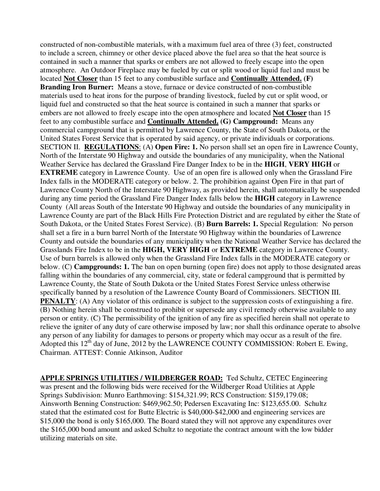constructed of non-combustible materials, with a maximum fuel area of three (3) feet, constructed to include a screen, chimney or other device placed above the fuel area so that the heat source is contained in such a manner that sparks or embers are not allowed to freely escape into the open atmosphere. An Outdoor Fireplace may be fueled by cut or split wood or liquid fuel and must be located **Not Closer** than 15 feet to any combustible surface and **Continually Attended. (F) Branding Iron Burner:** Means a stove, furnace or device constructed of non-combustible materials used to heat irons for the purpose of branding livestock, fueled by cut or split wood, or liquid fuel and constructed so that the heat source is contained in such a manner that sparks or embers are not allowed to freely escape into the open atmosphere and located **Not Closer** than 15 feet to any combustible surface and **Continually Attended. (G) Campground:** Means any commercial campground that is permitted by Lawrence County, the State of South Dakota, or the United States Forest Service that is operated by said agency, or private individuals or corporations. SECTION II. **REGULATIONS**: (A) **Open Fire: 1.** No person shall set an open fire in Lawrence County, North of the Interstate 90 Highway and outside the boundaries of any municipality, when the National Weather Service has declared the Grassland Fire Danger Index to be in the **HIGH**, **VERY HIGH** or **EXTREME** category in Lawrence County. Use of an open fire is allowed only when the Grassland Fire Index falls in the MODERATE category or below. 2. The prohibition against Open Fire in that part of Lawrence County North of the Interstate 90 Highway, as provided herein, shall automatically be suspended during any time period the Grassland Fire Danger Index falls below the **HIGH** category in Lawrence County (All areas South of the Interstate 90 Highway and outside the boundaries of any municipality in Lawrence County are part of the Black Hills Fire Protection District and are regulated by either the State of South Dakota, or the United States Forest Service). (B) **Burn Barrels: 1.** Special Regulation: No person shall set a fire in a burn barrel North of the Interstate 90 Highway within the boundaries of Lawrence County and outside the boundaries of any municipality when the National Weather Service has declared the Grasslands Fire Index to be in the **HIGH, VERY HIGH** or **EXTREME** category in Lawrence County. Use of burn barrels is allowed only when the Grassland Fire Index falls in the MODERATE category or below. (C) **Campgrounds: 1.** The ban on open burning (open fire) does not apply to those designated areas falling within the boundaries of any commercial, city, state or federal campground that is permitted by Lawrence County, the State of South Dakota or the United States Forest Service unless otherwise specifically banned by a resolution of the Lawrence County Board of Commissioners. SECTION III. **PENALTY**: (A) Any violator of this ordinance is subject to the suppression costs of extinguishing a fire. (B) Nothing herein shall be construed to prohibit or supersede any civil remedy otherwise available to any person or entity. (C) The permissibility of the ignition of any fire as specified herein shall not operate to relieve the igniter of any duty of care otherwise imposed by law; nor shall this ordinance operate to absolve any person of any liability for damages to persons or property which may occur as a result of the fire. Adopted this  $12^{th}$  day of June, 2012 by the LAWRENCE COUNTY COMMISSION: Robert E. Ewing, Chairman. ATTEST: Connie Atkinson, Auditor

**APPLE SPRINGS UTILITIES / WILDBERGER ROAD:** Ted Schultz, CETEC Engineering was present and the following bids were received for the Wildberger Road Utilities at Apple Springs Subdivision: Munro Earthmoving: \$154,321.99; RCS Construction: \$159,179.08; Ainsworth Benning Construction: \$469,962.50; Pedersen Excavating Inc: \$123,655.00. Schultz stated that the estimated cost for Butte Electric is \$40,000-\$42,000 and engineering services are \$15,000 the bond is only \$165,000. The Board stated they will not approve any expenditures over the \$165,000 bond amount and asked Schultz to negotiate the contract amount with the low bidder utilizing materials on site.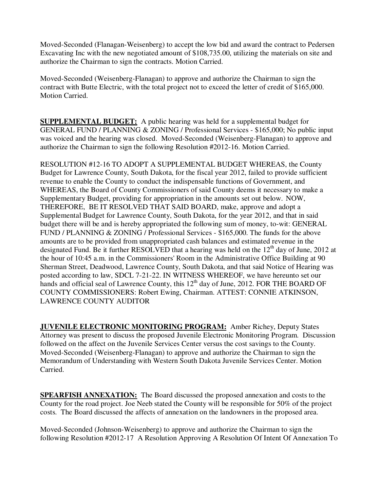Moved-Seconded (Flanagan-Weisenberg) to accept the low bid and award the contract to Pedersen Excavating Inc with the new negotiated amount of \$108,735.00, utilizing the materials on site and authorize the Chairman to sign the contracts. Motion Carried.

Moved-Seconded (Weisenberg-Flanagan) to approve and authorize the Chairman to sign the contract with Butte Electric, with the total project not to exceed the letter of credit of \$165,000. Motion Carried.

**SUPPLEMENTAL BUDGET:** A public hearing was held for a supplemental budget for GENERAL FUND / PLANNING & ZONING / Professional Services - \$165,000; No public input was voiced and the hearing was closed. Moved-Seconded (Weisenberg-Flanagan) to approve and authorize the Chairman to sign the following Resolution #2012-16. Motion Carried.

RESOLUTION #12-16 TO ADOPT A SUPPLEMENTAL BUDGET WHEREAS, the County Budget for Lawrence County, South Dakota, for the fiscal year 2012, failed to provide sufficient revenue to enable the County to conduct the indispensable functions of Government, and WHEREAS, the Board of County Commissioners of said County deems it necessary to make a Supplementary Budget, providing for appropriation in the amounts set out below. NOW, THEREFORE, BE IT RESOLVED THAT SAID BOARD, make, approve and adopt a Supplemental Budget for Lawrence County, South Dakota, for the year 2012, and that in said budget there will be and is hereby appropriated the following sum of money, to-wit: GENERAL FUND / PLANNING & ZONING / Professional Services - \$165,000. The funds for the above amounts are to be provided from unappropriated cash balances and estimated revenue in the designated Fund. Be it further RESOLVED that a hearing was held on the  $12<sup>th</sup>$  day of June, 2012 at the hour of 10:45 a.m. in the Commissioners' Room in the Administrative Office Building at 90 Sherman Street, Deadwood, Lawrence County, South Dakota, and that said Notice of Hearing was posted according to law, SDCL 7-21-22. IN WITNESS WHEREOF, we have hereunto set our hands and official seal of Lawrence County, this  $12<sup>th</sup>$  day of June, 2012. FOR THE BOARD OF COUNTY COMMISSIONERS: Robert Ewing, Chairman. ATTEST: CONNIE ATKINSON, LAWRENCE COUNTY AUDITOR

**JUVENILE ELECTRONIC MONITORING PROGRAM:** Amber Richey, Deputy States Attorney was present to discuss the proposed Juvenile Electronic Monitoring Program. Discussion followed on the affect on the Juvenile Services Center versus the cost savings to the County. Moved-Seconded (Weisenberg-Flanagan) to approve and authorize the Chairman to sign the Memorandum of Understanding with Western South Dakota Juvenile Services Center. Motion Carried.

**SPEARFISH ANNEXATION:** The Board discussed the proposed annexation and costs to the County for the road project. Joe Neeb stated the County will be responsible for 50% of the project costs. The Board discussed the affects of annexation on the landowners in the proposed area.

Moved-Seconded (Johnson-Weisenberg) to approve and authorize the Chairman to sign the following Resolution #2012-17 A Resolution Approving A Resolution Of Intent Of Annexation To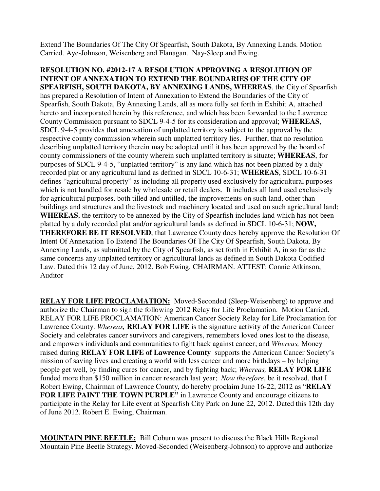Extend The Boundaries Of The City Of Spearfish, South Dakota, By Annexing Lands. Motion Carried. Aye-Johnson, Weisenberg and Flanagan. Nay-Sleep and Ewing.

**RESOLUTION NO. #2012-17 A RESOLUTION APPROVING A RESOLUTION OF INTENT OF ANNEXATION TO EXTEND THE BOUNDARIES OF THE CITY OF SPEARFISH, SOUTH DAKOTA, BY ANNEXING LANDS, WHEREAS**, the City of Spearfish has prepared a Resolution of Intent of Annexation to Extend the Boundaries of the City of Spearfish, South Dakota, By Annexing Lands, all as more fully set forth in Exhibit A, attached hereto and incorporated herein by this reference, and which has been forwarded to the Lawrence County Commission pursuant to SDCL 9-4-5 for its consideration and approval; **WHEREAS**, SDCL 9-4-5 provides that annexation of unplatted territory is subject to the approval by the respective county commission wherein such unplatted territory lies. Further, that no resolution describing unplatted territory therein may be adopted until it has been approved by the board of county commissioners of the county wherein such unplatted territory is situate; **WHEREAS**, for purposes of SDCL 9-4-5, "unplatted territory" is any land which has not been platted by a duly recorded plat or any agricultural land as defined in SDCL 10-6-31; **WHEREAS**, SDCL 10-6-31 defines "agricultural property" as including all property used exclusively for agricultural purposes which is not handled for resale by wholesale or retail dealers. It includes all land used exclusively for agricultural purposes, both tilled and untilled, the improvements on such land, other than buildings and structures and the livestock and machinery located and used on such agricultural land; **WHEREAS**, the territory to be annexed by the City of Spearfish includes land which has not been platted by a duly recorded plat and/or agricultural lands as defined in SDCL 10-6-31; **NOW, THEREFORE BE IT RESOLVED**, that Lawrence County does hereby approve the Resolution Of Intent Of Annexation To Extend The Boundaries Of The City Of Spearfish, South Dakota, By Annexing Lands, as submitted by the City of Spearfish, as set forth in Exhibit A, in so far as the same concerns any unplatted territory or agricultural lands as defined in South Dakota Codified Law. Dated this 12 day of June, 2012. Bob Ewing, CHAIRMAN. ATTEST: Connie Atkinson, Auditor

**RELAY FOR LIFE PROCLAMATION:** Moved-Seconded (Sleep-Weisenberg) to approve and authorize the Chairman to sign the following 2012 Relay for Life Proclamation. Motion Carried. RELAY FOR LIFE PROCLAMATION: American Cancer Society Relay for Life Proclamation for Lawrence County. *Whereas,* **RELAY FOR LIFE** is the signature activity of the American Cancer Society and celebrates cancer survivors and caregivers, remembers loved ones lost to the disease, and empowers individuals and communities to fight back against cancer; and *Whereas,* Money raised during **RELAY FOR LIFE of Lawrence County** supports the American Cancer Society's mission of saving lives and creating a world with less cancer and more birthdays – by helping people get well, by finding cures for cancer, and by fighting back; *Whereas,* **RELAY FOR LIFE** funded more than \$150 million in cancer research last year; *Now therefore*, be it resolved, that I Robert Ewing, Chairman of Lawrence County, do hereby proclaim June 16-22, 2012 as "**RELAY FOR LIFE PAINT THE TOWN PURPLE"** in Lawrence County and encourage citizens to participate in the Relay for Life event at Spearfish City Park on June 22, 2012. Dated this 12th day of June 2012. Robert E. Ewing, Chairman.

**MOUNTAIN PINE BEETLE:** Bill Coburn was present to discuss the Black Hills Regional Mountain Pine Beetle Strategy. Moved-Seconded (Weisenberg-Johnson) to approve and authorize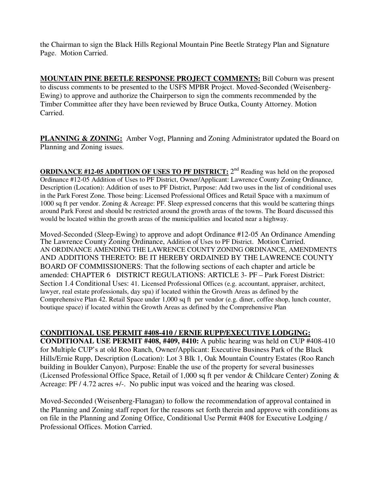the Chairman to sign the Black Hills Regional Mountain Pine Beetle Strategy Plan and Signature Page. Motion Carried.

**MOUNTAIN PINE BEETLE RESPONSE PROJECT COMMENTS:** Bill Coburn was present to discuss comments to be presented to the USFS MPBR Project. Moved-Seconded (Weisenberg-Ewing) to approve and authorize the Chairperson to sign the comments recommended by the Timber Committee after they have been reviewed by Bruce Outka, County Attorney. Motion Carried.

**PLANNING & ZONING:** Amber Vogt, Planning and Zoning Administrator updated the Board on Planning and Zoning issues.

**ORDINANCE #12-05 ADDITION OF USES TO PF DISTRICT:** 2<sup>nd</sup> Reading was held on the proposed Ordinance #12-05 Addition of Uses to PF District, Owner/Applicant: Lawrence County Zoning Ordinance, Description (Location): Addition of uses to PF District, Purpose: Add two uses in the list of conditional uses in the Park Forest Zone. Those being: Licensed Professional Offices and Retail Space with a maximum of 1000 sq ft per vendor. Zoning & Acreage: PF. Sleep expressed concerns that this would be scattering things around Park Forest and should be restricted around the growth areas of the towns. The Board discussed this would be located within the growth areas of the municipalities and located near a highway.

Moved-Seconded (Sleep-Ewing) to approve and adopt Ordinance #12-05 An Ordinance Amending The Lawrence County Zoning Ordinance, Addition of Uses to PF District. Motion Carried. AN ORDINANCE AMENDING THE LAWRENCE COUNTY ZONING ORDINANCE, AMENDMENTS AND ADDITIONS THERETO: BE IT HEREBY ORDAINED BY THE LAWRENCE COUNTY BOARD OF COMMISSIONERS: That the following sections of each chapter and article be amended: CHAPTER 6 DISTRICT REGULATIONS: ARTICLE 3- PF – Park Forest District: Section 1.4 Conditional Uses: 41. Licensed Professional Offices (e.g. accountant, appraiser, architect, lawyer, real estate professionals, day spa) if located within the Growth Areas as defined by the Comprehensive Plan 42. Retail Space under 1,000 sq ft per vendor (e.g. diner, coffee shop, lunch counter, boutique space) if located within the Growth Areas as defined by the Comprehensive Plan

#### **CONDITIONAL USE PERMIT #408-410 / ERNIE RUPP/EXECUTIVE LODGING:**

**CONDITIONAL USE PERMIT #408, #409, #410:** A public hearing was held on CUP #408-410 for Multiple CUP's at old Roo Ranch, Owner/Applicant: Executive Business Park of the Black Hills/Ernie Rupp, Description (Location): Lot 3 Blk 1, Oak Mountain Country Estates (Roo Ranch building in Boulder Canyon), Purpose: Enable the use of the property for several businesses (Licensed Professional Office Space, Retail of 1,000 sq ft per vendor & Childcare Center) Zoning & Acreage: PF / 4.72 acres +/-. No public input was voiced and the hearing was closed.

Moved-Seconded (Weisenberg-Flanagan) to follow the recommendation of approval contained in the Planning and Zoning staff report for the reasons set forth therein and approve with conditions as on file in the Planning and Zoning Office, Conditional Use Permit #408 for Executive Lodging / Professional Offices. Motion Carried.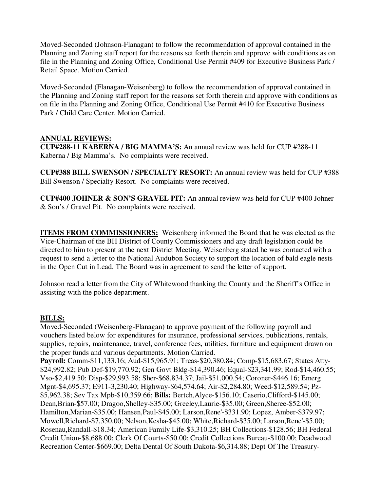Moved-Seconded (Johnson-Flanagan) to follow the recommendation of approval contained in the Planning and Zoning staff report for the reasons set forth therein and approve with conditions as on file in the Planning and Zoning Office, Conditional Use Permit #409 for Executive Business Park / Retail Space. Motion Carried.

Moved-Seconded (Flanagan-Weisenberg) to follow the recommendation of approval contained in the Planning and Zoning staff report for the reasons set forth therein and approve with conditions as on file in the Planning and Zoning Office, Conditional Use Permit #410 for Executive Business Park / Child Care Center. Motion Carried.

### **ANNUAL REVIEWS:**

**CUP#288-11 KABERNA / BIG MAMMA'S:** An annual review was held for CUP #288-11 Kaberna / Big Mamma's. No complaints were received.

**CUP#388 BILL SWENSON / SPECIALTY RESORT:** An annual review was held for CUP #388 Bill Swenson / Specialty Resort. No complaints were received.

**CUP#400 JOHNER & SON'S GRAVEL PIT:** An annual review was held for CUP #400 Johner & Son's / Gravel Pit. No complaints were received.

**ITEMS FROM COMMISSIONERS:** Weisenberg informed the Board that he was elected as the Vice-Chairman of the BH District of County Commissioners and any draft legislation could be directed to him to present at the next District Meeting. Weisenberg stated he was contacted with a request to send a letter to the National Audubon Society to support the location of bald eagle nests in the Open Cut in Lead. The Board was in agreement to send the letter of support.

Johnson read a letter from the City of Whitewood thanking the County and the Sheriff's Office in assisting with the police department.

# **BILLS:**

Moved-Seconded (Weisenberg-Flanagan) to approve payment of the following payroll and vouchers listed below for expenditures for insurance, professional services, publications, rentals, supplies, repairs, maintenance, travel, conference fees, utilities, furniture and equipment drawn on the proper funds and various departments. Motion Carried.

**Payroll:** Comm-\$11,133.16; Aud-\$15,965.91; Treas-\$20,380.84; Comp-\$15,683.67; States Atty- \$24,992.82; Pub Def-\$19,770.92; Gen Govt Bldg-\$14,390.46; Equal-\$23,341.99; Rod-\$14,460.55; Vso-\$2,419.50; Disp-\$29,993.58; Sher-\$68,834.37; Jail-\$51,000.54; Coroner-\$446.16; Emerg Mgnt-\$4,695.37; E911-3,230.40; Highway-\$64,574.64; Air-\$2,284.80; Weed-\$12,589.54; Pz- \$5,962.38; Sev Tax Mpb-\$10,359.66; **Bills:** Bertch,Alyce-\$156.10; Caserio,Clifford-\$145.00; Dean,Brian-\$57.00; Dragoo,Shelley-\$35.00; Greeley,Laurie-\$35.00; Green,Sheree-\$52.00; Hamilton,Marian-\$35.00; Hansen,Paul-\$45.00; Larson,Rene'-\$331.90; Lopez, Amber-\$379.97; Mowell,Richard-\$7,350.00; Nelson,Kesha-\$45.00; White,Richard-\$35.00; Larson,Rene'-\$5.00; Rosenau,Randall-\$18.34; American Family Life-\$3,310.25; BH Collections-\$128.56; BH Federal Credit Union-\$8,688.00; Clerk Of Courts-\$50.00; Credit Collections Bureau-\$100.00; Deadwood Recreation Center-\$669.00; Delta Dental Of South Dakota-\$6,314.88; Dept Of The Treasury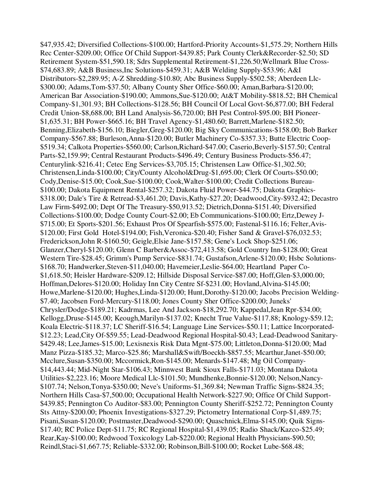\$47,935.42; Diversified Collections-\$100.00; Hartford-Priority Accounts-\$1,575.29; Northern Hills Rec Center-\$209.00; Office Of Child Support-\$439.85; Park County Clerk&Recorder-\$2.50; SD Retirement System-\$51,590.18; Sdrs Supplemental Retirement-\$1,226.50;Wellmark Blue Cross- \$74,683.89; A&B Business,Inc Solutions-\$459.31; A&B Welding Supply-\$53.96; A&I Distributors-\$2,289.95; A-Z Shredding-\$10.80; Abc Business Supply-\$502.58; Aberdeen Llc- \$300.00; Adams,Tom-\$37.50; Albany County Sher Office-\$60.00; Aman,Barbara-\$120.00; American Bar Association-\$190.00; Ammons,Sue-\$120.00; At&T Mobility-\$818.52; BH Chemical Company-\$1,301.93; BH Collections-\$128.56; BH Council Of Local Govt-\$6,877.00; BH Federal Credit Union-\$8,688.00; BH Land Analysis-\$6,720.00; BH Pest Control-\$95.00; BH Pioneer- \$1,635.31; BH Power-\$665.16; BH Travel Agency-\$1,480.60; Barrett,Marlene-\$182.50; Benning,Elizabeth-\$156.10; Biegler,Greg-\$120.00; Big Sky Communications-\$158.00; Bob Barker Company-\$567.88; Burleson,Anna-\$120.00; Butler Machinery Co-\$357.33; Butte Electric Coop- \$519.34; Calkota Properties-\$560.00; Carlson,Richard-\$47.00; Caserio,Beverly-\$157.50; Central Parts-\$2,159.99; Central Restaurant Products-\$496.49; Century Business Products-\$56.47; Centurylink-\$216.41; Cetec Eng Services-\$3,705.15; Christensen Law Office-\$1,302.50; Christensen,Linda-\$100.00; City/County Alcohol&Drug-\$1,695.00; Clerk Of Courts-\$50.00; Cody,Denise-\$15.00; Cook,Sue-\$100.00; Cook,Walter-\$100.00; Credit Collections Bureau- \$100.00; Dakota Equipment Rental-\$257.32; Dakota Fluid Power-\$44.75; Dakota Graphics- \$318.00; Dale's Tire & Retread-\$3,461.20; Davis,Kathy-\$27.20; Deadwood,City-\$932.42; Decastro Law Firm-\$492.00; Dept Of The Treasury-\$50,913.52; Dietrich,Donna-\$151.40; Diversified Collections-\$100.00; Dodge County Court-\$2.00; Eb Communications-\$100.00; Ertz,Dewey J- \$715.00; Et Sports-\$201.56; Exhaust Pros Of Spearfish-\$575.00; Fastenal-\$116.16; Felter,Avis- \$120.00; First Gold Hotel-\$194.00; Fish,Veronica-\$20.40; Fisher Sand & Gravel-\$76,032.53; Frederickson,John R-\$160.50; Geigle,Elsie Jane-\$157.58; Gene's Lock Shop-\$251.06; Glanzer,Cheryl-\$120.00; Glenn C Barber&Assoc-\$72,413.58; Gold Country Inn-\$128.00; Great Western Tire-\$28.45; Grimm's Pump Service-\$831.74; Gustafson,Arlene-\$120.00; Hsbc Solutions- \$168.70; Handwerker,Steven-\$11,040.00; Havemeier,Leslie-\$64.00; Heartland Paper Co- \$1,618.50; Heisler Hardware-\$209.12; Hillside Disposal Service-\$87.00; Hoff,Glen-\$3,000.00; Hoffman,Delores-\$120.00; Holiday Inn City Centre Sf-\$231.00; Hovland,Alvina-\$145.00; Howe,Marlene-\$120.00; Hughes,Linda-\$120.00; Hunt,Dorothy-\$120.00; Jacobs Precision Welding- \$7.40; Jacobsen Ford-Mercury-\$118.00; Jones County Sher Office-\$200.00; Juneks' Chrysler/Dodge-\$189.21; Kadrmas, Lee And Jackson-\$18,292.70; Kappedal,Jean Rpr-\$34.00; Kellogg,Druse-\$145.00; Keough,Marilyn-\$137.02; Knecht True Value-\$117.88; Knology-\$59.12; Koala Electric-\$118.37; LC Sheriff-\$16.54; Language Line Services-\$50.11; Lattice Incorporated- \$12.23; Lead,City Of-\$59.55; Lead-Deadwood Regional Hospital-\$0.43; Lead-Deadwood Sanitary- \$429.48; Lee,James-\$15.00; Lexisnexis Risk Data Mgnt-\$75.00; Littleton,Donna-\$120.00; Mad Manz Pizza-\$185.32; Marco-\$25.86; Marshall&Swift/Boeckh-\$857.55; Mcarthur,Janet-\$50.00; Mcclure,Susan-\$350.00; Mccormick,Ron-\$145.00; Menards-\$147.48; Mg Oil Company- \$14,443.44; Mid-Night Star-\$106.43; Minnwest Bank Sioux Falls-\$171.03; Montana Dakota Utilities-\$2,223.16; Moore Medical Llc-\$101.50; Mundhenke,Bonnie-\$120.00; Nelson,Nancy- \$107.74; Nelson,Tonya-\$350.00; Neve's Uniforms-\$1,369.84; Newman Traffic Signs-\$824.35; Northern Hills Casa-\$7,500.00; Occupational Health Network-\$227.90; Office Of Child Support- \$439.85; Pennington Co Auditor-\$83.00; Pennington County Sheriff-\$252.72; Pennington County Sts Attny-\$200.00; Phoenix Investigations-\$327.29; Pictometry International Corp-\$1,489.75; Pisani,Susan-\$120.00; Postmaster,Deadwood-\$290.00; Quaschnick,Elma-\$145.00; Quik Signs- \$17.40; RC Police Dept-\$11.75; RC Regional Hospital-\$1,439.05; Radio Shack/Kazco-\$25.49; Rear,Kay-\$100.00; Redwood Toxicology Lab-\$220.00; Regional Health Physicians-\$90.50; Reindl,Staci-\$1,667.75; Reliable-\$332.00; Robinson,Bill-\$100.00; Rocket Lube-\$68.48;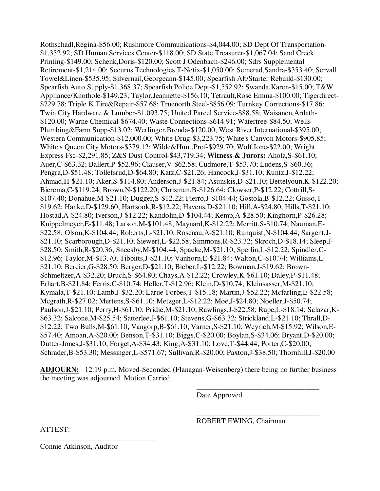Rothschadl,Regina-\$56.00; Rushmore Communications-\$4,044.00; SD Dept Of Transportation- \$1,352.92; SD Human Services Center-\$118.00; SD State Treasurer-\$1,067.04; Sand Creek Printing-\$149.00; Schenk,Doris-\$120.00; Scott J Odenbach-\$246.00; Sdrs Supplemental Retirement-\$1,214.00; Securus Technologies T-Netix-\$1,050.00; Semerad,Sandra-\$353.40; Servall Towel&Linen-\$535.95; Silvernail,Georgeann-\$145.00; Spearfish Alt/Starter Rebuild-\$130.00; Spearfish Auto Supply-\$1,368.37; Spearfish Police Dept-\$1,552.92; Swanda,Karen-\$15.00; T&W Appliance/Knothole-\$149.23; Taylor,Jeannette-\$156.10; Tetrault,Rose Emma-\$100.00; Tigerdirect- \$729.78; Triple K Tire&Repair-\$57.68; Truenorth Steel-\$856.09; Turnkey Corrections-\$17.86; Twin City Hardware & Lumber-\$1,093.75; United Parcel Service-\$88.58; Waisanen,Ardath- \$120.00; Warne Chemical-\$674.40; Waste Connections-\$614.91; Watertree-\$84.50; Wells Plumbing&Farm Supp-\$13.02; Werlinger,Brenda-\$120.00; West River International-\$395.00; Western Communication-\$12,000.00; White Drug-\$3,223.75; White's Canyon Motors-\$905.85; White's Queen City Motors-\$379.12; Wilde&Hunt,Prof-\$929.70; Wolf,Ione-\$22.00; Wright Express Fsc-\$2,291.85; Z&S Dust Control-\$43,719.34; **Witness & Jurors:** Ahola,S-\$61.10; Auer,C-\$63.32; Ballert,P-\$52.96; Clauser,V-\$62.58; Cudmore,T-\$53.70; Ludens,S-\$60.36; Pengra,D-\$51.48; Tollefsrud,D-\$64.80; Katz,C-\$21.26; Hancock,J-\$31.10; Kuntz,J-\$12.22; Ahmad,H-\$21.10; Aker,S-\$114.80; Anderson,J-\$21.84; Asunskis,D-\$21.10; Bettelyoun,K-\$122.20; Bierema,C-\$119.24; Brown,N-\$122.20; Chrisman,B-\$126.64; Clowser,P-\$12.22; Cottrill,S- \$107.40; Donahue,M-\$21.10; Dugger,S-\$12.22; Fierro,J-\$104.44; Gostola,B-\$12.22; Gusso,T- \$19.62; Hanke,D-\$129.60; Hartsook,R-\$12.22; Havens,D-\$21.10; Hill,A-\$24.80; Hills,T-\$21.10; Hostad,A-\$24.80; Iverson,J-\$12.22; Kandolin,D-\$104.44; Kemp,A-\$28.50; Kinghorn,P-\$26.28; Knippelmeyer,E-\$11.48; Larson,M-\$101.48; Maynard,K-\$12.22; Merritt,S-\$10.74; Nauman,E- \$22.58; Olson,K-\$104.44; Roberts,L-\$21.10; Rosenau,A-\$21.10; Runquist,N-\$104.44; Sargent,J- \$21.10; Scarborough,D-\$21.10; Siewert,L-\$22.58; Simmons,R-\$23.32; Skroch,D-\$18.14; Sleep,J- \$28.50; Smith,R-\$20.36; Sneesby,M-\$104.44; Spacke,M-\$21.10; Sperlin,L-\$12.22; Spindler,C- \$12.96; Taylor,M-\$13.70; Tibbitts,J-\$21.10; Vanhorn,E-\$21.84; Walton,C-\$10.74; Williams,L- \$21.10; Bercier,G-\$28.50; Berger,D-\$21.10; Bieber,L-\$12.22; Bowman,J-\$19.62; Brown-Schmeltzer,A-\$32.20; Bruch,S-\$64.80; Chays,A-\$12.22; Crowley,K-\$61.10; Daley,P-\$11.48; Erhart,B-\$21.84; Ferris,C-\$10.74; Heller,T-\$12.96; Klein,D-\$10.74; Kleinsasser,M-\$21.10; Kymala,T-\$21.10; Lamb,J-\$32.20; Larue-Forbes,T-\$15.18; Martin,J-\$52.22; Mcfarling,E-\$22.58; Mcgrath,R-\$27.02; Mertens,S-\$61.10; Metzger,L-\$12.22; Moe,J-\$24.80; Noeller,J-\$50.74; Paulson,J-\$21.10; Perry,H-\$61.10; Pridie,M-\$21.10; Rawlings,J-\$22.58; Rupe,L-\$18.14; Salazar,K- \$63.32; Salcone,M-\$25.54; Satterlee,J-\$61.10; Stevens,G-\$63.32; Strickland,L-\$21.10; Thrall,D- \$12.22; Two Bulls,M-\$61.10; Vangorp,B-\$61.10; Varner,S-\$21.10; Weyrich,M-\$15.92; Wilson,E- \$57.40; Amoan,A-\$20.00; Benson,T-\$31.10; Biggs,C-\$20.00; Boylan,S-\$34.06; Bryant,D-\$20.00; Dutter-Jones,J-\$31.10; Forget,A-\$34.43; King,A-\$31.10; Love,T-\$44.44; Porter,C-\$20.00; Schrader,B-\$53.30; Messinger,L-\$571.67; Sullivan,R-\$20.00; Paxton,J-\$38.50; Thornhill,J-\$20.00

**ADJOURN:** 12:19 p.m. Moved-Seconded (Flanagan-Weisenberg) there being no further business the meeting was adjourned. Motion Carried.

 $\overline{\phantom{a}}$  , and the contract of the contract of the contract of the contract of the contract of the contract of the contract of the contract of the contract of the contract of the contract of the contract of the contrac

 $\overline{\phantom{a}}$  , and the contract of the contract of the contract of the contract of the contract of the contract of the contract of the contract of the contract of the contract of the contract of the contract of the contrac

Date Approved

ROBERT EWING, Chairman

ATTEST:

Connie Atkinson, Auditor

\_\_\_\_\_\_\_\_\_\_\_\_\_\_\_\_\_\_\_\_\_\_\_\_\_\_\_\_\_\_\_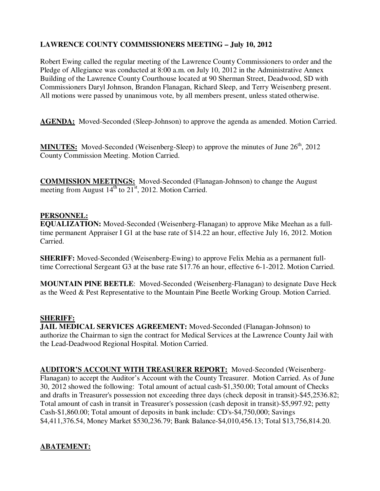# **LAWRENCE COUNTY COMMISSIONERS MEETING – July 10, 2012**

Robert Ewing called the regular meeting of the Lawrence County Commissioners to order and the Pledge of Allegiance was conducted at 8:00 a.m. on July 10, 2012 in the Administrative Annex Building of the Lawrence County Courthouse located at 90 Sherman Street, Deadwood, SD with Commissioners Daryl Johnson, Brandon Flanagan, Richard Sleep, and Terry Weisenberg present. All motions were passed by unanimous vote, by all members present, unless stated otherwise.

**AGENDA:** Moved-Seconded (Sleep-Johnson) to approve the agenda as amended. Motion Carried.

**MINUTES:** Moved-Seconded (Weisenberg-Sleep) to approve the minutes of June 26<sup>th</sup>, 2012 County Commission Meeting. Motion Carried.

**COMMISSION MEETINGS:** Moved-Seconded (Flanagan-Johnson) to change the August meeting from August  $14^{th}$  to  $21^{st}$ , 2012. Motion Carried.

# **PERSONNEL:**

**EQUALIZATION:** Moved-Seconded (Weisenberg-Flanagan) to approve Mike Meehan as a fulltime permanent Appraiser I G1 at the base rate of \$14.22 an hour, effective July 16, 2012. Motion Carried.

**SHERIFF:** Moved-Seconded (Weisenberg-Ewing) to approve Felix Mehia as a permanent fulltime Correctional Sergeant G3 at the base rate \$17.76 an hour, effective 6-1-2012. Motion Carried.

**MOUNTAIN PINE BEETLE**: Moved-Seconded (Weisenberg-Flanagan) to designate Dave Heck as the Weed & Pest Representative to the Mountain Pine Beetle Working Group. Motion Carried.

### **SHERIFF:**

**JAIL MEDICAL SERVICES AGREEMENT:** Moved-Seconded (Flanagan-Johnson) to authorize the Chairman to sign the contract for Medical Services at the Lawrence County Jail with the Lead-Deadwood Regional Hospital. Motion Carried.

**AUDITOR'S ACCOUNT WITH TREASURER REPORT:** Moved-Seconded (Weisenberg-Flanagan) to accept the Auditor's Account with the County Treasurer. Motion Carried. As of June 30, 2012 showed the following: Total amount of actual cash-\$1,350.00; Total amount of Checks and drafts in Treasurer's possession not exceeding three days (check deposit in transit)-\$45,2536.82; Total amount of cash in transit in Treasurer's possession (cash deposit in transit)-\$5,997.92; petty Cash-\$1,860.00; Total amount of deposits in bank include: CD's-\$4,750,000; Savings \$4,411,376.54, Money Market \$530,236.79; Bank Balance-\$4,010,456.13; Total \$13,756,814.20.

# **ABATEMENT:**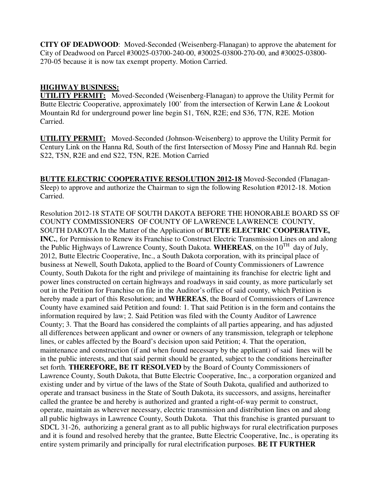**CITY OF DEADWOOD**: Moved-Seconded (Weisenberg-Flanagan) to approve the abatement for City of Deadwood on Parcel #30025-03700-240-00, #30025-03800-270-00, and #30025-03800- 270-05 because it is now tax exempt property. Motion Carried.

### **HIGHWAY BUSINESS:**

**UTILITY PERMIT:** Moved-Seconded (Weisenberg-Flanagan) to approve the Utility Permit for Butte Electric Cooperative, approximately 100' from the intersection of Kerwin Lane & Lookout Mountain Rd for underground power line begin S1, T6N, R2E; end S36, T7N, R2E. Motion Carried.

**UTILITY PERMIT:** Moved-Seconded (Johnson-Weisenberg) to approve the Utility Permit for Century Link on the Hanna Rd, South of the first Intersection of Mossy Pine and Hannah Rd. begin S22, T5N, R2E and end S22, T5N, R2E. Motion Carried

**BUTTE ELECTRIC COOPERATIVE RESOLUTION 2012-18** Moved-Seconded (Flanagan-Sleep) to approve and authorize the Chairman to sign the following Resolution #2012-18. Motion Carried.

Resolution 2012-18 STATE OF SOUTH DAKOTA BEFORE THE HONORABLE BOARD SS OF COUNTY COMMISSIONERS OF COUNTY OF LAWRENCE LAWRENCE COUNTY, SOUTH DAKOTA In the Matter of the Application of **BUTTE ELECTRIC COOPERATIVE, INC.**, for Permission to Renew its Franchise to Construct Electric Transmission Lines on and along the Public Highways of Lawrence County, South Dakota. **WHEREAS**, on the  $10^{TH}$  day of July, 2012, Butte Electric Cooperative, Inc., a South Dakota corporation, with its principal place of business at Newell, South Dakota, applied to the Board of County Commissioners of Lawrence County, South Dakota for the right and privilege of maintaining its franchise for electric light and power lines constructed on certain highways and roadways in said county, as more particularly set out in the Petition for Franchise on file in the Auditor's office of said county, which Petition is hereby made a part of this Resolution; and **WHEREAS**, the Board of Commissioners of Lawrence County have examined said Petition and found: 1. That said Petition is in the form and contains the information required by law; 2. Said Petition was filed with the County Auditor of Lawrence County; 3. That the Board has considered the complaints of all parties appearing, and has adjusted all differences between applicant and owner or owners of any transmission, telegraph or telephone lines, or cables affected by the Board's decision upon said Petition; 4. That the operation, maintenance and construction (if and when found necessary by the applicant) of said lines will be in the public interests, and that said permit should be granted, subject to the conditions hereinafter set forth. **THEREFORE, BE IT RESOLVED** by the Board of County Commissioners of Lawrence County, South Dakota, that Butte Electric Cooperative, Inc., a corporation organized and existing under and by virtue of the laws of the State of South Dakota, qualified and authorized to operate and transact business in the State of South Dakota, its successors, and assigns, hereinafter called the grantee be and hereby is authorized and granted a right-of-way permit to construct, operate, maintain as wherever necessary, electric transmission and distribution lines on and along all public highways in Lawrence County, South Dakota. That this franchise is granted pursuant to SDCL 31-26, authorizing a general grant as to all public highways for rural electrification purposes and it is found and resolved hereby that the grantee, Butte Electric Cooperative, Inc., is operating its entire system primarily and principally for rural electrification purposes. **BE IT FURTHER**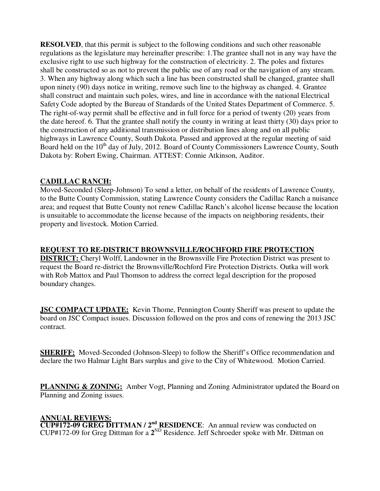**RESOLVED**, that this permit is subject to the following conditions and such other reasonable regulations as the legislature may hereinafter prescribe: 1.The grantee shall not in any way have the exclusive right to use such highway for the construction of electricity. 2. The poles and fixtures shall be constructed so as not to prevent the public use of any road or the navigation of any stream. 3. When any highway along which such a line has been constructed shall be changed, grantee shall upon ninety (90) days notice in writing, remove such line to the highway as changed. 4. Grantee shall construct and maintain such poles, wires, and line in accordance with the national Electrical Safety Code adopted by the Bureau of Standards of the United States Department of Commerce. 5. The right-of-way permit shall be effective and in full force for a period of twenty (20) years from the date hereof. 6. That the grantee shall notify the county in writing at least thirty (30) days prior to the construction of any additional transmission or distribution lines along and on all public highways in Lawrence County, South Dakota. Passed and approved at the regular meeting of said Board held on the 10<sup>th</sup> day of July, 2012. Board of County Commissioners Lawrence County, South Dakota by: Robert Ewing, Chairman. ATTEST: Connie Atkinson, Auditor.

### **CADILLAC RANCH:**

Moved-Seconded (Sleep-Johnson) To send a letter, on behalf of the residents of Lawrence County, to the Butte County Commission, stating Lawrence County considers the Cadillac Ranch a nuisance area; and request that Butte County not renew Cadillac Ranch's alcohol license because the location is unsuitable to accommodate the license because of the impacts on neighboring residents, their property and livestock. Motion Carried.

### **REQUEST TO RE-DISTRICT BROWNSVILLE/ROCHFORD FIRE PROTECTION**

**DISTRICT:** Cheryl Wolff, Landowner in the Brownsville Fire Protection District was present to request the Board re-district the Brownsville/Rochford Fire Protection Districts. Outka will work with Rob Mattox and Paul Thomson to address the correct legal description for the proposed boundary changes.

**JSC COMPACT UPDATE:** Kevin Thome, Pennington County Sheriff was present to update the board on JSC Compact issues. Discussion followed on the pros and cons of renewing the 2013 JSC contract.

**SHERIFF:** Moved-Seconded (Johnson-Sleep) to follow the Sheriff's Office recommendation and declare the two Halmar Light Bars surplus and give to the City of Whitewood. Motion Carried.

**PLANNING & ZONING:** Amber Vogt, Planning and Zoning Administrator updated the Board on Planning and Zoning issues.

#### **ANNUAL REVIEWS:**

**CUP#172-09 GREG DITTMAN / 2<sup>nd</sup> RESIDENCE**: An annual review was conducted on CUP#172-09 for Greg Dittman for a 2<sup>ND</sup> Residence. Jeff Schroeder spoke with Mr. Dittman on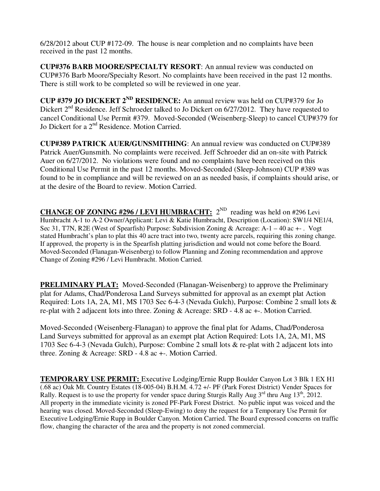6/28/2012 about CUP #172-09. The house is near completion and no complaints have been received in the past 12 months.

**CUP#376 BARB MOORE/SPECIALTY RESORT**: An annual review was conducted on CUP#376 Barb Moore/Specialty Resort. No complaints have been received in the past 12 months. There is still work to be completed so will be reviewed in one year.

**CUP #379 JO DICKERT 2ND RESIDENCE:** An annual review was held on CUP#379 for Jo Dickert  $2<sup>nd</sup>$  Residence. Jeff Schroeder talked to Jo Dickert on 6/27/2012. They have requested to cancel Conditional Use Permit #379. Moved-Seconded (Weisenberg-Sleep) to cancel CUP#379 for Jo Dickert for a 2<sup>nd</sup> Residence. Motion Carried.

**CUP#389 PATRICK AUER/GUNSMITHING**: An annual review was conducted on CUP#389 Patrick Auer/Gunsmith. No complaints were received. Jeff Schroeder did an on-site with Patrick Auer on 6/27/2012. No violations were found and no complaints have been received on this Conditional Use Permit in the past 12 months. Moved-Seconded (Sleep-Johnson) CUP #389 was found to be in compliance and will be reviewed on an as needed basis, if complaints should arise, or at the desire of the Board to review. Motion Carried.

**CHANGE OF ZONING #296 / LEVI HUMBRACHT:**  $2^{ND}$  reading was held on #296 Levi Humbracht A-1 to A-2 Owner/Applicant: Levi & Katie Humbracht, Description (Location): SW1/4 NE1/4, Sec 31, T7N, R2E (West of Spearfish) Purpose: Subdivision Zoning & Acreage: A-1 – 40 ac +- . Vogt stated Humbracht's plan to plat this 40 acre tract into two, twenty acre parcels, requiring this zoning change. If approved, the property is in the Spearfish platting jurisdiction and would not come before the Board. Moved-Seconded (Flanagan-Weisenberg) to follow Planning and Zoning recommendation and approve Change of Zoning #296 / Levi Humbracht. Motion Carried.

**PRELIMINARY PLAT:** Moved-Seconded (Flanagan-Weisenberg) to approve the Preliminary plat for Adams, Chad/Ponderosa Land Surveys submitted for approval as an exempt plat Action Required: Lots 1A, 2A, M1, MS 1703 Sec 6-4-3 (Nevada Gulch), Purpose: Combine 2 small lots & re-plat with 2 adjacent lots into three. Zoning & Acreage: SRD - 4.8 ac +-. Motion Carried.

Moved-Seconded (Weisenberg-Flanagan) to approve the final plat for Adams, Chad/Ponderosa Land Surveys submitted for approval as an exempt plat Action Required: Lots 1A, 2A, M1, MS 1703 Sec 6-4-3 (Nevada Gulch), Purpose: Combine 2 small lots & re-plat with 2 adjacent lots into three. Zoning & Acreage: SRD - 4.8 ac +-. Motion Carried.

**TEMPORARY USE PERMIT:** Executive Lodging/Ernie Rupp Boulder Canyon Lot 3 Blk 1 EX H1 (.68 ac) Oak Mt. Country Estates (18-005-04) B.H.M. 4.72 +/- PF (Park Forest District) Vender Spaces for Rally. Request is to use the property for vender space during Sturgis Rally Aug  $3<sup>rd</sup>$  thru Aug  $13<sup>th</sup>$ , 2012. All property in the immediate vicinity is zoned PF-Park Forest District. No public input was voiced and the hearing was closed. Moved-Seconded (Sleep-Ewing) to deny the request for a Temporary Use Permit for Executive Lodging/Ernie Rupp in Boulder Canyon. Motion Carried. The Board expressed concerns on traffic flow, changing the character of the area and the property is not zoned commercial.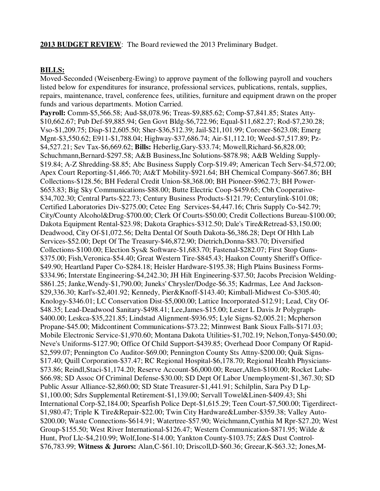#### **2013 BUDGET REVIEW**: The Board reviewed the 2013 Preliminary Budget.

#### **BILLS:**

Moved-Seconded (Weisenberg-Ewing) to approve payment of the following payroll and vouchers listed below for expenditures for insurance, professional services, publications, rentals, supplies, repairs, maintenance, travel, conference fees, utilities, furniture and equipment drawn on the proper funds and various departments. Motion Carried.

**Payroll:** Comm-\$5,566.58; Aud-\$8,078.96; Treas-\$9,885.62; Comp-\$7,841.85; States Atty- \$10,662.67; Pub Def-\$9,885.94; Gen Govt Bldg-\$6,722.96; Equal-\$11,682.27; Rod-\$7,230.28; Vso-\$1,209.75; Disp-\$12,605.50; Sher-\$36,512.39; Jail-\$21,101.99; Coroner-\$623.08; Emerg Mgnt-\$3,550.62; E911-\$1,788.04; Highway-\$37,686.74; Air-\$1,112.10; Weed-\$7,517.89; Pz- \$4,527.21; Sev Tax-\$6,669.62; **Bills:** Heberlig,Gary-\$33.74; Mowell,Richard-\$6,828.00; Schuchmann,Bernard-\$297.58; A&B Business,Inc Solutions-\$878.98; A&B Welding Supply- \$19.84; A-Z Shredding-\$8.85; Abc Business Supply Corp-\$19.49; American Tech Serv-\$4,572.00; Apex Court Reporting-\$1,466.70; At&T Mobility-\$921.64; BH Chemical Company-\$667.86; BH Collections-\$128.56; BH Federal Credit Union-\$8,368.00; BH Pioneer-\$962.73; BH Power- \$653.83; Big Sky Communications-\$88.00; Butte Electric Coop-\$459.65; Cbh Cooperative- \$34,702.30; Central Parts-\$22.73; Century Business Products-\$121.79; Centurylink-\$101.08; Certified Laboratories Div-\$275.00; Cetec Eng Services-\$4,447.16; Chris Supply Co-\$42.79; City/County Alcohol&Drug-\$700.00; Clerk Of Courts-\$50.00; Credit Collections Bureau-\$100.00; Dakota Equipment Rental-\$23.98; Dakota Graphics-\$312.50; Dale's Tire&Retread-\$3,150.00; Deadwood, City Of-\$1,072.56; Delta Dental Of South Dakota-\$6,386.28; Dept Of Hlth Lab Services-\$52.00; Dept Of The Treasury-\$46,872.90; Dietrich,Donna-\$83.70; Diversified Collections-\$100.00; Election Sys& Software-\$1,683.70; Fastenal-\$282.07; First Stop Guns- \$375.00; Fish, Veronica-\$54.40; Great Western Tire-\$845.43; Haakon County Sheriff's Office-\$49.90; Heartland Paper Co-\$284.18; Heisler Hardware-\$195.38; High Plains Business Forms- \$334.96; Interstate Engineering-\$4,242.30; JH Hilt Engineering-\$37.50; Jacobs Precision Welding- \$861.25; Janke,Wendy-\$1,790.00; Juneks' Chrysler/Dodge-\$6.35; Kadrmas, Lee And Jackson- \$29,336.30; Karl's-\$2,401.92; Kennedy, Pier&Knoff-\$143.40; Kimball-Midwest Co-\$305.40; Knology-\$346.01; LC Conservation Dist-\$5,000.00; Lattice Incorporated-\$12.91; Lead, City Of- \$48.35; Lead-Deadwood Sanitary-\$498.41; Lee,James-\$15.00; Lester L Davis Jr Polygraph- \$400.00; Leskca-\$35,221.85; Lindstad Alignment-\$936.95; Lyle Signs-\$2,005.21; Mcpherson Propane-\$45.00; Midcontinent Communications-\$73.22; Minnwest Bank Sioux Falls-\$171.03; Mobile Electronic Service-\$1,970.60; Montana Dakota Utilities-\$1,702.19; Nelson,Tonya-\$450.00; Neve's Uniforms-\$127.90; Office Of Child Support-\$439.85; Overhead Door Company Of Rapid- \$2,599.07; Pennington Co Auditor-\$69.00; Pennington County Sts Attny-\$200.00; Quik Signs- \$17.40; Quill Corporation-\$37.47; RC Regional Hospital-\$6,178.70; Regional Health Physicians- \$73.86; Reindl,Staci-\$1,174.20; Reserve Account-\$6,000.00; Reuer,Allen-\$100.00; Rocket Lube- \$66.98; SD Assoc Of Criminal Defense-\$30.00; SD Dept Of Labor Unemployment-\$1,367.30; SD Public Assur Alliance-\$2,860.00; SD State Treasurer-\$1,441.91; Schilplin, Sara Psy D Lp- \$1,100.00; Sdrs Supplemental Retirement-\$1,139.00; Servall Towel&Linen-\$409.43; Shi International Corp-\$2,184.00; Spearfish Police Dept-\$1,615.29; Teen Court-\$7,500.00; Tigerdirect- \$1,980.47; Triple K Tire&Repair-\$22.00; Twin City Hardware&Lumber-\$359.38; Valley Auto- \$200.00; Waste Connections-\$614.91; Watertree-\$57.90; Weichmann,Cynthia M Rpr-\$27.20; West Group-\$155.50; West River International-\$126.47; Western Communication-\$871.95; Wilde & Hunt, Prof Llc-\$4,210.99; Wolf,Ione-\$14.00; Yankton County-\$103.75; Z&S Dust Control- \$76,783.99; **Witness & Jurors:** Alan,C-\$61.10; Driscoll,D-\$60.36; Greear,K-\$63.32; Jones,M-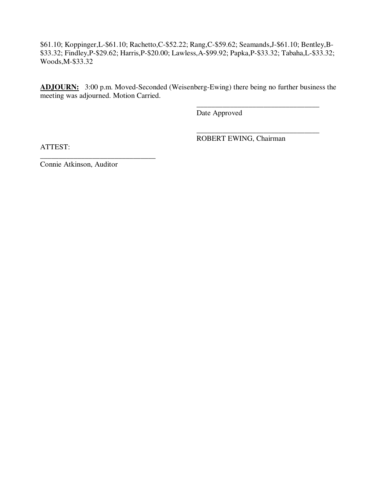\$61.10; Koppinger,L-\$61.10; Rachetto,C-\$52.22; Rang,C-\$59.62; Seamands,J-\$61.10; Bentley,B- \$33.32; Findley,P-\$29.62; Harris,P-\$20.00; Lawless,A-\$99.92; Papka,P-\$33.32; Tabaha,L-\$33.32; Woods,M-\$33.32

**ADJOURN:** 3:00 p.m. Moved-Seconded (Weisenberg-Ewing) there being no further business the meeting was adjourned. Motion Carried.

 $\overline{\phantom{a}}$  , and the contract of the contract of the contract of the contract of the contract of the contract of the contract of the contract of the contract of the contract of the contract of the contract of the contrac

 $\overline{\phantom{a}}$  , and the contract of the contract of the contract of the contract of the contract of the contract of the contract of the contract of the contract of the contract of the contract of the contract of the contrac

Date Approved

ROBERT EWING, Chairman

ATTEST:

Connie Atkinson, Auditor

\_\_\_\_\_\_\_\_\_\_\_\_\_\_\_\_\_\_\_\_\_\_\_\_\_\_\_\_\_\_\_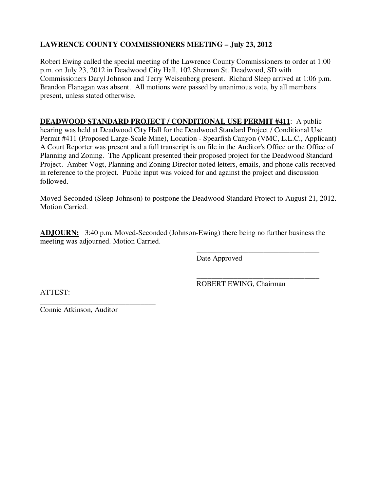# **LAWRENCE COUNTY COMMISSIONERS MEETING – July 23, 2012**

Robert Ewing called the special meeting of the Lawrence County Commissioners to order at 1:00 p.m. on July 23, 2012 in Deadwood City Hall, 102 Sherman St. Deadwood, SD with Commissioners Daryl Johnson and Terry Weisenberg present. Richard Sleep arrived at 1:06 p.m. Brandon Flanagan was absent. All motions were passed by unanimous vote, by all members present, unless stated otherwise.

**DEADWOOD STANDARD PROJECT / CONDITIONAL USE PERMIT #411**: A public hearing was held at Deadwood City Hall for the Deadwood Standard Project / Conditional Use Permit #411 (Proposed Large-Scale Mine), Location - Spearfish Canyon (VMC, L.L.C., Applicant) A Court Reporter was present and a full transcript is on file in the Auditor's Office or the Office of Planning and Zoning. The Applicant presented their proposed project for the Deadwood Standard Project. Amber Vogt, Planning and Zoning Director noted letters, emails, and phone calls received in reference to the project. Public input was voiced for and against the project and discussion followed.

Moved-Seconded (Sleep-Johnson) to postpone the Deadwood Standard Project to August 21, 2012. Motion Carried.

**ADJOURN:** 3:40 p.m. Moved-Seconded (Johnson-Ewing) there being no further business the meeting was adjourned. Motion Carried.

 $\overline{\phantom{a}}$  , and the contract of the contract of the contract of the contract of the contract of the contract of the contract of the contract of the contract of the contract of the contract of the contract of the contrac

 $\overline{\phantom{a}}$  , and the contract of the contract of the contract of the contract of the contract of the contract of the contract of the contract of the contract of the contract of the contract of the contract of the contrac

Date Approved

ATTEST:

ROBERT EWING, Chairman

\_\_\_\_\_\_\_\_\_\_\_\_\_\_\_\_\_\_\_\_\_\_\_\_\_\_\_\_\_\_\_ Connie Atkinson, Auditor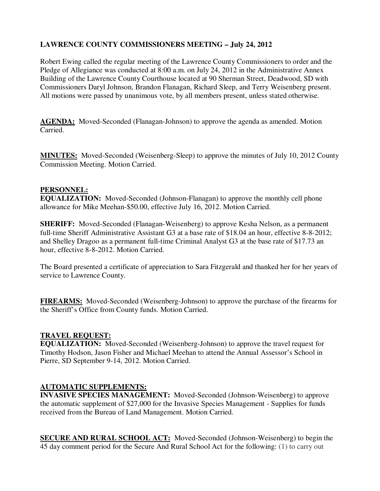# **LAWRENCE COUNTY COMMISSIONERS MEETING – July 24, 2012**

Robert Ewing called the regular meeting of the Lawrence County Commissioners to order and the Pledge of Allegiance was conducted at 8:00 a.m. on July 24, 2012 in the Administrative Annex Building of the Lawrence County Courthouse located at 90 Sherman Street, Deadwood, SD with Commissioners Daryl Johnson, Brandon Flanagan, Richard Sleep, and Terry Weisenberg present. All motions were passed by unanimous vote, by all members present, unless stated otherwise.

**AGENDA:** Moved-Seconded (Flanagan-Johnson) to approve the agenda as amended. Motion Carried.

**MINUTES:** Moved-Seconded (Weisenberg-Sleep) to approve the minutes of July 10, 2012 County Commission Meeting. Motion Carried.

#### **PERSONNEL:**

**EQUALIZATION:** Moved-Seconded (Johnson-Flanagan) to approve the monthly cell phone allowance for Mike Meehan-\$50.00, effective July 16, 2012. Motion Carried.

**SHERIFF:** Moved-Seconded (Flanagan-Weisenberg) to approve Kesha Nelson, as a permanent full-time Sheriff Administrative Assistant G3 at a base rate of \$18.04 an hour, effective 8-8-2012; and Shelley Dragoo as a permanent full-time Criminal Analyst G3 at the base rate of \$17.73 an hour, effective 8-8-2012. Motion Carried.

The Board presented a certificate of appreciation to Sara Fitzgerald and thanked her for her years of service to Lawrence County.

**FIREARMS:** Moved-Seconded (Weisenberg-Johnson) to approve the purchase of the firearms for the Sheriff's Office from County funds. Motion Carried.

#### **TRAVEL REQUEST:**

**EQUALIZATION:** Moved-Seconded (Weisenberg-Johnson) to approve the travel request for Timothy Hodson, Jason Fisher and Michael Meehan to attend the Annual Assessor's School in Pierre, SD September 9-14, 2012. Motion Carried.

## **AUTOMATIC SUPPLEMENTS:**

**INVASIVE SPECIES MANAGEMENT:** Moved-Seconded (Johnson-Weisenberg) to approve the automatic supplement of \$27,000 for the Invasive Species Management - Supplies for funds received from the Bureau of Land Management. Motion Carried.

**SECURE AND RURAL SCHOOL ACT:** Moved-Seconded (Johnson-Weisenberg) to begin the 45 day comment period for the Secure And Rural School Act for the following: (1) to carry out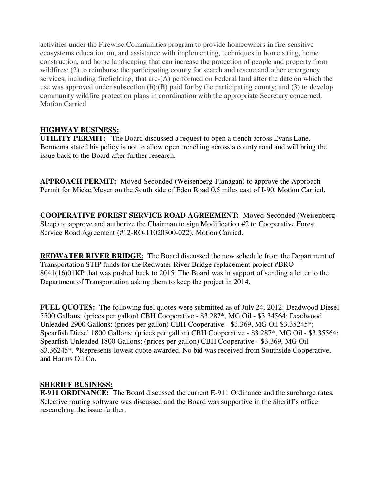activities under the Firewise Communities program to provide homeowners in fire-sensitive ecosystems education on, and assistance with implementing, techniques in home siting, home construction, and home landscaping that can increase the protection of people and property from wildfires; (2) to reimburse the participating county for search and rescue and other emergency services, including firefighting, that are-(A) performed on Federal land after the date on which the use was approved under subsection  $(b)(B)$  paid for by the participating county; and (3) to develop community wildfire protection plans in coordination with the appropriate Secretary concerned. Motion Carried.

# **HIGHWAY BUSINESS:**

**UTILITY PERMIT:** The Board discussed a request to open a trench across Evans Lane. Bonnema stated his policy is not to allow open trenching across a county road and will bring the issue back to the Board after further research.

**APPROACH PERMIT:** Moved-Seconded (Weisenberg-Flanagan) to approve the Approach Permit for Mieke Meyer on the South side of Eden Road 0.5 miles east of I-90. Motion Carried.

**COOPERATIVE FOREST SERVICE ROAD AGREEMENT:** Moved-Seconded (Weisenberg-Sleep) to approve and authorize the Chairman to sign Modification #2 to Cooperative Forest Service Road Agreement (#12-RO-11020300-022). Motion Carried.

**REDWATER RIVER BRIDGE:** The Board discussed the new schedule from the Department of Transportation STIP funds for the Redwater River Bridge replacement project #BRO 8041(16)01KP that was pushed back to 2015. The Board was in support of sending a letter to the Department of Transportation asking them to keep the project in 2014.

**FUEL QUOTES:** The following fuel quotes were submitted as of July 24, 2012: Deadwood Diesel 5500 Gallons: (prices per gallon) CBH Cooperative - \$3.287\*, MG Oil - \$3.34564; Deadwood Unleaded 2900 Gallons: (prices per gallon) CBH Cooperative - \$3.369, MG Oil \$3.35245\*; Spearfish Diesel 1800 Gallons: (prices per gallon) CBH Cooperative - \$3.287\*, MG Oil - \$3.35564; Spearfish Unleaded 1800 Gallons: (prices per gallon) CBH Cooperative - \$3.369, MG Oil \$3.36245\*. \*Represents lowest quote awarded. No bid was received from Southside Cooperative, and Harms Oil Co.

## **SHERIFF BUSINESS:**

**E-911 ORDINANCE:** The Board discussed the current E-911 Ordinance and the surcharge rates. Selective routing software was discussed and the Board was supportive in the Sheriff's office researching the issue further.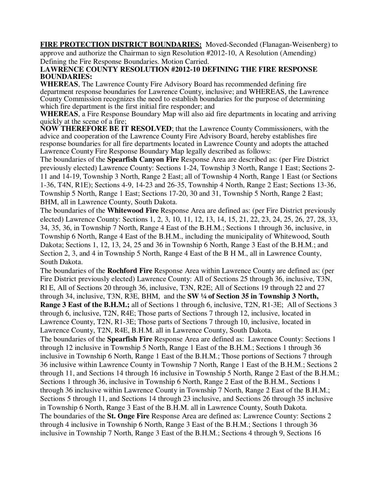**FIRE PROTECTION DISTRICT BOUNDARIES:** Moved-Seconded (Flanagan-Weisenberg) to approve and authorize the Chairman to sign Resolution #2012-10, A Resolution (Amending) Defining the Fire Response Boundaries. Motion Carried.

#### **LAWRENCE COUNTY RESOLUTION #2012-10 DEFINING THE FIRE RESPONSE BOUNDARIES:**

**WHEREAS**, The Lawrence County Fire Advisory Board has recommended defining fire department response boundaries for Lawrence County, inclusive; and WHEREAS, the Lawrence County Commission recognizes the need to establish boundaries for the purpose of determining which fire department is the first initial fire responder; and

**WHEREAS**, a Fire Response Boundary Map will also aid fire departments in locating and arriving quickly at the scene of a fire;

**NOW THEREFORE BE IT RESOLVED**; that the Lawrence County Commissioners, with the advice and cooperation of the Lawrence County Fire Advisory Board, hereby establishes fire response boundaries for all fire departments located in Lawrence County and adopts the attached Lawrence County Fire Response Boundary Map legally described as follows:

The boundaries of the **Spearfish Canyon Fire** Response Area are described as: (per Fire District previously elected) Lawrence County: Sections 1-24, Township 3 North, Range 1 East; Sections 2- 11 and 14-19, Township 3 North, Range 2 East; all of Township 4 North, Range 1 East (or Sections 1-36, T4N, R1E); Sections 4-9, 14-23 and 26-35, Township 4 North, Range 2 East; Sections 13-36, Township 5 North, Range 1 East; Sections 17-20, 30 and 31, Township 5 North, Range 2 East; BHM, all in Lawrence County, South Dakota.

The boundaries of the **Whitewood Fire** Response Area are defined as: (per Fire District previously elected) Lawrence County: Sections 1, 2, 3, 10, 11, 12, 13, 14, 15, 21, 22, 23, 24, 25, 26, 27, 28, 33, 34, 35, 36, in Township 7 North, Range 4 East of the B.H.M.; Sections 1 through 36, inclusive, in Township 6 North, Range 4 East of the B.H.M., including the municipality of Whitewood, South Dakota; Sections 1, 12, 13, 24, 25 and 36 in Township 6 North, Range 3 East of the B.H.M.; and Section 2, 3, and 4 in Township 5 North, Range 4 East of the B H M., all in Lawrence County, South Dakota.

The boundaries of the **Rochford Fire** Response Area within Lawrence County are defined as: (per Fire District previously elected) Lawrence County: All of Sections 25 through 36, inclusive, T3N, Rl E, All of Sections 20 through 36, inclusive, T3N, R2E; All of Sections 19 through 22 and 27 through 34, inclusive, T3N, R3E, BHM, and the **SW ¼ of Section 35 in Township 3 North, Range 3 East of the B.H.M.;** all of Sections 1 through 6, inclusive, T2N, R1-3E; All of Sections 3 through 6, inclusive, T2N, R4E; Those parts of Sections 7 through 12, inclusive, located in Lawrence County, T2N, R1-3E; Those parts of Sections 7 through 10, inclusive, located in Lawrence County, T2N, R4E, B.H.M. all in Lawrence County, South Dakota.

The boundaries of the **Spearfish Fire** Response Area are defined as: Lawrence County: Sections 1 through 12 inclusive in Township 5 North, Range 1 East of the B.H.M.; Sections 1 through 36 inclusive in Township 6 North, Range 1 East of the B.H.M.; Those portions of Sections 7 through 36 inclusive within Lawrence County in Township 7 North, Range 1 East of the B.H.M.; Sections 2 through 11, and Sections 14 through 16 inclusive in Township 5 North, Range 2 East of the B.H.M.; Sections 1 through 36, inclusive in Township 6 North, Range 2 East of the B.H.M., Sections 1 through 36 inclusive within Lawrence County in Township 7 North, Range 2 East of the B.H.M.; Sections 5 through 11, and Sections 14 through 23 inclusive, and Sections 26 through 35 inclusive in Township 6 North, Range 3 East of the B.H.M. all in Lawrence County, South Dakota. The boundaries of the **St. Onge Fire** Response Area are defined as: Lawrence County: Sections 2 through 4 inclusive in Township 6 North, Range 3 East of the B.H.M.; Sections 1 through 36 inclusive in Township 7 North, Range 3 East of the B.H.M.; Sections 4 through 9, Sections 16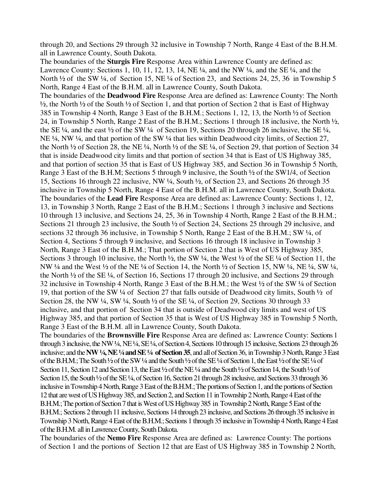through 20, and Sections 29 through 32 inclusive in Township 7 North, Range 4 East of the B.H.M. all in Lawrence County, South Dakota.

The boundaries of the **Sturgis Fire** Response Area within Lawrence County are defined as: Lawrence County: Sections 1, 10, 11, 12, 13, 14, NE ¼, and the NW ¼, and the SE ¼, and the North <sup>1</sup>/<sub>2</sub> of the SW <sup>1</sup>/<sub>4</sub>, of Section 15, NE <sup>1</sup>/<sub>4</sub> of Section 23, and Sections 24, 25, 36 in Township 5 North, Range 4 East of the B.H.M. all in Lawrence County, South Dakota. The boundaries of the **Deadwood Fire** Response Area are defined as: Lawrence County: The North ½, the North ½ of the South ½ of Section 1, and that portion of Section 2 that is East of Highway 385 in Township 4 North, Range 3 East of the B.H.M.; Sections 1, 12, 13, the North ½ of Section 24, in Township 5 North, Range 2 East of the B.H.M.; Sections 1 through 18 inclusive, the North ½, the SE  $\frac{1}{4}$ , and the east  $\frac{1}{2}$  of the SW  $\frac{1}{4}$  of Section 19, Sections 20 through 26 inclusive, the SE  $\frac{1}{4}$ , NE ¼, NW ¼, and that portion of the SW ¼ that lies within Deadwood city limits, of Section 27, the North ½ of Section 28, the NE ¼, North ½ of the SE ¼, of Section 29, that portion of Section 34 that is inside Deadwood city limits and that portion of section 34 that is East of US Highway 385, and that portion of section 35 that is East of US Highway 385, and Section 36 in Township 5 North, Range 3 East of the B.H.M; Sections 5 through 9 inclusive, the South ½ of the SW1/4, of Section 15, Sections 16 through 22 inclusive, NW ¼, South ½, of Section 23, and Sections 26 through 35 inclusive in Township 5 North, Range 4 East of the B.H.M. all in Lawrence County, South Dakota. The boundaries of the **Lead Fire** Response Area are defined as: Lawrence County: Sections 1, 12, 13, in Township 3 North, Range 2 East of the B.H.M.; Sections 1 through 3 inclusive and Sections 10 through 13 inclusive, and Sections 24, 25, 36 in Township 4 North, Range 2 East of the B.H.M.; Sections 21 through 23 inclusive, the South ½ of Section 24, Sections 25 through 29 inclusive, and sections 32 through 36 inclusive, in Township 5 North, Range 2 East of the B.H.M.; SW 1/4, of Section 4, Sections 5 through 9 inclusive, and Sections 16 through 18 inclusive in Township 3 North, Range 3 East of the B.H.M.; That portion of Section 2 that is West of US Highway 385, Sections 3 through 10 inclusive, the North ½, the SW ¼, the West ½ of the SE ¼ of Section 11, the NW ¼ and the West ½ of the NE ¼ of Section 14, the North ½ of Section 15, NW ¼, NE ¼, SW ¼, the North ½ of the SE ¼, of Section 16, Sections 17 through 20 inclusive, and Sections 29 through 32 inclusive in Township 4 North, Range 3 East of the B.H.M.; the West ½ of the SW ¼ of Section 19, that portion of the SW ¼ of Section 27 that falls outside of Deadwood city limits, South ½ of Section 28, the NW ¼, SW ¼, South ½ of the SE ¼, of Section 29, Sections 30 through 33 inclusive, and that portion of Section 34 that is outside of Deadwood city limits and west of US Highway 385, and that portion of Section 35 that is West of US Highway 385 in Township 5 North, Range 3 East of the B.H.M. all in Lawrence County, South Dakota.

The boundaries of the **Brownsville Fire** Response Area are defined as: Lawrence County: Sections 1 through 3 inclusive, the NW ¼, NE ¼, SE ¼, of Section 4, Sections 10 through 15 inclusive, Sections 23 through 26 inclusive; and the **NW ¼, NE ¼ and SE ¼ of Section 35**, and all of Section 36, in Township 3 North, Range 3 East of the B.H.M.; The South ½ of the SW ¼ and the South ½ of the SE ¼ of Section 1, the East ½ of the SE ¼ of Section 11, Section 12 and Section 13, the East ½ of the NE ¼ and the South ½ of Section 14, the South ½ of Section 15, the South <sup>1</sup>/2 of the SE <sup>1</sup>/4, of Section 16, Section 21 through 28 inclusive, and Sections 33 through 36 inclusive in Township 4 North, Range 3 East of the B.H.M.; The portions of Section 1, and the portions of Section 12 that are west of US Highway 385, and Section 2, and Section 11 in Township 2 North, Range 4 East of the B.H.M.; The portion of Section 7 that is West of US Highway 385 in Township 2 North, Range 5 East of the B.H.M.; Sections 2 through 11 inclusive, Sections 14 through 23 inclusive, and Sections 26 through 35 inclusive in Township 3 North, Range 4 East of the B.H.M.; Sections 1 through 35 inclusive in Township 4 North, Range 4 East of the B.H.M. all in Lawrence County, South Dakota.

The boundaries of the **Nemo Fire** Response Area are defined as: Lawrence County: The portions of Section 1 and the portions of Section 12 that are East of US Highway 385 in Township 2 North,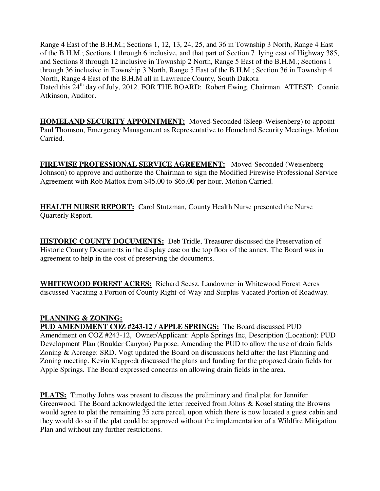Range 4 East of the B.H.M.; Sections 1, 12, 13, 24, 25, and 36 in Township 3 North, Range 4 East of the B.H.M.; Sections 1 through 6 inclusive, and that part of Section 7 lying east of Highway 385, and Sections 8 through 12 inclusive in Township 2 North, Range 5 East of the B.H.M.; Sections 1 through 36 inclusive in Township 3 North, Range 5 East of the B.H.M.; Section 36 in Township 4 North, Range 4 East of the B.H.M all in Lawrence County, South Dakota Dated this 24<sup>th</sup> day of July, 2012. FOR THE BOARD: Robert Ewing, Chairman. ATTEST: Connie Atkinson, Auditor.

**HOMELAND SECURITY APPOINTMENT:** Moved-Seconded (Sleep-Weisenberg) to appoint Paul Thomson, Emergency Management as Representative to Homeland Security Meetings. Motion Carried.

**FIREWISE PROFESSIONAL SERVICE AGREEMENT:** Moved-Seconded (Weisenberg-Johnson) to approve and authorize the Chairman to sign the Modified Firewise Professional Service Agreement with Rob Mattox from \$45.00 to \$65.00 per hour. Motion Carried.

**HEALTH NURSE REPORT:** Carol Stutzman, County Health Nurse presented the Nurse Quarterly Report.

**HISTORIC COUNTY DOCUMENTS:** Deb Tridle, Treasurer discussed the Preservation of Historic County Documents in the display case on the top floor of the annex. The Board was in agreement to help in the cost of preserving the documents.

**WHITEWOOD FOREST ACRES:** Richard Seesz, Landowner in Whitewood Forest Acres discussed Vacating a Portion of County Right-of-Way and Surplus Vacated Portion of Roadway.

## **PLANNING & ZONING:**

**PUD AMENDMENT COZ #243-12 / APPLE SPRINGS:** The Board discussed PUD Amendment on COZ #243-12, Owner/Applicant: Apple Springs Inc, Description (Location): PUD Development Plan (Boulder Canyon) Purpose: Amending the PUD to allow the use of drain fields Zoning & Acreage: SRD. Vogt updated the Board on discussions held after the last Planning and Zoning meeting. Kevin Klapprodt discussed the plans and funding for the proposed drain fields for Apple Springs. The Board expressed concerns on allowing drain fields in the area.

**PLATS:** Timothy Johns was present to discuss the preliminary and final plat for Jennifer Greenwood. The Board acknowledged the letter received from Johns & Kosel stating the Browns would agree to plat the remaining 35 acre parcel, upon which there is now located a guest cabin and they would do so if the plat could be approved without the implementation of a Wildfire Mitigation Plan and without any further restrictions.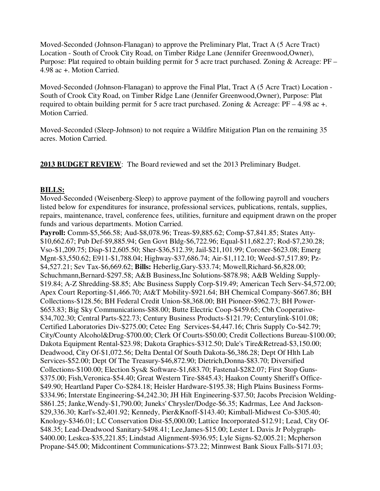Moved-Seconded (Johnson-Flanagan) to approve the Preliminary Plat, Tract A (5 Acre Tract) Location - South of Crook City Road, on Timber Ridge Lane (Jennifer Greenwood,Owner), Purpose: Plat required to obtain building permit for 5 acre tract purchased. Zoning & Acreage: PF – 4.98 ac +. Motion Carried.

Moved-Seconded (Johnson-Flanagan) to approve the Final Plat, Tract A (5 Acre Tract) Location - South of Crook City Road, on Timber Ridge Lane (Jennifer Greenwood,Owner), Purpose: Plat required to obtain building permit for 5 acre tract purchased. Zoning & Acreage:  $PF - 4.98$  ac +. Motion Carried.

Moved-Seconded (Sleep-Johnson) to not require a Wildfire Mitigation Plan on the remaining 35 acres. Motion Carried.

**2013 BUDGET REVIEW**: The Board reviewed and set the 2013 Preliminary Budget.

#### **BILLS:**

Moved-Seconded (Weisenberg-Sleep) to approve payment of the following payroll and vouchers listed below for expenditures for insurance, professional services, publications, rentals, supplies, repairs, maintenance, travel, conference fees, utilities, furniture and equipment drawn on the proper funds and various departments. Motion Carried.

**Payroll:** Comm-\$5,566.58; Aud-\$8,078.96; Treas-\$9,885.62; Comp-\$7,841.85; States Atty- \$10,662.67; Pub Def-\$9,885.94; Gen Govt Bldg-\$6,722.96; Equal-\$11,682.27; Rod-\$7,230.28; Vso-\$1,209.75; Disp-\$12,605.50; Sher-\$36,512.39; Jail-\$21,101.99; Coroner-\$623.08; Emerg Mgnt-\$3,550.62; E911-\$1,788.04; Highway-\$37,686.74; Air-\$1,112.10; Weed-\$7,517.89; Pz- \$4,527.21; Sev Tax-\$6,669.62; **Bills:** Heberlig,Gary-\$33.74; Mowell,Richard-\$6,828.00; Schuchmann,Bernard-\$297.58; A&B Business,Inc Solutions-\$878.98; A&B Welding Supply- \$19.84; A-Z Shredding-\$8.85; Abc Business Supply Corp-\$19.49; American Tech Serv-\$4,572.00; Apex Court Reporting-\$1,466.70; At&T Mobility-\$921.64; BH Chemical Company-\$667.86; BH Collections-\$128.56; BH Federal Credit Union-\$8,368.00; BH Pioneer-\$962.73; BH Power- \$653.83; Big Sky Communications-\$88.00; Butte Electric Coop-\$459.65; Cbh Cooperative- \$34,702.30; Central Parts-\$22.73; Century Business Products-\$121.79; Centurylink-\$101.08; Certified Laboratories Div-\$275.00; Cetec Eng Services-\$4,447.16; Chris Supply Co-\$42.79; City/County Alcohol&Drug-\$700.00; Clerk Of Courts-\$50.00; Credit Collections Bureau-\$100.00; Dakota Equipment Rental-\$23.98; Dakota Graphics-\$312.50; Dale's Tire&Retread-\$3,150.00; Deadwood, City Of-\$1,072.56; Delta Dental Of South Dakota-\$6,386.28; Dept Of Hlth Lab Services-\$52.00; Dept Of The Treasury-\$46,872.90; Dietrich,Donna-\$83.70; Diversified Collections-\$100.00; Election Sys& Software-\$1,683.70; Fastenal-\$282.07; First Stop Guns- \$375.00; Fish, Veronica-\$54.40; Great Western Tire-\$845.43; Haakon County Sheriff's Office-\$49.90; Heartland Paper Co-\$284.18; Heisler Hardware-\$195.38; High Plains Business Forms- \$334.96; Interstate Engineering-\$4,242.30; JH Hilt Engineering-\$37.50; Jacobs Precision Welding- \$861.25; Janke,Wendy-\$1,790.00; Juneks' Chrysler/Dodge-\$6.35; Kadrmas, Lee And Jackson- \$29,336.30; Karl's-\$2,401.92; Kennedy, Pier&Knoff-\$143.40; Kimball-Midwest Co-\$305.40; Knology-\$346.01; LC Conservation Dist-\$5,000.00; Lattice Incorporated-\$12.91; Lead, City Of- \$48.35; Lead-Deadwood Sanitary-\$498.41; Lee,James-\$15.00; Lester L Davis Jr Polygraph- \$400.00; Leskca-\$35,221.85; Lindstad Alignment-\$936.95; Lyle Signs-\$2,005.21; Mcpherson Propane-\$45.00; Midcontinent Communications-\$73.22; Minnwest Bank Sioux Falls-\$171.03;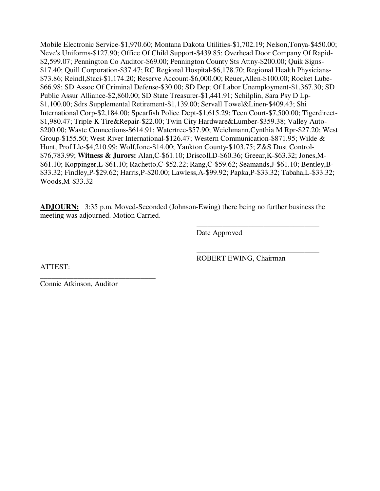Mobile Electronic Service-\$1,970.60; Montana Dakota Utilities-\$1,702.19; Nelson,Tonya-\$450.00; Neve's Uniforms-\$127.90; Office Of Child Support-\$439.85; Overhead Door Company Of Rapid- \$2,599.07; Pennington Co Auditor-\$69.00; Pennington County Sts Attny-\$200.00; Quik Signs- \$17.40; Quill Corporation-\$37.47; RC Regional Hospital-\$6,178.70; Regional Health Physicians- \$73.86; Reindl,Staci-\$1,174.20; Reserve Account-\$6,000.00; Reuer,Allen-\$100.00; Rocket Lube- \$66.98; SD Assoc Of Criminal Defense-\$30.00; SD Dept Of Labor Unemployment-\$1,367.30; SD Public Assur Alliance-\$2,860.00; SD State Treasurer-\$1,441.91; Schilplin, Sara Psy D Lp- \$1,100.00; Sdrs Supplemental Retirement-\$1,139.00; Servall Towel&Linen-\$409.43; Shi International Corp-\$2,184.00; Spearfish Police Dept-\$1,615.29; Teen Court-\$7,500.00; Tigerdirect- \$1,980.47; Triple K Tire&Repair-\$22.00; Twin City Hardware&Lumber-\$359.38; Valley Auto- \$200.00; Waste Connections-\$614.91; Watertree-\$57.90; Weichmann,Cynthia M Rpr-\$27.20; West Group-\$155.50; West River International-\$126.47; Western Communication-\$871.95; Wilde & Hunt, Prof Llc-\$4,210.99; Wolf,Ione-\$14.00; Yankton County-\$103.75; Z&S Dust Control- \$76,783.99; **Witness & Jurors:** Alan,C-\$61.10; Driscoll,D-\$60.36; Greear,K-\$63.32; Jones,M- \$61.10; Koppinger,L-\$61.10; Rachetto,C-\$52.22; Rang,C-\$59.62; Seamands,J-\$61.10; Bentley,B- \$33.32; Findley,P-\$29.62; Harris,P-\$20.00; Lawless,A-\$99.92; Papka,P-\$33.32; Tabaha,L-\$33.32; Woods,M-\$33.32

**ADJOURN:** 3:35 p.m. Moved-Seconded (Johnson-Ewing) there being no further business the meeting was adjourned. Motion Carried.

 $\overline{\phantom{a}}$  , and the contract of the contract of the contract of the contract of the contract of the contract of the contract of the contract of the contract of the contract of the contract of the contract of the contrac

 $\overline{\phantom{a}}$  , and the contract of the contract of the contract of the contract of the contract of the contract of the contract of the contract of the contract of the contract of the contract of the contract of the contrac

Date Approved

ATTEST:

ROBERT EWING, Chairman

\_\_\_\_\_\_\_\_\_\_\_\_\_\_\_\_\_\_\_\_\_\_\_\_\_\_\_\_\_\_\_ Connie Atkinson, Auditor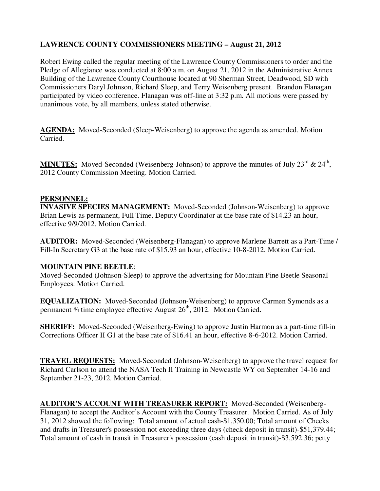# **LAWRENCE COUNTY COMMISSIONERS MEETING – August 21, 2012**

Robert Ewing called the regular meeting of the Lawrence County Commissioners to order and the Pledge of Allegiance was conducted at 8:00 a.m. on August 21, 2012 in the Administrative Annex Building of the Lawrence County Courthouse located at 90 Sherman Street, Deadwood, SD with Commissioners Daryl Johnson, Richard Sleep, and Terry Weisenberg present. Brandon Flanagan participated by video conference. Flanagan was off-line at 3:32 p.m. All motions were passed by unanimous vote, by all members, unless stated otherwise.

**AGENDA:** Moved-Seconded (Sleep-Weisenberg) to approve the agenda as amended. Motion Carried.

MINUTES: Moved-Seconded (Weisenberg-Johnson) to approve the minutes of July 23<sup>rd</sup> & 24<sup>th</sup>, 2012 County Commission Meeting. Motion Carried.

#### **PERSONNEL:**

**INVASIVE SPECIES MANAGEMENT:** Moved-Seconded (Johnson-Weisenberg) to approve Brian Lewis as permanent, Full Time, Deputy Coordinator at the base rate of \$14.23 an hour, effective 9/9/2012. Motion Carried.

**AUDITOR:** Moved-Seconded (Weisenberg-Flanagan) to approve Marlene Barrett as a Part-Time / Fill-In Secretary G3 at the base rate of \$15.93 an hour, effective 10-8-2012. Motion Carried.

#### **MOUNTAIN PINE BEETLE**:

Moved-Seconded (Johnson-Sleep) to approve the advertising for Mountain Pine Beetle Seasonal Employees. Motion Carried.

**EQUALIZATION:** Moved-Seconded (Johnson-Weisenberg) to approve Carmen Symonds as a permanent 34 time employee effective August 26<sup>th</sup>, 2012. Motion Carried.

**SHERIFF:** Moved-Seconded (Weisenberg-Ewing) to approve Justin Harmon as a part-time fill-in Corrections Officer II G1 at the base rate of \$16.41 an hour, effective 8-6-2012. Motion Carried.

**TRAVEL REQUESTS:** Moved-Seconded (Johnson-Weisenberg) to approve the travel request for Richard Carlson to attend the NASA Tech II Training in Newcastle WY on September 14-16 and September 21-23, 2012. Motion Carried.

**AUDITOR'S ACCOUNT WITH TREASURER REPORT:** Moved-Seconded (Weisenberg-Flanagan) to accept the Auditor's Account with the County Treasurer. Motion Carried. As of July 31, 2012 showed the following: Total amount of actual cash-\$1,350.00; Total amount of Checks and drafts in Treasurer's possession not exceeding three days (check deposit in transit)-\$51,379.44; Total amount of cash in transit in Treasurer's possession (cash deposit in transit)-\$3,592.36; petty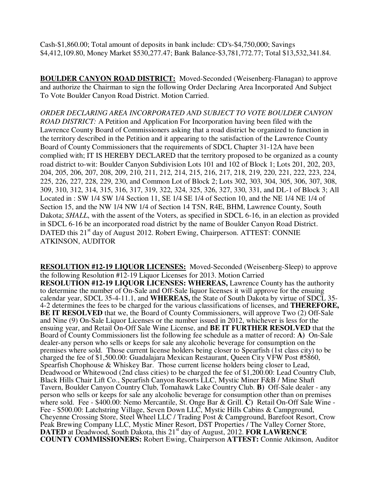Cash-\$1,860.00; Total amount of deposits in bank include: CD's-\$4,750,000; Savings \$4,412,109.80, Money Market \$530,277.47; Bank Balance-\$3,781,772.77; Total \$13,532,341.84.

**BOULDER CANYON ROAD DISTRICT:** Moved-Seconded (Weisenberg-Flanagan) to approve and authorize the Chairman to sign the following Order Declaring Area Incorporated And Subject To Vote Boulder Canyon Road District. Motion Carried.

*ORDER DECLARING AREA INCORPORATED AND SUBJECT TO VOTE BOULDER CANYON ROAD DISTRICT:* A Petition and Application For Incorporation having been filed with the Lawrence County Board of Commissioners asking that a road district be organized to function in the territory described in the Petition and it appearing to the satisfaction of the Lawrence County Board of County Commissioners that the requirements of SDCL Chapter 31-12A have been complied with; IT IS HEREBY DECLARED that the territory proposed to be organized as a county road district to-wit: Boulder Canyon Subdivision Lots 101 and 102 of Block 1; Lots 201, 202, 203, 204, 205, 206, 207, 208, 209, 210, 211, 212, 214, 215, 216, 217, 218, 219, 220, 221, 222, 223, 224, 225, 226, 227, 228, 229, 230, and Common Lot of Block 2; Lots 302, 303, 304, 305, 306, 307, 308, 309, 310, 312, 314, 315, 316, 317, 319, 322, 324, 325, 326, 327, 330, 331, and DL-1 of Block 3; All Located in : SW 1/4 SW 1/4 Section 11, SE 1/4 SE 1/4 of Section 10, and the NE 1/4 NE 1/4 of Section 15, and the NW 1/4 NW 1/4 of Section 14 T5N, R4E, BHM, Lawrence County, South Dakota; *SHALL*, with the assent of the Voters, as specified in SDCL 6-16, in an election as provided in SDCL 6-16 be an incorporated road district by the name of Boulder Canyon Road District. DATED this 21<sup>st</sup> day of August 2012. Robert Ewing, Chairperson. ATTEST: CONNIE ATKINSON, AUDITOR

**RESOLUTION #12-19 LIQUOR LICENSES:** Moved-Seconded (Weisenberg-Sleep) to approve the following Resolution #12-19 Liquor Licenses for 2013. Motion Carried **RESOLUTION #12-19 LIQUOR LICENSES: WHEREAS,** Lawrence County has the authority to determine the number of On-Sale and Off-Sale liquor licenses it will approve for the ensuing calendar year, SDCL 35-4-11.1, and **WHEREAS,** the State of South Dakota by virtue of SDCL 35- 4-2 determines the fees to be charged for the various classifications of licenses, and **THEREFORE, BE IT RESOLVED** that we, the Board of County Commissioners, will approve Two (2) Off-Sale and Nine (9) On-Sale Liquor Licenses or the number issued in 2012, whichever is less for the ensuing year, and Retail On-Off Sale Wine License, and **BE IT FURTHER RESOLVED** that the Board of County Commissioners list the following fee schedule as a matter of record: **A)** On-Sale dealer-any person who sells or keeps for sale any alcoholic beverage for consumption on the premises where sold. Those current license holders being closer to Spearfish (1st class city) to be charged the fee of \$1,500.00: Guadalajara Mexican Restaurant, Queen City VFW Post #5860, Spearfish Chophouse & Whiskey Bar. Those current license holders being closer to Lead, Deadwood or Whitewood (2nd class cities) to be charged the fee of \$1,200,00: Lead Country Club, Black Hills Chair Lift Co., Spearfish Canyon Resorts LLC, Mystic Miner F&B / Mine Shaft Tavern, Boulder Canyon Country Club, Tomahawk Lake Country Club. **B)** Off-Sale dealer - any person who sells or keeps for sale any alcoholic beverage for consumption other than on premises where sold. Fee - \$400.00: Nemo Mercantile, St. Onge Bar & Grill. **C)** Retail On-Off Sale Wine - Fee - \$500.00: Latchstring Village, Seven Down LLC, Mystic Hills Cabins & Campground, Cheyenne Crossing Store, Steel Wheel LLC / Trading Post & Campground, Barefoot Resort, Crow Peak Brewing Company LLC, Mystic Miner Resort, DST Properties / The Valley Corner Store, **DATED** at Deadwood, South Dakota, this 21<sup>st</sup> day of August, 2012. **FOR LAWRENCE COUNTY COMMISSIONERS:** Robert Ewing, Chairperson **ATTEST:** Connie Atkinson, Auditor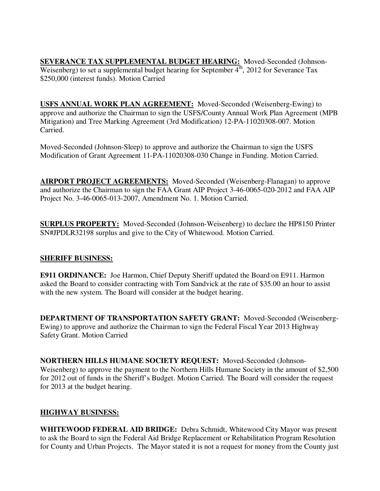**SEVERANCE TAX SUPPLEMENTAL BUDGET HEARING:** Moved-Seconded (Johnson-Weisenberg) to set a supplemental budget hearing for September  $4^{\text{th}}$ , 2012 for Severance Tax \$250,000 (interest funds). Motion Carried

**USFS ANNUAL WORK PLAN AGREEMENT:** Moved-Seconded (Weisenberg-Ewing) to approve and authorize the Chairman to sign the USFS/County Annual Work Plan Agreement (MPB Mitigation) and Tree Marking Agreement (3rd Modification) 12-PA-11020308-007. Motion Carried.

Moved-Seconded (Johnson-Sleep) to approve and authorize the Chairman to sign the USFS Modification of Grant Agreement 11-PA-11020308-030 Change in Funding. Motion Carried.

**AIRPORT PROJECT AGREEMENTS:** Moved-Seconded (Weisenberg-Flanagan) to approve and authorize the Chairman to sign the FAA Grant AIP Project 3-46-0065-020-2012 and FAA AIP Project No. 3-46-0065-013-2007, Amendment No. 1. Motion Carried.

**SURPLUS PROPERTY:** Moved-Seconded (Johnson-Weisenberg) to declare the HP8150 Printer SN#JPDLR32198 surplus and give to the City of Whitewood. Motion Carried.

## **SHERIFF BUSINESS:**

**E911 ORDINANCE:** Joe Harmon, Chief Deputy Sheriff updated the Board on E911. Harmon asked the Board to consider contracting with Tom Sandvick at the rate of \$35.00 an hour to assist with the new system. The Board will consider at the budget hearing.

**DEPARTMENT OF TRANSPORTATION SAFETY GRANT:** Moved-Seconded (Weisenberg-Ewing) to approve and authorize the Chairman to sign the Federal Fiscal Year 2013 Highway Safety Grant. Motion Carried

**NORTHERN HILLS HUMANE SOCIETY REQUEST:** Moved-Seconded (Johnson-Weisenberg) to approve the payment to the Northern Hills Humane Society in the amount of \$2,500 for 2012 out of funds in the Sheriff's Budget. Motion Carried. The Board will consider the request for 2013 at the budget hearing.

## **HIGHWAY BUSINESS:**

**WHITEWOOD FEDERAL AID BRIDGE:** Debra Schmidt, Whitewood City Mayor was present to ask the Board to sign the Federal Aid Bridge Replacement or Rehabilitation Program Resolution for County and Urban Projects. The Mayor stated it is not a request for money from the County just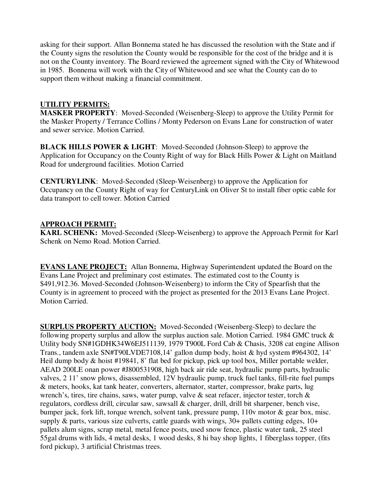asking for their support. Allan Bonnema stated he has discussed the resolution with the State and if the County signs the resolution the County would be responsible for the cost of the bridge and it is not on the County inventory. The Board reviewed the agreement signed with the City of Whitewood in 1985. Bonnema will work with the City of Whitewood and see what the County can do to support them without making a financial commitment.

## **UTILITY PERMITS:**

**MASKER PROPERTY**: Moved-Seconded (Weisenberg-Sleep) to approve the Utility Permit for the Masker Property / Terrance Collins / Monty Pederson on Evans Lane for construction of water and sewer service. Motion Carried.

**BLACK HILLS POWER & LIGHT**: Moved-Seconded (Johnson-Sleep) to approve the Application for Occupancy on the County Right of way for Black Hills Power & Light on Maitland Road for underground facilities. Motion Carried

**CENTURYLINK**: Moved-Seconded (Sleep-Weisenberg) to approve the Application for Occupancy on the County Right of way for CenturyLink on Oliver St to install fiber optic cable for data transport to cell tower. Motion Carried

# **APPROACH PERMIT:**

**KARL SCHENK:** Moved-Seconded (Sleep-Weisenberg) to approve the Approach Permit for Karl Schenk on Nemo Road. Motion Carried.

**EVANS LANE PROJECT:** Allan Bonnema, Highway Superintendent updated the Board on the Evans Lane Project and preliminary cost estimates. The estimated cost to the County is \$491,912.36. Moved-Seconded (Johnson-Weisenberg) to inform the City of Spearfish that the County is in agreement to proceed with the project as presented for the 2013 Evans Lane Project. Motion Carried.

**SURPLUS PROPERTY AUCTION:** Moved-Seconded (Weisenberg-Sleep) to declare the following property surplus and allow the surplus auction sale. Motion Carried. 1984 GMC truck  $\&$ Utility body SN#1GDHK34W6EJ511139, 1979 T900L Ford Cab & Chasis, 3208 cat engine Allison Trans., tandem axle SN#T90LVDE7108,14' gallon dump body, hoist & hyd system #964302, 14' Heil dump body & hoist #19841, 8' flat bed for pickup, pick up tool box, Miller portable welder, AEAD 200LE onan power #J800531908, high back air ride seat, hydraulic pump parts, hydraulic valves, 2 11' snow plows, disassembled, 12V hydraulic pump, truck fuel tanks, fill-rite fuel pumps & meters, hooks, kat tank heater, converters, alternator, starter, compressor, brake parts, lug wrench's, tires, tire chains, saws, water pump, valve & seat refacer, injector tester, torch & regulators, cordless drill, circular saw, sawsall & charger, drill, drill bit sharpener, bench vise, bumper jack, fork lift, torque wrench, solvent tank, pressure pump, 110v motor & gear box, misc. supply  $\&$  parts, various size culverts, cattle guards with wings, 30+ pallets cutting edges, 10+ pallets alum signs, scrap metal, metal fence posts, used snow fence, plastic water tank, 25 steel 55gal drums with lids, 4 metal desks, 1 wood desks, 8 hi bay shop lights, 1 fiberglass topper, (fits ford pickup), 3 artificial Christmas trees.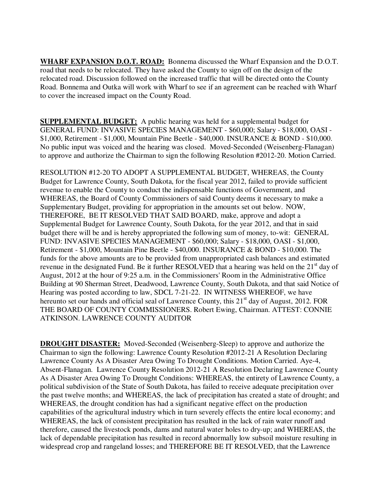**WHARF EXPANSION D.O.T. ROAD:** Bonnema discussed the Wharf Expansion and the D.O.T. road that needs to be relocated. They have asked the County to sign off on the design of the relocated road. Discussion followed on the increased traffic that will be directed onto the County Road. Bonnema and Outka will work with Wharf to see if an agreement can be reached with Wharf to cover the increased impact on the County Road.

**SUPPLEMENTAL BUDGET:** A public hearing was held for a supplemental budget for GENERAL FUND: INVASIVE SPECIES MANAGEMENT - \$60,000; Salary - \$18,000, OASI - \$1,000, Retirement - \$1,000, Mountain Pine Beetle - \$40,000. INSURANCE & BOND - \$10,000. No public input was voiced and the hearing was closed. Moved-Seconded (Weisenberg-Flanagan) to approve and authorize the Chairman to sign the following Resolution #2012-20. Motion Carried.

RESOLUTION #12-20 TO ADOPT A SUPPLEMENTAL BUDGET, WHEREAS, the County Budget for Lawrence County, South Dakota, for the fiscal year 2012, failed to provide sufficient revenue to enable the County to conduct the indispensable functions of Government, and WHEREAS, the Board of County Commissioners of said County deems it necessary to make a Supplementary Budget, providing for appropriation in the amounts set out below. NOW, THEREFORE, BE IT RESOLVED THAT SAID BOARD, make, approve and adopt a Supplemental Budget for Lawrence County, South Dakota, for the year 2012, and that in said budget there will be and is hereby appropriated the following sum of money, to-wit: GENERAL FUND: INVASIVE SPECIES MANAGEMENT - \$60,000; Salary - \$18,000, OASI - \$1,000, Retirement - \$1,000, Mountain Pine Beetle - \$40,000. INSURANCE & BOND - \$10,000. The funds for the above amounts are to be provided from unappropriated cash balances and estimated revenue in the designated Fund. Be it further RESOLVED that a hearing was held on the  $21<sup>st</sup>$  day of August, 2012 at the hour of 9:25 a.m. in the Commissioners' Room in the Administrative Office Building at 90 Sherman Street, Deadwood, Lawrence County, South Dakota, and that said Notice of Hearing was posted according to law, SDCL 7-21-22. IN WITNESS WHEREOF, we have hereunto set our hands and official seal of Lawrence County, this 21<sup>st</sup> day of August, 2012. FOR THE BOARD OF COUNTY COMMISSIONERS. Robert Ewing, Chairman. ATTEST: CONNIE ATKINSON. LAWRENCE COUNTY AUDITOR

**DROUGHT DISASTER:** Moved-Seconded (Weisenberg-Sleep) to approve and authorize the Chairman to sign the following: Lawrence County Resolution #2012-21 A Resolution Declaring Lawrence County As A Disaster Area Owing To Drought Conditions. Motion Carried. Aye-4, Absent-Flanagan. Lawrence County Resolution 2012-21 A Resolution Declaring Lawrence County As A Disaster Area Owing To Drought Conditions: WHEREAS, the entirety of Lawrence County, a political subdivision of the State of South Dakota, has failed to receive adequate precipitation over the past twelve months; and WHEREAS, the lack of precipitation has created a state of drought; and WHEREAS, the drought condition has had a significant negative effect on the production capabilities of the agricultural industry which in turn severely effects the entire local economy; and WHEREAS, the lack of consistent precipitation has resulted in the lack of rain water runoff and therefore, caused the livestock ponds, dams and natural water holes to dry-up; and WHEREAS, the lack of dependable precipitation has resulted in record abnormally low subsoil moisture resulting in widespread crop and rangeland losses; and THEREFORE BE IT RESOLVED, that the Lawrence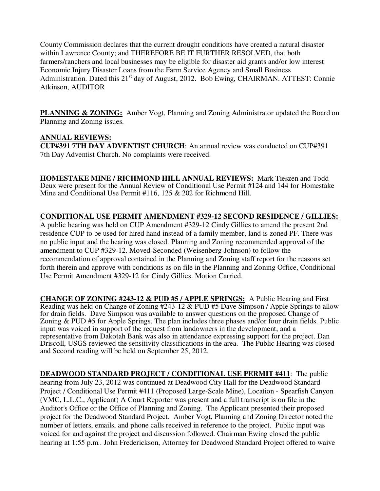County Commission declares that the current drought conditions have created a natural disaster within Lawrence County; and THEREFORE BE IT FURTHER RESOLVED, that both farmers/ranchers and local businesses may be eligible for disaster aid grants and/or low interest Economic Injury Disaster Loans from the Farm Service Agency and Small Business Administration. Dated this  $21<sup>st</sup>$  day of August, 2012. Bob Ewing, CHAIRMAN. ATTEST: Connie Atkinson, AUDITOR

**PLANNING & ZONING:** Amber Vogt, Planning and Zoning Administrator updated the Board on Planning and Zoning issues.

## **ANNUAL REVIEWS:**

**CUP#391 7TH DAY ADVENTIST CHURCH**: An annual review was conducted on CUP#391 7th Day Adventist Church. No complaints were received.

**HOMESTAKE MINE / RICHMOND HILL ANNUAL REVIEWS:** Mark Tieszen and Todd Deux were present for the Annual Review of Conditional Use Permit #124 and 144 for Homestake Mine and Conditional Use Permit #116, 125 & 202 for Richmond Hill.

# **CONDITIONAL USE PERMIT AMENDMENT #329-12 SECOND RESIDENCE / GILLIES:**

A public hearing was held on CUP Amendment #329-12 Cindy Gillies to amend the present 2nd residence CUP to be used for hired hand instead of a family member, land is zoned PF. There was no public input and the hearing was closed. Planning and Zoning recommended approval of the amendment to CUP #329-12. Moved-Seconded (Weisenberg-Johnson) to follow the recommendation of approval contained in the Planning and Zoning staff report for the reasons set forth therein and approve with conditions as on file in the Planning and Zoning Office, Conditional Use Permit Amendment #329-12 for Cindy Gillies. Motion Carried.

**CHANGE OF ZONING #243-12 & PUD #5 / APPLE SPRINGS:** A Public Hearing and First Reading was held on Change of Zoning #243-12 & PUD #5 Dave Simpson / Apple Springs to allow for drain fields. Dave Simpson was available to answer questions on the proposed Change of Zoning & PUD #5 for Apple Springs. The plan includes three phases and/or four drain fields. Public input was voiced in support of the request from landowners in the development, and a representative from Dakotah Bank was also in attendance expressing support for the project. Dan Driscoll, USGS reviewed the sensitivity classifications in the area. The Public Hearing was closed and Second reading will be held on September 25, 2012.

**DEADWOOD STANDARD PROJECT / CONDITIONAL USE PERMIT #411:** The public hearing from July 23, 2012 was continued at Deadwood City Hall for the Deadwood Standard Project / Conditional Use Permit #411 (Proposed Large-Scale Mine), Location - Spearfish Canyon (VMC, L.L.C., Applicant) A Court Reporter was present and a full transcript is on file in the Auditor's Office or the Office of Planning and Zoning. The Applicant presented their proposed project for the Deadwood Standard Project. Amber Vogt, Planning and Zoning Director noted the number of letters, emails, and phone calls received in reference to the project. Public input was voiced for and against the project and discussion followed. Chairman Ewing closed the public hearing at 1:55 p.m.. John Frederickson, Attorney for Deadwood Standard Project offered to waive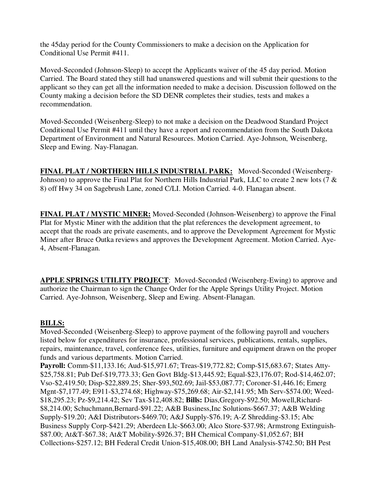the 45day period for the County Commissioners to make a decision on the Application for Conditional Use Permit #411.

Moved-Seconded (Johnson-Sleep) to accept the Applicants waiver of the 45 day period. Motion Carried. The Board stated they still had unanswered questions and will submit their questions to the applicant so they can get all the information needed to make a decision. Discussion followed on the County making a decision before the SD DENR completes their studies, tests and makes a recommendation.

Moved-Seconded (Weisenberg-Sleep) to not make a decision on the Deadwood Standard Project Conditional Use Permit #411 until they have a report and recommendation from the South Dakota Department of Environment and Natural Resources. Motion Carried. Aye-Johnson, Weisenberg, Sleep and Ewing. Nay-Flanagan.

**FINAL PLAT / NORTHERN HILLS INDUSTRIAL PARK:** Moved-Seconded (Weisenberg-Johnson) to approve the Final Plat for Northern Hills Industrial Park, LLC to create 2 new lots (7 & 8) off Hwy 34 on Sagebrush Lane, zoned C/LI. Motion Carried. 4-0. Flanagan absent.

**FINAL PLAT / MYSTIC MINER:** Moved-Seconded (Johnson-Weisenberg) to approve the Final Plat for Mystic Miner with the addition that the plat references the development agreement, to accept that the roads are private easements, and to approve the Development Agreement for Mystic Miner after Bruce Outka reviews and approves the Development Agreement. Motion Carried. Aye-4, Absent-Flanagan.

**APPLE SPRINGS UTILITY PROJECT**: Moved-Seconded (Weisenberg-Ewing) to approve and authorize the Chairman to sign the Change Order for the Apple Springs Utility Project. Motion Carried. Aye-Johnson, Weisenberg, Sleep and Ewing. Absent-Flanagan.

#### **BILLS:**

Moved-Seconded (Weisenberg-Sleep) to approve payment of the following payroll and vouchers listed below for expenditures for insurance, professional services, publications, rentals, supplies, repairs, maintenance, travel, conference fees, utilities, furniture and equipment drawn on the proper funds and various departments. Motion Carried.

**Payroll:** Comm-\$11,133.16; Aud-\$15,971.67; Treas-\$19,772.82; Comp-\$15,683.67; States Atty- \$25,758.81; Pub Def-\$19,773.33; Gen Govt Bldg-\$13,445.92; Equal-\$23,176.07; Rod-\$14,462.07; Vso-\$2,419.50; Disp-\$22,889.25; Sher-\$93,502.69; Jail-\$53,087.77; Coroner-\$1,446.16; Emerg Mgnt-\$7,177.49; E911-\$3,274.68; Highway-\$75,269.68; Air-\$2,141.95; Mh Serv-\$574.00; Weed- \$18,295.23; Pz-\$9,214.42; Sev Tax-\$12,408.82; **Bills:** Dias,Gregory-\$92.50; Mowell,Richard- \$8,214.00; Schuchmann,Bernard-\$91.22; A&B Business,Inc Solutions-\$667.37; A&B Welding Supply-\$19.20; A&I Distributors-\$469.70; A&J Supply-\$76.19; A-Z Shredding-\$3.15; Abc Business Supply Corp-\$421.29; Aberdeen Llc-\$663.00; Alco Store-\$37.98; Armstrong Extinguish- \$87.00; At&T-\$67.38; At&T Mobility-\$926.37; BH Chemical Company-\$1,052.67; BH Collections-\$257.12; BH Federal Credit Union-\$15,408.00; BH Land Analysis-\$742.50; BH Pest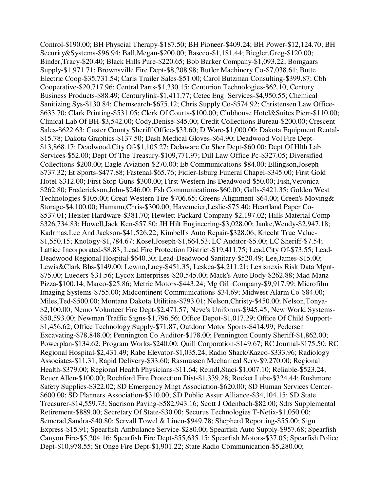Control-\$190.00; BH Physcial Therapy-\$187.50; BH Pioneer-\$409.24; BH Power-\$12,124.70; BH Security&Systems-\$96.94; Ball,Megan-\$200.00; Baseco-\$1,181.44; Biegler,Greg-\$120.00; Binder,Tracy-\$20.40; Black Hills Pure-\$220.65; Bob Barker Company-\$1,093.22; Bomgaars Supply-\$1,971.71; Brownsville Fire Dept-\$8,208.98; Butler Machinery Co-\$7,038.61; Butte Electric Coop-\$35,731.54; Carls Trailer Sales-\$51.00; Carol Butzman Consulting-\$399.87; Cbh Cooperative-\$20,717.96; Central Parts-\$1,330.15; Centurion Technologies-\$62.10; Century Business Products-\$88.49; Centurylink-\$1,411.77; Cetec Eng Services-\$4,950.55; Chemical Sanitizing Sys-\$130.84; Chemsearch-\$675.12; Chris Supply Co-\$574.92; Christensen Law Office- \$633.70; Clark Printing-\$531.05; Clerk Of Courts-\$100.00; Clubhouse Hotel&Suites Pierr-\$110.00; Clinical Lab Of BH-\$3,542.00; Cody,Denise-\$45.00; Credit Collections Bureau-\$200.00; Crescent Sales-\$622.63; Custer County Sheriff Office-\$33.60; D Ware-\$1,000.00; Dakota Equipment Rental- \$15.78; Dakota Graphics-\$137.50; Dash Medical Gloves-\$64.90; Deadwood Vol Fire Dept- \$13,868.17; Deadwood,City Of-\$1,105.27; Delaware Co Sher Dept-\$60.00; Dept Of Hlth Lab Services-\$52.00; Dept Of The Treasury-\$109,771.97; Dill Law Office Pc-\$327.05; Diversified Collections-\$200.00; Eagle Aviation-\$270.00; Eb Communications-\$84.00; Ellingson,Joseph- \$737.32; Et Sports-\$477.88; Fastenal-\$65.76; Fidler-Isburg Funeral Chapel-\$345.00; First Gold Hotel-\$312.00; First Stop Guns-\$300.00; First Western Ins Deadwood-\$50.00; Fish,Veronica- \$262.80; Frederickson,John-\$246.00; Fsh Communications-\$60.00; Galls-\$421.35; Golden West Technologies-\$105.00; Great Western Tire-\$706.65; Greens Alignment-\$64.00; Green's Moving& Storage-\$4,100.00; Hamann,Chris-\$300.00; Havemeier,Leslie-\$75.40; Heartland Paper Co- \$537.01; Heisler Hardware-\$381.70; Hewlett-Packard Company-\$2,197.02; Hills Material Comp- \$326,734.83; Howell,Jack Ken-\$57.80; JH Hilt Engineering-\$3,028.00; Janke,Wendy-\$2,947.18; Kadrmas,Lee And Jackson-\$41,526.22; Kimbell's Auto Repair-\$328.06; Knecht True Value- \$1,550.15; Knology-\$1,784.67; Kosel,Joseph-\$1,664.53; LC Auditor-\$5.00; LC Sheriff-\$7.54; Lattice Incorporated-\$8.83; Lead Fire Protection District-\$19,411.75; Lead,City Of-\$73.55; Lead-Deadwood Regional Hospital-\$640.30; Lead-Deadwood Sanitary-\$520.49; Lee,James-\$15.00; Lewis&Clark Bhs-\$149.00; Lewno,Lucy-\$451.35; Leskca-\$4,211.21; Lexisnexis Risk Data Mgnt- \$75.00; Lueders-\$31.56; Lycox Enterprises-\$20,545.00; Mack's Auto Body-\$262.88; Mad Manz Pizza-\$100.14; Marco-\$25.86; Metric Motors-\$443.24; Mg Oil Company-\$9,917.99; Microfilm Imaging Systems-\$755.00; Midcontinent Communications-\$34.69; Midwest Alarm Co-\$84.00; Miles,Ted-\$500.00; Montana Dakota Utilities-\$793.01; Nelson,Christy-\$450.00; Nelson,Tonya- \$2,100.00; Nemo Volunteer Fire Dept-\$2,471.57; Neve's Uniforms-\$945.45; New World Systems- \$50,593.00; Newman Traffic Signs-\$1,796.56; Office Depot-\$1,017.29; Office Of Child Support- \$1,456.62; Office Technology Supply-\$71.87; Outdoor Motor Sports-\$414.99; Pedersen Excavating-\$78,848.00; Pennington Co Auditor-\$178.00; Pennington County Sheriff-\$1,862.00; Powerplan-\$134.62; Program Works-\$240.00; Quill Corporation-\$149.67; RC Journal-\$175.50; RC Regional Hospital-\$2,431.49; Rabe Elevator-\$1,035.24; Radio Shack/Kazco-\$333.96; Radiology Associates-\$11.31; Rapid Delivery-\$33.60; Rasmussen Mechanical Serv-\$9,270.00; Regional Health-\$379.00; Regional Health Physicians-\$11.64; Reindl,Staci-\$1,007.10; Reliable-\$523.24; Reuer,Allen-\$100.00; Rochford Fire Protection Dist-\$1,339.28; Rocket Lube-\$324.44; Rushmore Safety Supplies-\$322.02; SD Emergency Mngt Association-\$620.00; SD Human Services Center- \$600.00; SD Planners Association-\$310.00; SD Public Assur Alliance-\$34,104.15; SD State Treasurer-\$14,559.73; Sacrison Paving-\$582,943.16; Scott J Odenbach-\$82.00; Sdrs Supplemental Retirement-\$889.00; Secretary Of State-\$30.00; Securus Technologies T-Netix-\$1,050.00; Semerad,Sandra-\$40.80; Servall Towel & Linen-\$949.78; Shepherd Reporting-\$55.00; Sign Express-\$15.91; Spearfish Ambulance Service-\$280.00; Spearfish Auto Supply-\$957.68; Spearfish Canyon Fire-\$5,204.16; Spearfish Fire Dept-\$55,635.15; Spearfish Motors-\$37.05; Spearfish Police Dept-\$10,978.55; St Onge Fire Dept-\$1,901.22; State Radio Communication-\$5,280.00;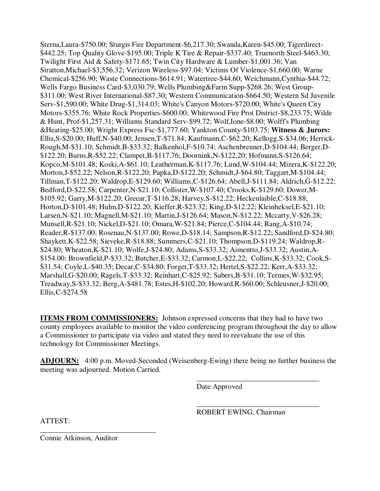Sterna,Laura-\$750.00; Sturgis Fire Department-\$6,217.30; Swanda,Karen-\$45.00; Tigerdirect- \$442.25; Top Quality Glove-\$195.00; Triple K Tire & Repair-\$337.40; Truenorth Steel-\$463.30; Twilight First Aid & Safety-\$171.65; Twin City Hardware & Lumber-\$1,001.36; Van Stratton,Michael-\$3,556.32; Verizon Wireless-\$97.04; Victims Of Violence-\$1,660.00; Warne Chemical-\$256.90; Waste Connections-\$614.91; Watertree-\$44.60; Weichmann,Cynthia-\$44.72; Wells Fargo Business Card-\$3,030.79; Wells Plumbing&Farm Supp-\$268.26; West Group- \$311.00; West River International-\$87.30; Western Communication-\$664.50; Western Sd Juvenile Serv-\$1,590.00; White Drug-\$1,314.03; White's Canyon Motors-\$720.00; White's Queen City Motors-\$355.76; White Rock Properties-\$600.00; Whitewood Fire Prot District-\$8,233.75; Wilde & Hunt, Prof-\$1,257.31; Williams Standard Serv-\$99.72; Wolf,Ione-\$8.00; Wolff's Plumbing &Heating-\$25.00; Wright Express Fsc-\$1,777.60; Yankton County-\$103.75; **Witness & Jurors:**  Ellis,S-\$20.00; Huff,N-\$40.00; Jensen,T-\$71.84; Kaufmann,C-\$62.20; Kellogg,S-\$34.06; Herrick-Rough,M-\$31.10; Schmidt,B-\$33.32; Balkenhol,F-\$10.74; Aschenbrenner,D-\$104.44; Berger,D- \$122.20; Burns,R-\$52.22; Clampet,B-\$117.76; Doornink,N-\$122.20; Hofmann,S-\$126.64; Kopco,M-\$101.48; Koski,A-\$61.10; Leatherman,K-\$117.76; Lund,W-\$104.44; Mizera,K-\$122.20; Morton,J-\$52.22; Nelson,R-\$122.20; Papka,D-\$122.20; Schmidt,J-\$64.80; Taggart,M-\$104.44; Tillman,T-\$122.20; Waldrop,E-\$129.60; Williams,C-\$126.64; Abell,J-\$111.84; Aldrich,G-\$12.22; Bedford,D-\$22.58; Carpenter,N-\$21.10; Collister,W-\$107.40; Crooks,K-\$129.60; Dower,M- \$105.92; Garry,M-\$122.20; Greear,T-\$116.28; Harvey,S-\$12.22; Heckenlaible,C-\$18.88; Horton,D-\$101.48; Hulm,D-\$122.20; Kieffer,R-\$23.32; King,D-\$12.22; Kleinheksel,E-\$21.10; Larsen,N-\$21.10; Magnell,M-\$21.10; Martin,J-\$126.64; Mason,N-\$12.22; Mccarty,V-\$26.28; Munsell,R-\$21.10; Nickel,D-\$21.10; Omara,W-\$21.84; Pierce,C-\$104.44; Rang,A-\$10.74; Reader,R-\$137.00; Rosenau,N-\$137.00; Rowe,D-\$18.14; Sampson,R-\$12.22; Sandford,D-\$24.80; Shaykett,K-\$22.58; Sieveke,R-\$18.88; Summers,C-\$21.10; Thompson,D-\$119.24; Waldrop,R- \$24.80; Wheaton,K-\$21.10; Wolfe,J-\$24.80; Adams,S-\$33.32; Aimentto,J-\$33.32; Austin,A- \$154.00; Brownfield,P-\$33.32; Butcher,E-\$33.32; Carmon,L-\$22.22; Collins,K-\$33.32; Cook,S- \$31.54; Coyle,L-\$40.35; Decar,C-\$34.80; Forget,T-\$33.32; Hertel,S-\$22.22; Kerr,A-\$33.32; Marshall,G-\$20.00; Ragels,T-\$33.32; Reinhart,C-\$25.92; Sabers,B-\$31.10; Termes,W-\$32.95; Treadway,S-\$33.32; Berg,A-\$481.78; Estes,H-\$102.20; Howard,R-\$60.00; Schleusner,J-\$20.00; Ellis,C-\$274.58

**ITEMS FROM COMMISSIONERS:** Johnson expressed concerns that they had to have two county employees available to monitor the video conferencing program throughout the day to allow a Commissioner to participate via video and stated they need to reevaluate the use of this technology for Commissioner Meetings.

**ADJOURN:** 4:00 p.m. Moved-Seconded (Weisenberg-Ewing) there being no further business the meeting was adjourned. Motion Carried.

 $\overline{\phantom{a}}$  , and the contract of the contract of the contract of the contract of the contract of the contract of the contract of the contract of the contract of the contract of the contract of the contract of the contrac

 $\overline{\phantom{a}}$  , and the contract of the contract of the contract of the contract of the contract of the contract of the contract of the contract of the contract of the contract of the contract of the contract of the contrac

Date Approved

ROBERT EWING, Chairman

ATTEST:

Connie Atkinson, Auditor

\_\_\_\_\_\_\_\_\_\_\_\_\_\_\_\_\_\_\_\_\_\_\_\_\_\_\_\_\_\_\_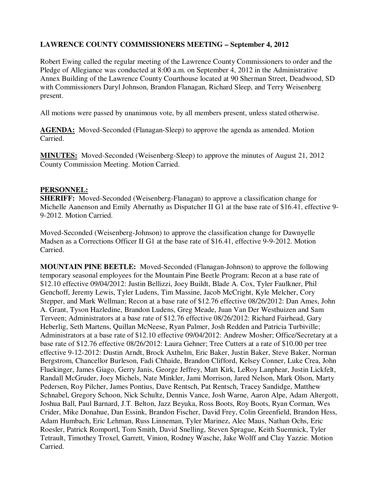# **LAWRENCE COUNTY COMMISSIONERS MEETING – September 4, 2012**

Robert Ewing called the regular meeting of the Lawrence County Commissioners to order and the Pledge of Allegiance was conducted at 8:00 a.m. on September 4, 2012 in the Administrative Annex Building of the Lawrence County Courthouse located at 90 Sherman Street, Deadwood, SD with Commissioners Daryl Johnson, Brandon Flanagan, Richard Sleep, and Terry Weisenberg present.

All motions were passed by unanimous vote, by all members present, unless stated otherwise.

**AGENDA:** Moved-Seconded (Flanagan-Sleep) to approve the agenda as amended. Motion Carried.

**MINUTES:** Moved-Seconded (Weisenberg-Sleep) to approve the minutes of August 21, 2012 County Commission Meeting. Motion Carried.

#### **PERSONNEL:**

**SHERIFF:** Moved-Seconded (Weisenberg-Flanagan) to approve a classification change for Michelle Aanenson and Emily Abernathy as Dispatcher II G1 at the base rate of \$16.41, effective 9- 9-2012. Motion Carried.

Moved-Seconded (Weisenberg-Johnson) to approve the classification change for Dawnyelle Madsen as a Corrections Officer II G1 at the base rate of \$16.41, effective 9-9-2012. Motion Carried.

**MOUNTAIN PINE BEETLE:** Moved-Seconded (Flanagan-Johnson) to approve the following temporary seasonal employees for the Mountain Pine Beetle Program: Recon at a base rate of \$12.10 effective 09/04/2012: Justin Bellizzi, Joey Buildt, Blade A. Cox, Tyler Faulkner, Phil Genchoff, Jeremy Lewis, Tyler Ludens, Tim Massine, Jacob McCright, Kyle Melcher, Cory Stepper, and Mark Wellman; Recon at a base rate of \$12.76 effective 08/26/2012: Dan Ames, John A. Grant, Tyson Hazledine, Brandon Ludens, Greg Meade, Juan Van Der Westhuizen and Sam Terveen; Administrators at a base rate of \$12.76 effective 08/26/2012: Richard Fairhead, Gary Heberlig, Seth Martens, Quillan McNeese, Ryan Palmer, Josh Redden and Patricia Turbiville; Administrators at a base rate of \$12.10 effective 09/04/2012: Andrew Mosher; Office/Secretary at a base rate of \$12.76 effective 08/26/2012: Laura Gehner; Tree Cutters at a rate of \$10.00 per tree effective 9-12-2012: Dustin Arndt, Brock Axthelm, Eric Baker, Justin Baker, Steve Baker, Norman Bergstrom, Chancellor Burleson, Fadi Chhaide, Brandon Clifford, Kelsey Conner, Luke Crea, John Fluekinger, James Giago, Gerry Janis, George Jeffrey, Matt Kirk, LeRoy Lanphear, Justin Lickfelt, Randall McGruder, Joey Michels, Nate Minkler, Jami Morrison, Jared Nelson, Mark Olson, Marty Pedersen, Roy Pilcher, James Pontius, Dave Rentsch, Pat Rentsch, Tracey Sandidge, Matthew Schnabel, Gregory Schoon, Nick Schultz, Dennis Vance, Josh Warne, Aaron Alpe, Adam Altergott, Joshua Ball, Paul Barnard, J.T. Belton, Jazz Beyuka, Ross Boots, Roy Boots, Ryan Corman, Wes Crider, Mike Donahue, Dan Essink, Brandon Fischer, David Frey, Colin Greenfield, Brandon Hess, Adam Humbach, Eric Lehman, Russ Linneman, Tyler Marinez, Alec Maus, Nathan Ochs, Eric Roesler, Patrick Romportl, Tom Smith, David Snelling, Steven Sprague, Keith Suemnick, Tyler Tetrault, Timothey Troxel, Garrett, Vinion, Rodney Wasche, Jake Wolff and Clay Yazzie. Motion Carried.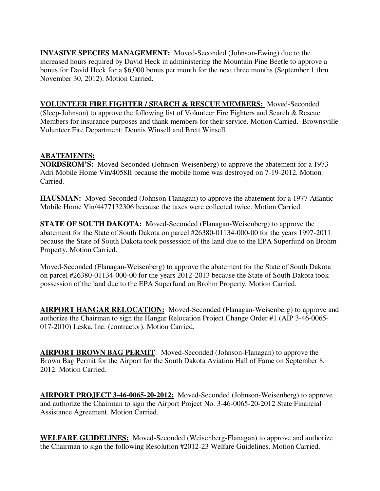**INVASIVE SPECIES MANAGEMENT:** Moved-Seconded (Johnson-Ewing) due to the increased hours required by David Heck in administering the Mountain Pine Beetle to approve a bonus for David Heck for a \$6,000 bonus per month for the next three months (September 1 thru November 30, 2012). Motion Carried.

**VOLUNTEER FIRE FIGHTER / SEARCH & RESCUE MEMBERS:** Moved-Seconded (Sleep-Johnson) to approve the following list of Volunteer Fire Fighters and Search & Rescue Members for insurance purposes and thank members for their service. Motion Carried. Brownsville Volunteer Fire Department: Dennis Winsell and Brett Winsell.

#### **ABATEMENTS:**

**NORDSROM'S:** Moved-Seconded (Johnson-Weisenberg) to approve the abatement for a 1973 Adri Mobile Home Vin/4058II because the mobile home was destroyed on 7-19-2012. Motion Carried.

**HAUSMAN:** Moved-Seconded (Johnson-Flanagan) to approve the abatement for a 1977 Atlantic Mobile Home Vin/4477132306 because the taxes were collected twice. Motion Carried.

**STATE OF SOUTH DAKOTA:** Moved-Seconded (Flanagan-Weisenberg) to approve the abatement for the State of South Dakota on parcel #26380-01134-000-00 for the years 1997-2011 because the State of South Dakota took possession of the land due to the EPA Superfund on Brohm Property. Motion Carried.

Moved-Seconded (Flanagan-Weisenberg) to approve the abatement for the State of South Dakota on parcel #26380-01134-000-00 for the years 2012-2013 because the State of South Dakota took possession of the land due to the EPA Superfund on Brohm Property. Motion Carried.

**AIRPORT HANGAR RELOCATION:** Moved-Seconded (Flanagan-Weisenberg) to approve and authorize the Chairman to sign the Hangar Relocation Project Change Order #1 (AIP 3-46-0065- 017-2010) Leska, Inc. (contractor). Motion Carried.

**AIRPORT BROWN BAG PERMIT**: Moved-Seconded (Johnson-Flanagan) to approve the Brown Bag Permit for the Airport for the South Dakota Aviation Hall of Fame on September 8, 2012. Motion Carried.

**AIRPORT PROJECT 3-46-0065-20-2012:** Moved-Seconded (Johnson-Weisenberg) to approve and authorize the Chairman to sign the Airport Project No. 3-46-0065-20-2012 State Financial Assistance Agreement. Motion Carried.

**WELFARE GUIDELINES:** Moved-Seconded (Weisenberg-Flanagan) to approve and authorize the Chairman to sign the following Resolution #2012-23 Welfare Guidelines. Motion Carried.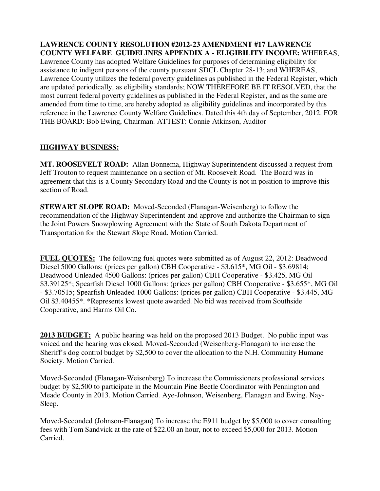**LAWRENCE COUNTY RESOLUTION #2012-23 AMENDMENT #17 LAWRENCE COUNTY WELFARE GUIDELINES APPENDIX A - ELIGIBILITY INCOME:** WHEREAS,

Lawrence County has adopted Welfare Guidelines for purposes of determining eligibility for assistance to indigent persons of the county pursuant SDCL Chapter 28-13; and WHEREAS, Lawrence County utilizes the federal poverty guidelines as published in the Federal Register, which are updated periodically, as eligibility standards; NOW THEREFORE BE IT RESOLVED, that the most current federal poverty guidelines as published in the Federal Register, and as the same are amended from time to time, are hereby adopted as eligibility guidelines and incorporated by this reference in the Lawrence County Welfare Guidelines. Dated this 4th day of September, 2012. FOR THE BOARD: Bob Ewing, Chairman. ATTEST: Connie Atkinson, Auditor

#### **HIGHWAY BUSINESS:**

**MT. ROOSEVELT ROAD:** Allan Bonnema, Highway Superintendent discussed a request from Jeff Trouton to request maintenance on a section of Mt. Roosevelt Road. The Board was in agreement that this is a County Secondary Road and the County is not in position to improve this section of Road.

**STEWART SLOPE ROAD:** Moved-Seconded (Flanagan-Weisenberg) to follow the recommendation of the Highway Superintendent and approve and authorize the Chairman to sign the Joint Powers Snowplowing Agreement with the State of South Dakota Department of Transportation for the Stewart Slope Road. Motion Carried.

**FUEL QUOTES:** The following fuel quotes were submitted as of August 22, 2012: Deadwood Diesel 5000 Gallons: (prices per gallon) CBH Cooperative - \$3.615\*, MG Oil - \$3.69814; Deadwood Unleaded 4500 Gallons: (prices per gallon) CBH Cooperative - \$3.425, MG Oil \$3.39125\*; Spearfish Diesel 1000 Gallons: (prices per gallon) CBH Cooperative - \$3.655\*, MG Oil - \$3.70515; Spearfish Unleaded 1000 Gallons: (prices per gallon) CBH Cooperative - \$3.445, MG Oil \$3.40455\*. \*Represents lowest quote awarded. No bid was received from Southside Cooperative, and Harms Oil Co.

**2013 BUDGET:** A public hearing was held on the proposed 2013 Budget. No public input was voiced and the hearing was closed. Moved-Seconded (Weisenberg-Flanagan) to increase the Sheriff's dog control budget by \$2,500 to cover the allocation to the N.H. Community Humane Society. Motion Carried.

Moved-Seconded (Flanagan-Weisenberg) To increase the Commissioners professional services budget by \$2,500 to participate in the Mountain Pine Beetle Coordinator with Pennington and Meade County in 2013. Motion Carried. Aye-Johnson, Weisenberg, Flanagan and Ewing. Nay-Sleep.

Moved-Seconded (Johnson-Flanagan) To increase the E911 budget by \$5,000 to cover consulting fees with Tom Sandvick at the rate of \$22.00 an hour, not to exceed \$5,000 for 2013. Motion Carried.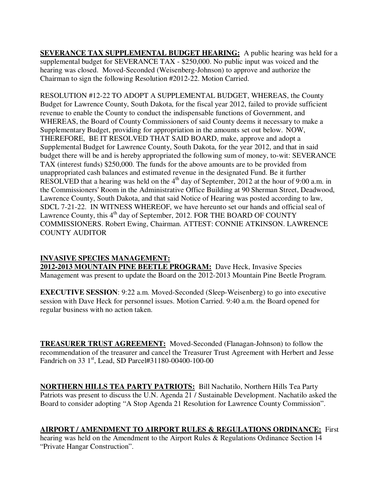**SEVERANCE TAX SUPPLEMENTAL BUDGET HEARING:** A public hearing was held for a supplemental budget for SEVERANCE TAX - \$250,000. No public input was voiced and the hearing was closed. Moved-Seconded (Weisenberg-Johnson) to approve and authorize the Chairman to sign the following Resolution #2012-22. Motion Carried.

RESOLUTION #12-22 TO ADOPT A SUPPLEMENTAL BUDGET, WHEREAS, the County Budget for Lawrence County, South Dakota, for the fiscal year 2012, failed to provide sufficient revenue to enable the County to conduct the indispensable functions of Government, and WHEREAS, the Board of County Commissioners of said County deems it necessary to make a Supplementary Budget, providing for appropriation in the amounts set out below. NOW, THEREFORE, BE IT RESOLVED THAT SAID BOARD, make, approve and adopt a Supplemental Budget for Lawrence County, South Dakota, for the year 2012, and that in said budget there will be and is hereby appropriated the following sum of money, to-wit: SEVERANCE TAX (interest funds) \$250,000. The funds for the above amounts are to be provided from unappropriated cash balances and estimated revenue in the designated Fund. Be it further RESOLVED that a hearing was held on the  $4<sup>th</sup>$  day of September, 2012 at the hour of 9:00 a.m. in the Commissioners' Room in the Administrative Office Building at 90 Sherman Street, Deadwood, Lawrence County, South Dakota, and that said Notice of Hearing was posted according to law, SDCL 7-21-22. IN WITNESS WHEREOF, we have hereunto set our hands and official seal of Lawrence County, this  $4<sup>th</sup>$  day of September, 2012. FOR THE BOARD OF COUNTY COMMISSIONERS. Robert Ewing, Chairman. ATTEST: CONNIE ATKINSON. LAWRENCE COUNTY AUDITOR

# **INVASIVE SPECIES MANAGEMENT:**

**2012-2013 MOUNTAIN PINE BEETLE PROGRAM:** Dave Heck, Invasive Species Management was present to update the Board on the 2012-2013 Mountain Pine Beetle Program.

**EXECUTIVE SESSION**: 9:22 a.m. Moved-Seconded (Sleep-Weisenberg) to go into executive session with Dave Heck for personnel issues. Motion Carried. 9:40 a.m. the Board opened for regular business with no action taken.

**TREASURER TRUST AGREEMENT:** Moved-Seconded (Flanagan-Johnson) to follow the recommendation of the treasurer and cancel the Treasurer Trust Agreement with Herbert and Jesse Fandrich on 33 1<sup>st</sup>, Lead, SD Parcel#31180-00400-100-00

**NORTHERN HILLS TEA PARTY PATRIOTS:** Bill Nachatilo, Northern Hills Tea Party Patriots was present to discuss the U.N. Agenda 21 / Sustainable Development. Nachatilo asked the Board to consider adopting "A Stop Agenda 21 Resolution for Lawrence County Commission".

**AIRPORT / AMENDMENT TO AIRPORT RULES & REGULATIONS ORDINANCE:** First hearing was held on the Amendment to the Airport Rules & Regulations Ordinance Section 14 "Private Hangar Construction".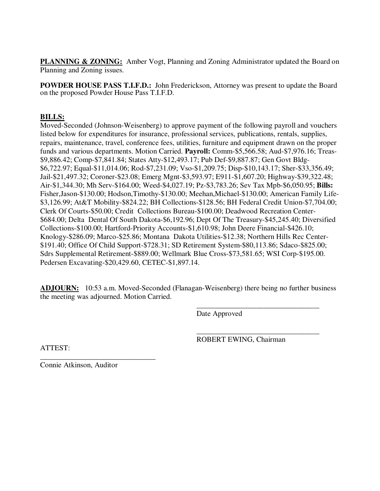**PLANNING & ZONING:** Amber Vogt, Planning and Zoning Administrator updated the Board on Planning and Zoning issues.

**POWDER HOUSE PASS T.I.F.D.:** John Frederickson, Attorney was present to update the Board on the proposed Powder House Pass T.I.F.D.

### **BILLS:**

Moved-Seconded (Johnson-Weisenberg) to approve payment of the following payroll and vouchers listed below for expenditures for insurance, professional services, publications, rentals, supplies, repairs, maintenance, travel, conference fees, utilities, furniture and equipment drawn on the proper funds and various departments. Motion Carried. **Payroll:** Comm-\$5,566.58; Aud-\$7,976.16; Treas- \$9,886.42; Comp-\$7,841.84; States Atty-\$12,493.17; Pub Def-\$9,887.87; Gen Govt Bldg- \$6,722.97; Equal-\$11,014.06; Rod-\$7,231.09; Vso-\$1,209.75; Disp-\$10,143.17; Sher-\$33,356.49; Jail-\$21,497.32; Coroner-\$23.08; Emerg Mgnt-\$3,593.97; E911-\$1,607.20; Highway-\$39,322.48; Air-\$1,344.30; Mh Serv-\$164.00; Weed-\$4,027.19; Pz-\$3,783.26; Sev Tax Mpb-\$6,050.95; **Bills:**  Fisher,Jason-\$130.00; Hodson,Timothy-\$130.00; Meehan,Michael-\$130.00; American Family Life- \$3,126.99; At&T Mobility-\$824.22; BH Collections-\$128.56; BH Federal Credit Union-\$7,704.00; Clerk Of Courts-\$50.00; Credit Collections Bureau-\$100.00; Deadwood Recreation Center- \$684.00; Delta Dental Of South Dakota-\$6,192.96; Dept Of The Treasury-\$45,245.40; Diversified Collections-\$100.00; Hartford-Priority Accounts-\$1,610.98; John Deere Financial-\$426.10; Knology-\$286.09; Marco-\$25.86; Montana Dakota Utilities-\$12.38; Northern Hills Rec Center- \$191.40; Office Of Child Support-\$728.31; SD Retirement System-\$80,113.86; Sdaco-\$825.00; Sdrs Supplemental Retirement-\$889.00; Wellmark Blue Cross-\$73,581.65; WSI Corp-\$195.00. Pedersen Excavating-\$20,429.60, CETEC-\$1,897.14.

**ADJOURN:** 10:53 a.m. Moved-Seconded (Flanagan-Weisenberg) there being no further business the meeting was adjourned. Motion Carried.

 $\overline{\phantom{a}}$  , and the contract of the contract of the contract of the contract of the contract of the contract of the contract of the contract of the contract of the contract of the contract of the contract of the contrac

Date Approved

 $\overline{\phantom{a}}$  , and the contract of the contract of the contract of the contract of the contract of the contract of the contract of the contract of the contract of the contract of the contract of the contract of the contrac ROBERT EWING, Chairman

ATTEST:

\_\_\_\_\_\_\_\_\_\_\_\_\_\_\_\_\_\_\_\_\_\_\_\_\_\_\_\_\_\_\_ Connie Atkinson, Auditor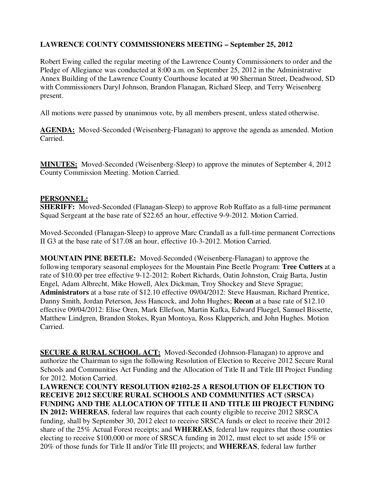# **LAWRENCE COUNTY COMMISSIONERS MEETING – September 25, 2012**

Robert Ewing called the regular meeting of the Lawrence County Commissioners to order and the Pledge of Allegiance was conducted at 8:00 a.m. on September 25, 2012 in the Administrative Annex Building of the Lawrence County Courthouse located at 90 Sherman Street, Deadwood, SD with Commissioners Daryl Johnson, Brandon Flanagan, Richard Sleep, and Terry Weisenberg present.

All motions were passed by unanimous vote, by all members present, unless stated otherwise.

**AGENDA:** Moved-Seconded (Weisenberg-Flanagan) to approve the agenda as amended. Motion Carried.

**MINUTES:** Moved-Seconded (Weisenberg-Sleep) to approve the minutes of September 4, 2012 County Commission Meeting. Motion Carried.

#### **PERSONNEL:**

**SHERIFF:** Moved-Seconded (Flanagan-Sleep) to approve Rob Ruffato as a full-time permanent Squad Sergeant at the base rate of \$22.65 an hour, effective 9-9-2012. Motion Carried.

Moved-Seconded (Flanagan-Sleep) to approve Marc Crandall as a full-time permanent Corrections II G3 at the base rate of \$17.08 an hour, effective 10-3-2012. Motion Carried.

**MOUNTAIN PINE BEETLE:** Moved-Seconded (Weisenberg-Flanagan) to approve the following temporary seasonal employees for the Mountain Pine Beetle Program: **Tree Cutters** at a rate of \$10.00 per tree effective 9-12-2012: Robert Richards, Oatin Johnston, Craig Barta, Justin Engel, Adam Albrecht, Mike Howell, Alex Dickman, Troy Shockey and Steve Sprague; **Administrators** at a base rate of \$12.10 effective 09/04/2012: Steve Hausman, Richard Prentice, Danny Smith, Jordan Peterson, Jess Hancock, and John Hughes; **Recon** at a base rate of \$12.10 effective 09/04/2012: Elise Oren, Mark Ellefson, Martin Kafka, Edward Fluegel, Samuel Bissette, Matthew Lindgren, Brandon Stokes, Ryan Montoya, Ross Klapperich, and John Hughes. Motion Carried.

**SECURE & RURAL SCHOOL ACT:** Moved-Seconded (Johnson-Flanagan) to approve and authorize the Chairman to sign the following Resolution of Election to Receive 2012 Secure Rural Schools and Communities Act Funding and the Allocation of Title II and Title III Project Funding for 2012. Motion Carried.

**LAWRENCE COUNTY RESOLUTION #2102-25 A RESOLUTION OF ELECTION TO RECEIVE 2012 SECURE RURAL SCHOOLS AND COMMUNITIES ACT (SRSCA) FUNDING AND THE ALLOCATION OF TITLE II AND TITLE III PROJECT FUNDING IN 2012: WHEREAS**, federal law requires that each county eligible to receive 2012 SRSCA funding, shall by September 30, 2012 elect to receive SRSCA funds or elect to receive their 2012 share of the 25% Actual Forest receipts; and **WHEREAS**, federal law requires that those counties electing to receive \$100,000 or more of SRSCA funding in 2012, must elect to set aside 15% or 20% of those funds for Title II and/or Title III projects; and **WHEREAS**, federal law further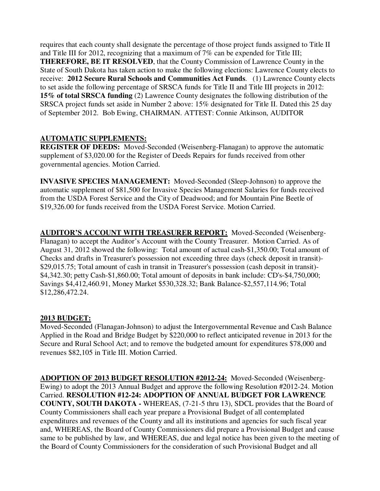requires that each county shall designate the percentage of those project funds assigned to Title II and Title III for 2012, recognizing that a maximum of 7% can be expended for Title III; **THEREFORE, BE IT RESOLVED**, that the County Commission of Lawrence County in the State of South Dakota has taken action to make the following elections: Lawrence County elects to receive: **2012 Secure Rural Schools and Communities Act Funds**. (1) Lawrence County elects to set aside the following percentage of SRSCA funds for Title II and Title III projects in 2012: **15% of total SRSCA funding** (2) Lawrence County designates the following distribution of the SRSCA project funds set aside in Number 2 above: 15% designated for Title II. Dated this 25 day of September 2012. Bob Ewing, CHAIRMAN. ATTEST: Connie Atkinson, AUDITOR

# **AUTOMATIC SUPPLEMENTS:**

**REGISTER OF DEEDS:** Moved-Seconded (Weisenberg-Flanagan) to approve the automatic supplement of \$3,020.00 for the Register of Deeds Repairs for funds received from other governmental agencies. Motion Carried.

**INVASIVE SPECIES MANAGEMENT:** Moved-Seconded (Sleep-Johnson) to approve the automatic supplement of \$81,500 for Invasive Species Management Salaries for funds received from the USDA Forest Service and the City of Deadwood; and for Mountain Pine Beetle of \$19,326.00 for funds received from the USDA Forest Service. Motion Carried.

**AUDITOR'S ACCOUNT WITH TREASURER REPORT:** Moved-Seconded (Weisenberg-Flanagan) to accept the Auditor's Account with the County Treasurer. Motion Carried. As of August 31, 2012 showed the following: Total amount of actual cash-\$1,350.00; Total amount of Checks and drafts in Treasurer's possession not exceeding three days (check deposit in transit)- \$29,015.75; Total amount of cash in transit in Treasurer's possession (cash deposit in transit)- \$4,342.30; petty Cash-\$1,860.00; Total amount of deposits in bank include: CD's-\$4,750,000; Savings \$4,412,460.91, Money Market \$530,328.32; Bank Balance-\$2,557,114.96; Total \$12,286,472.24.

## **2013 BUDGET:**

Moved-Seconded (Flanagan-Johnson) to adjust the Intergovernmental Revenue and Cash Balance Applied in the Road and Bridge Budget by \$220,000 to reflect anticipated revenue in 2013 for the Secure and Rural School Act; and to remove the budgeted amount for expenditures \$78,000 and revenues \$82,105 in Title III. Motion Carried.

**ADOPTION OF 2013 BUDGET RESOLUTION #2012-24:** Moved-Seconded (Weisenberg-Ewing) to adopt the 2013 Annual Budget and approve the following Resolution #2012-24. Motion Carried. **RESOLUTION #12-24: ADOPTION OF ANNUAL BUDGET FOR LAWRENCE COUNTY, SOUTH DAKOTA -** WHEREAS, (7-21-5 thru 13), SDCL provides that the Board of County Commissioners shall each year prepare a Provisional Budget of all contemplated expenditures and revenues of the County and all its institutions and agencies for such fiscal year and, WHEREAS, the Board of County Commissioners did prepare a Provisional Budget and cause same to be published by law, and WHEREAS, due and legal notice has been given to the meeting of the Board of County Commissioners for the consideration of such Provisional Budget and all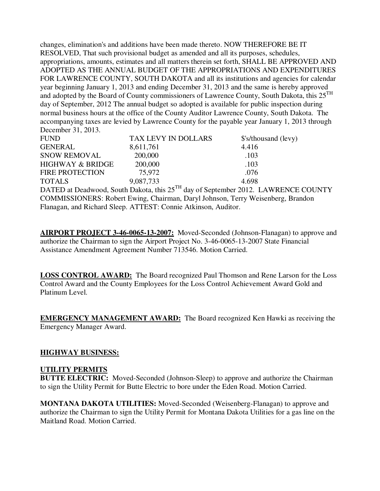changes, elimination's and additions have been made thereto. NOW THEREFORE BE IT RESOLVED, That such provisional budget as amended and all its purposes, schedules, appropriations, amounts, estimates and all matters therein set forth, SHALL BE APPROVED AND ADOPTED AS THE ANNUAL BUDGET OF THE APPROPRIATIONS AND EXPENDITURES FOR LAWRENCE COUNTY, SOUTH DAKOTA and all its institutions and agencies for calendar year beginning January 1, 2013 and ending December 31, 2013 and the same is hereby approved and adopted by the Board of County commissioners of Lawrence County, South Dakota, this 25<sup>TH</sup> day of September, 2012 The annual budget so adopted is available for public inspection during normal business hours at the office of the County Auditor Lawrence County, South Dakota. The accompanying taxes are levied by Lawrence County for the payable year January 1, 2013 through December 31, 2013.

| <b>FUND</b>                 | TAX LEVY IN DOLLARS | \$'s/thousand (levy) |
|-----------------------------|---------------------|----------------------|
| <b>GENERAL</b>              | 8,611,761           | 4.416                |
| <b>SNOW REMOVAL</b>         | 200,000             | .103                 |
| <b>HIGHWAY &amp; BRIDGE</b> | 200,000             | .103                 |
| <b>FIRE PROTECTION</b>      | 75.972              | .076                 |
| <b>TOTALS</b>               | 9,087,733           | 4.698                |

DATED at Deadwood, South Dakota, this 25<sup>TH</sup> day of September 2012. LAWRENCE COUNTY COMMISSIONERS: Robert Ewing, Chairman, Daryl Johnson, Terry Weisenberg, Brandon Flanagan, and Richard Sleep. ATTEST: Connie Atkinson, Auditor.

**AIRPORT PROJECT 3-46-0065-13-2007:** Moved-Seconded (Johnson-Flanagan) to approve and authorize the Chairman to sign the Airport Project No. 3-46-0065-13-2007 State Financial Assistance Amendment Agreement Number 713546. Motion Carried.

**LOSS CONTROL AWARD:** The Board recognized Paul Thomson and Rene Larson for the Loss Control Award and the County Employees for the Loss Control Achievement Award Gold and Platinum Level.

**EMERGENCY MANAGEMENT AWARD:** The Board recognized Ken Hawki as receiving the Emergency Manager Award.

## **HIGHWAY BUSINESS:**

## **UTILITY PERMITS**

**BUTTE ELECTRIC:** Moved-Seconded (Johnson-Sleep) to approve and authorize the Chairman to sign the Utility Permit for Butte Electric to bore under the Eden Road. Motion Carried.

**MONTANA DAKOTA UTILITIES:** Moved-Seconded (Weisenberg-Flanagan) to approve and authorize the Chairman to sign the Utility Permit for Montana Dakota Utilities for a gas line on the Maitland Road. Motion Carried.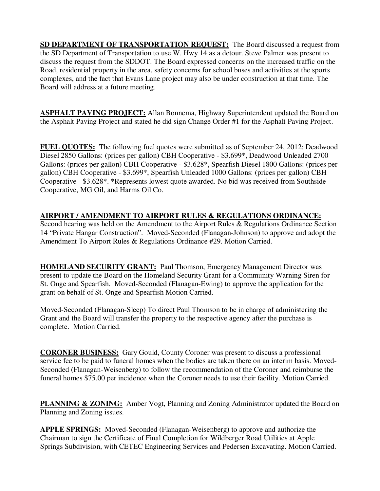**SD DEPARTMENT OF TRANSPORTATION REQUEST:** The Board discussed a request from the SD Department of Transportation to use W. Hwy 14 as a detour. Steve Palmer was present to discuss the request from the SDDOT. The Board expressed concerns on the increased traffic on the Road, residential property in the area, safety concerns for school buses and activities at the sports complexes, and the fact that Evans Lane project may also be under construction at that time. The Board will address at a future meeting.

**ASPHALT PAVING PROJECT:** Allan Bonnema, Highway Superintendent updated the Board on the Asphalt Paving Project and stated he did sign Change Order #1 for the Asphalt Paving Project.

**FUEL QUOTES:** The following fuel quotes were submitted as of September 24, 2012: Deadwood Diesel 2850 Gallons: (prices per gallon) CBH Cooperative - \$3.699\*, Deadwood Unleaded 2700 Gallons: (prices per gallon) CBH Cooperative - \$3.628\*, Spearfish Diesel 1800 Gallons: (prices per gallon) CBH Cooperative - \$3.699\*, Spearfish Unleaded 1000 Gallons: (prices per gallon) CBH Cooperative - \$3.628\*. \*Represents lowest quote awarded. No bid was received from Southside Cooperative, MG Oil, and Harms Oil Co.

# **AIRPORT / AMENDMENT TO AIRPORT RULES & REGULATIONS ORDINANCE:**

Second hearing was held on the Amendment to the Airport Rules & Regulations Ordinance Section 14 "Private Hangar Construction". Moved-Seconded (Flanagan-Johnson) to approve and adopt the Amendment To Airport Rules & Regulations Ordinance #29. Motion Carried.

**HOMELAND SECURITY GRANT:** Paul Thomson, Emergency Management Director was present to update the Board on the Homeland Security Grant for a Community Warning Siren for St. Onge and Spearfish. Moved-Seconded (Flanagan-Ewing) to approve the application for the grant on behalf of St. Onge and Spearfish Motion Carried.

Moved-Seconded (Flanagan-Sleep) To direct Paul Thomson to be in charge of administering the Grant and the Board will transfer the property to the respective agency after the purchase is complete. Motion Carried.

**CORONER BUSINESS:** Gary Gould, County Coroner was present to discuss a professional service fee to be paid to funeral homes when the bodies are taken there on an interim basis. Moved-Seconded (Flanagan-Weisenberg) to follow the recommendation of the Coroner and reimburse the funeral homes \$75.00 per incidence when the Coroner needs to use their facility. Motion Carried.

**PLANNING & ZONING:** Amber Vogt, Planning and Zoning Administrator updated the Board on Planning and Zoning issues.

**APPLE SPRINGS:** Moved-Seconded (Flanagan-Weisenberg) to approve and authorize the Chairman to sign the Certificate of Final Completion for Wildberger Road Utilities at Apple Springs Subdivision, with CETEC Engineering Services and Pedersen Excavating. Motion Carried.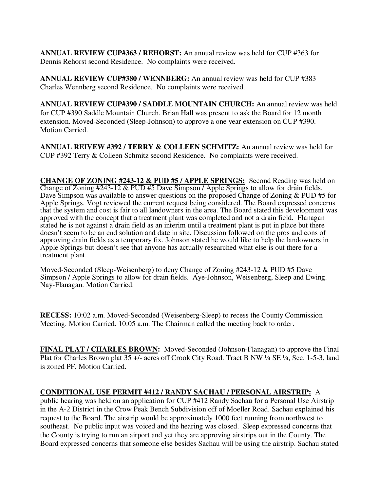**ANNUAL REVIEW CUP#363 / REHORST:** An annual review was held for CUP #363 for Dennis Rehorst second Residence. No complaints were received.

**ANNUAL REVIEW CUP#380 / WENNBERG:** An annual review was held for CUP #383 Charles Wennberg second Residence. No complaints were received.

**ANNUAL REVIEW CUP#390 / SADDLE MOUNTAIN CHURCH:** An annual review was held for CUP #390 Saddle Mountain Church. Brian Hall was present to ask the Board for 12 month extension. Moved-Seconded (Sleep-Johnson) to approve a one year extension on CUP #390. Motion Carried.

**ANNUAL REIVEW #392 / TERRY & COLLEEN SCHMITZ:** An annual review was held for CUP #392 Terry & Colleen Schmitz second Residence. No complaints were received.

**CHANGE OF ZONING #243-12 & PUD #5 / APPLE SPRINGS:** Second Reading was held on Change of Zoning #243-12 & PUD #5 Dave Simpson / Apple Springs to allow for drain fields. Dave Simpson was available to answer questions on the proposed Change of Zoning & PUD #5 for Apple Springs. Vogt reviewed the current request being considered. The Board expressed concerns that the system and cost is fair to all landowners in the area. The Board stated this development was approved with the concept that a treatment plant was completed and not a drain field. Flanagan stated he is not against a drain field as an interim until a treatment plant is put in place but there doesn't seem to be an end solution and date in site. Discussion followed on the pros and cons of approving drain fields as a temporary fix. Johnson stated he would like to help the landowners in Apple Springs but doesn't see that anyone has actually researched what else is out there for a treatment plant.

Moved-Seconded (Sleep-Weisenberg) to deny Change of Zoning #243-12 & PUD #5 Dave Simpson / Apple Springs to allow for drain fields. Aye-Johnson, Weisenberg, Sleep and Ewing. Nay-Flanagan. Motion Carried.

**RECESS:** 10:02 a.m. Moved-Seconded (Weisenberg-Sleep) to recess the County Commission Meeting. Motion Carried. 10:05 a.m. The Chairman called the meeting back to order.

**FINAL PLAT / CHARLES BROWN:** Moved-Seconded (Johnson-Flanagan) to approve the Final Plat for Charles Brown plat 35 +/- acres off Crook City Road. Tract B NW ¼ SE ¼, Sec. 1-5-3, land is zoned PF. Motion Carried.

## **CONDITIONAL USE PERMIT #412 / RANDY SACHAU / PERSONAL AIRSTRIP:** A

public hearing was held on an application for CUP #412 Randy Sachau for a Personal Use Airstrip in the A-2 District in the Crow Peak Bench Subdivision off of Moeller Road. Sachau explained his request to the Board. The airstrip would be approximately 1000 feet running from northwest to southeast. No public input was voiced and the hearing was closed. Sleep expressed concerns that the County is trying to run an airport and yet they are approving airstrips out in the County. The Board expressed concerns that someone else besides Sachau will be using the airstrip. Sachau stated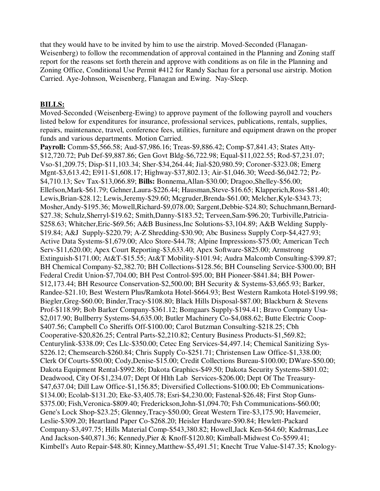that they would have to be invited by him to use the airstrip. Moved-Seconded (Flanagan-Weisenberg) to follow the recommendation of approval contained in the Planning and Zoning staff report for the reasons set forth therein and approve with conditions as on file in the Planning and Zoning Office, Conditional Use Permit #412 for Randy Sachau for a personal use airstrip. Motion Carried. Aye-Johnson, Weisenberg, Flanagan and Ewing. Nay-Sleep.

#### **BILLS:**

Moved-Seconded (Weisenberg-Ewing) to approve payment of the following payroll and vouchers listed below for expenditures for insurance, professional services, publications, rentals, supplies, repairs, maintenance, travel, conference fees, utilities, furniture and equipment drawn on the proper funds and various departments. Motion Carried.

**Payroll:** Comm-\$5,566.58; Aud-\$7,986.16; Treas-\$9,886.42; Comp-\$7,841.43; States Atty- \$12,720.72; Pub Def-\$9,887.86; Gen Govt Bldg-\$6,722.98; Equal-\$11,022.55; Rod-\$7,231.07; Vso-\$1,209.75; Disp-\$11,103.34; Sher-\$34,264.44; Jial-\$20,980.59; Coroner-\$323.08; Emerg Mgnt-\$3,613.42; E911-\$1,608.17; Highway-\$37,802.13; Air-\$1,046.30; Weed-\$6,042.72; Pz- \$4,710.13; Sev Tax-\$13,066.89; **Bills:** Bonnema,Allan-\$30.00; Dragoo,Shelley-\$56.00; Ellefson,Mark-\$61.79; Gehner,Laura-\$226.44; Hausman,Steve-\$16.65; Klapperich,Ross-\$81.40; Lewis,Brian-\$28.12; Lewis,Jeremy-\$29.60; Mcgruder,Brenda-\$61.00; Melcher,Kyle-\$343.73; Mosher,Andy-\$195.36; Mowell,Richard-\$9,078.00; Sargent,Debbie-\$24.80; Schuchmann,Bernard- \$27.38; Schulz,Sherryl-\$19.62; Smith,Danny-\$183.52; Terveen,Sam-\$96.20; Turbiville,Patricia- \$258.63; Whitcher,Eric-\$69.56; A&B Business,Inc Solutions-\$3,104.89; A&B Welding Supply- \$19.84; A&J Supply-\$220.79; A-Z Shredding-\$30.90; Abc Business Supply Corp-\$4,427.93; Active Data Systems-\$1,679.00; Alco Store-\$44.78; Alpine Impressions-\$75.00; American Tech Serv-\$11,620.00; Apex Court Reporting-\$3,633.40; Apex Software-\$825.00; Armstrong Extinguish-\$171.00; At&T-\$15.55; At&T Mobility-\$101.94; Audra Malcomb Consulting-\$399.87; BH Chemical Company-\$2,382.70; BH Collections-\$128.56; BH Counseling Service-\$300.00; BH Federal Credit Union-\$7,704.00; BH Pest Control-\$95.00; BH Pioneer-\$841.84; BH Power- \$12,173.44; BH Resource Conservation-\$2,500.00; BH Security & Systems-\$3,665.93; Barker, Randee-\$21.10; Best Western Plus/Ramkota Hotel-\$664.93; Best Western Ramkota Hotel-\$199.98; Biegler,Greg-\$60.00; Binder,Tracy-\$108.80; Black Hills Disposal-\$87.00; Blackburn & Stevens Prof-\$118.99; Bob Barker Company-\$361.12; Bomgaars Supply-\$194.41; Bravo Company Usa- \$2,017.90; Bullberry Systems-\$4,635.00; Butler Machinery Co-\$4,088.62; Butte Electric Coop- \$407.56; Campbell Co Sheriffs Off-\$100.00; Carol Butzman Consulting-\$218.25; Cbh Cooperative-\$20,826.25; Central Parts-\$2,210.82; Century Business Products-\$1,569.82; Centurylink-\$338.09; Ces Llc-\$350.00; Cetec Eng Services-\$4,497.14; Chemical Sanitizing Sys- \$226.12; Chemsearch-\$260.84; Chris Supply Co-\$251.71; Christensen Law Office-\$1,338.00; Clerk Of Courts-\$50.00; Cody,Denise-\$15.00; Credit Collections Bureau-\$100.00; DWare-\$50.00; Dakota Equipment Rental-\$992.86; Dakota Graphics-\$49.50; Dakota Security Systems-\$801.02; Deadwood, City Of-\$1,234.07; Dept Of Hlth Lab Services-\$206.00; Dept Of The Treasury- \$47,637.04; Dill Law Office-\$1,156.85; Diversified Collections-\$100.00; Eb Communications- \$134.00; Ecolab-\$131.20; Eke-\$3,405.78; Esri-\$4,230.00; Fastenal-\$26.48; First Stop Guns- \$375.00; Fish,Veronica-\$809.40; Frederickson,John-\$1,094.70; Fsh Communications-\$60.00; Gene's Lock Shop-\$23.25; Glenney,Tracy-\$50.00; Great Western Tire-\$3,175.90; Havemeier, Leslie-\$309.20; Heartland Paper Co-\$268.20; Heisler Hardware-\$90.84; Hewlett-Packard Company-\$3,497.75; Hills Material Comp-\$543,380.82; Howell,Jack Ken-\$64.60; Kadrmas,Lee And Jackson-\$40,871.36; Kennedy,Pier & Knoff-\$120.80; Kimball-Midwest Co-\$599.41; Kimbell's Auto Repair-\$48.80; Kinney,Matthew-\$5,491.51; Knecht True Value-\$147.35; Knology-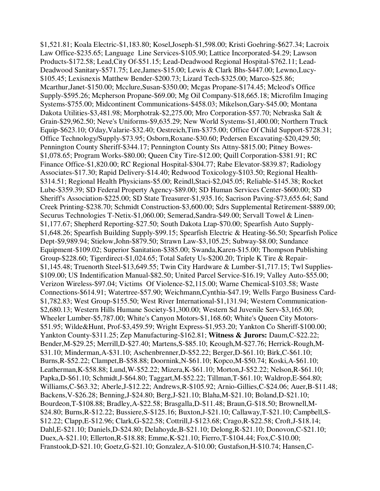\$1,521.81; Koala Electric-\$1,183.80; Kosel,Joseph-\$1,598.00; Kristi Goehring-\$627.34; Lacroix Law Office-\$235.65; Language Line Services-\$105.90; Lattice Incorporated-\$4.29; Lawson Products-\$172.58; Lead,City Of-\$51.15; Lead-Deadwood Regional Hospital-\$762.11; Lead-Deadwood Sanitary-\$571.75; Lee,James-\$15.00; Lewis & Clark Bhs-\$447.00; Lewno,Lucy- \$105.45; Lexisnexis Matthew Bender-\$200.73; Lizard Tech-\$325.00; Marco-\$25.86; Mcarthur,Janet-\$150.00; Mcclure,Susan-\$350.00; Mcgas Propane-\$174.45; Mcleod's Office Supply-\$595.26; Mcpherson Propane-\$69.00; Mg Oil Company-\$18,665.18; Microfilm Imaging Systems-\$755.00; Midcontinent Communications-\$458.03; Mikelson,Gary-\$45.00; Montana Dakota Utilities-\$3,481.98; Morphotrak-\$2,275.00; Mro Corporation-\$57.70; Nebraska Salt & Grain-\$29,962.50; Neve's Uniforms-\$9,635.29; New World Systems-\$1,400.00; Northern Truck Equip-\$623.10; O'day,Valarie-\$32.40; Oestreich,Tim-\$375.00; Office Of Child Support-\$728.31; Office Technology/Supply-\$73.95; Osborn,Roxane-\$30.60; Pedersen Excavating-\$20,429.50; Pennington County Sheriff-\$344.17; Pennington County Sts Attny-\$815.00; Pitney Bowes- \$1,078.65; Program Works-\$80.00; Queen City Tire-\$12.00; Quill Corporation-\$381.91; RC Finance Office-\$1,820.00; RC Regional Hospital-\$304.77; Rabe Elevator-\$839.87; Radiology Associates-\$17.30; Rapid Delivery-\$14.40; Redwood Toxicology-\$103.50; Regional Health- \$314.51; Regional Health Physicians-\$5.00; Reindl,Staci-\$2,045.05; Reliable-\$145.38; Rocket Lube-\$359.39; SD Federal Property Agency-\$89.00; SD Human Services Center-\$600.00; SD Sheriff's Association-\$225.00; SD State Treasurer-\$1,935.16; Sacrison Paving-\$73,655.64; Sand Creek Printing-\$238.70; Schmidt Construction-\$3,600.00; Sdrs Supplemental Retirement-\$889.00; Securus Technologies T-Netix-\$1,060.00; Semerad,Sandra-\$49.00; Servall Towel & Linen- \$1,177.67; Shepherd Reporting-\$27.50; South Dakota Ltap-\$70.00; Spearfish Auto Supply- \$1,648.26; Spearfish Building Supply-\$99.15; Spearfish Electric & Heating-\$6.50; Spearfish Police Dept-\$9,989.94; Stielow,John-\$879.50; Strawn Law-\$3,105.25; Subway-\$8.00; Sundance Equipment-\$109.02; Superior Sanitation-\$385.00; Swanda,Karen-\$15.00; Thompson Publishing Group-\$228.60; Tigerdirect-\$1,024.65; Total Safety Us-\$200.20; Triple K Tire & Repair- \$1,145.48; Truenorth Steel-\$13,649.55; Twin City Hardware & Lumber-\$1,717.15; Twl Supplies- \$109.00; US Indentification Manual-\$82.50; United Parcel Service-\$16.19; Valley Auto-\$55.00; Verizon Wireless-\$97.04; Victims Of Violence-\$2,115.00; Warne Chemical-\$103.58; Waste Connections-\$614.91; Watertree-\$57.90; Weichmann,Cynthia-\$47.19; Wells Fargo Business Card- \$1,782.83; West Group-\$155.50; West River International-\$1,131.94; Western Communication- \$2,680.13; Western Hills Humane Society-\$1,300.00; Western Sd Juvenile Serv-\$3,165.00; Wheeler Lumber-\$5,787.00; White's Canyon Motors-\$1,168.60; White's Queen City Motors- \$51.95; Wilde&Hunt, Prof-\$3,459.59; Wright Express-\$1,953.20; Yankton Co Sheriff-\$100.00; Yankton County-\$311.25; Zep Manufacturing-\$162.81; **Witness & Jurors:** Daum,C-\$22.22; Bender,M-\$29.25; Merrill,D-\$27.40; Martens,S-\$85.10; Keough,M-\$27.76; Herrick-Rough,M- \$31.10; Minderman,A-\$31.10; Aschenbrenner,D-\$52.22; Berger,D-\$61.10; Birk,C-\$61.10; Burns,R-\$52.22; Clampet,B-\$58.88; Doornink,N-\$61.10; Kopco,M-\$50.74; Koski,A-\$61.10; Leatherman,K-\$58.88; Lund,W-\$52.22; Mizera,K-\$61.10; Morton,J-\$52.22; Nelson,R-\$61.10; Papka,D-\$61.10; Schmidt,J-\$64.80; Taggart,M-\$52.22; Tillman,T-\$61.10; Waldrop,E-\$64.80; Williams,C-\$63.32; Aberle,J-\$12.22; Andrews,R-\$105.92; Arnio-Gillies,C-\$24.06; Auer,B-\$11.48; Backens,V-\$26.28; Benning,J-\$24.80; Berg,J-\$21.10; Blaha,M-\$21.10; Boland,D-\$21.10; Bourdeon,T-\$108.88; Bradley,A-\$22.58; Brasgalla,D-\$11.48; Braun,G-\$18.50; Brownell,M- \$24.80; Burns,R-\$12.22; Bussiere,S-\$125.16; Buxton,J-\$21.10; Callaway,T-\$21.10; Campbell,S- \$12.22; Clapp,E-\$12.96; Clark,G-\$22.58; Cottrill,J-\$123.68; Crago,R-\$22.58; Croft,J-\$18.14; Dahl,E-\$21.10; Daniels,D-\$24.80; Delahoyde,B-\$21.10; Delong,R-\$21.10; Donovon,C-\$21.10; Duex,A-\$21.10; Ellerton,R-\$18.88; Emme,K-\$21.10; Fierro,T-\$104.44; Fox,C-\$10.00; Franstook,D-\$21.10; Goetz,G-\$21.10; Gonzalez,A-\$10.00; Gustafson,H-\$10.74; Hansen,C-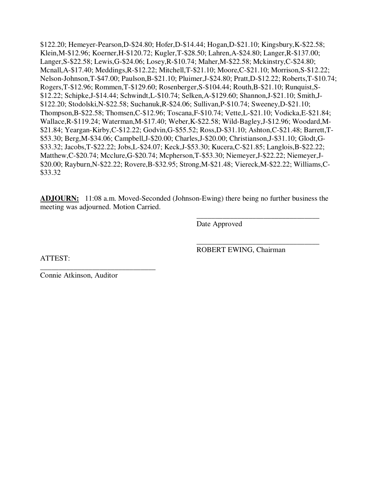\$122.20; Hemeyer-Pearson,D-\$24.80; Hofer,D-\$14.44; Hogan,D-\$21.10; Kingsbury,K-\$22.58; Klein,M-\$12.96; Koerner,H-\$120.72; Kugler,T-\$28.50; Lahren,A-\$24.80; Langer,R-\$137.00; Langer,S-\$22.58; Lewis,G-\$24.06; Losey,R-\$10.74; Maher,M-\$22.58; Mckinstry,C-\$24.80; Mcnall,A-\$17.40; Meddings,R-\$12.22; Mitchell,T-\$21.10; Moore,C-\$21.10; Morrison,S-\$12.22; Nelson-Johnson,T-\$47.00; Paulson,B-\$21.10; Pluimer,J-\$24.80; Pratt,D-\$12.22; Roberts,T-\$10.74; Rogers,T-\$12.96; Rommen,T-\$129.60; Rosenberger,S-\$104.44; Routh,B-\$21.10; Runquist,S- \$12.22; Schipke,J-\$14.44; Schwindt,L-\$10.74; Selken,A-\$129.60; Shannon,J-\$21.10; Smith,J- \$122.20; Stodolski,N-\$22.58; Suchanuk,R-\$24.06; Sullivan,P-\$10.74; Sweeney,D-\$21.10; Thompson,B-\$22.58; Thomsen,C-\$12.96; Toscana,F-\$10.74; Vette,L-\$21.10; Vodicka,E-\$21.84; Wallace,R-\$119.24; Waterman,M-\$17.40; Weber,K-\$22.58; Wild-Bagley,J-\$12.96; Woodard,M- \$21.84; Yeargan-Kirby,C-\$12.22; Godvin,G-\$55.52; Ross,D-\$31.10; Ashton,C-\$21.48; Barrett,T- \$53.30; Berg,M-\$34.06; Campbell,J-\$20.00; Charles,J-\$20.00; Christianson,J-\$31.10; Glodt,G- \$33.32; Jacobs,T-\$22.22; Jobs,L-\$24.07; Keck,J-\$53.30; Kucera,C-\$21.85; Langlois,B-\$22.22; Matthew,C-\$20.74; Mcclure,G-\$20.74; Mcpherson,T-\$53.30; Niemeyer,J-\$22.22; Niemeyer,J- \$20.00; Rayburn,N-\$22.22; Rovere,B-\$32.95; Strong,M-\$21.48; Viereck,M-\$22.22; Williams,C- \$33.32

**ADJOURN:** 11:08 a.m. Moved-Seconded (Johnson-Ewing) there being no further business the meeting was adjourned. Motion Carried.

 $\overline{\phantom{a}}$  , and the contract of the contract of the contract of the contract of the contract of the contract of the contract of the contract of the contract of the contract of the contract of the contract of the contrac

 $\overline{\phantom{a}}$  , and the contract of the contract of the contract of the contract of the contract of the contract of the contract of the contract of the contract of the contract of the contract of the contract of the contrac

Date Approved

ATTEST:

Connie Atkinson, Auditor

\_\_\_\_\_\_\_\_\_\_\_\_\_\_\_\_\_\_\_\_\_\_\_\_\_\_\_\_\_\_\_

ROBERT EWING, Chairman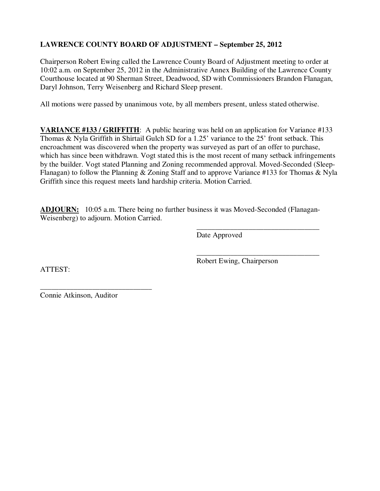# **LAWRENCE COUNTY BOARD OF ADJUSTMENT – September 25, 2012**

Chairperson Robert Ewing called the Lawrence County Board of Adjustment meeting to order at 10:02 a.m. on September 25, 2012 in the Administrative Annex Building of the Lawrence County Courthouse located at 90 Sherman Street, Deadwood, SD with Commissioners Brandon Flanagan, Daryl Johnson, Terry Weisenberg and Richard Sleep present.

All motions were passed by unanimous vote, by all members present, unless stated otherwise.

**VARIANCE #133 / GRIFFITH**: A public hearing was held on an application for Variance #133 Thomas & Nyla Griffith in Shirtail Gulch SD for a 1.25' variance to the 25' front setback. This encroachment was discovered when the property was surveyed as part of an offer to purchase, which has since been withdrawn. Vogt stated this is the most recent of many setback infringements by the builder. Vogt stated Planning and Zoning recommended approval. Moved-Seconded (Sleep-Flanagan) to follow the Planning & Zoning Staff and to approve Variance #133 for Thomas & Nyla Griffith since this request meets land hardship criteria. Motion Carried.

**ADJOURN:** 10:05 a.m. There being no further business it was Moved-Seconded (Flanagan-Weisenberg) to adjourn. Motion Carried.

 $\overline{\phantom{a}}$  , and the contract of the contract of the contract of the contract of the contract of the contract of the contract of the contract of the contract of the contract of the contract of the contract of the contrac

Date Approved

ATTEST:

 $\overline{\phantom{a}}$  , and the contract of the contract of the contract of the contract of the contract of the contract of the contract of the contract of the contract of the contract of the contract of the contract of the contrac Robert Ewing, Chairperson

Connie Atkinson, Auditor

\_\_\_\_\_\_\_\_\_\_\_\_\_\_\_\_\_\_\_\_\_\_\_\_\_\_\_\_\_\_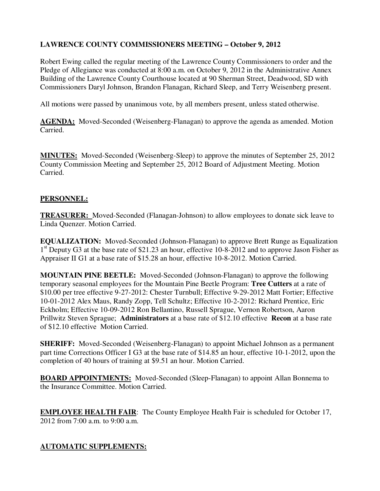# **LAWRENCE COUNTY COMMISSIONERS MEETING – October 9, 2012**

Robert Ewing called the regular meeting of the Lawrence County Commissioners to order and the Pledge of Allegiance was conducted at 8:00 a.m. on October 9, 2012 in the Administrative Annex Building of the Lawrence County Courthouse located at 90 Sherman Street, Deadwood, SD with Commissioners Daryl Johnson, Brandon Flanagan, Richard Sleep, and Terry Weisenberg present.

All motions were passed by unanimous vote, by all members present, unless stated otherwise.

**AGENDA:** Moved-Seconded (Weisenberg-Flanagan) to approve the agenda as amended. Motion Carried.

**MINUTES:** Moved-Seconded (Weisenberg-Sleep) to approve the minutes of September 25, 2012 County Commission Meeting and September 25, 2012 Board of Adjustment Meeting. Motion Carried.

#### **PERSONNEL:**

**TREASURER:** Moved-Seconded (Flanagan-Johnson) to allow employees to donate sick leave to Linda Quenzer. Motion Carried.

**EQUALIZATION:** Moved-Seconded (Johnson-Flanagan) to approve Brett Runge as Equalization 1<sup>st</sup> Deputy G3 at the base rate of \$21.23 an hour, effective 10-8-2012 and to approve Jason Fisher as Appraiser II G1 at a base rate of \$15.28 an hour, effective 10-8-2012. Motion Carried.

**MOUNTAIN PINE BEETLE:** Moved-Seconded (Johnson-Flanagan) to approve the following temporary seasonal employees for the Mountain Pine Beetle Program: **Tree Cutters** at a rate of \$10.00 per tree effective 9-27-2012: Chester Turnbull; Effective 9-29-2012 Matt Fortier; Effective 10-01-2012 Alex Maus, Randy Zopp, Tell Schultz; Effective 10-2-2012: Richard Prentice, Eric Eckholm; Effective 10-09-2012 Ron Bellantino, Russell Sprague, Vernon Robertson, Aaron Prillwitz Steven Sprague; **Administrators** at a base rate of \$12.10 effective **Recon** at a base rate of \$12.10 effective Motion Carried.

**SHERIFF:** Moved-Seconded (Weisenberg-Flanagan) to appoint Michael Johnson as a permanent part time Corrections Officer I G3 at the base rate of \$14.85 an hour, effective 10-1-2012, upon the completion of 40 hours of training at \$9.51 an hour. Motion Carried.

**BOARD APPOINTMENTS:** Moved-Seconded (Sleep-Flanagan) to appoint Allan Bonnema to the Insurance Committee. Motion Carried.

**EMPLOYEE HEALTH FAIR:** The County Employee Health Fair is scheduled for October 17, 2012 from 7:00 a.m. to 9:00 a.m.

## **AUTOMATIC SUPPLEMENTS:**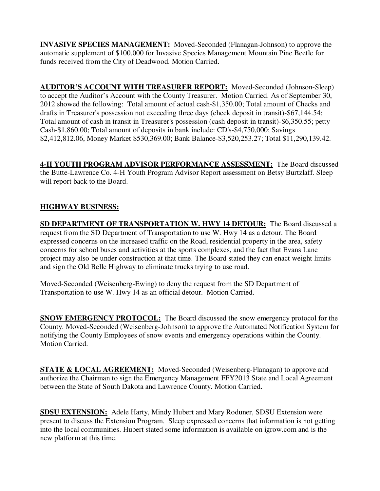**INVASIVE SPECIES MANAGEMENT:** Moved-Seconded (Flanagan-Johnson) to approve the automatic supplement of \$100,000 for Invasive Species Management Mountain Pine Beetle for funds received from the City of Deadwood. Motion Carried.

**AUDITOR'S ACCOUNT WITH TREASURER REPORT:** Moved-Seconded (Johnson-Sleep) to accept the Auditor's Account with the County Treasurer. Motion Carried. As of September 30, 2012 showed the following: Total amount of actual cash-\$1,350.00; Total amount of Checks and drafts in Treasurer's possession not exceeding three days (check deposit in transit)-\$67,144.54; Total amount of cash in transit in Treasurer's possession (cash deposit in transit)-\$6,350.55; petty Cash-\$1,860.00; Total amount of deposits in bank include: CD's-\$4,750,000; Savings \$2,412,812.06, Money Market \$530,369.00; Bank Balance-\$3,520,253.27; Total \$11,290,139.42.

**4-H YOUTH PROGRAM ADVISOR PERFORMANCE ASSESSMENT:** The Board discussed the Butte-Lawrence Co. 4-H Youth Program Advisor Report assessment on Betsy Burtzlaff. Sleep will report back to the Board.

# **HIGHWAY BUSINESS:**

**SD DEPARTMENT OF TRANSPORTATION W. HWY 14 DETOUR:** The Board discussed a request from the SD Department of Transportation to use W. Hwy 14 as a detour. The Board expressed concerns on the increased traffic on the Road, residential property in the area, safety concerns for school buses and activities at the sports complexes, and the fact that Evans Lane project may also be under construction at that time. The Board stated they can enact weight limits and sign the Old Belle Highway to eliminate trucks trying to use road.

Moved-Seconded (Weisenberg-Ewing) to deny the request from the SD Department of Transportation to use W. Hwy 14 as an official detour. Motion Carried.

**SNOW EMERGENCY PROTOCOL:** The Board discussed the snow emergency protocol for the County. Moved-Seconded (Weisenberg-Johnson) to approve the Automated Notification System for notifying the County Employees of snow events and emergency operations within the County. Motion Carried.

**STATE & LOCAL AGREEMENT:** Moved-Seconded (Weisenberg-Flanagan) to approve and authorize the Chairman to sign the Emergency Management FFY2013 State and Local Agreement between the State of South Dakota and Lawrence County. Motion Carried.

**SDSU EXTENSION:** Adele Harty, Mindy Hubert and Mary Roduner, SDSU Extension were present to discuss the Extension Program. Sleep expressed concerns that information is not getting into the local communities. Hubert stated some information is available on igrow.com and is the new platform at this time.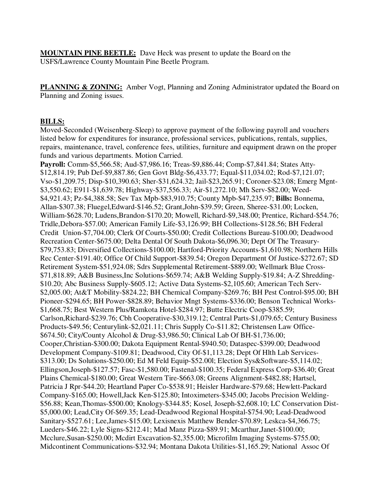**MOUNTAIN PINE BEETLE:** Dave Heck was present to update the Board on the USFS/Lawrence County Mountain Pine Beetle Program.

**PLANNING & ZONING:** Amber Vogt, Planning and Zoning Administrator updated the Board on Planning and Zoning issues.

#### **BILLS:**

Moved-Seconded (Weisenberg-Sleep) to approve payment of the following payroll and vouchers listed below for expenditures for insurance, professional services, publications, rentals, supplies, repairs, maintenance, travel, conference fees, utilities, furniture and equipment drawn on the proper funds and various departments. Motion Carried.

**Payroll:** Comm-\$5,566.58; Aud-\$7,986.16; Treas-\$9,886.44; Comp-\$7,841.84; States Atty- \$12,814.19; Pub Def-\$9,887.86; Gen Govt Bldg-\$6,433.77; Equal-\$11,034.02; Rod-\$7,121.07; Vso-\$1,209.75; Disp-\$10,390.63; Sher-\$31,624.32; Jail-\$23,265.91; Coroner-\$23.08; Emerg Mgnt- \$3,550.62; E911-\$1,639.78; Highway-\$37,556.33; Air-\$1,272.10; Mh Serv-\$82.00; Weed- \$4,921.43; Pz-\$4,388.58; Sev Tax Mpb-\$83,910.75; County Mpb-\$47,235.97; **Bills:** Bonnema, Allan-\$307.38; Fluegel,Edward-\$146.52; Grant,John-\$39.59; Green, Sheree-\$31.00; Locken, William-\$628.70; Ludens,Brandon-\$170.20; Mowell, Richard-\$9,348.00; Prentice, Richard-\$54.76; Tridle,Debora-\$57.00; American Family Life-\$3,126.99; BH Collections-\$128.56; BH Federal Credit Union-\$7,704.00; Clerk Of Courts-\$50.00; Credit Collections Bureau-\$100.00; Deadwood Recreation Center-\$675.00; Delta Dental Of South Dakota-\$6,096.30; Dept Of The Treasury- \$79,753.83; Diversified Collections-\$100.00; Hartford-Priority Accounts-\$1,610.98; Northern Hills Rec Center-\$191.40; Office Of Child Support-\$839.54; Oregon Department Of Justice-\$272.67; SD Retirement System-\$51,924.08; Sdrs Supplemental Retirement-\$889.00; Wellmark Blue Cross- \$71,818.89; A&B Business,Inc Solutions-\$659.74; A&B Welding Supply-\$19.84; A-Z Shredding- \$10.20; Abc Business Supply-\$605.12; Active Data Systems-\$2,105.60; American Tech Serv- \$2,005.00; At&T Mobility-\$824.22; BH Chemical Company-\$269.76; BH Pest Control-\$95.00; BH Pioneer-\$294.65; BH Power-\$828.89; Behavior Mngt Systems-\$336.00; Benson Technical Works- \$1,668.75; Best Western Plus/Ramkota Hotel-\$284.97; Butte Electric Coop-\$385.59; Carlson,Richard-\$239.76; Cbh Cooperative-\$30,319.12; Central Parts-\$1,079.65; Century Business Products-\$49.56; Centurylink-\$2,021.11; Chris Supply Co-\$11.82; Christensen Law Office- \$674.50; City/County Alcohol & Drug-\$3,986.50; Clinical Lab Of BH-\$1,736.00; Cooper,Christian-\$300.00; Dakota Equipment Rental-\$940.50; Dataspec-\$399.00; Deadwood Development Company-\$109.81; Deadwood, City Of-\$1,113.28; Dept Of Hlth Lab Services- \$313.00; Ds Solutions-\$250.00; Ed M Feld Equip-\$52.00l; Election Sys&Software-\$5,114.02; Ellingson,Joseph-\$127.57; Fasc-\$1,580.00; Fastenal-\$100.35; Federal Express Corp-\$36.40; Great Plains Chemical-\$180.00; Great Western Tire-\$663.08; Greens Alignment-\$482.88; Hartsel, Patricia J Rpr-\$44.20; Heartland Paper Co-\$538.91; Heisler Hardware-\$79.68; Hewlett-Packard Company-\$165.00; Howell,Jack Ken-\$125.80; Intoximeters-\$345.00; Jacobs Precision Welding- \$56.88; Kean,Thomas-\$500.00; Knology-\$344.85; Kosel, Joseph-\$2,608.10; LC Conservation Dist- \$5,000.00; Lead,City Of-\$69.35; Lead-Deadwood Regional Hospital-\$754.90; Lead-Deadwood Sanitary-\$527.61; Lee,James-\$15.00; Lexisnexis Matthew Bender-\$70.89; Leskca-\$4,366.75; Lueders-\$46.22; Lyle Signs-\$212.41; Mad Manz Pizza-\$89.91; Mcarthur,Janet-\$100.00; Mcclure,Susan-\$250.00; Mcdirt Excavation-\$2,355.00; Microfilm Imaging Systems-\$755.00; Midcontinent Communications-\$32.94; Montana Dakota Utilities-\$1,165.29; National Assoc Of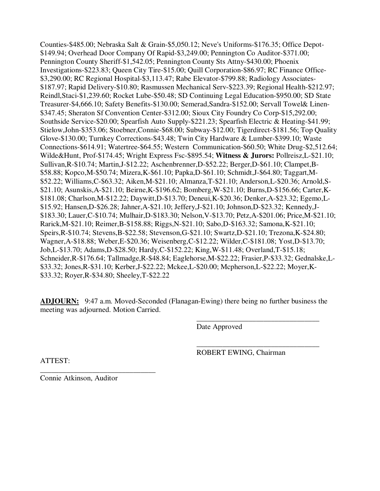Counties-\$485.00; Nebraska Salt & Grain-\$5,050.12; Neve's Uniforms-\$176.35; Office Depot- \$149.94; Overhead Door Company Of Rapid-\$3,249.00; Pennington Co Auditor-\$371.00; Pennington County Sheriff-\$1,542.05; Pennington County Sts Attny-\$430.00; Phoenix Investigations-\$223.83; Queen City Tire-\$15.00; Quill Corporation-\$86.97; RC Finance Office- \$3,290.00; RC Regional Hospital-\$3,113.47; Rabe Elevator-\$799.88; Radiology Associates- \$187.97; Rapid Delivery-\$10.80; Rasmussen Mechanical Serv-\$223.39; Regional Health-\$212.97; Reindl,Staci-\$1,239.60; Rocket Lube-\$50.48; SD Continuing Legal Education-\$950.00; SD State Treasurer-\$4,666.10; Safety Benefits-\$130.00; Semerad,Sandra-\$152.00; Servall Towel& Linen- \$347.45; Sheraton Sf Convention Center-\$312.00; Sioux City Foundry Co Corp-\$15,292.00; Southside Service-\$20.00; Spearfish Auto Supply-\$221.23; Spearfish Electric & Heating-\$41.99; Stielow,John-\$353.06; Stoebner,Connie-\$68.00; Subway-\$12.00; Tigerdirect-\$181.56; Top Quality Glove-\$130.00; Turnkey Corrections-\$43.48; Twin City Hardware & Lumber-\$399.10; Waste Connections-\$614.91; Watertree-\$64.55; Western Communication-\$60.50; White Drug-\$2,512.64; Wilde&Hunt, Prof-\$174.45; Wright Express Fsc-\$895.54; **Witness & Jurors:** Pollreisz,L-\$21.10; Sullivan,R-\$10.74; Martin,J-\$12.22; Aschenbrenner,D-\$52.22; Berger,D-\$61.10; Clampet,B- \$58.88; Kopco,M-\$50.74; Mizera,K-\$61.10; Papka,D-\$61.10; Schmidt,J-\$64.80; Taggart,M- \$52.22; Williams,C-\$63.32; Aiken,M-\$21.10; Almanza,T-\$21.10; Anderson,L-\$20.36; Arnold,S- \$21.10; Asunskis,A-\$21.10; Beirne,K-\$196.62; Bomberg,W-\$21.10; Burns,D-\$156.66; Carter,K- \$181.08; Charlson,M-\$12.22; Daywitt,D-\$13.70; Deneui,K-\$20.36; Denker,A-\$23.32; Egemo,L- \$15.92; Hansen,D-\$26.28; Jahner,A-\$21.10; Jeffery,J-\$21.10; Johnson,D-\$23.32; Kennedy,J- \$183.30; Lauer,C-\$10.74; Mulhair,D-\$183.30; Nelson,V-\$13.70; Petz,A-\$201.06; Price,M-\$21.10; Rarick,M-\$21.10; Reimer,B-\$158.88; Riggs,N-\$21.10; Sabo,D-\$163.32; Samona,K-\$21.10; Speirs,R-\$10.74; Stevens,B-\$22.58; Stevenson,G-\$21.10; Swartz,D-\$21.10; Trezona,K-\$24.80; Wagner,A-\$18.88; Weber,E-\$20.36; Weisenberg,C-\$12.22; Wilder,C-\$181.08; Yost,D-\$13.70; Job,L-\$13.70; Adams,D-\$28.50; Hardy,C-\$152.22; King,W-\$11.48; Overland,T-\$15.18; Schneider,R-\$176.64; Tallmadge,R-\$48.84; Eaglehorse,M-\$22.22; Frasier,P-\$33.32; Gednalske,L- \$33.32; Jones,R-\$31.10; Kerber,J-\$22.22; Mckee,L-\$20.00; Mcpherson,L-\$22.22; Moyer,K- \$33.32; Royer,R-\$34.80; Sheeley,T-\$22.22

**ADJOURN:** 9:47 a.m. Moved-Seconded (Flanagan-Ewing) there being no further business the meeting was adjourned. Motion Carried.

 $\overline{\phantom{a}}$  , and the contract of the contract of the contract of the contract of the contract of the contract of the contract of the contract of the contract of the contract of the contract of the contract of the contrac

 $\overline{\phantom{a}}$  , and the contract of the contract of the contract of the contract of the contract of the contract of the contract of the contract of the contract of the contract of the contract of the contract of the contrac

Date Approved

ROBERT EWING, Chairman

ATTEST:

Connie Atkinson, Auditor

\_\_\_\_\_\_\_\_\_\_\_\_\_\_\_\_\_\_\_\_\_\_\_\_\_\_\_\_\_\_\_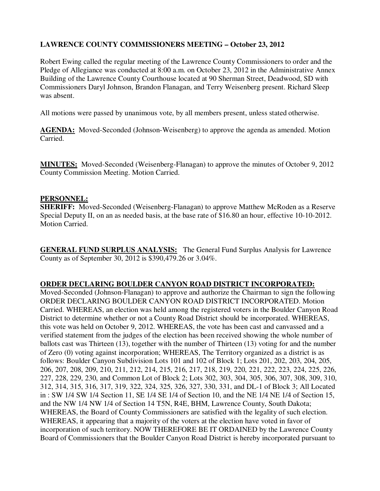# **LAWRENCE COUNTY COMMISSIONERS MEETING – October 23, 2012**

Robert Ewing called the regular meeting of the Lawrence County Commissioners to order and the Pledge of Allegiance was conducted at 8:00 a.m. on October 23, 2012 in the Administrative Annex Building of the Lawrence County Courthouse located at 90 Sherman Street, Deadwood, SD with Commissioners Daryl Johnson, Brandon Flanagan, and Terry Weisenberg present. Richard Sleep was absent.

All motions were passed by unanimous vote, by all members present, unless stated otherwise.

**AGENDA:** Moved-Seconded (Johnson-Weisenberg) to approve the agenda as amended. Motion Carried.

**MINUTES:** Moved-Seconded (Weisenberg-Flanagan) to approve the minutes of October 9, 2012 County Commission Meeting. Motion Carried.

#### **PERSONNEL:**

**SHERIFF:** Moved-Seconded (Weisenberg-Flanagan) to approve Matthew McRoden as a Reserve Special Deputy II, on an as needed basis, at the base rate of \$16.80 an hour, effective 10-10-2012. Motion Carried.

**GENERAL FUND SURPLUS ANALYSIS:** The General Fund Surplus Analysis for Lawrence County as of September 30, 2012 is \$390,479.26 or 3.04%.

#### **ORDER DECLARING BOULDER CANYON ROAD DISTRICT INCORPORATED:**

Moved-Seconded (Johnson-Flanagan) to approve and authorize the Chairman to sign the following ORDER DECLARING BOULDER CANYON ROAD DISTRICT INCORPORATED. Motion Carried. WHEREAS, an election was held among the registered voters in the Boulder Canyon Road District to determine whether or not a County Road District should be incorporated. WHEREAS, this vote was held on October 9, 2012. WHEREAS, the vote has been cast and canvassed and a verified statement from the judges of the election has been received showing the whole number of ballots cast was Thirteen (13), together with the number of Thirteen (13) voting for and the number of Zero (0) voting against incorporation; WHEREAS, The Territory organized as a district is as follows: Boulder Canyon Subdivision Lots 101 and 102 of Block 1; Lots 201, 202, 203, 204, 205, 206, 207, 208, 209, 210, 211, 212, 214, 215, 216, 217, 218, 219, 220, 221, 222, 223, 224, 225, 226, 227, 228, 229, 230, and Common Lot of Block 2; Lots 302, 303, 304, 305, 306, 307, 308, 309, 310, 312, 314, 315, 316, 317, 319, 322, 324, 325, 326, 327, 330, 331, and DL-1 of Block 3; All Located in : SW 1/4 SW 1/4 Section 11, SE 1/4 SE 1/4 of Section 10, and the NE 1/4 NE 1/4 of Section 15, and the NW 1/4 NW 1/4 of Section 14 T5N, R4E, BHM, Lawrence County, South Dakota; WHEREAS, the Board of County Commissioners are satisfied with the legality of such election. WHEREAS, it appearing that a majority of the voters at the election have voted in favor of incorporation of such territory. NOW THEREFORE BE IT ORDAINED by the Lawrence County Board of Commissioners that the Boulder Canyon Road District is hereby incorporated pursuant to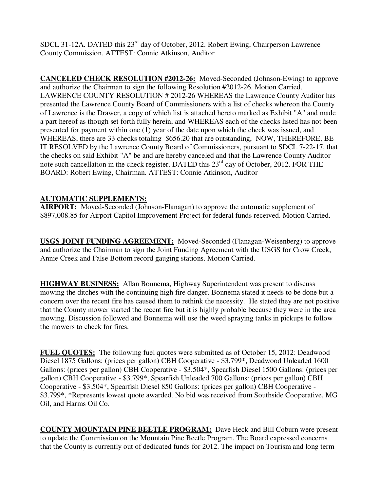SDCL 31-12A. DATED this 23<sup>rd</sup> day of October, 2012. Robert Ewing, Chairperson Lawrence County Commission. ATTEST: Connie Atkinson, Auditor

**CANCELED CHECK RESOLUTION #2012-26:** Moved-Seconded (Johnson-Ewing) to approve and authorize the Chairman to sign the following Resolution #2012-26. Motion Carried. LAWRENCE COUNTY RESOLUTION # 2012-26 WHEREAS the Lawrence County Auditor has presented the Lawrence County Board of Commissioners with a list of checks whereon the County of Lawrence is the Drawer, a copy of which list is attached hereto marked as Exhibit "A" and made a part hereof as though set forth fully herein, and WHEREAS each of the checks listed has not been presented for payment within one (1) year of the date upon which the check was issued, and WHEREAS, there are 33 checks totaling \$656.20 that are outstanding, NOW, THEREFORE, BE IT RESOLVED by the Lawrence County Board of Commissioners, pursuant to SDCL 7-22-17, that the checks on said Exhibit "A" be and are hereby canceled and that the Lawrence County Auditor note such cancellation in the check register. DATED this  $23<sup>rd</sup>$  day of October, 2012. FOR THE BOARD: Robert Ewing, Chairman. ATTEST: Connie Atkinson, Auditor

# **AUTOMATIC SUPPLEMENTS:**

**AIRPORT:** Moved-Seconded (Johnson-Flanagan) to approve the automatic supplement of \$897,008.85 for Airport Capitol Improvement Project for federal funds received. Motion Carried.

**USGS JOINT FUNDING AGREEMENT:** Moved-Seconded (Flanagan-Weisenberg) to approve and authorize the Chairman to sign the Joint Funding Agreement with the USGS for Crow Creek, Annie Creek and False Bottom record gauging stations. Motion Carried.

**HIGHWAY BUSINESS:** Allan Bonnema, Highway Superintendent was present to discuss mowing the ditches with the continuing high fire danger. Bonnema stated it needs to be done but a concern over the recent fire has caused them to rethink the necessity. He stated they are not positive that the County mower started the recent fire but it is highly probable because they were in the area mowing. Discussion followed and Bonnema will use the weed spraying tanks in pickups to follow the mowers to check for fires.

**FUEL QUOTES:** The following fuel quotes were submitted as of October 15, 2012: Deadwood Diesel 1875 Gallons: (prices per gallon) CBH Cooperative - \$3.799\*, Deadwood Unleaded 1600 Gallons: (prices per gallon) CBH Cooperative - \$3.504\*, Spearfish Diesel 1500 Gallons: (prices per gallon) CBH Cooperative - \$3.799\*, Spearfish Unleaded 700 Gallons: (prices per gallon) CBH Cooperative - \$3.504\*, Spearfish Diesel 850 Gallons: (prices per gallon) CBH Cooperative - \$3.799\*, \*Represents lowest quote awarded. No bid was received from Southside Cooperative, MG Oil, and Harms Oil Co.

**COUNTY MOUNTAIN PINE BEETLE PROGRAM:** Dave Heck and Bill Coburn were present to update the Commission on the Mountain Pine Beetle Program. The Board expressed concerns that the County is currently out of dedicated funds for 2012. The impact on Tourism and long term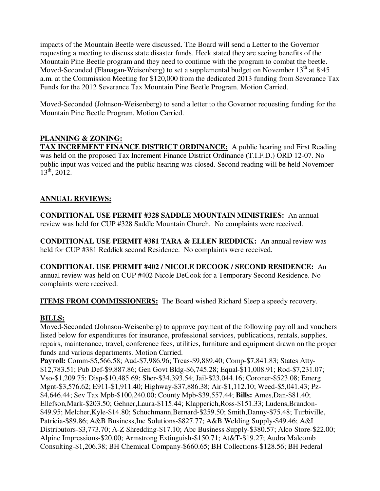impacts of the Mountain Beetle were discussed. The Board will send a Letter to the Governor requesting a meeting to discuss state disaster funds. Heck stated they are seeing benefits of the Mountain Pine Beetle program and they need to continue with the program to combat the beetle. Moved-Seconded (Flanagan-Weisenberg) to set a supplemental budget on November  $13<sup>th</sup>$  at 8:45 a.m. at the Commission Meeting for \$120,000 from the dedicated 2013 funding from Severance Tax Funds for the 2012 Severance Tax Mountain Pine Beetle Program. Motion Carried.

Moved-Seconded (Johnson-Weisenberg) to send a letter to the Governor requesting funding for the Mountain Pine Beetle Program. Motion Carried.

# **PLANNING & ZONING:**

**TAX INCREMENT FINANCE DISTRICT ORDINANCE:** A public hearing and First Reading was held on the proposed Tax Increment Finance District Ordinance (T.I.F.D.) ORD 12-07. No public input was voiced and the public hearing was closed. Second reading will be held November  $13^{th}$ , 2012.

# **ANNUAL REVIEWS:**

**CONDITIONAL USE PERMIT #328 SADDLE MOUNTAIN MINISTRIES:** An annual review was held for CUP #328 Saddle Mountain Church. No complaints were received.

**CONDITIONAL USE PERMIT #381 TARA & ELLEN REDDICK:** An annual review was held for CUP #381 Reddick second Residence. No complaints were received.

**CONDITIONAL USE PERMIT #402 / NICOLE DECOOK / SECOND RESIDENCE:** An annual review was held on CUP #402 Nicole DeCook for a Temporary Second Residence. No complaints were received.

**ITEMS FROM COMMISSIONERS:** The Board wished Richard Sleep a speedy recovery.

## **BILLS:**

Moved-Seconded (Johnson-Weisenberg) to approve payment of the following payroll and vouchers listed below for expenditures for insurance, professional services, publications, rentals, supplies, repairs, maintenance, travel, conference fees, utilities, furniture and equipment drawn on the proper funds and various departments. Motion Carried.

**Payroll:** Comm-\$5,566.58; Aud-\$7,986.96; Treas-\$9,889.40; Comp-\$7,841.83; States Atty- \$12,783.51; Pub Def-\$9,887.86; Gen Govt Bldg-\$6,745.28; Equal-\$11,008.91; Rod-\$7,231.07; Vso-\$1,209.75; Disp-\$10,485.69; Sher-\$34,393.54; Jail-\$23,044.16; Coroner-\$523.08; Emerg Mgnt-\$3,576.62; E911-\$1,911.40; Highway-\$37,886.38; Air-\$1,112.10; Weed-\$5,041.43; Pz- \$4,646.44; Sev Tax Mpb-\$100,240.00; County Mpb-\$39,557.44; **Bills:** Ames,Dan-\$81.40; Ellefson,Mark-\$203.50; Gehner,Laura-\$115.44; Klapperich,Ross-\$151.33; Ludens,Brandon- \$49.95; Melcher,Kyle-\$14.80; Schuchmann,Bernard-\$259.50; Smith,Danny-\$75.48; Turbiville, Patricia-\$89.86; A&B Business,Inc Solutions-\$827.77; A&B Welding Supply-\$49.46; A&I Distributors-\$3,773.70; A-Z Shredding-\$17.10; Abc Business Supply-\$380.57; Alco Store-\$22.00; Alpine Impressions-\$20.00; Armstrong Extinguish-\$150.71; At&T-\$19.27; Audra Malcomb Consulting-\$1,206.38; BH Chemical Company-\$660.65; BH Collections-\$128.56; BH Federal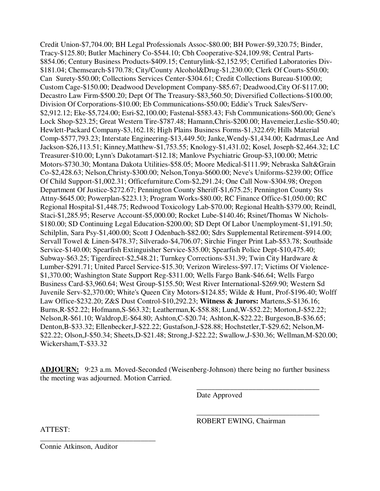Credit Union-\$7,704.00; BH Legal Professionals Assoc-\$80.00; BH Power-\$9,320.75; Binder, Tracy-\$125.80; Butler Machinery Co-\$544.10; Cbh Cooperative-\$24,109.98; Central Parts- \$854.06; Century Business Products-\$409.15; Centurylink-\$2,152.95; Certified Laboratories Div- \$181.04; Chemsearch-\$170.78; City/County Alcohol&Drug-\$1,230.00; Clerk Of Courts-\$50.00; Can Surety-\$50.00; Collections Services Center-\$304.61; Credit Collections Bureau-\$100.00; Custom Cage-\$150.00; Deadwood Development Company-\$85.67; Deadwood,City Of-\$117.00; Decastro Law Firm-\$500.20; Dept Of The Treasury-\$83,560.50; Diversified Collections-\$100.00; Division Of Corporations-\$10.00; Eb Communications-\$50.00; Eddie's Truck Sales/Serv- \$2,912.12; Eke-\$5,724.00; Esri-\$2,100.00; Fastenal-\$583.43; Fsh Communications-\$60.00; Gene's Lock Shop-\$23.25; Great Western Tire-\$787.48; Hamann,Chris-\$200.00; Havemeier,Leslie-\$50.40; Hewlett-Packard Company-\$3,162.18; High Plains Business Forms-\$1,322.69; Hills Material Comp-\$577,793.23; Interstate Engineering-\$13,449.50; Janke,Wendy-\$1,434.00; Kadrmas,Lee And Jackson-\$26,113.51; Kinney,Matthew-\$1,753.55; Knology-\$1,431.02; Kosel, Joseph-\$2,464.32; LC Treasurer-\$10.00; Lynn's Dakotamart-\$12.18; Manlove Psychiatric Group-\$3,100.00; Metric Motors-\$730.30; Montana Dakota Utilities-\$58.05; Moore Medical-\$111.99; Nebraska Salt&Grain Co-\$2,428.63; Nelson,Christy-\$300.00; Nelson,Tonya-\$600.00; Neve's Uniforms-\$239.00; Office Of Child Support-\$1,002.31; Officefurniture.Com-\$2,291.24; One Call Now-\$304.98; Oregon Department Of Justice-\$272.67; Pennington County Sheriff-\$1,675.25; Pennington County Sts Attny-\$645.00; Powerplan-\$223.13; Program Works-\$80.00; RC Finance Office-\$1,050.00; RC Regional Hospital-\$1,448.75; Redwood Toxicology Lab-\$70.00; Regional Health-\$379.00; Reindl, Staci-\$1,285.95; Reserve Account-\$5,000.00; Rocket Lube-\$140.46; Rsinet/Thomas W Nichols- \$180.00; SD Continuing Legal Education-\$200.00; SD Dept Of Labor Unemployment-\$1,191.50; Schilplin, Sara Psy-\$1,400.00; Scott J Odenbach-\$82.00; Sdrs Supplemental Retirement-\$914.00; Servall Towel & Linen-\$478.37; Silverado-\$4,706.07; Sirchie Finger Print Lab-\$53.78; Southside Service-\$140.00; Spearfish Extinguisher Service-\$35.00; Spearfish Police Dept-\$10,475.40; Subway-\$63.25; Tigerdirect-\$2,548.21; Turnkey Corrections-\$31.39; Twin City Hardware & Lumber-\$291.71; United Parcel Service-\$15.30; Verizon Wireless-\$97.17; Victims Of Violence- \$1,370.00; Washington State Support Reg-\$311.00; Wells Fargo Bank-\$46.64; Wells Fargo Business Card-\$3,960.64; West Group-\$155.50; West River International-\$269.90; Western Sd Juvenile Serv-\$2,370.00; White's Queen City Motors-\$124.85; Wilde & Hunt, Prof-\$196.40; Wolff Law Office-\$232.20; Z&S Dust Control-\$10,292.23; **Witness & Jurors:** Martens,S-\$136.16; Burns,R-\$52.22; Hofmann,S-\$63.32; Leatherman,K-\$58.88; Lund,W-\$52.22; Morton,J-\$52.22; Nelson,R-\$61.10; Waldrop,E-\$64.80; Ashton,C-\$20.74; Ashton,K-\$22.22; Burgeson,B-\$36.65; Denton,B-\$33.32; Ellenbecker,J-\$22.22; Gustafson,J-\$28.88; Hochstetler,T-\$29.62; Nelson,M- \$22.22; Olson,J-\$50.34; Sheets,D-\$21.48; Strong,J-\$22.22; Swallow,J-\$30.36; Wellman,M-\$20.00; Wickersham,T-\$33.32

**ADJOURN:** 9:23 a.m. Moved-Seconded (Weisenberg-Johnson) there being no further business the meeting was adjourned. Motion Carried.

 $\overline{\phantom{a}}$  , and the contract of the contract of the contract of the contract of the contract of the contract of the contract of the contract of the contract of the contract of the contract of the contract of the contrac

 $\overline{\phantom{a}}$  , and the contract of the contract of the contract of the contract of the contract of the contract of the contract of the contract of the contract of the contract of the contract of the contract of the contrac

Date Approved

ROBERT EWING, Chairman

ATTEST:

Connie Atkinson, Auditor

\_\_\_\_\_\_\_\_\_\_\_\_\_\_\_\_\_\_\_\_\_\_\_\_\_\_\_\_\_\_\_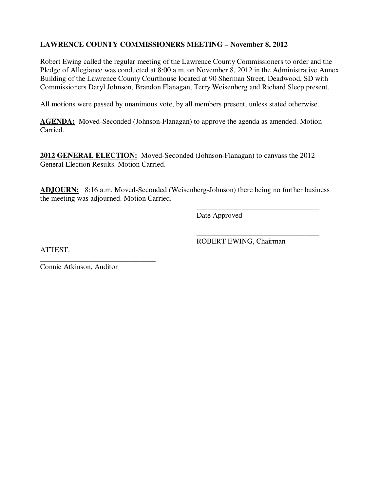# **LAWRENCE COUNTY COMMISSIONERS MEETING – November 8, 2012**

Robert Ewing called the regular meeting of the Lawrence County Commissioners to order and the Pledge of Allegiance was conducted at 8:00 a.m. on November 8, 2012 in the Administrative Annex Building of the Lawrence County Courthouse located at 90 Sherman Street, Deadwood, SD with Commissioners Daryl Johnson, Brandon Flanagan, Terry Weisenberg and Richard Sleep present.

All motions were passed by unanimous vote, by all members present, unless stated otherwise.

AGENDA: Moved-Seconded (Johnson-Flanagan) to approve the agenda as amended. Motion Carried.

**2012 GENERAL ELECTION:** Moved-Seconded (Johnson-Flanagan) to canvass the 2012 General Election Results. Motion Carried.

**ADJOURN:** 8:16 a.m. Moved-Seconded (Weisenberg-Johnson) there being no further business the meeting was adjourned. Motion Carried.

 $\overline{\phantom{a}}$  , and the contract of the contract of the contract of the contract of the contract of the contract of the contract of the contract of the contract of the contract of the contract of the contract of the contrac

Date Approved

ATTEST:

 $\overline{\phantom{a}}$  , and the contract of the contract of the contract of the contract of the contract of the contract of the contract of the contract of the contract of the contract of the contract of the contract of the contrac ROBERT EWING, Chairman

Connie Atkinson, Auditor

\_\_\_\_\_\_\_\_\_\_\_\_\_\_\_\_\_\_\_\_\_\_\_\_\_\_\_\_\_\_\_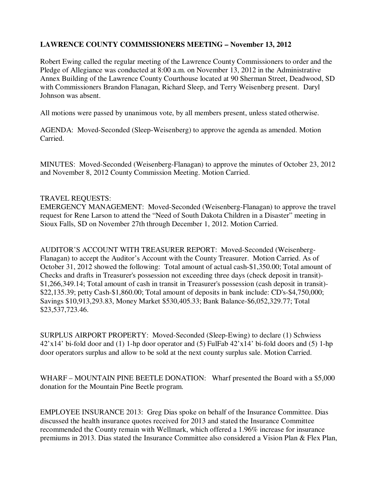### **LAWRENCE COUNTY COMMISSIONERS MEETING – November 13, 2012**

Robert Ewing called the regular meeting of the Lawrence County Commissioners to order and the Pledge of Allegiance was conducted at 8:00 a.m. on November 13, 2012 in the Administrative Annex Building of the Lawrence County Courthouse located at 90 Sherman Street, Deadwood, SD with Commissioners Brandon Flanagan, Richard Sleep, and Terry Weisenberg present. Daryl Johnson was absent.

All motions were passed by unanimous vote, by all members present, unless stated otherwise.

AGENDA: Moved-Seconded (Sleep-Weisenberg) to approve the agenda as amended. Motion Carried.

MINUTES: Moved-Seconded (Weisenberg-Flanagan) to approve the minutes of October 23, 2012 and November 8, 2012 County Commission Meeting. Motion Carried.

#### TRAVEL REQUESTS:

EMERGENCY MANAGEMENT: Moved-Seconded (Weisenberg-Flanagan) to approve the travel request for Rene Larson to attend the "Need of South Dakota Children in a Disaster" meeting in Sioux Falls, SD on November 27th through December 1, 2012. Motion Carried.

AUDITOR'S ACCOUNT WITH TREASURER REPORT: Moved-Seconded (Weisenberg-Flanagan) to accept the Auditor's Account with the County Treasurer. Motion Carried. As of October 31, 2012 showed the following: Total amount of actual cash-\$1,350.00; Total amount of Checks and drafts in Treasurer's possession not exceeding three days (check deposit in transit)- \$1,266,349.14; Total amount of cash in transit in Treasurer's possession (cash deposit in transit)- \$22,135.39; petty Cash-\$1,860.00; Total amount of deposits in bank include: CD's-\$4,750,000; Savings \$10,913,293.83, Money Market \$530,405.33; Bank Balance-\$6,052,329.77; Total \$23,537,723.46.

SURPLUS AIRPORT PROPERTY: Moved-Seconded (Sleep-Ewing) to declare (1) Schwiess 42'x14' bi-fold door and (1) 1-hp door operator and (5) FulFab 42'x14' bi-fold doors and (5) 1-hp door operators surplus and allow to be sold at the next county surplus sale. Motion Carried.

WHARF – MOUNTAIN PINE BEETLE DONATION: Wharf presented the Board with a \$5,000 donation for the Mountain Pine Beetle program.

EMPLOYEE INSURANCE 2013: Greg Dias spoke on behalf of the Insurance Committee. Dias discussed the health insurance quotes received for 2013 and stated the Insurance Committee recommended the County remain with Wellmark, which offered a 1.96% increase for insurance premiums in 2013. Dias stated the Insurance Committee also considered a Vision Plan & Flex Plan,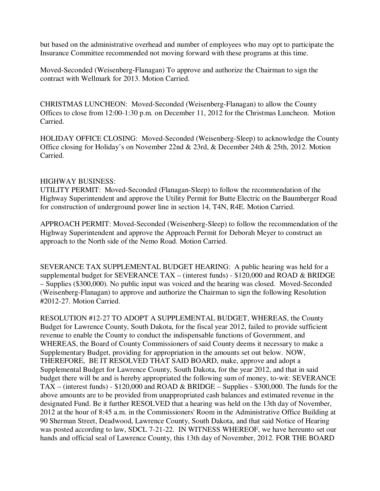but based on the administrative overhead and number of employees who may opt to participate the Insurance Committee recommended not moving forward with these programs at this time.

Moved-Seconded (Weisenberg-Flanagan) To approve and authorize the Chairman to sign the contract with Wellmark for 2013. Motion Carried.

CHRISTMAS LUNCHEON: Moved-Seconded (Weisenberg-Flanagan) to allow the County Offices to close from 12:00-1:30 p.m. on December 11, 2012 for the Christmas Luncheon. Motion Carried.

HOLIDAY OFFICE CLOSING: Moved-Seconded (Weisenberg-Sleep) to acknowledge the County Office closing for Holiday's on November 22nd & 23rd, & December 24th & 25th, 2012. Motion Carried.

### HIGHWAY BUSINESS:

UTILITY PERMIT: Moved-Seconded (Flanagan-Sleep) to follow the recommendation of the Highway Superintendent and approve the Utility Permit for Butte Electric on the Baumberger Road for construction of underground power line in section 14, T4N, R4E. Motion Carried.

APPROACH PERMIT: Moved-Seconded (Weisenberg-Sleep) to follow the recommendation of the Highway Superintendent and approve the Approach Permit for Deborah Meyer to construct an approach to the North side of the Nemo Road. Motion Carried.

SEVERANCE TAX SUPPLEMENTAL BUDGET HEARING: A public hearing was held for a supplemental budget for SEVERANCE TAX – (interest funds) -  $$120,000$  and ROAD & BRIDGE – Supplies (\$300,000). No public input was voiced and the hearing was closed. Moved-Seconded (Weisenberg-Flanagan) to approve and authorize the Chairman to sign the following Resolution #2012-27. Motion Carried.

RESOLUTION #12-27 TO ADOPT A SUPPLEMENTAL BUDGET, WHEREAS, the County Budget for Lawrence County, South Dakota, for the fiscal year 2012, failed to provide sufficient revenue to enable the County to conduct the indispensable functions of Government, and WHEREAS, the Board of County Commissioners of said County deems it necessary to make a Supplementary Budget, providing for appropriation in the amounts set out below. NOW, THEREFORE, BE IT RESOLVED THAT SAID BOARD, make, approve and adopt a Supplemental Budget for Lawrence County, South Dakota, for the year 2012, and that in said budget there will be and is hereby appropriated the following sum of money, to-wit: SEVERANCE TAX – (interest funds) - \$120,000 and ROAD & BRIDGE – Supplies - \$300,000. The funds for the above amounts are to be provided from unappropriated cash balances and estimated revenue in the designated Fund. Be it further RESOLVED that a hearing was held on the 13th day of November, 2012 at the hour of 8:45 a.m. in the Commissioners' Room in the Administrative Office Building at 90 Sherman Street, Deadwood, Lawrence County, South Dakota, and that said Notice of Hearing was posted according to law, SDCL 7-21-22. IN WITNESS WHEREOF, we have hereunto set our hands and official seal of Lawrence County, this 13th day of November, 2012. FOR THE BOARD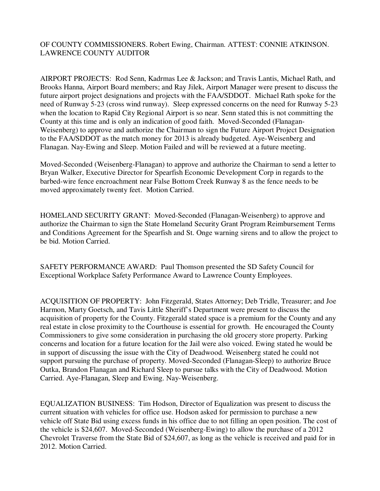### OF COUNTY COMMISSIONERS. Robert Ewing, Chairman. ATTEST: CONNIE ATKINSON. LAWRENCE COUNTY AUDITOR

AIRPORT PROJECTS: Rod Senn, Kadrmas Lee & Jackson; and Travis Lantis, Michael Rath, and Brooks Hanna, Airport Board members; and Ray Jilek, Airport Manager were present to discuss the future airport project designations and projects with the FAA/SDDOT. Michael Rath spoke for the need of Runway 5-23 (cross wind runway). Sleep expressed concerns on the need for Runway 5-23 when the location to Rapid City Regional Airport is so near. Senn stated this is not committing the County at this time and is only an indication of good faith. Moved-Seconded (Flanagan-Weisenberg) to approve and authorize the Chairman to sign the Future Airport Project Designation to the FAA/SDDOT as the match money for 2013 is already budgeted. Aye-Weisenberg and Flanagan. Nay-Ewing and Sleep. Motion Failed and will be reviewed at a future meeting.

Moved-Seconded (Weisenberg-Flanagan) to approve and authorize the Chairman to send a letter to Bryan Walker, Executive Director for Spearfish Economic Development Corp in regards to the barbed-wire fence encroachment near False Bottom Creek Runway 8 as the fence needs to be moved approximately twenty feet. Motion Carried.

HOMELAND SECURITY GRANT: Moved-Seconded (Flanagan-Weisenberg) to approve and authorize the Chairman to sign the State Homeland Security Grant Program Reimbursement Terms and Conditions Agreement for the Spearfish and St. Onge warning sirens and to allow the project to be bid. Motion Carried.

SAFETY PERFORMANCE AWARD: Paul Thomson presented the SD Safety Council for Exceptional Workplace Safety Performance Award to Lawrence County Employees.

ACQUISITION OF PROPERTY: John Fitzgerald, States Attorney; Deb Tridle, Treasurer; and Joe Harmon, Marty Goetsch, and Tavis Little Sheriff's Department were present to discuss the acquisition of property for the County. Fitzgerald stated space is a premium for the County and any real estate in close proximity to the Courthouse is essential for growth. He encouraged the County Commissioners to give some consideration in purchasing the old grocery store property. Parking concerns and location for a future location for the Jail were also voiced. Ewing stated he would be in support of discussing the issue with the City of Deadwood. Weisenberg stated he could not support pursuing the purchase of property. Moved-Seconded (Flanagan-Sleep) to authorize Bruce Outka, Brandon Flanagan and Richard Sleep to pursue talks with the City of Deadwood. Motion Carried. Aye-Flanagan, Sleep and Ewing. Nay-Weisenberg.

EQUALIZATION BUSINESS: Tim Hodson, Director of Equalization was present to discuss the current situation with vehicles for office use. Hodson asked for permission to purchase a new vehicle off State Bid using excess funds in his office due to not filling an open position. The cost of the vehicle is \$24,607. Moved-Seconded (Weisenberg-Ewing) to allow the purchase of a 2012 Chevrolet Traverse from the State Bid of \$24,607, as long as the vehicle is received and paid for in 2012. Motion Carried.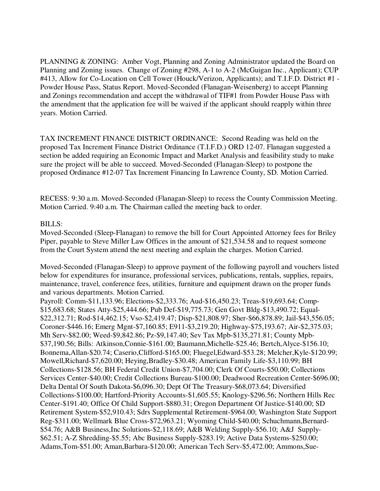PLANNING & ZONING: Amber Vogt, Planning and Zoning Administrator updated the Board on Planning and Zoning issues. Change of Zoning #298, A-1 to A-2 (McGuigan Inc., Applicant); CUP #413, Allow for Co-Location on Cell Tower (Houck/Verizon, Applicants); and T.I.F.D. District #1 - Powder House Pass, Status Report. Moved-Seconded (Flanagan-Weisenberg) to accept Planning and Zonings recommendation and accept the withdrawal of TIF#1 from Powder House Pass with the amendment that the application fee will be waived if the applicant should reapply within three years. Motion Carried.

TAX INCREMENT FINANCE DISTRICT ORDINANCE: Second Reading was held on the proposed Tax Increment Finance District Ordinance (T.I.F.D.) ORD 12-07. Flanagan suggested a section be added requiring an Economic Impact and Market Analysis and feasibility study to make sure the project will be able to succeed. Moved-Seconded (Flanagan-Sleep) to postpone the proposed Ordinance #12-07 Tax Increment Financing In Lawrence County, SD. Motion Carried.

RECESS: 9:30 a.m. Moved-Seconded (Flanagan-Sleep) to recess the County Commission Meeting. Motion Carried. 9:40 a.m. The Chairman called the meeting back to order.

#### BILLS:

Moved-Seconded (Sleep-Flanagan) to remove the bill for Court Appointed Attorney fees for Briley Piper, payable to Steve Miller Law Offices in the amount of \$21,534.58 and to request someone from the Court System attend the next meeting and explain the charges. Motion Carried.

Moved-Seconded (Flanagan-Sleep) to approve payment of the following payroll and vouchers listed below for expenditures for insurance, professional services, publications, rentals, supplies, repairs, maintenance, travel, conference fees, utilities, furniture and equipment drawn on the proper funds and various departments. Motion Carried.

Payroll: Comm-\$11,133.96; Elections-\$2,333.76; Aud-\$16,450.23; Treas-\$19,693.64; Comp- \$15,683.68; States Atty-\$25,444.66; Pub Def-\$19,775.73; Gen Govt Bldg-\$13,490.72; Equal- \$22,312.71; Rod-\$14,462.15; Vso-\$2,419.47; Disp-\$21,808.97; Sher-\$66,878.89; Jail-\$43,556.05; Coroner-\$446.16; Emerg Mgnt-\$7,160.85; E911-\$3,219.20; Highway-\$75,193.67; Air-\$2,375.03; Mh Serv-\$82.00; Weed-\$9,842.86; Pz-\$9,147.40; Sev Tax Mpb-\$135,271.81; County Mpb- \$37,190.56; Bills: Atkinson,Connie-\$161.00; Baumann,Michelle-\$25.46; Bertch,Alyce-\$156.10; Bonnema,Allan-\$20.74; Caserio,Clifford-\$165.00; Fluegel,Edward-\$53.28; Melcher,Kyle-\$120.99; Mowell,Richard-\$7,620.00; Heying,Bradley-\$30.48; American Family Life-\$3,110.99; BH Collections-\$128.56; BH Federal Credit Union-\$7,704.00; Clerk Of Courts-\$50.00; Collections Services Center-\$40.00; Credit Collections Bureau-\$100.00; Deadwood Recreation Center-\$696.00; Delta Dental Of South Dakota-\$6,096.30; Dept Of The Treasury-\$68,073.64; Diversified Collections-\$100.00; Hartford-Priority Accounts-\$1,605.55; Knology-\$296.56; Northern Hills Rec Center-\$191.40; Office Of Child Support-\$880.31; Oregon Department Of Justice-\$140.00; SD Retirement System-\$52,910.43; Sdrs Supplemental Retirement-\$964.00; Washington State Support Reg-\$311.00; Wellmark Blue Cross-\$72,963.21; Wyoming Child-\$40.00; Schuchmann,Bernard- \$54.76; A&B Business,Inc Solutions-\$2,118.69; A&B Welding Supply-\$56.10; A&J Supply- \$62.51; A-Z Shredding-\$5.55; Abc Business Supply-\$283.19; Active Data Systems-\$250.00; Adams,Tom-\$51.00; Aman,Barbara-\$120.00; American Tech Serv-\$5,472.00; Ammons,Sue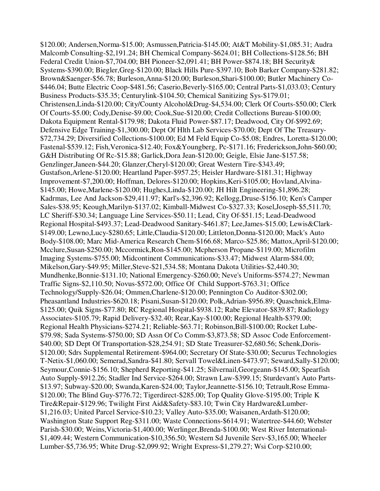\$120.00; Andersen,Norma-\$15.00; Asmussen,Patricia-\$145.00; At&T Mobility-\$1,085.31; Audra Malcomb Consulting-\$2,191.24; BH Chemical Company-\$624.01; BH Collections-\$128.56; BH Federal Credit Union-\$7,704.00; BH Pioneer-\$2,091.41; BH Power-\$874.18; BH Security& Systems-\$390.00; Biegler,Greg-\$120.00; Black Hills Pure-\$397.10; Bob Barker Company-\$281.82; Brown&Saenger-\$56.78; Burleson,Anna-\$120.00; Burleson,Shari-\$100.00; Butler Machinery Co- \$446.04; Butte Electric Coop-\$481.56; Caserio,Beverly-\$165.00; Central Parts-\$1,033.03; Century Business Products-\$35.35; Centurylink-\$104.50; Chemical Sanitizing Sys-\$179.01; Christensen,Linda-\$120.00; City/County Alcohol&Drug-\$4,534.00; Clerk Of Courts-\$50.00; Clerk Of Courts-\$5.00; Cody,Denise-\$9.00; Cook,Sue-\$120.00; Credit Collections Bureau-\$100.00; Dakota Equipment Rental-\$179.98; Dakota Fluid Power-\$87.17; Deadwood, City Of-\$992.69; Defensive Edge Training-\$1,300.00; Dept Of Hlth Lab Services-\$70.00; Dept Of The Treasury- \$72,734.29; Diversified Collections-\$100.00; Ed M Feld Equip Co-\$5.08; Endres, Loretta-\$120.00; Fastenal-\$539.12; Fish,Veronica-\$12.40; Fox&Youngberg, Pc-\$171.16; Frederickson,John-\$60.00; G&H Distributing Of Rc-\$15.88; Garlick,Dora Jean-\$120.00; Geigle, Elsie Jane-\$157.58; Genzlinger,Janeen-\$44.20; Glanzer,Cheryl-\$120.00; Great Western Tire-\$343.49; Gustafson,Arlene-\$120.00; Heartland Paper-\$957.25; Heisler Hardware-\$181.31; Highway Improvement-\$7,200.00; Hoffman, Delores-\$120.00; Hopkins,Keri-\$105.00; Hovland,Alvina- \$145.00; Howe,Marlene-\$120.00; Hughes,Linda-\$120.00; JH Hilt Engineering-\$1,896.28; Kadrmas, Lee And Jackson-\$29,411.97; Karl's-\$2,396.92; Kellogg,Druse-\$156.10; Ken's Camper Sales-\$38.95; Keough,Marilyn-\$137.02; Kimball-Midwest Co-\$327.33; Kosel,Joseph-\$5,511.70; LC Sheriff-\$30.34; Language Line Services-\$50.11; Lead, City Of-\$51.15; Lead-Deadwood Regional Hospital-\$493.37; Lead-Deadwood Sanitary-\$461.87; Lee,James-\$15.00; Lewis&Clark- \$149.00; Lewno,Lucy-\$280.65; Little,Claudia-\$120.00; Littleton,Donna-\$120.00; Mack's Auto Body-\$108.00; Marc Mid-America Research Chem-\$166.68; Marco-\$25.86; Mattox,April-\$120.00; Mcclure,Susan-\$250.00; Mccormick,Ron-\$145.00; Mcpherson Propane-\$119.00; Microfilm Imaging Systems-\$755.00; Midcontinent Communications-\$33.47; Midwest Alarm-\$84.00; Mikelson,Gary-\$49.95; Miller,Steve-\$21,534.58; Montana Dakota Utilities-\$2,440.30; Mundhenke,Bonnie-\$131.10; National Emergency-\$260.00; Neve's Uniforms-\$574.27; Newman Traffic Signs-\$2,110.50; Novus-\$572.00; Office Of Child Support-\$763.31; Office Technology/Supply-\$26.04; Ommen,Charlene-\$120.00; Pennington Co Auditor-\$302.00; Pheasantland Industries-\$620.18; Pisani,Susan-\$120.00; Polk,Adrian-\$956.89; Quaschnick,Elma- \$125.00; Quik Signs-\$77.80; RC Regional Hospital-\$938.12; Rabe Elevator-\$839.87; Radiology Associates-\$105.79; Rapid Delivery-\$32.40; Rear,Kay-\$100.00; Regional Health-\$379.00; Regional Health Physicians-\$274.21; Reliable-\$63.71; Robinson,Bill-\$100.00; Rocket Lube- \$79.98; Sada Systems-\$750.00; SD Assn Of Co Comm-\$3,873.58; SD Assoc Code Enforcement- \$40.00; SD Dept Of Transportation-\$28,254.91; SD State Treasurer-\$2,680.56; Schenk,Doris- \$120.00; Sdrs Supplemental Retirement-\$964.00; Secretary Of State-\$30.00; Securus Technologies T-Netix-\$1,060.00; Semerad,Sandra-\$41.80; Servall Towel&Linen-\$473.97; Seward,Sally-\$120.00; Seymour,Connie-\$156.10; Shepherd Reporting-\$41.25; Silvernail,Georgeann-\$145.00; Spearfish Auto Supply-\$912.26; Stadler Ind Service-\$264.00; Strawn Law-\$399.15; Sturdevant's Auto Parts- \$13.97; Subway-\$20.00; Swanda,Karen-\$24.00; Taylor,Jeannette-\$156.10; Tetrault,Rose Emma- \$120.00; The Blind Guy-\$776.72; Tigerdirect-\$285.00; Top Quality Glove-\$195.00; Triple K Tire&Repair-\$129.96; Twilight First Aid&Safety-\$83.10; Twin City Hardware&Lumber- \$1,216.03; United Parcel Service-\$10.23; Valley Auto-\$35.00; Waisanen,Ardath-\$120.00; Washington State Support Reg-\$311.00; Waste Connections-\$614.91; Watertree-\$44.60; Webster Parish-\$30.00; Weins,Victoria-\$1,400.00; Werlinger,Brenda-\$100.00; West River International- \$1,409.44; Western Communication-\$10,356.50; Western Sd Juvenile Serv-\$3,165.00; Wheeler Lumber-\$5,736.95; White Drug-\$2,099.92; Wright Express-\$1,279.27; Wsi Corp-\$210.00;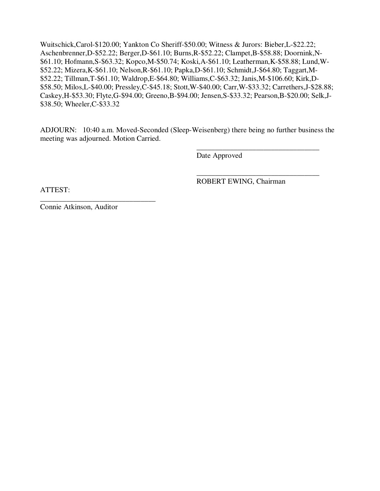Wuitschick,Carol-\$120.00; Yankton Co Sheriff-\$50.00; Witness & Jurors: Bieber,L-\$22.22; Aschenbrenner,D-\$52.22; Berger,D-\$61.10; Burns,R-\$52.22; Clampet,B-\$58.88; Doornink,N- \$61.10; Hofmann,S-\$63.32; Kopco,M-\$50.74; Koski,A-\$61.10; Leatherman,K-\$58.88; Lund,W- \$52.22; Mizera,K-\$61.10; Nelson,R-\$61.10; Papka,D-\$61.10; Schmidt,J-\$64.80; Taggart,M- \$52.22; Tillman,T-\$61.10; Waldrop,E-\$64.80; Williams,C-\$63.32; Janis,M-\$106.60; Kirk,D- \$58.50; Milos,L-\$40.00; Pressley,C-\$45.18; Stott,W-\$40.00; Carr,W-\$33.32; Carrethers,J-\$28.88; Caskey,H-\$53.30; Flyte,G-\$94.00; Greeno,B-\$94.00; Jensen,S-\$33.32; Pearson,B-\$20.00; Selk,J- \$38.50; Wheeler,C-\$33.32

ADJOURN: 10:40 a.m. Moved-Seconded (Sleep-Weisenberg) there being no further business the meeting was adjourned. Motion Carried.

 $\overline{\phantom{a}}$  , and the contract of the contract of the contract of the contract of the contract of the contract of the contract of the contract of the contract of the contract of the contract of the contract of the contrac

 $\overline{\phantom{a}}$  , and the contract of the contract of the contract of the contract of the contract of the contract of the contract of the contract of the contract of the contract of the contract of the contract of the contrac

Date Approved

ROBERT EWING, Chairman

ATTEST:

Connie Atkinson, Auditor

\_\_\_\_\_\_\_\_\_\_\_\_\_\_\_\_\_\_\_\_\_\_\_\_\_\_\_\_\_\_\_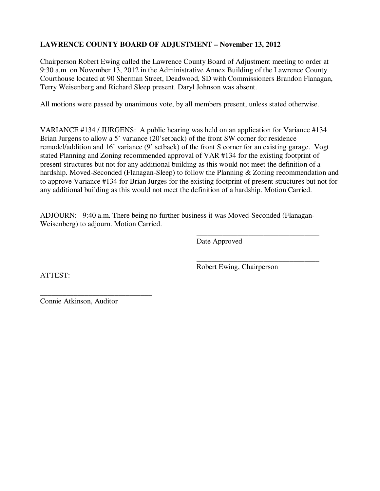# **LAWRENCE COUNTY BOARD OF ADJUSTMENT – November 13, 2012**

Chairperson Robert Ewing called the Lawrence County Board of Adjustment meeting to order at 9:30 a.m. on November 13, 2012 in the Administrative Annex Building of the Lawrence County Courthouse located at 90 Sherman Street, Deadwood, SD with Commissioners Brandon Flanagan, Terry Weisenberg and Richard Sleep present. Daryl Johnson was absent.

All motions were passed by unanimous vote, by all members present, unless stated otherwise.

VARIANCE #134 / JURGENS: A public hearing was held on an application for Variance #134 Brian Jurgens to allow a 5' variance (20'setback) of the front SW corner for residence remodel/addition and 16' variance (9' setback) of the front S corner for an existing garage. Vogt stated Planning and Zoning recommended approval of VAR #134 for the existing footprint of present structures but not for any additional building as this would not meet the definition of a hardship. Moved-Seconded (Flanagan-Sleep) to follow the Planning & Zoning recommendation and to approve Variance #134 for Brian Jurges for the existing footprint of present structures but not for any additional building as this would not meet the definition of a hardship. Motion Carried.

ADJOURN: 9:40 a.m. There being no further business it was Moved-Seconded (Flanagan-Weisenberg) to adjourn. Motion Carried.

 $\overline{\phantom{a}}$  , and the contract of the contract of the contract of the contract of the contract of the contract of the contract of the contract of the contract of the contract of the contract of the contract of the contrac

Date Approved

ATTEST:

 $\overline{\phantom{a}}$  , and the contract of the contract of the contract of the contract of the contract of the contract of the contract of the contract of the contract of the contract of the contract of the contract of the contrac Robert Ewing, Chairperson

Connie Atkinson, Auditor

\_\_\_\_\_\_\_\_\_\_\_\_\_\_\_\_\_\_\_\_\_\_\_\_\_\_\_\_\_\_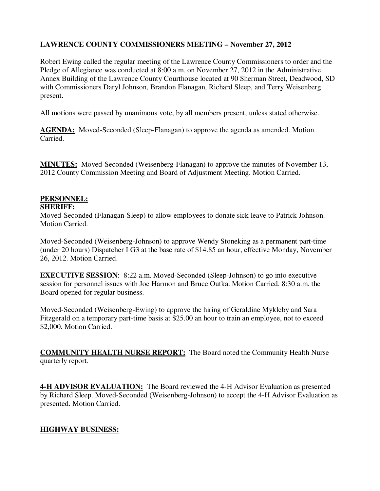# **LAWRENCE COUNTY COMMISSIONERS MEETING – November 27, 2012**

Robert Ewing called the regular meeting of the Lawrence County Commissioners to order and the Pledge of Allegiance was conducted at 8:00 a.m. on November 27, 2012 in the Administrative Annex Building of the Lawrence County Courthouse located at 90 Sherman Street, Deadwood, SD with Commissioners Daryl Johnson, Brandon Flanagan, Richard Sleep, and Terry Weisenberg present.

All motions were passed by unanimous vote, by all members present, unless stated otherwise.

**AGENDA:** Moved-Seconded (Sleep-Flanagan) to approve the agenda as amended. Motion Carried.

**MINUTES:** Moved-Seconded (Weisenberg-Flanagan) to approve the minutes of November 13, 2012 County Commission Meeting and Board of Adjustment Meeting. Motion Carried.

## **PERSONNEL:**

#### **SHERIFF:**

Moved-Seconded (Flanagan-Sleep) to allow employees to donate sick leave to Patrick Johnson. Motion Carried.

Moved-Seconded (Weisenberg-Johnson) to approve Wendy Stoneking as a permanent part-time (under 20 hours) Dispatcher I G3 at the base rate of \$14.85 an hour, effective Monday, November 26, 2012. Motion Carried.

**EXECUTIVE SESSION:** 8:22 a.m. Moved-Seconded (Sleep-Johnson) to go into executive session for personnel issues with Joe Harmon and Bruce Outka. Motion Carried. 8:30 a.m. the Board opened for regular business.

Moved-Seconded (Weisenberg-Ewing) to approve the hiring of Geraldine Mykleby and Sara Fitzgerald on a temporary part-time basis at \$25.00 an hour to train an employee, not to exceed \$2,000. Motion Carried.

**COMMUNITY HEALTH NURSE REPORT:** The Board noted the Community Health Nurse quarterly report.

**4-H ADVISOR EVALUATION:** The Board reviewed the 4-H Advisor Evaluation as presented by Richard Sleep. Moved-Seconded (Weisenberg-Johnson) to accept the 4-H Advisor Evaluation as presented. Motion Carried.

# **HIGHWAY BUSINESS:**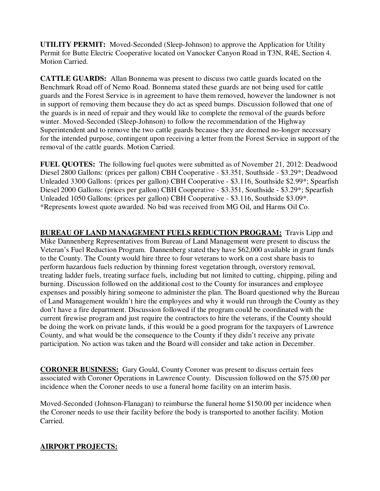**UTILITY PERMIT:** Moved-Seconded (Sleep-Johnson) to approve the Application for Utility Permit for Butte Electric Cooperative located on Vanocker Canyon Road in T3N, R4E, Section 4. Motion Carried.

**CATTLE GUARDS:** Allan Bonnema was present to discuss two cattle guards located on the Benchmark Road off of Nemo Road. Bonnema stated these guards are not being used for cattle guards and the Forest Service is in agreement to have them removed, however the landowner is not in support of removing them because they do act as speed bumps. Discussion followed that one of the guards is in need of repair and they would like to complete the removal of the guards before winter. Moved-Seconded (Sleep-Johnson) to follow the recommendation of the Highway Superintendent and to remove the two cattle guards because they are deemed no-longer necessary for the intended purpose, contingent upon receiving a letter from the Forest Service in support of the removal of the cattle guards. Motion Carried.

**FUEL QUOTES:** The following fuel quotes were submitted as of November 21, 2012: Deadwood Diesel 2800 Gallons: (prices per gallon) CBH Cooperative - \$3.351, Southside - \$3.29\*; Deadwood Unleaded 3300 Gallons: (prices per gallon) CBH Cooperative - \$3.116, Southside \$2.99\*; Spearfish Diesel 2000 Gallons: (prices per gallon) CBH Cooperative - \$3.351, Southside - \$3.29\*; Spearfish Unleaded 1050 Gallons: (prices per gallon) CBH Cooperative - \$3.116, Southside \$3.09\*. \*Represents lowest quote awarded. No bid was received from MG Oil, and Harms Oil Co.

**BUREAU OF LAND MANAGEMENT FUELS REDUCTION PROGRAM:** Travis Lipp and Mike Dannenberg Representatives from Bureau of Land Management were present to discuss the Veteran's Fuel Reduction Program. Dannenberg stated they have \$62,000 available in grant funds to the County. The County would hire three to four veterans to work on a cost share basis to perform hazardous fuels reduction by thinning forest vegetation through, overstory removal, treating ladder fuels, treating surface fuels, including but not limited to cutting, chipping, piling and burning. Discussion followed on the additional cost to the County for insurances and employee expenses and possibly hiring someone to administer the plan. The Board questioned why the Bureau of Land Management wouldn't hire the employees and why it would run through the County as they don't have a fire department. Discussion followed if the program could be coordinated with the current firewise program and just require the contractors to hire the veterans, if the County should be doing the work on private lands, if this would be a good program for the taxpayers of Lawrence County, and what would be the consequence to the County if they didn't receive any private participation. No action was taken and the Board will consider and take action in December.

**CORONER BUSINESS:** Gary Gould, County Coroner was present to discuss certain fees associated with Coroner Operations in Lawrence County. Discussion followed on the \$75.00 per incidence when the Coroner needs to use a funeral home facility on an interim basis.

Moved-Seconded (Johnson-Flanagan) to reimburse the funeral home \$150.00 per incidence when the Coroner needs to use their facility before the body is transported to another facility. Motion Carried.

# **AIRPORT PROJECTS:**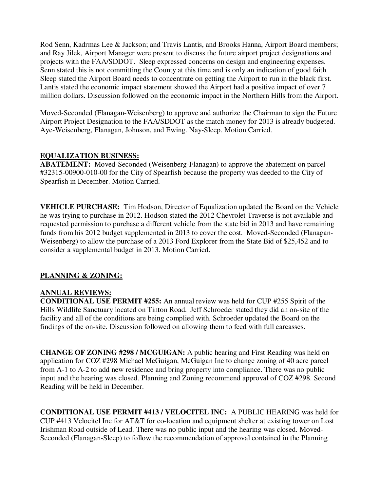Rod Senn, Kadrmas Lee & Jackson; and Travis Lantis, and Brooks Hanna, Airport Board members; and Ray Jilek, Airport Manager were present to discuss the future airport project designations and projects with the FAA/SDDOT. Sleep expressed concerns on design and engineering expenses. Senn stated this is not committing the County at this time and is only an indication of good faith. Sleep stated the Airport Board needs to concentrate on getting the Airport to run in the black first. Lantis stated the economic impact statement showed the Airport had a positive impact of over 7 million dollars. Discussion followed on the economic impact in the Northern Hills from the Airport.

Moved-Seconded (Flanagan-Weisenberg) to approve and authorize the Chairman to sign the Future Airport Project Designation to the FAA/SDDOT as the match money for 2013 is already budgeted. Aye-Weisenberg, Flanagan, Johnson, and Ewing. Nay-Sleep. Motion Carried.

### **EQUALIZATION BUSINESS:**

**ABATEMENT:** Moved-Seconded (Weisenberg-Flanagan) to approve the abatement on parcel #32315-00900-010-00 for the City of Spearfish because the property was deeded to the City of Spearfish in December. Motion Carried.

**VEHICLE PURCHASE:** Tim Hodson, Director of Equalization updated the Board on the Vehicle he was trying to purchase in 2012. Hodson stated the 2012 Chevrolet Traverse is not available and requested permission to purchase a different vehicle from the state bid in 2013 and have remaining funds from his 2012 budget supplemented in 2013 to cover the cost. Moved-Seconded (Flanagan-Weisenberg) to allow the purchase of a 2013 Ford Explorer from the State Bid of \$25,452 and to consider a supplemental budget in 2013. Motion Carried.

### **PLANNING & ZONING:**

### **ANNUAL REVIEWS:**

**CONDITIONAL USE PERMIT #255:** An annual review was held for CUP #255 Spirit of the Hills Wildlife Sanctuary located on Tinton Road. Jeff Schroeder stated they did an on-site of the facility and all of the conditions are being complied with. Schroeder updated the Board on the findings of the on-site. Discussion followed on allowing them to feed with full carcasses.

**CHANGE OF ZONING #298 / MCGUIGAN:** A public hearing and First Reading was held on application for COZ #298 Michael McGuigan, McGuigan Inc to change zoning of 40 acre parcel from A-1 to A-2 to add new residence and bring property into compliance. There was no public input and the hearing was closed. Planning and Zoning recommend approval of COZ #298. Second Reading will be held in December.

**CONDITIONAL USE PERMIT #413 / VELOCITEL INC:** A PUBLIC HEARING was held for CUP #413 Velocitel Inc for AT&T for co-location and equipment shelter at existing tower on Lost Irishman Road outside of Lead. There was no public input and the hearing was closed. Moved-Seconded (Flanagan-Sleep) to follow the recommendation of approval contained in the Planning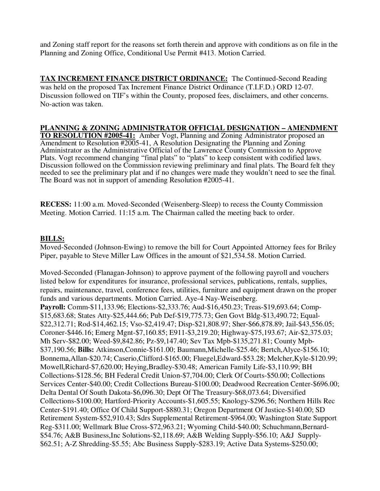and Zoning staff report for the reasons set forth therein and approve with conditions as on file in the Planning and Zoning Office, Conditional Use Permit #413. Motion Carried.

**TAX INCREMENT FINANCE DISTRICT ORDINANCE:** The Continued-Second Reading was held on the proposed Tax Increment Finance District Ordinance (T.I.F.D.) ORD 12-07. Discussion followed on TIF's within the County, proposed fees, disclaimers, and other concerns. No-action was taken.

#### **PLANNING & ZONING ADMINISTRATOR OFFICIAL DESIGNATION – AMENDMENT**

**TO RESOLUTION #2005-41:** Amber Vogt, Planning and Zoning Administrator proposed an Amendment to Resolution #2005-41, A Resolution Designating the Planning and Zoning Administrator as the Administrative Official of the Lawrence County Commission to Approve Plats. Vogt recommend changing "final plats" to "plats" to keep consistent with codified laws. Discussion followed on the Commission reviewing preliminary and final plats. The Board felt they needed to see the preliminary plat and if no changes were made they wouldn't need to see the final. The Board was not in support of amending Resolution #2005-41.

**RECESS:** 11:00 a.m. Moved-Seconded (Weisenberg-Sleep) to recess the County Commission Meeting. Motion Carried. 11:15 a.m. The Chairman called the meeting back to order.

#### **BILLS:**

Moved-Seconded (Johnson-Ewing) to remove the bill for Court Appointed Attorney fees for Briley Piper, payable to Steve Miller Law Offices in the amount of \$21,534.58. Motion Carried.

Moved-Seconded (Flanagan-Johnson) to approve payment of the following payroll and vouchers listed below for expenditures for insurance, professional services, publications, rentals, supplies, repairs, maintenance, travel, conference fees, utilities, furniture and equipment drawn on the proper funds and various departments. Motion Carried. Aye-4 Nay-Weisenberg. **Payroll:** Comm-\$11,133.96; Elections-\$2,333.76; Aud-\$16,450.23; Treas-\$19,693.64; Comp- \$15,683.68; States Atty-\$25,444.66; Pub Def-\$19,775.73; Gen Govt Bldg-\$13,490.72; Equal- \$22,312.71; Rod-\$14,462.15; Vso-\$2,419.47; Disp-\$21,808.97; Sher-\$66,878.89; Jail-\$43,556.05; Coroner-\$446.16; Emerg Mgnt-\$7,160.85; E911-\$3,219.20; Highway-\$75,193.67; Air-\$2,375.03; Mh Serv-\$82.00; Weed-\$9,842.86; Pz-\$9,147.40; Sev Tax Mpb-\$135,271.81; County Mpb- \$37,190.56; **Bills:** Atkinson,Connie-\$161.00; Baumann,Michelle-\$25.46; Bertch,Alyce-\$156.10; Bonnema,Allan-\$20.74; Caserio,Clifford-\$165.00; Fluegel,Edward-\$53.28; Melcher,Kyle-\$120.99; Mowell,Richard-\$7,620.00; Heying,Bradley-\$30.48; American Family Life-\$3,110.99; BH Collections-\$128.56; BH Federal Credit Union-\$7,704.00; Clerk Of Courts-\$50.00; Collections Services Center-\$40.00; Credit Collections Bureau-\$100.00; Deadwood Recreation Center-\$696.00; Delta Dental Of South Dakota-\$6,096.30; Dept Of The Treasury-\$68,073.64; Diversified Collections-\$100.00; Hartford-Priority Accounts-\$1,605.55; Knology-\$296.56; Northern Hills Rec Center-\$191.40; Office Of Child Support-\$880.31; Oregon Department Of Justice-\$140.00; SD Retirement System-\$52,910.43; Sdrs Supplemental Retirement-\$964.00; Washington State Support Reg-\$311.00; Wellmark Blue Cross-\$72,963.21; Wyoming Child-\$40.00; Schuchmann,Bernard- \$54.76; A&B Business,Inc Solutions-\$2,118.69; A&B Welding Supply-\$56.10; A&J Supply- \$62.51; A-Z Shredding-\$5.55; Abc Business Supply-\$283.19; Active Data Systems-\$250.00;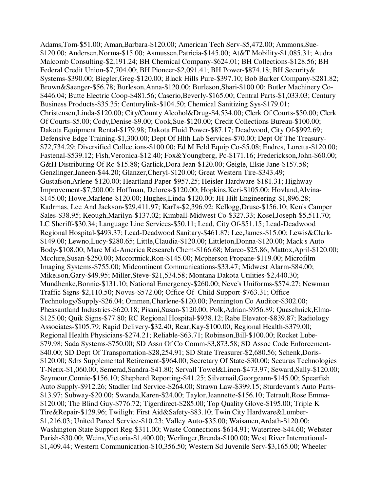Adams,Tom-\$51.00; Aman,Barbara-\$120.00; American Tech Serv-\$5,472.00; Ammons,Sue- \$120.00; Andersen,Norma-\$15.00; Asmussen,Patricia-\$145.00; At&T Mobility-\$1,085.31; Audra Malcomb Consulting-\$2,191.24; BH Chemical Company-\$624.01; BH Collections-\$128.56; BH Federal Credit Union-\$7,704.00; BH Pioneer-\$2,091.41; BH Power-\$874.18; BH Security& Systems-\$390.00; Biegler,Greg-\$120.00; Black Hills Pure-\$397.10; Bob Barker Company-\$281.82; Brown&Saenger-\$56.78; Burleson,Anna-\$120.00; Burleson,Shari-\$100.00; Butler Machinery Co- \$446.04; Butte Electric Coop-\$481.56; Caserio,Beverly-\$165.00; Central Parts-\$1,033.03; Century Business Products-\$35.35; Centurylink-\$104.50; Chemical Sanitizing Sys-\$179.01; Christensen,Linda-\$120.00; City/County Alcohol&Drug-\$4,534.00; Clerk Of Courts-\$50.00; Clerk Of Courts-\$5.00; Cody,Denise-\$9.00; Cook,Sue-\$120.00; Credit Collections Bureau-\$100.00; Dakota Equipment Rental-\$179.98; Dakota Fluid Power-\$87.17; Deadwood, City Of-\$992.69; Defensive Edge Training-\$1,300.00; Dept Of Hlth Lab Services-\$70.00; Dept Of The Treasury- \$72,734.29; Diversified Collections-\$100.00; Ed M Feld Equip Co-\$5.08; Endres, Loretta-\$120.00; Fastenal-\$539.12; Fish,Veronica-\$12.40; Fox&Youngberg, Pc-\$171.16; Frederickson,John-\$60.00; G&H Distributing Of Rc-\$15.88; Garlick,Dora Jean-\$120.00; Geigle, Elsie Jane-\$157.58; Genzlinger,Janeen-\$44.20; Glanzer,Cheryl-\$120.00; Great Western Tire-\$343.49; Gustafson,Arlene-\$120.00; Heartland Paper-\$957.25; Heisler Hardware-\$181.31; Highway Improvement-\$7,200.00; Hoffman, Delores-\$120.00; Hopkins,Keri-\$105.00; Hovland,Alvina- \$145.00; Howe,Marlene-\$120.00; Hughes,Linda-\$120.00; JH Hilt Engineering-\$1,896.28; Kadrmas, Lee And Jackson-\$29,411.97; Karl's-\$2,396.92; Kellogg,Druse-\$156.10; Ken's Camper Sales-\$38.95; Keough,Marilyn-\$137.02; Kimball-Midwest Co-\$327.33; Kosel,Joseph-\$5,511.70; LC Sheriff-\$30.34; Language Line Services-\$50.11; Lead, City Of-\$51.15; Lead-Deadwood Regional Hospital-\$493.37; Lead-Deadwood Sanitary-\$461.87; Lee,James-\$15.00; Lewis&Clark- \$149.00; Lewno,Lucy-\$280.65; Little,Claudia-\$120.00; Littleton,Donna-\$120.00; Mack's Auto Body-\$108.00; Marc Mid-America Research Chem-\$166.68; Marco-\$25.86; Mattox,April-\$120.00; Mcclure,Susan-\$250.00; Mccormick,Ron-\$145.00; Mcpherson Propane-\$119.00; Microfilm Imaging Systems-\$755.00; Midcontinent Communications-\$33.47; Midwest Alarm-\$84.00; Mikelson,Gary-\$49.95; Miller,Steve-\$21,534.58; Montana Dakota Utilities-\$2,440.30; Mundhenke,Bonnie-\$131.10; National Emergency-\$260.00; Neve's Uniforms-\$574.27; Newman Traffic Signs-\$2,110.50; Novus-\$572.00; Office Of Child Support-\$763.31; Office Technology/Supply-\$26.04; Ommen,Charlene-\$120.00; Pennington Co Auditor-\$302.00; Pheasantland Industries-\$620.18; Pisani,Susan-\$120.00; Polk,Adrian-\$956.89; Quaschnick,Elma- \$125.00; Quik Signs-\$77.80; RC Regional Hospital-\$938.12; Rabe Elevator-\$839.87; Radiology Associates-\$105.79; Rapid Delivery-\$32.40; Rear,Kay-\$100.00; Regional Health-\$379.00; Regional Health Physicians-\$274.21; Reliable-\$63.71; Robinson,Bill-\$100.00; Rocket Lube- \$79.98; Sada Systems-\$750.00; SD Assn Of Co Comm-\$3,873.58; SD Assoc Code Enforcement- \$40.00; SD Dept Of Transportation-\$28,254.91; SD State Treasurer-\$2,680.56; Schenk,Doris- \$120.00; Sdrs Supplemental Retirement-\$964.00; Secretary Of State-\$30.00; Securus Technologies T-Netix-\$1,060.00; Semerad,Sandra-\$41.80; Servall Towel&Linen-\$473.97; Seward,Sally-\$120.00; Seymour,Connie-\$156.10; Shepherd Reporting-\$41.25; Silvernail,Georgeann-\$145.00; Spearfish Auto Supply-\$912.26; Stadler Ind Service-\$264.00; Strawn Law-\$399.15; Sturdevant's Auto Parts- \$13.97; Subway-\$20.00; Swanda,Karen-\$24.00; Taylor,Jeannette-\$156.10; Tetrault,Rose Emma- \$120.00; The Blind Guy-\$776.72; Tigerdirect-\$285.00; Top Quality Glove-\$195.00; Triple K Tire&Repair-\$129.96; Twilight First Aid&Safety-\$83.10; Twin City Hardware&Lumber- \$1,216.03; United Parcel Service-\$10.23; Valley Auto-\$35.00; Waisanen,Ardath-\$120.00; Washington State Support Reg-\$311.00; Waste Connections-\$614.91; Watertree-\$44.60; Webster Parish-\$30.00; Weins,Victoria-\$1,400.00; Werlinger,Brenda-\$100.00; West River International- \$1,409.44; Western Communication-\$10,356.50; Western Sd Juvenile Serv-\$3,165.00; Wheeler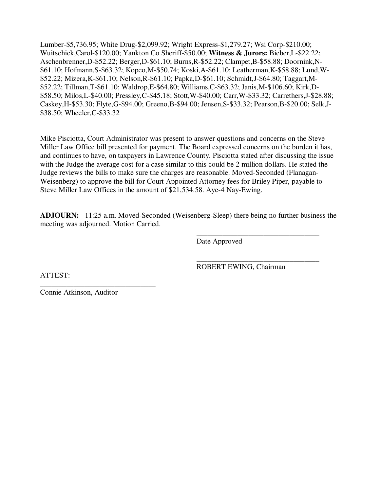Lumber-\$5,736.95; White Drug-\$2,099.92; Wright Express-\$1,279.27; Wsi Corp-\$210.00; Wuitschick,Carol-\$120.00; Yankton Co Sheriff-\$50.00; **Witness & Jurors:** Bieber,L-\$22.22; Aschenbrenner,D-\$52.22; Berger,D-\$61.10; Burns,R-\$52.22; Clampet,B-\$58.88; Doornink,N- \$61.10; Hofmann,S-\$63.32; Kopco,M-\$50.74; Koski,A-\$61.10; Leatherman,K-\$58.88; Lund,W- \$52.22; Mizera,K-\$61.10; Nelson,R-\$61.10; Papka,D-\$61.10; Schmidt,J-\$64.80; Taggart,M- \$52.22; Tillman,T-\$61.10; Waldrop,E-\$64.80; Williams,C-\$63.32; Janis,M-\$106.60; Kirk,D- \$58.50; Milos,L-\$40.00; Pressley,C-\$45.18; Stott,W-\$40.00; Carr,W-\$33.32; Carrethers,J-\$28.88; Caskey,H-\$53.30; Flyte,G-\$94.00; Greeno,B-\$94.00; Jensen,S-\$33.32; Pearson,B-\$20.00; Selk,J- \$38.50; Wheeler,C-\$33.32

Mike Pisciotta, Court Administrator was present to answer questions and concerns on the Steve Miller Law Office bill presented for payment. The Board expressed concerns on the burden it has, and continues to have, on taxpayers in Lawrence County. Pisciotta stated after discussing the issue with the Judge the average cost for a case similar to this could be 2 million dollars. He stated the Judge reviews the bills to make sure the charges are reasonable. Moved-Seconded (Flanagan-Weisenberg) to approve the bill for Court Appointed Attorney fees for Briley Piper, payable to Steve Miller Law Offices in the amount of \$21,534.58. Aye-4 Nay-Ewing.

**ADJOURN:** 11:25 a.m. Moved-Seconded (Weisenberg-Sleep) there being no further business the meeting was adjourned. Motion Carried.

 $\overline{\phantom{a}}$  , and the contract of the contract of the contract of the contract of the contract of the contract of the contract of the contract of the contract of the contract of the contract of the contract of the contrac

 $\overline{\phantom{a}}$  , and the contract of the contract of the contract of the contract of the contract of the contract of the contract of the contract of the contract of the contract of the contract of the contract of the contrac

Date Approved

ATTEST:

ROBERT EWING, Chairman

Connie Atkinson, Auditor

\_\_\_\_\_\_\_\_\_\_\_\_\_\_\_\_\_\_\_\_\_\_\_\_\_\_\_\_\_\_\_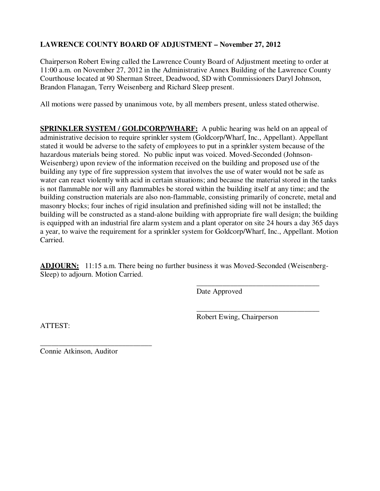# **LAWRENCE COUNTY BOARD OF ADJUSTMENT – November 27, 2012**

Chairperson Robert Ewing called the Lawrence County Board of Adjustment meeting to order at 11:00 a.m. on November 27, 2012 in the Administrative Annex Building of the Lawrence County Courthouse located at 90 Sherman Street, Deadwood, SD with Commissioners Daryl Johnson, Brandon Flanagan, Terry Weisenberg and Richard Sleep present.

All motions were passed by unanimous vote, by all members present, unless stated otherwise.

**SPRINKLER SYSTEM / GOLDCORP/WHARF:** A public hearing was held on an appeal of administrative decision to require sprinkler system (Goldcorp/Wharf, Inc., Appellant). Appellant stated it would be adverse to the safety of employees to put in a sprinkler system because of the hazardous materials being stored. No public input was voiced. Moved-Seconded (Johnson-Weisenberg) upon review of the information received on the building and proposed use of the building any type of fire suppression system that involves the use of water would not be safe as water can react violently with acid in certain situations; and because the material stored in the tanks is not flammable nor will any flammables be stored within the building itself at any time; and the building construction materials are also non-flammable, consisting primarily of concrete, metal and masonry blocks; four inches of rigid insulation and prefinished siding will not be installed; the building will be constructed as a stand-alone building with appropriate fire wall design; the building is equipped with an industrial fire alarm system and a plant operator on site 24 hours a day 365 days a year, to waive the requirement for a sprinkler system for Goldcorp/Wharf, Inc., Appellant. Motion Carried.

**ADJOURN:** 11:15 a.m. There being no further business it was Moved-Seconded (Weisenberg-Sleep) to adjourn. Motion Carried.

 $\overline{\phantom{a}}$  , and the contract of the contract of the contract of the contract of the contract of the contract of the contract of the contract of the contract of the contract of the contract of the contract of the contrac

Date Approved

 $\overline{\phantom{a}}$  , and the contract of the contract of the contract of the contract of the contract of the contract of the contract of the contract of the contract of the contract of the contract of the contract of the contrac Robert Ewing, Chairperson

ATTEST:

Connie Atkinson, Auditor

\_\_\_\_\_\_\_\_\_\_\_\_\_\_\_\_\_\_\_\_\_\_\_\_\_\_\_\_\_\_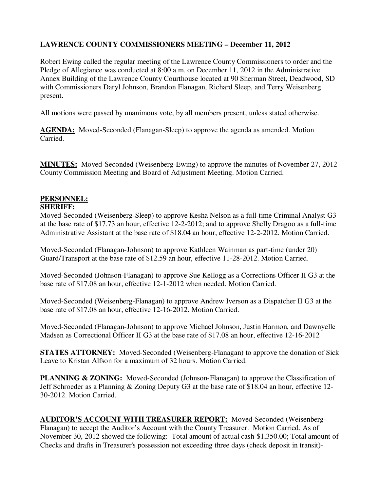# **LAWRENCE COUNTY COMMISSIONERS MEETING – December 11, 2012**

Robert Ewing called the regular meeting of the Lawrence County Commissioners to order and the Pledge of Allegiance was conducted at 8:00 a.m. on December 11, 2012 in the Administrative Annex Building of the Lawrence County Courthouse located at 90 Sherman Street, Deadwood, SD with Commissioners Daryl Johnson, Brandon Flanagan, Richard Sleep, and Terry Weisenberg present.

All motions were passed by unanimous vote, by all members present, unless stated otherwise.

**AGENDA:** Moved-Seconded (Flanagan-Sleep) to approve the agenda as amended. Motion Carried.

**MINUTES:** Moved-Seconded (Weisenberg-Ewing) to approve the minutes of November 27, 2012 County Commission Meeting and Board of Adjustment Meeting. Motion Carried.

# **PERSONNEL:**

#### **SHERIFF:**

Moved-Seconded (Weisenberg-Sleep) to approve Kesha Nelson as a full-time Criminal Analyst G3 at the base rate of \$17.73 an hour, effective 12-2-2012; and to approve Shelly Dragoo as a full-time Administrative Assistant at the base rate of \$18.04 an hour, effective 12-2-2012. Motion Carried.

Moved-Seconded (Flanagan-Johnson) to approve Kathleen Wainman as part-time (under 20) Guard/Transport at the base rate of \$12.59 an hour, effective 11-28-2012. Motion Carried.

Moved-Seconded (Johnson-Flanagan) to approve Sue Kellogg as a Corrections Officer II G3 at the base rate of \$17.08 an hour, effective 12-1-2012 when needed. Motion Carried.

Moved-Seconded (Weisenberg-Flanagan) to approve Andrew Iverson as a Dispatcher II G3 at the base rate of \$17.08 an hour, effective 12-16-2012. Motion Carried.

Moved-Seconded (Flanagan-Johnson) to approve Michael Johnson, Justin Harmon, and Dawnyelle Madsen as Correctional Officer II G3 at the base rate of \$17.08 an hour, effective 12-16-2012

**STATES ATTORNEY:** Moved-Seconded (Weisenberg-Flanagan) to approve the donation of Sick Leave to Kristan Alfson for a maximum of 32 hours. Motion Carried.

**PLANNING & ZONING:** Moved-Seconded (Johnson-Flanagan) to approve the Classification of Jeff Schroeder as a Planning & Zoning Deputy G3 at the base rate of \$18.04 an hour, effective 12- 30-2012. Motion Carried.

**AUDITOR'S ACCOUNT WITH TREASURER REPORT:** Moved-Seconded (Weisenberg-Flanagan) to accept the Auditor's Account with the County Treasurer. Motion Carried. As of November 30, 2012 showed the following: Total amount of actual cash-\$1,350.00; Total amount of Checks and drafts in Treasurer's possession not exceeding three days (check deposit in transit)-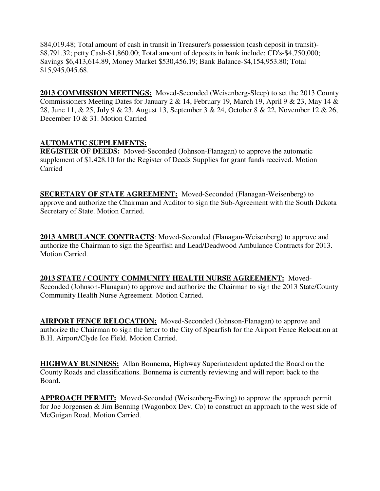\$84,019.48; Total amount of cash in transit in Treasurer's possession (cash deposit in transit)- \$8,791.32; petty Cash-\$1,860.00; Total amount of deposits in bank include: CD's-\$4,750,000; Savings \$6,413,614.89, Money Market \$530,456.19; Bank Balance-\$4,154,953.80; Total \$15,945,045.68.

**2013 COMMISSION MEETINGS:** Moved-Seconded (Weisenberg-Sleep) to set the 2013 County Commissioners Meeting Dates for January 2 & 14, February 19, March 19, April 9 & 23, May 14 & 28, June 11, & 25, July 9 & 23, August 13, September 3 & 24, October 8 & 22, November 12 & 26, December 10 & 31. Motion Carried

## **AUTOMATIC SUPPLEMENTS:**

**REGISTER OF DEEDS:** Moved-Seconded (Johnson-Flanagan) to approve the automatic supplement of \$1,428.10 for the Register of Deeds Supplies for grant funds received. Motion Carried

**SECRETARY OF STATE AGREEMENT:** Moved-Seconded (Flanagan-Weisenberg) to approve and authorize the Chairman and Auditor to sign the Sub-Agreement with the South Dakota Secretary of State. Motion Carried.

**2013 AMBULANCE CONTRACTS**: Moved-Seconded (Flanagan-Weisenberg) to approve and authorize the Chairman to sign the Spearfish and Lead/Deadwood Ambulance Contracts for 2013. Motion Carried.

**2013 STATE / COUNTY COMMUNITY HEALTH NURSE AGREEMENT:** Moved-Seconded (Johnson-Flanagan) to approve and authorize the Chairman to sign the 2013 State/County Community Health Nurse Agreement. Motion Carried.

**AIRPORT FENCE RELOCATION:** Moved-Seconded (Johnson-Flanagan) to approve and authorize the Chairman to sign the letter to the City of Spearfish for the Airport Fence Relocation at B.H. Airport/Clyde Ice Field. Motion Carried.

**HIGHWAY BUSINESS:** Allan Bonnema, Highway Superintendent updated the Board on the County Roads and classifications. Bonnema is currently reviewing and will report back to the Board.

**APPROACH PERMIT:** Moved-Seconded (Weisenberg-Ewing) to approve the approach permit for Joe Jorgensen & Jim Benning (Wagonbox Dev. Co) to construct an approach to the west side of McGuigan Road. Motion Carried.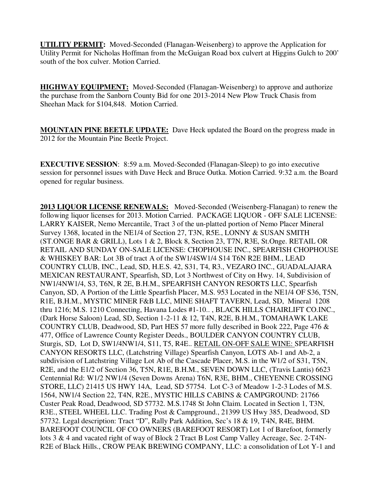**UTILITY PERMIT:** Moved-Seconded (Flanagan-Weisenberg) to approve the Application for Utility Permit for Nicholas Hoffman from the McGuigan Road box culvert at Higgins Gulch to 200' south of the box culver. Motion Carried.

**HIGHWAY EQUIPMENT:** Moved-Seconded (Flanagan-Weisenberg) to approve and authorize the purchase from the Sanborn County Bid for one 2013-2014 New Plow Truck Chasis from Sheehan Mack for \$104,848. Motion Carried.

**MOUNTAIN PINE BEETLE UPDATE:** Dave Heck updated the Board on the progress made in 2012 for the Mountain Pine Beetle Project.

**EXECUTIVE SESSION:** 8:59 a.m. Moved-Seconded (Flanagan-Sleep) to go into executive session for personnel issues with Dave Heck and Bruce Outka. Motion Carried. 9:32 a.m. the Board opened for regular business.

**2013 LIQUOR LICENSE RENEWALS:** Moved-Seconded (Weisenberg-Flanagan) to renew the following liquor licenses for 2013. Motion Carried. PACKAGE LIQUOR - OFF SALE LICENSE: LARRY KAISER, Nemo Mercantile, Tract 3 of the un-platted portion of Nemo Placer Mineral Survey 1368, located in the NE1/4 of Section 27, T3N, R5E., LONNY & SUSAN SMITH (ST.ONGE BAR & GRILL), Lots 1 & 2, Block 8, Section 23, T7N, R3E, St.Onge. RETAIL OR RETAIL AND SUNDAY ON-SALE LICENSE: CHOPHOUSE INC., SPEARFISH CHOPHOUSE & WHISKEY BAR: Lot 3B of tract A of the SW1/4SW1/4 S14 T6N R2E BHM., LEAD COUNTRY CLUB, INC., Lead, SD, H.E.S. 42, S31, T4, R3., VEZARO INC., GUADALAJARA MEXICAN RESTAURANT, Spearfish, SD, Lot 3 Northwest of City on Hwy. 14, Subdivision of NW1/4NW1/4, S3, T6N, R 2E, B.H.M., SPEARFISH CANYON RESORTS LLC, Spearfish Canyon, SD, A Portion of the Little Spearfish Placer, M.S. 953 Located in the NE1/4 OF S36, T5N, R1E, B.H.M., MYSTIC MINER F&B LLC, MINE SHAFT TAVERN, Lead, SD, Mineral 1208 thru 1216; M.S. 1210 Connecting, Havana Lodes #1-10.. , BLACK HILLS CHAIRLIFT CO.INC., (Dark Horse Saloon) Lead, SD, Section 1-2-11 & 12, T4N, R2E, B.H.M., TOMAHAWK LAKE COUNTRY CLUB, Deadwood, SD, Part HES 57 more fully described in Book 222, Page 476 & 477, Office of Lawrence County Register Deeds., BOULDER CANYON COUNTRY CLUB, Sturgis, SD, Lot D, SW1/4NW1/4, S11, T5, R4E.. RETAIL ON-OFF SALE WINE: SPEARFISH CANYON RESORTS LLC, (Latchstring Village) Spearfish Canyon, LOTS Ab-1 and Ab-2, a subdivision of Latchstring Village Lot Ab of the Cascade Placer, M.S. in the W1/2 of S31, T5N, R2E, and the E1/2 of Section 36, T5N, R1E, B.H.M., SEVEN DOWN LLC, (Travis Lantis) 6623 Centennial Rd: W1/2 NW1/4 (Seven Downs Arena) T6N, R3E, BHM., CHEYENNE CROSSING STORE, LLC) 21415 US HWY 14A, Lead, SD 57754. Lot C-3 of Meadow 1-2-3 Lodes of M.S. 1564, NW1/4 Section 22, T4N, R2E., MYSTIC HILLS CABINS & CAMPGROUND: 21766 Custer Peak Road, Deadwood, SD 57732. M.S.1748 St John Claim. Located in Section 1, T3N, R3E., STEEL WHEEL LLC. Trading Post & Campground., 21399 US Hwy 385, Deadwood, SD 57732. Legal description: Tract "D", Rally Park Addition, Sec's 18 & 19, T4N, R4E, BHM. BAREFOOT COUNCIL OF CO OWNERS (BAREFOOT RESORT) Lot 1 of Barefoot, formerly lots 3 & 4 and vacated right of way of Block 2 Tract B Lost Camp Valley Acreage, Sec. 2-T4N-R2E of Black Hills., CROW PEAK BREWING COMPANY, LLC: a consolidation of Lot Y-1 and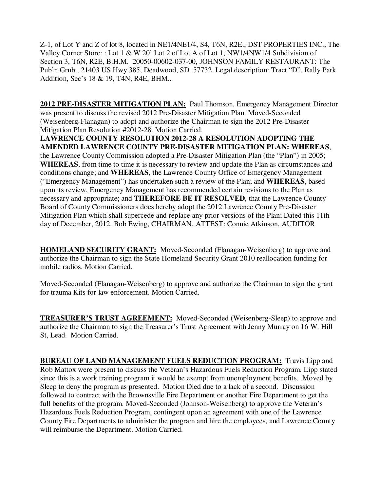Z-1, of Lot Y and Z of lot 8, located in NE1/4NE1/4, S4, T6N, R2E., DST PROPERTIES INC., The Valley Corner Store: : Lot 1 & W 20' Lot 2 of Lot A of Lot 1, NW1/4NW1/4 Subdivision of Section 3, T6N, R2E, B.H.M. 20050-00602-037-00, JOHNSON FAMILY RESTAURANT: The Pub'n Grub., 21403 US Hwy 385, Deadwood, SD 57732. Legal description: Tract "D", Rally Park Addition, Sec's 18 & 19, T4N, R4E, BHM..

**2012 PRE-DISASTER MITIGATION PLAN:** Paul Thomson, Emergency Management Director was present to discuss the revised 2012 Pre-Disaster Mitigation Plan. Moved-Seconded (Weisenberg-Flanagan) to adopt and authorize the Chairman to sign the 2012 Pre-Disaster Mitigation Plan Resolution #2012-28. Motion Carried.

**LAWRENCE COUNTY RESOLUTION 2012-28 A RESOLUTION ADOPTING THE AMENDED LAWRENCE COUNTY PRE-DISASTER MITIGATION PLAN: WHEREAS**, the Lawrence County Commission adopted a Pre-Disaster Mitigation Plan (the "Plan") in 2005; **WHEREAS**, from time to time it is necessary to review and update the Plan as circumstances and conditions change; and **WHEREAS**, the Lawrence County Office of Emergency Management ("Emergency Management") has undertaken such a review of the Plan; and **WHEREAS**, based upon its review, Emergency Management has recommended certain revisions to the Plan as necessary and appropriate; and **THEREFORE BE IT RESOLVED**, that the Lawrence County Board of County Commissioners does hereby adopt the 2012 Lawrence County Pre-Disaster Mitigation Plan which shall supercede and replace any prior versions of the Plan; Dated this 11th day of December, 2012. Bob Ewing, CHAIRMAN. ATTEST: Connie Atkinson, AUDITOR

**HOMELAND SECURITY GRANT:** Moved-Seconded (Flanagan-Weisenberg) to approve and authorize the Chairman to sign the State Homeland Security Grant 2010 reallocation funding for mobile radios. Motion Carried.

Moved-Seconded (Flanagan-Weisenberg) to approve and authorize the Chairman to sign the grant for trauma Kits for law enforcement. Motion Carried.

**TREASURER'S TRUST AGREEMENT:** Moved-Seconded (Weisenberg-Sleep) to approve and authorize the Chairman to sign the Treasurer's Trust Agreement with Jenny Murray on 16 W. Hill St, Lead. Motion Carried.

**BUREAU OF LAND MANAGEMENT FUELS REDUCTION PROGRAM:** Travis Lipp and Rob Mattox were present to discuss the Veteran's Hazardous Fuels Reduction Program. Lipp stated since this is a work training program it would be exempt from unemployment benefits. Moved by Sleep to deny the program as presented. Motion Died due to a lack of a second. Discussion followed to contract with the Brownsville Fire Department or another Fire Department to get the full benefits of the program. Moved-Seconded (Johnson-Weisenberg) to approve the Veteran's Hazardous Fuels Reduction Program, contingent upon an agreement with one of the Lawrence County Fire Departments to administer the program and hire the employees, and Lawrence County will reimburse the Department. Motion Carried.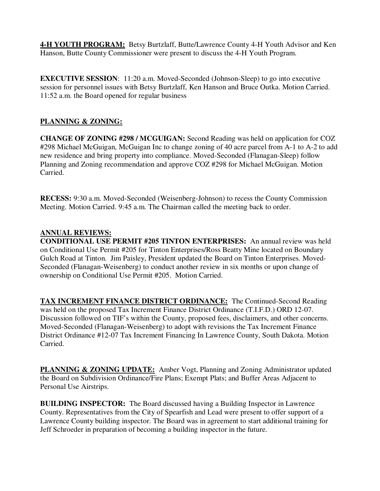**4-H YOUTH PROGRAM:** Betsy Burtzlaff, Butte/Lawrence County 4-H Youth Advisor and Ken Hanson, Butte County Commissioner were present to discuss the 4-H Youth Program.

**EXECUTIVE SESSION:** 11:20 a.m. Moved-Seconded (Johnson-Sleep) to go into executive session for personnel issues with Betsy Burtzlaff, Ken Hanson and Bruce Outka. Motion Carried. 11:52 a.m. the Board opened for regular business

## **PLANNING & ZONING:**

**CHANGE OF ZONING #298 / MCGUIGAN:** Second Reading was held on application for COZ #298 Michael McGuigan, McGuigan Inc to change zoning of 40 acre parcel from A-1 to A-2 to add new residence and bring property into compliance. Moved-Seconded (Flanagan-Sleep) follow Planning and Zoning recommendation and approve COZ #298 for Michael McGuigan. Motion Carried.

**RECESS:** 9:30 a.m. Moved-Seconded (Weisenberg-Johnson) to recess the County Commission Meeting. Motion Carried. 9:45 a.m. The Chairman called the meeting back to order.

## **ANNUAL REVIEWS:**

**CONDITIONAL USE PERMIT #205 TINTON ENTERPRISES:** An annual review was held on Conditional Use Permit #205 for Tinton Enterprises/Ross Beatty Mine located on Boundary Gulch Road at Tinton. Jim Paisley, President updated the Board on Tinton Enterprises. Moved-Seconded (Flanagan-Weisenberg) to conduct another review in six months or upon change of ownership on Conditional Use Permit #205. Motion Carried.

**TAX INCREMENT FINANCE DISTRICT ORDINANCE:** The Continued-Second Reading was held on the proposed Tax Increment Finance District Ordinance (T.I.F.D.) ORD 12-07. Discussion followed on TIF's within the County, proposed fees, disclaimers, and other concerns. Moved-Seconded (Flanagan-Weisenberg) to adopt with revisions the Tax Increment Finance District Ordinance #12-07 Tax Increment Financing In Lawrence County, South Dakota. Motion Carried.

**PLANNING & ZONING UPDATE:** Amber Vogt, Planning and Zoning Administrator updated the Board on Subdivision Ordinance/Fire Plans; Exempt Plats; and Buffer Areas Adjacent to Personal Use Airstrips.

**BUILDING INSPECTOR:** The Board discussed having a Building Inspector in Lawrence County. Representatives from the City of Spearfish and Lead were present to offer support of a Lawrence County building inspector. The Board was in agreement to start additional training for Jeff Schroeder in preparation of becoming a building inspector in the future.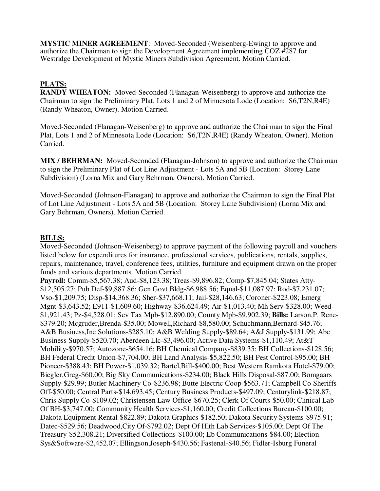**MYSTIC MINER AGREEMENT**: Moved-Seconded (Weisenberg-Ewing) to approve and authorize the Chairman to sign the Development Agreement implementing COZ #287 for Westridge Development of Mystic Miners Subdivision Agreement. Motion Carried.

# **PLATS:**

**RANDY WHEATON:** Moved-Seconded (Flanagan-Weisenberg) to approve and authorize the Chairman to sign the Preliminary Plat, Lots 1 and 2 of Minnesota Lode (Location: S6,T2N,R4E) (Randy Wheaton, Owner). Motion Carried.

Moved-Seconded (Flanagan-Weisenberg) to approve and authorize the Chairman to sign the Final Plat, Lots 1 and 2 of Minnesota Lode (Location: S6,T2N,R4E) (Randy Wheaton, Owner). Motion Carried.

**MIX / BEHRMAN:** Moved-Seconded (Flanagan-Johnson) to approve and authorize the Chairman to sign the Preliminary Plat of Lot Line Adjustment - Lots 5A and 5B (Location: Storey Lane Subdivision) (Lorna Mix and Gary Behrman, Owners). Motion Carried.

Moved-Seconded (Johnson-Flanagan) to approve and authorize the Chairman to sign the Final Plat of Lot Line Adjustment - Lots 5A and 5B (Location: Storey Lane Subdivision) (Lorna Mix and Gary Behrman, Owners). Motion Carried.

### **BILLS:**

Moved-Seconded (Johnson-Weisenberg) to approve payment of the following payroll and vouchers listed below for expenditures for insurance, professional services, publications, rentals, supplies, repairs, maintenance, travel, conference fees, utilities, furniture and equipment drawn on the proper funds and various departments. Motion Carried.

**Payroll:** Comm-\$5,567.38; Aud-\$8,123.38; Treas-\$9,896.82; Comp-\$7,845.04; States Atty- \$12,505.27; Pub Def-\$9,887.86; Gen Govt Bldg-\$6,988.56; Equal-\$11,087.97; Rod-\$7,231.07; Vso-\$1,209.75; Disp-\$14,368.36; Sher-\$37,668.11; Jail-\$28,146.63; Coroner-\$223.08; Emerg Mgnt-\$3,643.52; E911-\$1,609.60; Highway-\$36,624.49; Air-\$1,013.40; Mh Serv-\$328.00; Weed- \$1,921.43; Pz-\$4,528.01; Sev Tax Mpb-\$12,890.00; County Mpb-\$9,902.39; **Bills:** Larson,P. Rene- \$379.20; Mcgruder,Brenda-\$35.00; Mowell,Richard-\$8,580.00; Schuchmann,Bernard-\$45.76; A&B Business,Inc Solutions-\$285.10; A&B Welding Supply-\$89.64; A&J Supply-\$131.99; Abc Business Supply-\$520.70; Aberdeen Llc-\$3,496.00; Active Data Systems-\$1,110.49; At&T Mobility-\$970.57; Autozone-\$654.16; BH Chemical Company-\$839.35; BH Collections-\$128.56; BH Federal Credit Union-\$7,704.00; BH Land Analysis-\$5,822.50; BH Pest Control-\$95.00; BH Pioneer-\$388.43; BH Power-\$1,039.32; Bartel,Bill-\$400.00; Best Western Ramkota Hotel-\$79.00; Biegler,Greg-\$60.00; Big Sky Communications-\$234.00; Black Hills Disposal-\$87.00; Bomgaars Supply-\$29.99; Butler Machinery Co-\$236.98; Butte Electric Coop-\$563.71; Campbell Co Sheriffs Off-\$50.00; Central Parts-\$14,693.45; Century Business Products-\$497.09; Centurylink-\$218.87; Chris Supply Co-\$109.02; Christensen Law Office-\$670.25; Clerk Of Courts-\$50.00; Clinical Lab Of BH-\$3,747.00; Community Health Services-\$1,160.00; Credit Collections Bureau-\$100.00; Dakota Equipment Rental-\$822.89; Dakota Graphics-\$182.50; Dakota Security Systems-\$975.91; Datec-\$529.56; Deadwood,City Of-\$792.02; Dept Of Hlth Lab Services-\$105.00; Dept Of The Treasury-\$52,308.21; Diversified Collections-\$100.00; Eb Communications-\$84.00; Election Sys&Software-\$2,452.07; Ellingson,Joseph-\$430.56; Fastenal-\$40.56; Fidler-Isburg Funeral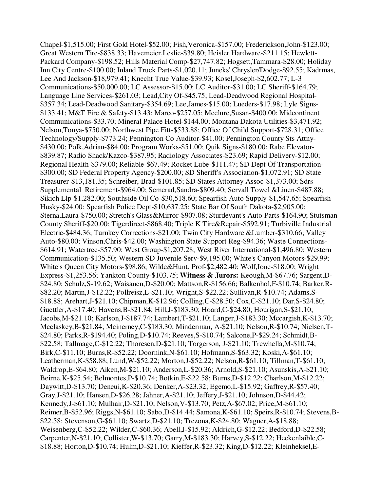Chapel-\$1,515.00; First Gold Hotel-\$52.00; Fish,Veronica-\$157.00; Frederickson,John-\$123.00; Great Western Tire-\$838.33; Havemeier,Leslie-\$39.80; Heisler Hardware-\$211.15; Hewlett-Packard Company-\$198.52; Hills Material Comp-\$27,747.82; Hogsett,Tammara-\$28.00; Holiday Inn City Centre-\$100.00; Inland Truck Parts-\$1,020.11; Juneks' Chrysler/Dodge-\$92.55; Kadrmas, Lee And Jackson-\$18,979.41; Knecht True Value-\$39.93; Kosel,Joseph-\$2,602.77; L-3 Communications-\$50,000.00; LC Assessor-\$15.00; LC Auditor-\$31.00; LC Sheriff-\$164.79; Language Line Services-\$261.03; Lead,City Of-\$45.75; Lead-Deadwood Regional Hospital- \$357.34; Lead-Deadwood Sanitary-\$354.69; Lee,James-\$15.00; Lueders-\$17.98; Lyle Signs- \$133.41; M&T Fire & Safety-\$13.43; Marco-\$257.05; Mcclure,Susan-\$400.00; Midcontinent Communications-\$33.70; Mineral Palace Hotel-\$144.00; Montana Dakota Utilities-\$3,471.92; Nelson,Tonya-\$750.00; Northwest Pipe Fitt-\$533.88; Office Of Child Support-\$728.31; Office Technology/Supply-\$773.24; Pennington Co Auditor-\$41.00; Pennington County Sts Attny- \$430.00; Polk,Adrian-\$84.00; Program Works-\$51.00; Quik Signs-\$180.00; Rabe Elevator- \$839.87; Radio Shack/Kazco-\$387.95; Radiology Associates-\$23.69; Rapid Delivery-\$12.00; Regional Health-\$379.00; Reliable-\$67.49; Rocket Lube-\$111.47; SD Dept Of Transportation- \$300.00; SD Federal Property Agency-\$200.00; SD Sheriff's Association-\$1,072.91; SD State Treasurer-\$13,181.35; Schreiber, Brad-\$101.85; SD States Attorney Assoc-\$1,373.00; Sdrs Supplemental Retirement-\$964.00; Semerad,Sandra-\$809.40; Servall Towel &Linen-\$487.88; Sikich Llp-\$1,282.00; Southside Oil Co-\$30,518.60; Spearfish Auto Supply-\$1,547.65; Spearfish Husky-\$24.00; Spearfish Police Dept-\$10,637.25; State Bar Of South Dakota-\$2,905.00; Sterna,Laura-\$750.00; Stretch's Glass&Mirror-\$907.08; Sturdevant's Auto Parts-\$164.90; Stutsman County Sheriff-\$20.00; Tigerdirect-\$868.40; Triple K Tire&Repair-\$592.91; Turbiville Industrial Electric-\$484.36; Turnkey Corrections-\$21.00; Twin City Hardware &Lumber-\$310.66; Valley Auto-\$80.00; Vinson,Chris-\$42.00; Washington State Support Reg-\$94.36; Waste Connections- \$614.91; Watertree-\$57.90; West Group-\$1,207.28; West River International-\$1,496.80; Western Communication-\$135.50; Western SD Juvenile Serv-\$9,195.00; White's Canyon Motors-\$29.99; White's Queen City Motors-\$98.86; Wilde&Hunt, Prof-\$2,482.40; Wolf,Ione-\$18.00; Wright Express-\$1,253.56; Yankton County-\$103.75; **Witness & Jurors:** Keough,M-\$67.76; Sargent,D- \$24.80; Schulz,S-19.62; Waisanen,D-\$20.00; Mattson,R-\$156.66; Balkenhol,F-\$10.74; Barker,R- \$82.20; Martin,J-\$12.22; Pollreisz,L-\$21.10; Wright,S-\$22.22; Sullivan,R-\$10.74; Adams,S- \$18.88; Arehart,J-\$21.10; Chipman,K-\$12.96; Colling,C-\$28.50; Cox,C-\$21.10; Dar,S-\$24.80; Guettler,A-\$17.40; Havens,B-\$21.84; Hill,J-\$183.30; Hoard,C-\$24.80; Hourigan,S-\$21.10; Jacobs,M-\$21.10; Karlson,J-\$187.74; Lambert,T-\$21.10; Langer,J-\$183.30; Mccargish,K-\$13.70; Mcclaskey,B-\$21.84; Mcinerney,C-\$183.30; Minderman, A-\$21.10; Nelson,R-\$10.74; Nielsen,T- \$24.80; Parks,R-\$194.40; Poling,D-\$10.74; Reeves,S-\$10.74; Salcone,P-\$29.24; Schmidt,B- \$22.58; Tallmage,C-\$12.22; Thoresen,D-\$21.10; Torgerson, J-\$21.10; Trewhella,M-\$10.74; Birk,C-\$11.10; Burns,R-\$52.22; Doornink,N-\$61.10; Hofmann,S-\$63.32; Koski,A-\$61.10; Leatherman,K-\$58.88; Lund,W-\$52.22; Morton,J-\$52.22; Nelson,R-\$61.10; Tillman,T-\$61.10; Waldrop,E-\$64.80; Aiken,M-\$21.10; Anderson,L-\$20.36; Arnold,S-\$21.10; Asunskis,A-\$21.10; Beirne,K-\$25.54; Belmontes,P-\$10.74; Botkin,E-\$22.58; Burns,D-\$12.22; Charlson,M-\$12.22; Daywitt,D-\$13.70; Deneui,K-\$20.36; Denker,A-\$23.32; Egemo,L-\$15.92; Gaffrey,R-\$57.40; Gray,J-\$21.10; Hansen,D-\$26.28; Jahner,A-\$21.10; Jeffery,J-\$21.10; Johnson,D-\$44.42; Kennedy,J-\$61.10; Mulhair,D-\$21.10; Nelson,V-\$13.70; Petz,A-\$67.02; Price,M-\$61.10; Reimer,B-\$52.96; Riggs,N-\$61.10; Sabo,D-\$14.44; Samona,K-\$61.10; Speirs,R-\$10.74; Stevens,B- \$22.58; Stevenson,G-\$61.10; Swartz,D-\$21.10; Trezona,K-\$24.80; Wagner,A-\$18.88; Weisenberg,C-\$52.22; Wilder,C-\$60.36; Abell,J-\$15.92; Aldrich,G-\$12.22; Bedford,D-\$22.58; Carpenter,N-\$21.10; Collister,W-\$13.70; Garry,M-\$183.30; Harvey,S-\$12.22; Heckenlaible,C- \$18.88; Horton,D-\$10.74; Hulm,D-\$21.10; Kieffer,R-\$23.32; King,D-\$12.22; Kleinheksel,E-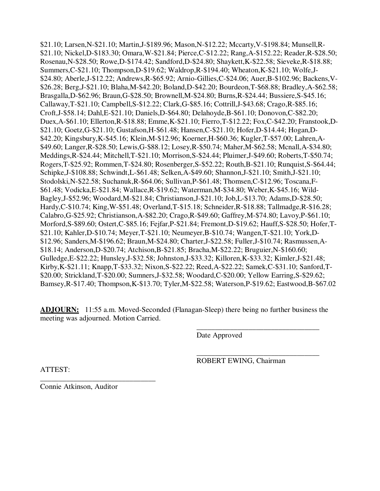\$21.10; Larsen,N-\$21.10; Martin,J-\$189.96; Mason,N-\$12.22; Mccarty,V-\$198.84; Munsell,R- \$21.10; Nickel,D-\$183.30; Omara,W-\$21.84; Pierce,C-\$12.22; Rang,A-\$152.22; Reader,R-\$28.50; Rosenau,N-\$28.50; Rowe,D-\$174.42; Sandford,D-\$24.80; Shaykett,K-\$22.58; Sieveke,R-\$18.88; Summers,C-\$21.10; Thompson,D-\$19.62; Waldrop,R-\$194.40; Wheaton,K-\$21.10; Wolfe,J- \$24.80; Aberle,J-\$12.22; Andrews,R-\$65.92; Arnio-Gillies,C-\$24.06; Auer,B-\$102.96; Backens,V- \$26.28; Berg,J-\$21.10; Blaha,M-\$42.20; Boland,D-\$42.20; Bourdeon,T-\$68.88; Bradley,A-\$62.58; Brasgalla,D-\$62.96; Braun,G-\$28.50; Brownell,M-\$24.80; Burns,R-\$24.44; Bussiere,S-\$45.16; Callaway,T-\$21.10; Campbell,S-\$12.22; Clark,G-\$85.16; Cottrill,J-\$43.68; Crago,R-\$85.16; Croft,J-\$58.14; Dahl,E-\$21.10; Daniels,D-\$64.80; Delahoyde,B-\$61.10; Donovon,C-\$82.20; Duex,A-\$61.10; Ellerton,R-\$18.88; Emme,K-\$21.10; Fierro,T-\$12.22; Fox,C-\$42.20; Franstook,D- \$21.10; Goetz,G-\$21.10; Gustafson,H-\$61.48; Hansen,C-\$21.10; Hofer,D-\$14.44; Hogan,D- \$42.20; Kingsbury,K-\$45.16; Klein,M-\$12.96; Koerner,H-\$60.36; Kugler,T-\$57.00; Lahren,A- \$49.60; Langer,R-\$28.50; Lewis,G-\$88.12; Losey,R-\$50.74; Maher,M-\$62.58; Mcnall,A-\$34.80; Meddings,R-\$24.44; Mitchell,T-\$21.10; Morrison,S-\$24.44; Pluimer,J-\$49.60; Roberts,T-\$50.74; Rogers,T-\$25.92; Rommen,T-\$24.80; Rosenberger,S-\$52.22; Routh,B-\$21.10; Runquist,S-\$64.44; Schipke,J-\$108.88; Schwindt,L-\$61.48; Selken,A-\$49.60; Shannon,J-\$21.10; Smith,J-\$21.10; Stodolski,N-\$22.58; Suchanuk,R-\$64.06; Sullivan,P-\$61.48; Thomsen,C-\$12.96; Toscana,F- \$61.48; Vodicka,E-\$21.84; Wallace,R-\$19.62; Waterman,M-\$34.80; Weber,K-\$45.16; Wild-Bagley,J-\$52.96; Woodard,M-\$21.84; Christianson,J-\$21.10; Job,L-\$13.70; Adams,D-\$28.50; Hardy,C-\$10.74; King,W-\$51.48; Overland,T-\$15.18; Schneider,R-\$18.88; Tallmadge,R-\$16.28; Calabro,G-\$25.92; Christianson,A-\$82.20; Crago,R-\$49.60; Gaffrey,M-\$74.80; Lavoy,P-\$61.10; Morford,S-\$89.60; Ostert,C-\$85.16; Fejfar,P-\$21.84; Fremont,D-\$19.62; Hauff,S-\$28.50; Hofer,T- \$21.10; Kahler,D-\$10.74; Meyer,T-\$21.10; Neumeyer,B-\$10.74; Wangen,T-\$21.10; York,D- \$12.96; Sanders,M-\$196.62; Braun,M-\$24.80; Charter,J-\$22.58; Fuller,J-\$10.74; Rasmussen,A- \$18.14; Anderson,D-\$20.74; Atchison,B-\$21.85; Bracha,M-\$22.22; Bruguier,N-\$160.60; Gulledge,E-\$22.22; Hunsley,J-\$32.58; Johnston,J-\$33.32; Killoren,K-\$33.32; Kimler,J-\$21.48; Kirby,K-\$21.11; Knapp,T-\$33.32; Nixon,S-\$22.22; Reed,A-\$22.22; Samek,C-\$31.10; Sanford,T- \$20.00; Strickland,T-\$20.00; Sumners,J-\$32.58; Woodard,C-\$20.00; Yellow Earring,S-\$29.62; Bamsey,R-\$17.40; Thompson,K-\$13.70; Tyler,M-\$22.58; Waterson,P-\$19.62; Eastwood,B-\$67.02

**ADJOURN:** 11:55 a.m. Moved-Seconded (Flanagan-Sleep) there being no further business the meeting was adjourned. Motion Carried.

 $\overline{\phantom{a}}$  , and the contract of the contract of the contract of the contract of the contract of the contract of the contract of the contract of the contract of the contract of the contract of the contract of the contrac

 $\overline{\phantom{a}}$  , and the contract of the contract of the contract of the contract of the contract of the contract of the contract of the contract of the contract of the contract of the contract of the contract of the contrac

Date Approved

ROBERT EWING, Chairman

ATTEST:

Connie Atkinson, Auditor

\_\_\_\_\_\_\_\_\_\_\_\_\_\_\_\_\_\_\_\_\_\_\_\_\_\_\_\_\_\_\_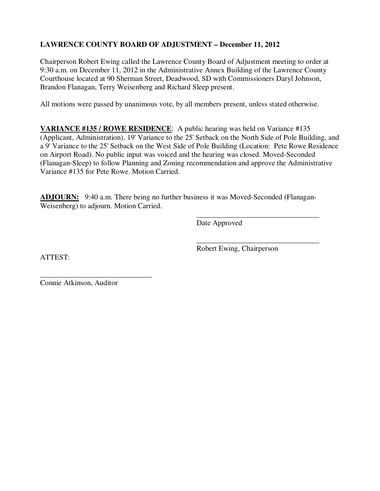# **LAWRENCE COUNTY BOARD OF ADJUSTMENT – December 11, 2012**

Chairperson Robert Ewing called the Lawrence County Board of Adjustment meeting to order at 9:30 a.m. on December 11, 2012 in the Administrative Annex Building of the Lawrence County Courthouse located at 90 Sherman Street, Deadwood, SD with Commissioners Daryl Johnson, Brandon Flanagan, Terry Weisenberg and Richard Sleep present.

All motions were passed by unanimous vote, by all members present, unless stated otherwise.

**VARIANCE #135 / ROWE RESIDENCE**: A public hearing was held on Variance #135 (Applicant, Administration), 19' Variance to the 25' Setback on the North Side of Pole Building, and a 9' Variance to the 25' Setback on the West Side of Pole Building (Location: Pete Rowe Residence on Airport Road). No public input was voiced and the hearing was closed. Moved-Seconded (Flanagan-Sleep) to follow Planning and Zoning recommendation and approve the Administrative Variance #135 for Pete Rowe. Motion Carried.

**ADJOURN:** 9:40 a.m. There being no further business it was Moved-Seconded (Flanagan-Weisenberg) to adjourn. Motion Carried.

 $\overline{\phantom{a}}$  , and the contract of the contract of the contract of the contract of the contract of the contract of the contract of the contract of the contract of the contract of the contract of the contract of the contrac

 $\overline{\phantom{a}}$  , and the contract of the contract of the contract of the contract of the contract of the contract of the contract of the contract of the contract of the contract of the contract of the contract of the contrac

Date Approved

ATTEST:

Robert Ewing, Chairperson

\_\_\_\_\_\_\_\_\_\_\_\_\_\_\_\_\_\_\_\_\_\_\_\_\_\_\_\_\_\_ Connie Atkinson, Auditor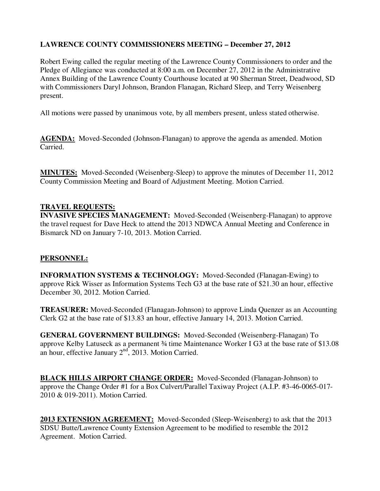# **LAWRENCE COUNTY COMMISSIONERS MEETING – December 27, 2012**

Robert Ewing called the regular meeting of the Lawrence County Commissioners to order and the Pledge of Allegiance was conducted at 8:00 a.m. on December 27, 2012 in the Administrative Annex Building of the Lawrence County Courthouse located at 90 Sherman Street, Deadwood, SD with Commissioners Daryl Johnson, Brandon Flanagan, Richard Sleep, and Terry Weisenberg present.

All motions were passed by unanimous vote, by all members present, unless stated otherwise.

**AGENDA:** Moved-Seconded (Johnson-Flanagan) to approve the agenda as amended. Motion Carried.

**MINUTES:** Moved-Seconded (Weisenberg-Sleep) to approve the minutes of December 11, 2012 County Commission Meeting and Board of Adjustment Meeting. Motion Carried.

#### **TRAVEL REQUESTS:**

**INVASIVE SPECIES MANAGEMENT:** Moved-Seconded (Weisenberg-Flanagan) to approve the travel request for Dave Heck to attend the 2013 NDWCA Annual Meeting and Conference in Bismarck ND on January 7-10, 2013. Motion Carried.

### **PERSONNEL:**

**INFORMATION SYSTEMS & TECHNOLOGY:** Moved-Seconded (Flanagan-Ewing) to approve Rick Wisser as Information Systems Tech G3 at the base rate of \$21.30 an hour, effective December 30, 2012. Motion Carried.

**TREASURER:** Moved-Seconded (Flanagan-Johnson) to approve Linda Quenzer as an Accounting Clerk G2 at the base rate of \$13.83 an hour, effective January 14, 2013. Motion Carried.

**GENERAL GOVERNMENT BUILDINGS:** Moved-Seconded (Weisenberg-Flanagan) To approve Kelby Latuseck as a permanent ¾ time Maintenance Worker I G3 at the base rate of \$13.08 an hour, effective January  $2<sup>nd</sup>$ , 2013. Motion Carried.

**BLACK HILLS AIRPORT CHANGE ORDER:** Moved-Seconded (Flanagan-Johnson) to approve the Change Order #1 for a Box Culvert/Parallel Taxiway Project (A.I.P. #3-46-0065-017- 2010 & 019-2011). Motion Carried.

**2013 EXTENSION AGREEMENT:** Moved-Seconded (Sleep-Weisenberg) to ask that the 2013 SDSU Butte/Lawrence County Extension Agreement to be modified to resemble the 2012 Agreement. Motion Carried.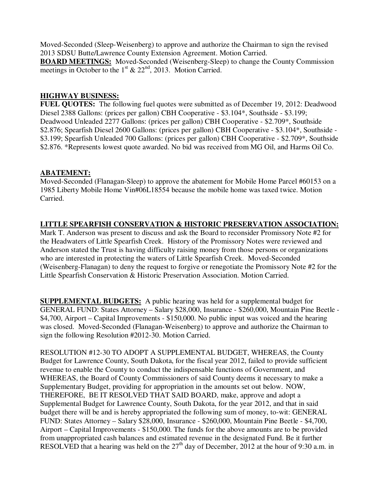Moved-Seconded (Sleep-Weisenberg) to approve and authorize the Chairman to sign the revised 2013 SDSU Butte/Lawrence County Extension Agreement. Motion Carried.

**BOARD MEETINGS:** Moved-Seconded (Weisenberg-Sleep) to change the County Commission meetings in October to the  $1<sup>st</sup>$  & 22<sup>nd</sup>, 2013. Motion Carried.

### **HIGHWAY BUSINESS:**

**FUEL QUOTES:** The following fuel quotes were submitted as of December 19, 2012: Deadwood Diesel 2388 Gallons: (prices per gallon) CBH Cooperative - \$3.104\*, Southside - \$3.199; Deadwood Unleaded 2277 Gallons: (prices per gallon) CBH Cooperative - \$2.709\*, Southside \$2.876; Spearfish Diesel 2600 Gallons: (prices per gallon) CBH Cooperative - \$3.104\*, Southside - \$3.199; Spearfish Unleaded 700 Gallons: (prices per gallon) CBH Cooperative - \$2.709\*, Southside \$2.876. \*Represents lowest quote awarded. No bid was received from MG Oil, and Harms Oil Co.

#### **ABATEMENT:**

Moved-Seconded (Flanagan-Sleep) to approve the abatement for Mobile Home Parcel #60153 on a 1985 Liberty Mobile Home Vin#06L18554 because the mobile home was taxed twice. Motion Carried.

### **LITTLE SPEARFISH CONSERVATION & HISTORIC PRESERVATION ASSOCIATION:**

Mark T. Anderson was present to discuss and ask the Board to reconsider Promissory Note #2 for the Headwaters of Little Spearfish Creek. History of the Promissory Notes were reviewed and Anderson stated the Trust is having difficulty raising money from those persons or organizations who are interested in protecting the waters of Little Spearfish Creek. Moved-Seconded (Weisenberg-Flanagan) to deny the request to forgive or renegotiate the Promissory Note #2 for the Little Spearfish Conservation & Historic Preservation Association. Motion Carried.

**SUPPLEMENTAL BUDGETS:** A public hearing was held for a supplemental budget for GENERAL FUND: States Attorney – Salary \$28,000, Insurance - \$260,000, Mountain Pine Beetle - \$4,700, Airport – Capital Improvements - \$150,000. No public input was voiced and the hearing was closed. Moved-Seconded (Flanagan-Weisenberg) to approve and authorize the Chairman to sign the following Resolution #2012-30. Motion Carried.

RESOLUTION #12-30 TO ADOPT A SUPPLEMENTAL BUDGET, WHEREAS, the County Budget for Lawrence County, South Dakota, for the fiscal year 2012, failed to provide sufficient revenue to enable the County to conduct the indispensable functions of Government, and WHEREAS, the Board of County Commissioners of said County deems it necessary to make a Supplementary Budget, providing for appropriation in the amounts set out below. NOW, THEREFORE, BE IT RESOLVED THAT SAID BOARD, make, approve and adopt a Supplemental Budget for Lawrence County, South Dakota, for the year 2012, and that in said budget there will be and is hereby appropriated the following sum of money, to-wit: GENERAL FUND: States Attorney – Salary \$28,000, Insurance - \$260,000, Mountain Pine Beetle - \$4,700, Airport – Capital Improvements - \$150,000. The funds for the above amounts are to be provided from unappropriated cash balances and estimated revenue in the designated Fund. Be it further RESOLVED that a hearing was held on the  $27<sup>th</sup>$  day of December, 2012 at the hour of 9:30 a.m. in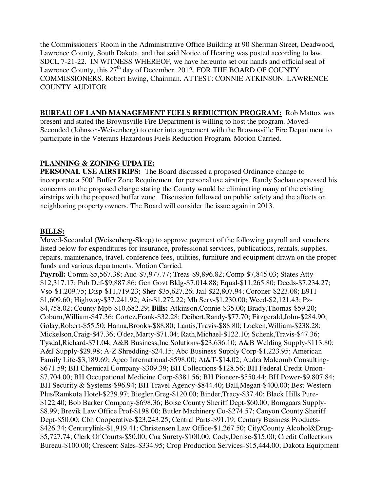the Commissioners' Room in the Administrative Office Building at 90 Sherman Street, Deadwood, Lawrence County, South Dakota, and that said Notice of Hearing was posted according to law, SDCL 7-21-22. IN WITNESS WHEREOF, we have hereunto set our hands and official seal of Lawrence County, this  $27<sup>th</sup>$  day of December, 2012. FOR THE BOARD OF COUNTY COMMISSIONERS. Robert Ewing, Chairman. ATTEST: CONNIE ATKINSON. LAWRENCE COUNTY AUDITOR

#### **BUREAU OF LAND MANAGEMENT FUELS REDUCTION PROGRAM:** Rob Mattox was

present and stated the Brownsville Fire Department is willing to host the program. Moved-Seconded (Johnson-Weisenberg) to enter into agreement with the Brownsville Fire Department to participate in the Veterans Hazardous Fuels Reduction Program. Motion Carried.

## **PLANNING & ZONING UPDATE:**

**PERSONAL USE AIRSTRIPS:** The Board discussed a proposed Ordinance change to incorporate a 500' Buffer Zone Requirement for personal use airstrips. Randy Sachau expressed his concerns on the proposed change stating the County would be eliminating many of the existing airstrips with the proposed buffer zone. Discussion followed on public safety and the affects on neighboring property owners. The Board will consider the issue again in 2013.

### **BILLS:**

Moved-Seconded (Weisenberg-Sleep) to approve payment of the following payroll and vouchers listed below for expenditures for insurance, professional services, publications, rentals, supplies, repairs, maintenance, travel, conference fees, utilities, furniture and equipment drawn on the proper funds and various departments. Motion Carried.

**Payroll:** Comm-\$5,567.38; Aud-\$7,977.77; Treas-\$9,896.82; Comp-\$7,845.03; States Atty- \$12,317.17; Pub Def-\$9,887.86; Gen Govt Bldg-\$7,014.88; Equal-\$11,265.80; Deeds-\$7.234.27; Vso-\$1.209.75; Disp-\$11,719.23; Sher-\$35,627.26; Jail-\$22,807.94; Coroner-\$223.08; E911- \$1,609.60; Highway-\$37.241.92; Air-\$1,272.22; Mh Serv-\$1,230.00; Weed-\$2,121.43; Pz- \$4,758.02; County Mpb-\$10,682.29; **Bills:** Atkinson,Connie-\$35.00; Brady,Thomas-\$59.20; Coburn,William-\$47.36; Cortez,Frank-\$32.28; Deibert,Randy-\$77.70; Fitzgerald,John-\$284.90; Golay,Robert-\$55.50; Hanna,Brooks-\$88.80; Lantis,Travis-\$88.80; Locken,William-\$238.28; Mickelson,Craig-\$47.36; O'dea,Marty-\$71.04; Rath,Michael-\$122.10; Schenk,Travis-\$47.36; Tysdal,Richard-\$71.04; A&B Business,Inc Solutions-\$23,636.10; A&B Welding Supply-\$113.80; A&J Supply-\$29.98; A-Z Shredding-\$24.15; Abc Business Supply Corp-\$1,223.95; American Family Life-\$3,189.69; Apco International-\$598.00; At&T-\$14.02; Audra Malcomb Consulting- \$671.59; BH Chemical Company-\$309.39; BH Collections-\$128.56; BH Federal Credit Union- \$7,704.00; BH Occupational Medicine Corp-\$381.56; BH Pioneer-\$550.44; BH Power-\$9,807.84; BH Security & Systems-\$96.94; BH Travel Agency-\$844.40; Ball,Megan-\$400.00; Best Western Plus/Ramkota Hotel-\$239.97; Biegler,Greg-\$120.00; Binder,Tracy-\$37.40; Black Hills Pure- \$122.40; Bob Barker Company-\$698.36; Boise County Sheriff Dept-\$60.00; Bomgaars Supply- \$8.99; Brevik Law Office Prof-\$198.00; Butler Machinery Co-\$274.57; Canyon County Sheriff Dept-\$50.00; Cbh Cooperative-\$23,243.25; Central Parts-\$91.19; Century Business Products- \$426.34; Centurylink-\$1,919.41; Christensen Law Office-\$1,267.50; City/County Alcohol&Drug- \$5,727.74; Clerk Of Courts-\$50.00; Cna Surety-\$100.00; Cody,Denise-\$15.00; Credit Collections Bureau-\$100.00; Crescent Sales-\$334.95; Crop Production Services-\$15,444.00; Dakota Equipment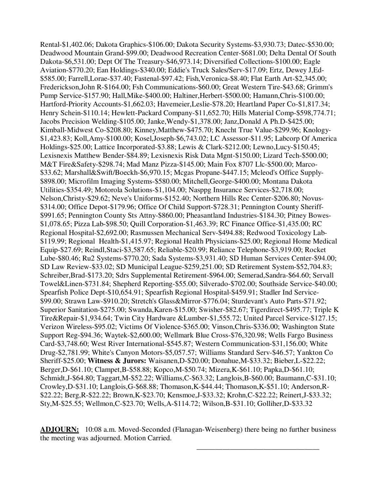Rental-\$1,402.06; Dakota Graphics-\$106.00; Dakota Security Systems-\$3,930.73; Datec-\$530.00; Deadwood Mountain Grand-\$99.00; Deadwood Recreation Center-\$681.00; Delta Dental Of South Dakota-\$6,531.00; Dept Of The Treasury-\$46,973.14; Diversified Collections-\$100.00; Eagle Aviation-\$770.20; Ean Holdings-\$340.00; Eddie's Truck Sales/Serv-\$17.09; Ertz, Dewey J,Ed- \$585.00; Farrell,Lorae-\$37.40; Fastenal-\$97.42; Fish,Veronica-\$8.40; Flat Earth Art-\$2,345.00; Frederickson,John R-\$164.00; Fsh Communications-\$60.00; Great Western Tire-\$43.68; Grimm's Pump Service-\$157.90; Hall,Mike-\$400.00; Haltiner,Herbert-\$500.00; Hamann,Chris-\$100.00; Hartford-Priority Accounts-\$1,662.03; Havemeier,Leslie-\$78.20; Heartland Paper Co-\$1,817.34; Henry Schein-\$110.14; Hewlett-Packard Company-\$11,652.70; Hills Material Comp-\$598,774.71; Jacobs Precision Welding-\$105.00; Janke,Wendy-\$1,378.00; Janz,Donald A Ph.D-\$425.00; Kimball-Midwest Co-\$208.80; Kinney,Matthew-\$475.70; Knecht True Value-\$299.96; Knology- \$1,423.83; Koll,Amy-\$100.00; Kosel,Joseph-\$6,743.02; LC Assessor-\$11.95; Labcorp Of America Holdings-\$25.00; Lattice Incorporated-\$3.88; Lewis & Clark-\$212.00; Lewno,Lucy-\$150.45; Lexisnexis Matthew Bender-\$84.89; Lexisnexis Risk Data Mgnt-\$150.00; Lizard Tech-\$500.00; M&T Fire&Safety-\$298.74; Mad Manz Pizza-\$145.00; Main Fox 8707 Llc-\$500.00; Marco- \$33.62; Marshall&Swift/Boeckh-\$6,970.15; Mcgas Propane-\$447.15; Mcleod's Office Supply- \$898.00; Microfilm Imaging Systems-\$580.00; Mitchell,George-\$400.00; Montana Dakota Utilities-\$354.49; Motorola Solutions-\$1,104.00; Nasppg Insurance Services-\$2,718.00; Nelson,Christy-\$29.62; Neve's Uniforms-\$152.40; Northern Hills Rec Center-\$206.80; Novus- \$314.00; Office Depot-\$179.96; Office Of Child Support-\$728.31; Pennington County Sheriff- \$991.65; Pennington County Sts Attny-\$860.00; Pheasantland Industries-\$184.30; Pitney Bowes- \$1,078.65; Pizza Lab-\$98.50; Quill Corporation-\$1,463.39; RC Finance Office-\$1,435.00; RC Regional Hospital-\$2,692.00; Rasmussen Mechanical Serv-\$494.88; Redwood Toxicology Lab- \$119.99; Regional Health-\$1,415.97; Regional Health Physicians-\$25.00; Regional Home Medical Equip-\$27.69; Reindl,Staci-\$3,587.65; Reliable-\$20.99; Reliance Telephone-\$3,919.00; Rocket Lube-\$80.46; Ru2 Systems-\$770.20; Sada Systems-\$3,931.40; SD Human Services Center-\$94.00; SD Law Review-\$33.02; SD Municipal League-\$259,251.00; SD Retirement System-\$52,704.83; Schreiber,Brad-\$173.20; Sdrs Supplemental Retirement-\$964.00; Semerad,Sandra-\$64.60; Servall Towel&Linen-\$731.84; Shepherd Reporting-\$55.00; Silverado-\$702.00; Southside Service-\$40.00; Spearfish Police Dept-\$10,654.91; Spearfish Regional Hospital-\$459.91; Stadler Ind Service- \$99.00; Strawn Law-\$910.20; Stretch's Glass&Mirror-\$776.04; Sturdevant's Auto Parts-\$71.92; Superior Sanitation-\$275.00; Swanda,Karen-\$15.00; Swisher-\$82.67; Tigerdirect-\$495.77; Triple K Tire&Repair-\$1,934.64; Twin City Hardware &Lumber-\$1,555.72; United Parcel Service-\$127.15; Verizon Wireless-\$95.02; Victims Of Violence-\$365.00; Vinson,Chris-\$336.00; Washington State Support Reg-\$94.36; Waytek-\$2,600.00; Wellmark Blue Cross-\$76,320.98; Wells Fargo Business Card-\$3,748.60; West River International-\$545.87; Western Communication-\$31,156.00; White Drug-\$2,781.99; White's Canyon Motors-\$5,057.57; Williams Standard Serv-\$46.57; Yankton Co Sheriff-\$25.00; **Witness & Jurors:** Waisanen,D-\$20.00; Donahue,M-\$33.32; Bieber,L-\$22.22; Berger,D-\$61.10; Clampet,B-\$58.88; Kopco,M-\$50.74; Mizera,K-\$61.10; Papka,D-\$61.10; Schmidt,J-\$64.80; Taggart,M-\$52.22; Williams,C-\$63.32; Langlois,B-\$60.00; Baumann,C-\$31.10; Crowley,D-\$31.10; Langlois,G-\$68.88; Thomason,K-\$44.44; Thomason,K-\$51.10; Anderson,R- \$22.22; Berg,R-\$22.22; Brown,K-\$23.70; Kensmoe,J-\$33.32; Krohn,C-\$22.22; Reinert,J-\$33.32; Sty,M-\$25.55; Wellmon,C-\$23.70; Wells,A-\$114.72; Wilson,B-\$31.10; Golliher,D-\$33.32

**ADJOURN:** 10:08 a.m. Moved-Seconded (Flanagan-Weisenberg) there being no further business the meeting was adjourned. Motion Carried.

 $\overline{\phantom{a}}$  , and the contract of the contract of the contract of the contract of the contract of the contract of the contract of the contract of the contract of the contract of the contract of the contract of the contrac